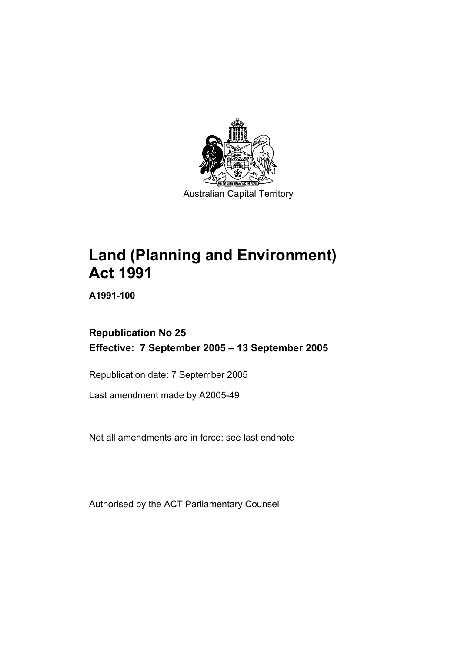

# **Land (Planning and Environment) Act 1991**

**A1991-100** 

# **Republication No 25 Effective: 7 September 2005 – 13 September 2005**

Republication date: 7 September 2005

Last amendment made by A2005-49

Not all amendments are in force: see last endnote

Authorised by the ACT Parliamentary Counsel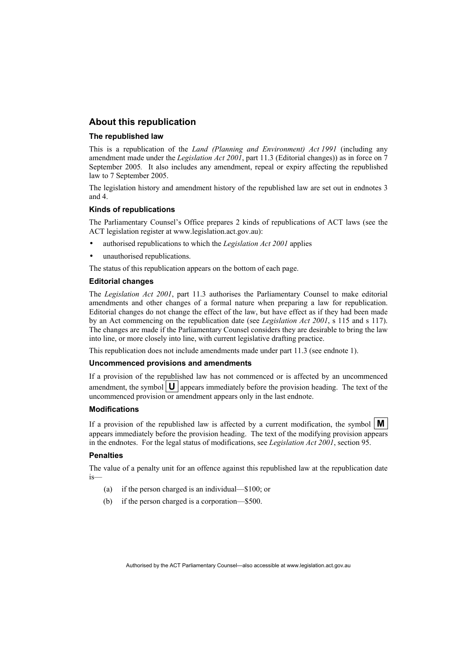## **About this republication**

#### **The republished law**

This is a republication of the *Land (Planning and Environment) Act 1991* (including any amendment made under the *Legislation Act 2001*, part 11.3 (Editorial changes)) as in force on 7 September 2005*.* It also includes any amendment, repeal or expiry affecting the republished law to 7 September 2005.

The legislation history and amendment history of the republished law are set out in endnotes 3 and 4.

#### **Kinds of republications**

The Parliamentary Counsel's Office prepares 2 kinds of republications of ACT laws (see the ACT legislation register at www.legislation.act.gov.au):

- authorised republications to which the *Legislation Act 2001* applies
- unauthorised republications.

The status of this republication appears on the bottom of each page.

#### **Editorial changes**

The *Legislation Act 2001*, part 11.3 authorises the Parliamentary Counsel to make editorial amendments and other changes of a formal nature when preparing a law for republication. Editorial changes do not change the effect of the law, but have effect as if they had been made by an Act commencing on the republication date (see *Legislation Act 2001*, s 115 and s 117). The changes are made if the Parliamentary Counsel considers they are desirable to bring the law into line, or more closely into line, with current legislative drafting practice.

This republication does not include amendments made under part 11.3 (see endnote 1).

#### **Uncommenced provisions and amendments**

If a provision of the republished law has not commenced or is affected by an uncommenced amendment, the symbol  $\mathbf{U}$  appears immediately before the provision heading. The text of the uncommenced provision or amendment appears only in the last endnote.

#### **Modifications**

If a provision of the republished law is affected by a current modification, the symbol  $\mathbf{M}$ appears immediately before the provision heading. The text of the modifying provision appears in the endnotes. For the legal status of modifications, see *Legislation Act 2001*, section 95.

#### **Penalties**

The value of a penalty unit for an offence against this republished law at the republication date is—

- (a) if the person charged is an individual—\$100; or
- (b) if the person charged is a corporation—\$500.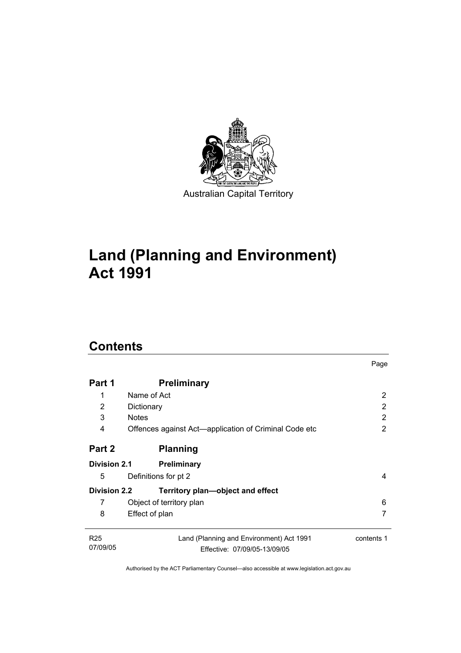

# **Land (Planning and Environment) Act 1991**

# **Contents**

| Part 1                      | <b>Preliminary</b>                                                       |            |
|-----------------------------|--------------------------------------------------------------------------|------------|
| 1                           | Name of Act                                                              | 2          |
| 2                           | Dictionary                                                               | 2          |
| 3                           | <b>Notes</b>                                                             | 2          |
| 4                           | Offences against Act—application of Criminal Code etc                    | 2          |
| Part 2                      | <b>Planning</b>                                                          |            |
| <b>Division 2.1</b>         | <b>Preliminary</b>                                                       |            |
| 5                           | Definitions for pt 2                                                     | 4          |
| <b>Division 2.2</b>         | Territory plan-object and effect                                         |            |
| 7                           | Object of territory plan                                                 | 6          |
| 8                           | Effect of plan                                                           |            |
| R <sub>25</sub><br>07/09/05 | Land (Planning and Environment) Act 1991<br>Effective: 07/09/05-13/09/05 | contents 1 |
|                             |                                                                          |            |

Page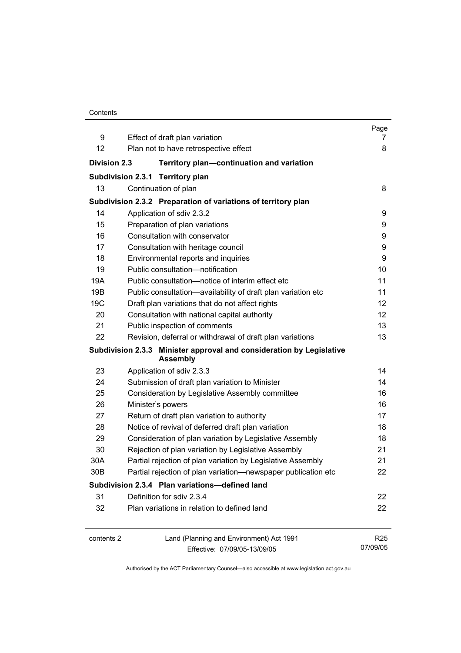| Contents |
|----------|
|----------|

|                     |                                                                                         | Page            |
|---------------------|-----------------------------------------------------------------------------------------|-----------------|
| 9                   | Effect of draft plan variation                                                          | 7               |
| 12                  | Plan not to have retrospective effect                                                   | 8               |
| <b>Division 2.3</b> | Territory plan-continuation and variation                                               |                 |
|                     | Subdivision 2.3.1 Territory plan                                                        |                 |
| 13                  | Continuation of plan                                                                    | 8               |
|                     | Subdivision 2.3.2 Preparation of variations of territory plan                           |                 |
| 14                  | Application of sdiv 2.3.2                                                               | 9               |
| 15                  | Preparation of plan variations                                                          | 9               |
| 16                  | Consultation with conservator                                                           | 9               |
| 17                  | Consultation with heritage council                                                      | 9               |
| 18                  | Environmental reports and inquiries                                                     | 9               |
| 19                  | Public consultation-notification                                                        | 10              |
| 19A                 | Public consultation-notice of interim effect etc                                        | 11              |
| 19B                 | Public consultation-availability of draft plan variation etc                            | 11              |
| 19 <sub>C</sub>     | Draft plan variations that do not affect rights                                         | 12              |
| 20                  | Consultation with national capital authority                                            | 12              |
| 21                  | Public inspection of comments                                                           | 13              |
| 22                  | Revision, deferral or withdrawal of draft plan variations                               | 13              |
|                     | Subdivision 2.3.3 Minister approval and consideration by Legislative<br><b>Assembly</b> |                 |
| 23                  | Application of sdiv 2.3.3                                                               | 14              |
| 24                  | Submission of draft plan variation to Minister                                          | 14              |
| 25                  | Consideration by Legislative Assembly committee                                         | 16              |
| 26                  | Minister's powers                                                                       | 16              |
| 27                  | Return of draft plan variation to authority                                             | 17              |
| 28                  | Notice of revival of deferred draft plan variation                                      | 18              |
| 29                  | Consideration of plan variation by Legislative Assembly                                 | 18              |
| 30                  | Rejection of plan variation by Legislative Assembly                                     | 21              |
| 30A                 | Partial rejection of plan variation by Legislative Assembly                             | 21              |
| 30B                 | Partial rejection of plan variation-newspaper publication etc                           | 22              |
|                     | Subdivision 2.3.4 Plan variations-defined land                                          |                 |
| 31                  | Definition for sdiv 2.3.4                                                               | 22              |
| 32                  | Plan variations in relation to defined land                                             | 22              |
| contents 2          | Land (Planning and Environment) Act 1991                                                | R <sub>25</sub> |
|                     | Effective: 07/09/05-13/09/05                                                            | 07/09/05        |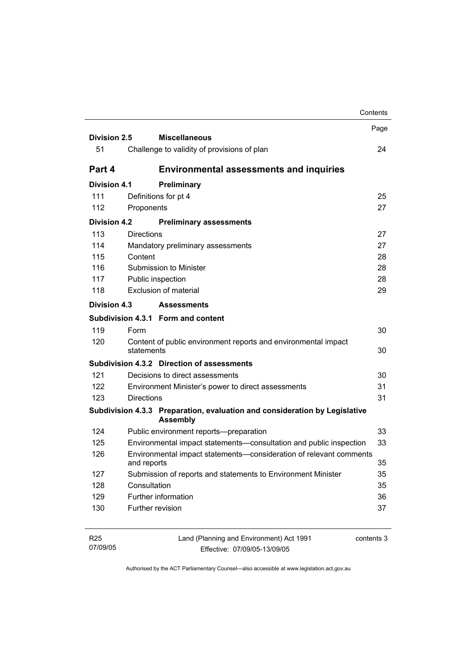|                     |                       |                                                                                               | Contents |
|---------------------|-----------------------|-----------------------------------------------------------------------------------------------|----------|
|                     |                       |                                                                                               | Page     |
| <b>Division 2.5</b> |                       | <b>Miscellaneous</b>                                                                          |          |
| 51                  |                       | Challenge to validity of provisions of plan                                                   | 24       |
| Part 4              |                       | <b>Environmental assessments and inquiries</b>                                                |          |
| <b>Division 4.1</b> |                       | Preliminary                                                                                   |          |
| 111                 | Definitions for pt 4  |                                                                                               | 25       |
| 112                 | Proponents            |                                                                                               | 27       |
| <b>Division 4.2</b> |                       | <b>Preliminary assessments</b>                                                                |          |
| 113                 | <b>Directions</b>     |                                                                                               | 27       |
| 114                 |                       | Mandatory preliminary assessments                                                             | 27       |
| 115                 | Content               |                                                                                               | 28       |
| 116                 |                       | Submission to Minister                                                                        | 28       |
| 117                 | Public inspection     |                                                                                               | 28       |
| 118                 | Exclusion of material |                                                                                               | 29       |
| Division 4.3        |                       | <b>Assessments</b>                                                                            |          |
|                     |                       | Subdivision 4.3.1 Form and content                                                            |          |
| 119                 | Form                  |                                                                                               | 30       |
| 120                 | statements            | Content of public environment reports and environmental impact                                | 30       |
|                     |                       | Subdivision 4.3.2 Direction of assessments                                                    |          |
| 121                 |                       | Decisions to direct assessments                                                               | 30       |
| 122                 |                       | Environment Minister's power to direct assessments                                            | 31       |
| 123                 | <b>Directions</b>     |                                                                                               | 31       |
|                     |                       | Subdivision 4.3.3 Preparation, evaluation and consideration by Legislative<br><b>Assembly</b> |          |
| 124                 |                       | Public environment reports-preparation                                                        | 33       |
| 125                 |                       | Environmental impact statements-consultation and public inspection                            | 33       |
| 126                 | and reports           | Environmental impact statements-consideration of relevant comments                            | 35       |
| 127                 |                       | Submission of reports and statements to Environment Minister                                  | 35       |
| 128                 | Consultation          |                                                                                               | 35       |
| 129                 | Further information   |                                                                                               | 36       |
| 130                 | Further revision      |                                                                                               | 37       |
|                     |                       |                                                                                               |          |

| <b>R25</b> | Land (Planning and Environment) Act 1991 | contents 3 |
|------------|------------------------------------------|------------|
| 07/09/05   | Effective: 07/09/05-13/09/05             |            |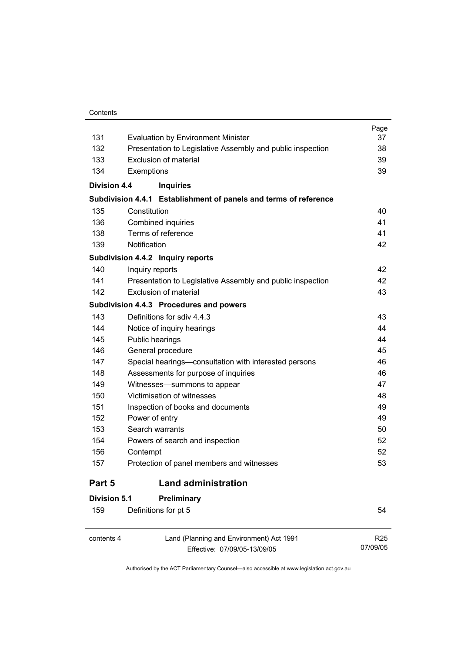#### **Contents**

| contents 4          | Land (Planning and Environment) Act 1991                         | R <sub>25</sub> |
|---------------------|------------------------------------------------------------------|-----------------|
| 159                 | Definitions for pt 5                                             | 54              |
| Division 5.1        | Preliminary                                                      |                 |
| Part 5              | <b>Land administration</b>                                       |                 |
| 157                 | Protection of panel members and witnesses                        | 53              |
| 156                 | Contempt                                                         | 52              |
| 154                 | Powers of search and inspection                                  | 52              |
| 153                 | Search warrants                                                  | 50              |
| 152                 | Power of entry                                                   | 49              |
| 151                 | Inspection of books and documents                                | 49              |
| 150                 | Victimisation of witnesses                                       | 48              |
| 149                 | Witnesses-summons to appear                                      | 47              |
| 148                 | Assessments for purpose of inquiries                             | 46              |
| 147                 | Special hearings-consultation with interested persons            | 46              |
| 146                 | General procedure                                                | 45              |
| 145                 | Public hearings                                                  | 44              |
| 144                 | Notice of inquiry hearings                                       | 44              |
| 143                 | Definitions for sdiv 4.4.3                                       | 43              |
|                     | Subdivision 4.4.3 Procedures and powers                          |                 |
| 142                 | Exclusion of material                                            | 43              |
| 141                 | Presentation to Legislative Assembly and public inspection       | 42              |
| 140                 | Inquiry reports                                                  | 42              |
|                     | Subdivision 4.4.2 Inquiry reports                                |                 |
| 139                 | Notification                                                     | 42              |
| 138                 | Terms of reference                                               | 41              |
| 136                 | Combined inquiries                                               | 41              |
| 135                 | Constitution                                                     | 40              |
|                     | Subdivision 4.4.1 Establishment of panels and terms of reference |                 |
| <b>Division 4.4</b> | <b>Inquiries</b>                                                 |                 |
| 134                 | Exemptions                                                       | 39              |
| 133                 | <b>Exclusion of material</b>                                     | 39              |
| 132                 | Presentation to Legislative Assembly and public inspection       | 38              |
| 131                 | <b>Evaluation by Environment Minister</b>                        | 37              |
|                     |                                                                  | Page            |

 $\overline{a}$ 

contents 4 Land (Planning and Environment) Act 1991 Effective: 07/09/05-13/09/05

07/09/05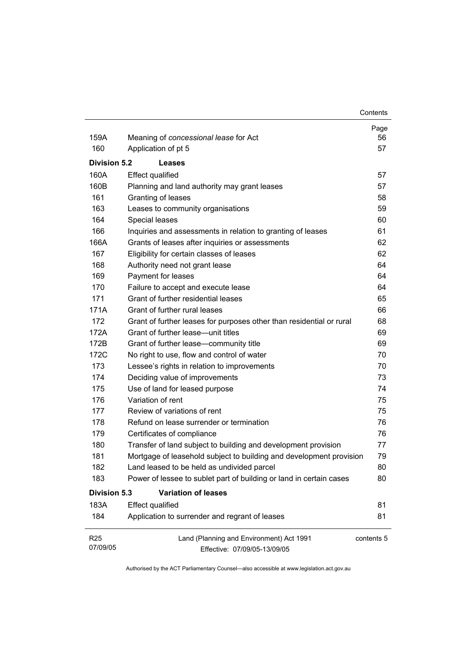| 159A                        | Meaning of concessional lease for Act                                    | Page<br>56 |
|-----------------------------|--------------------------------------------------------------------------|------------|
| 160                         | Application of pt 5                                                      | 57         |
|                             |                                                                          |            |
| <b>Division 5.2</b>         | Leases                                                                   |            |
| 160A                        | <b>Effect qualified</b>                                                  | 57         |
| 160B                        | Planning and land authority may grant leases                             | 57         |
| 161                         | Granting of leases                                                       | 58         |
| 163                         | Leases to community organisations                                        | 59         |
| 164                         | Special leases                                                           | 60         |
| 166                         | Inquiries and assessments in relation to granting of leases              | 61         |
| 166A                        | Grants of leases after inquiries or assessments                          | 62         |
| 167                         | Eligibility for certain classes of leases                                | 62         |
| 168                         | Authority need not grant lease                                           | 64         |
| 169                         | Payment for leases                                                       | 64         |
| 170                         | Failure to accept and execute lease                                      | 64         |
| 171                         | Grant of further residential leases                                      | 65         |
| 171A                        | Grant of further rural leases                                            | 66         |
| 172                         | Grant of further leases for purposes other than residential or rural     | 68         |
| 172A                        | Grant of further lease—unit titles                                       | 69         |
| 172B                        | Grant of further lease-community title                                   | 69         |
| 172C                        | No right to use, flow and control of water                               | 70         |
| 173                         | Lessee's rights in relation to improvements                              | 70         |
| 174                         | Deciding value of improvements                                           | 73         |
| 175                         | Use of land for leased purpose                                           | 74         |
| 176                         | Variation of rent                                                        | 75         |
| 177                         | Review of variations of rent                                             | 75         |
| 178                         | Refund on lease surrender or termination                                 | 76         |
| 179                         | Certificates of compliance                                               | 76         |
| 180                         | Transfer of land subject to building and development provision           | 77         |
| 181                         | Mortgage of leasehold subject to building and development provision      | 79         |
| 182                         | Land leased to be held as undivided parcel                               | 80         |
| 183                         | Power of lessee to sublet part of building or land in certain cases      | 80         |
| <b>Division 5.3</b>         | <b>Variation of leases</b>                                               |            |
| 183A                        | <b>Effect qualified</b>                                                  | 81         |
| 184                         | Application to surrender and regrant of leases                           | 81         |
| R <sub>25</sub><br>07/09/05 | Land (Planning and Environment) Act 1991<br>Effective: 07/09/05-13/09/05 | contents 5 |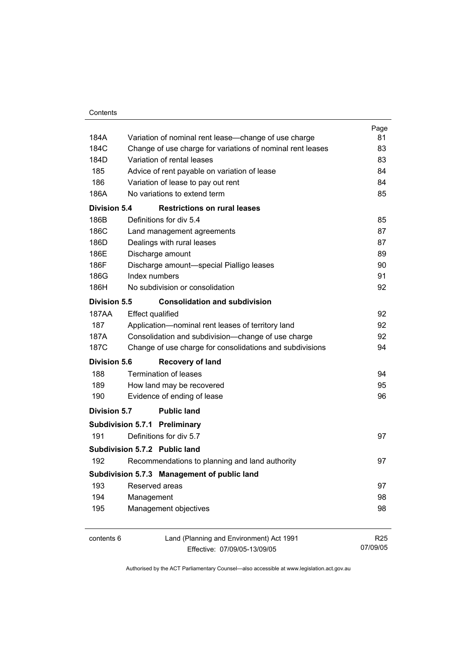|                     |                                                            | Page            |
|---------------------|------------------------------------------------------------|-----------------|
| 184A                | Variation of nominal rent lease-change of use charge       | 81              |
| 184C                | Change of use charge for variations of nominal rent leases | 83              |
| 184D                | Variation of rental leases                                 | 83              |
| 185                 | Advice of rent payable on variation of lease               | 84              |
| 186                 | Variation of lease to pay out rent                         | 84              |
| 186A                | No variations to extend term                               | 85              |
| Division 5.4        | <b>Restrictions on rural leases</b>                        |                 |
| 186B                | Definitions for div 5.4                                    | 85              |
| 186C                | Land management agreements                                 | 87              |
| 186D                | Dealings with rural leases                                 | 87              |
| 186E                | Discharge amount                                           | 89              |
| 186F                | Discharge amount-special Pialligo leases                   | 90              |
| 186G                | Index numbers                                              | 91              |
| 186H                | No subdivision or consolidation                            | 92              |
| Division 5.5        | <b>Consolidation and subdivision</b>                       |                 |
| <b>187AA</b>        | <b>Effect qualified</b>                                    | 92              |
| 187                 | Application-nominal rent leases of territory land          | 92              |
| 187A                | Consolidation and subdivision--change of use charge        | 92              |
| 187C                | Change of use charge for consolidations and subdivisions   | 94              |
| <b>Division 5.6</b> | <b>Recovery of land</b>                                    |                 |
| 188                 | Termination of leases                                      | 94              |
| 189                 | How land may be recovered                                  | 95              |
| 190                 | Evidence of ending of lease                                | 96              |
|                     |                                                            |                 |
| <b>Division 5.7</b> | <b>Public land</b>                                         |                 |
|                     | Subdivision 5.7.1 Preliminary                              |                 |
| 191                 | Definitions for div 5.7                                    | 97              |
|                     | Subdivision 5.7.2 Public land                              |                 |
| 192                 | Recommendations to planning and land authority             | 97              |
|                     | Subdivision 5.7.3 Management of public land                |                 |
| 193                 | Reserved areas                                             | 97              |
| 194                 | Management                                                 | 98              |
| 195                 | Management objectives                                      | 98              |
| contents 6          | Land (Planning and Environment) Act 1991                   | R <sub>25</sub> |
|                     | Effective: 07/09/05-13/09/05                               | 07/09/05        |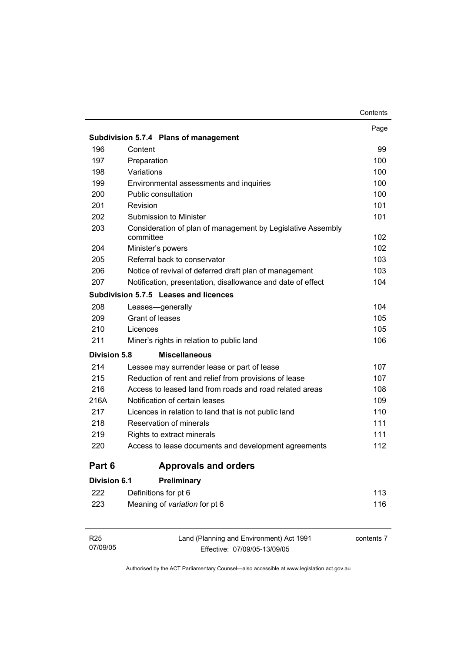|                     |                                                                          | Contents |
|---------------------|--------------------------------------------------------------------------|----------|
|                     |                                                                          | Page     |
|                     | Subdivision 5.7.4 Plans of management                                    |          |
| 196                 | Content                                                                  | 99       |
| 197                 | Preparation                                                              | 100      |
| 198                 | Variations                                                               | 100      |
| 199                 | Environmental assessments and inquiries                                  | 100      |
| 200                 | <b>Public consultation</b>                                               | 100      |
| 201                 | Revision                                                                 | 101      |
| 202                 | Submission to Minister                                                   | 101      |
| 203                 | Consideration of plan of management by Legislative Assembly<br>committee | 102      |
| 204                 | Minister's powers                                                        | 102      |
| 205                 | Referral back to conservator                                             | 103      |
| 206                 | Notice of revival of deferred draft plan of management                   | 103      |
| 207                 | Notification, presentation, disallowance and date of effect              | 104      |
|                     | Subdivision 5.7.5 Leases and licences                                    |          |
| 208                 | Leases-generally                                                         | 104      |
| 209                 | Grant of leases                                                          | 105      |
| 210                 | Licences                                                                 | 105      |
| 211                 | Miner's rights in relation to public land                                | 106      |
| <b>Division 5.8</b> | <b>Miscellaneous</b>                                                     |          |
| 214                 | Lessee may surrender lease or part of lease                              | 107      |
| 215                 | Reduction of rent and relief from provisions of lease                    | 107      |
| 216                 | Access to leased land from roads and road related areas                  | 108      |
| 216A                | Notification of certain leases                                           | 109      |
| 217                 | Licences in relation to land that is not public land                     | 110      |
| 218                 | Reservation of minerals                                                  | 111      |
| 219                 | Rights to extract minerals                                               | 111      |
| 220                 | Access to lease documents and development agreements                     | 112      |
| Part 6              | <b>Approvals and orders</b>                                              |          |
| <b>Division 6.1</b> | Preliminary                                                              |          |
| 222                 | Definitions for pt 6                                                     | 113      |
| 223                 | Meaning of variation for pt 6                                            | 116      |

| R25      | Land (Planning and Environment) Act 1991 | contents 7 |
|----------|------------------------------------------|------------|
| 07/09/05 | Effective: 07/09/05-13/09/05             |            |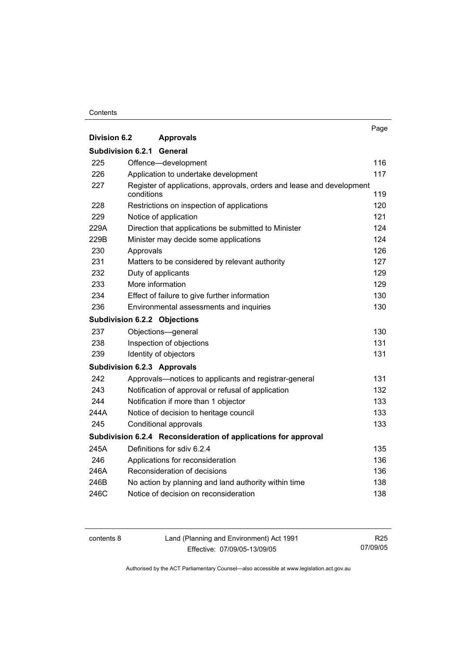#### **Contents**

|                     |                                                                                     | Page |
|---------------------|-------------------------------------------------------------------------------------|------|
| <b>Division 6.2</b> | <b>Approvals</b>                                                                    |      |
| Subdivision 6.2.1   | General                                                                             |      |
| 225                 | Offence-development                                                                 | 116  |
| 226                 | Application to undertake development                                                | 117  |
| 227                 | Register of applications, approvals, orders and lease and development<br>conditions | 119  |
| 228                 | Restrictions on inspection of applications                                          | 120  |
| 229                 | Notice of application                                                               | 121  |
| 229A                | Direction that applications be submitted to Minister                                | 124  |
| 229B                | Minister may decide some applications                                               | 124  |
| 230                 | Approvals                                                                           | 126  |
| 231                 | Matters to be considered by relevant authority                                      | 127  |
| 232                 | Duty of applicants                                                                  | 129  |
| 233                 | More information                                                                    | 129  |
| 234                 | Effect of failure to give further information                                       | 130  |
| 236                 | Environmental assessments and inquiries                                             | 130  |
|                     | <b>Subdivision 6.2.2 Objections</b>                                                 |      |
| 237                 | Objections-general                                                                  | 130  |
| 238                 | Inspection of objections                                                            | 131  |
| 239                 | Identity of objectors                                                               | 131  |
|                     | <b>Subdivision 6.2.3 Approvals</b>                                                  |      |
| 242                 | Approvals—notices to applicants and registrar-general                               | 131  |
| 243                 | Notification of approval or refusal of application                                  | 132  |
| 244                 | Notification if more than 1 objector                                                | 133  |
| 244A                | Notice of decision to heritage council                                              | 133  |
| 245                 | Conditional approvals                                                               | 133  |
|                     | Subdivision 6.2.4 Reconsideration of applications for approval                      |      |
| 245A                | Definitions for sdiv 6.2.4                                                          | 135  |
| 246                 | Applications for reconsideration                                                    | 136  |
| 246A                | Reconsideration of decisions                                                        | 136  |
| 246B                | No action by planning and land authority within time                                | 138  |
| 246C                | Notice of decision on reconsideration                                               | 138  |

contents 8 Land (Planning and Environment) Act 1991 Effective: 07/09/05-13/09/05

R25 07/09/05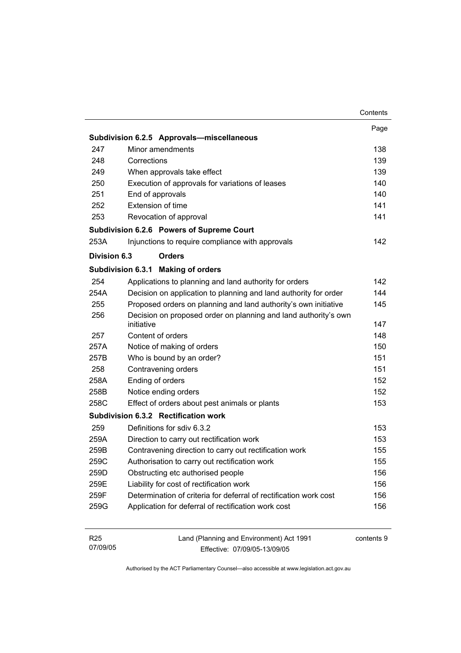|                             |                                                                               | Contents   |
|-----------------------------|-------------------------------------------------------------------------------|------------|
|                             |                                                                               | Page       |
|                             | Subdivision 6.2.5 Approvals-miscellaneous                                     |            |
| 247                         | Minor amendments                                                              | 138        |
| 248                         | Corrections                                                                   | 139        |
| 249                         | When approvals take effect                                                    | 139        |
| 250                         | Execution of approvals for variations of leases                               | 140        |
| 251                         | End of approvals                                                              | 140        |
| 252                         | Extension of time                                                             | 141        |
| 253                         | Revocation of approval                                                        | 141        |
|                             | Subdivision 6.2.6 Powers of Supreme Court                                     |            |
| 253A                        | Injunctions to require compliance with approvals                              | 142        |
| <b>Division 6.3</b>         | <b>Orders</b>                                                                 |            |
|                             | Subdivision 6.3.1 Making of orders                                            |            |
| 254                         | Applications to planning and land authority for orders                        | 142        |
| 254A                        | Decision on application to planning and land authority for order              | 144        |
| 255                         | Proposed orders on planning and land authority's own initiative               | 145        |
| 256                         | Decision on proposed order on planning and land authority's own<br>initiative | 147        |
| 257                         | Content of orders                                                             | 148        |
| 257A                        | Notice of making of orders                                                    | 150        |
| 257B                        | Who is bound by an order?                                                     | 151        |
| 258                         | Contravening orders                                                           | 151        |
| 258A                        | Ending of orders                                                              | 152        |
| 258B                        | Notice ending orders                                                          | 152        |
| 258C                        | Effect of orders about pest animals or plants                                 | 153        |
|                             | Subdivision 6.3.2 Rectification work                                          |            |
| 259                         | Definitions for sdiv 6.3.2                                                    | 153        |
| 259A                        | Direction to carry out rectification work                                     | 153        |
| 259B                        | Contravening direction to carry out rectification work                        | 155        |
| 259C                        | Authorisation to carry out rectification work                                 | 155        |
| 259D                        | Obstructing etc authorised people                                             | 156        |
| 259E                        | Liability for cost of rectification work                                      | 156        |
| 259F                        | Determination of criteria for deferral of rectification work cost             | 156        |
| 259G                        | Application for deferral of rectification work cost                           | 156        |
| R <sub>25</sub><br>07/09/05 | Land (Planning and Environment) Act 1991<br>Fffective: 07/09/05-13/09/05      | contents 9 |

Effective: 07/09/05-13/09/05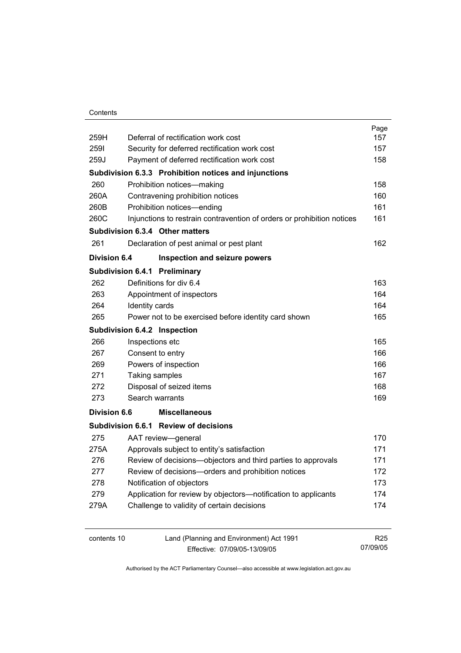#### **Contents**

| 259H                | Deferral of rectification work cost                                    | Page<br>157 |
|---------------------|------------------------------------------------------------------------|-------------|
| 2591                | Security for deferred rectification work cost                          | 157         |
| 259J                | Payment of deferred rectification work cost                            | 158         |
|                     | Subdivision 6.3.3 Prohibition notices and injunctions                  |             |
| 260                 | Prohibition notices-making                                             | 158         |
| 260A                | Contravening prohibition notices                                       | 160         |
| 260B                | Prohibition notices-ending                                             | 161         |
| 260C                | Injunctions to restrain contravention of orders or prohibition notices | 161         |
|                     | Subdivision 6.3.4 Other matters                                        |             |
| 261                 | Declaration of pest animal or pest plant                               | 162         |
| <b>Division 6.4</b> | Inspection and seizure powers                                          |             |
|                     | Subdivision 6.4.1 Preliminary                                          |             |
| 262                 | Definitions for div 6.4                                                | 163         |
| 263                 | Appointment of inspectors                                              | 164         |
| 264                 | Identity cards                                                         | 164         |
| 265                 | Power not to be exercised before identity card shown                   | 165         |
|                     | Subdivision 6.4.2 Inspection                                           |             |
| 266                 | Inspections etc                                                        | 165         |
| 267                 | Consent to entry                                                       | 166         |
| 269                 | Powers of inspection                                                   | 166         |
| 271                 | Taking samples                                                         | 167         |
| 272                 | Disposal of seized items                                               | 168         |
| 273                 | Search warrants                                                        | 169         |
| <b>Division 6.6</b> | <b>Miscellaneous</b>                                                   |             |
|                     | Subdivision 6.6.1 Review of decisions                                  |             |
| 275                 | AAT review-general                                                     | 170         |
| 275A                | Approvals subject to entity's satisfaction                             | 171         |
| 276                 | Review of decisions-objectors and third parties to approvals           | 171         |
| 277                 | Review of decisions-orders and prohibition notices                     | 172         |
| 278                 | Notification of objectors                                              | 173         |
| 279                 | Application for review by objectors-notification to applicants         | 174         |
| 279A                | Challenge to validity of certain decisions                             | 174         |
|                     |                                                                        |             |

contents 10 Land (Planning and Environment) Act 1991 Effective: 07/09/05-13/09/05

R25 07/09/05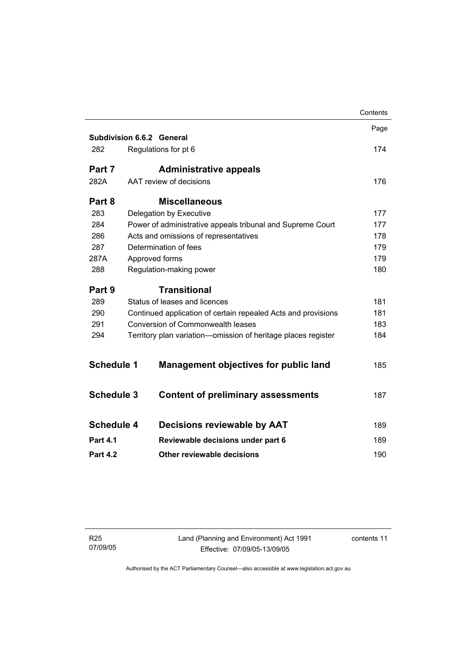|                                                                      |                                                               | Contents |
|----------------------------------------------------------------------|---------------------------------------------------------------|----------|
|                                                                      |                                                               | Page     |
|                                                                      | Subdivision 6.6.2 General                                     |          |
| 282                                                                  | Regulations for pt 6                                          | 174      |
| Part 7                                                               | <b>Administrative appeals</b>                                 |          |
| 282A                                                                 | AAT review of decisions                                       | 176      |
| Part 8                                                               | <b>Miscellaneous</b>                                          |          |
| 283                                                                  | Delegation by Executive                                       | 177      |
| 284                                                                  | Power of administrative appeals tribunal and Supreme Court    | 177      |
| 286                                                                  | Acts and omissions of representatives                         | 178      |
| 287                                                                  | Determination of fees                                         | 179      |
| 287A                                                                 | Approved forms                                                | 179      |
| 288                                                                  | Regulation-making power                                       | 180      |
| Part 9                                                               | <b>Transitional</b>                                           |          |
| 289                                                                  | Status of leases and licences                                 | 181      |
| 290                                                                  | Continued application of certain repealed Acts and provisions |          |
| <b>Conversion of Commonwealth leases</b><br>291                      |                                                               | 183      |
| 294<br>Territory plan variation-omission of heritage places register |                                                               | 184      |
|                                                                      |                                                               |          |
| <b>Schedule 1</b>                                                    | <b>Management objectives for public land</b>                  | 185      |
| <b>Schedule 3</b>                                                    | <b>Content of preliminary assessments</b>                     | 187      |
|                                                                      |                                                               |          |
| <b>Schedule 4</b>                                                    | <b>Decisions reviewable by AAT</b>                            | 189      |
| <b>Part 4.1</b>                                                      | Reviewable decisions under part 6                             | 189      |
|                                                                      |                                                               |          |
| <b>Part 4.2</b>                                                      | Other reviewable decisions                                    | 190      |
|                                                                      |                                                               |          |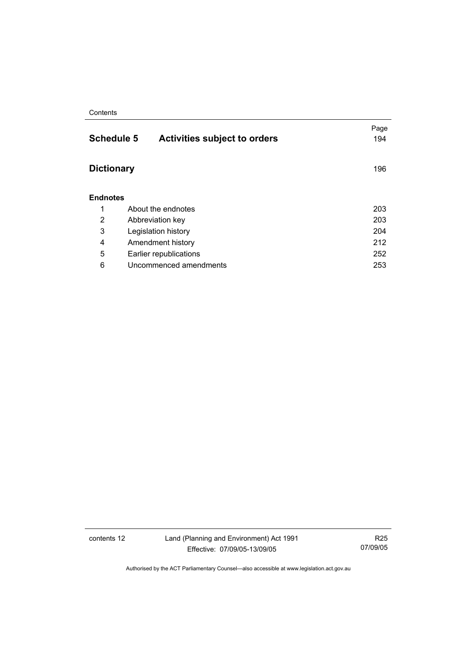#### **Contents**

| <b>Schedule 5</b><br><b>Activities subject to orders</b> | Page<br>194 |
|----------------------------------------------------------|-------------|
| <b>Dictionary</b>                                        | 196         |
| <b>Endnotes</b>                                          |             |
| About the endnotes                                       | 203         |
| Abbreviation key                                         | 203         |
| Legislation history                                      | 204         |
| Amendment history                                        | 212         |
| Earlier republications                                   | 252         |
| Uncommenced amendments                                   | 253         |
|                                                          |             |

contents 12 Land (Planning and Environment) Act 1991 Effective: 07/09/05-13/09/05

R25 07/09/05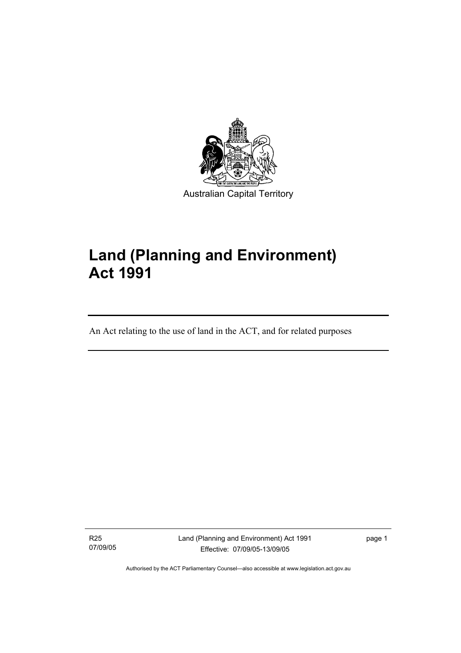

# **Land (Planning and Environment) Act 1991**

An Act relating to the use of land in the ACT, and for related purposes

R25 07/09/05

I

Land (Planning and Environment) Act 1991 Effective: 07/09/05-13/09/05

page 1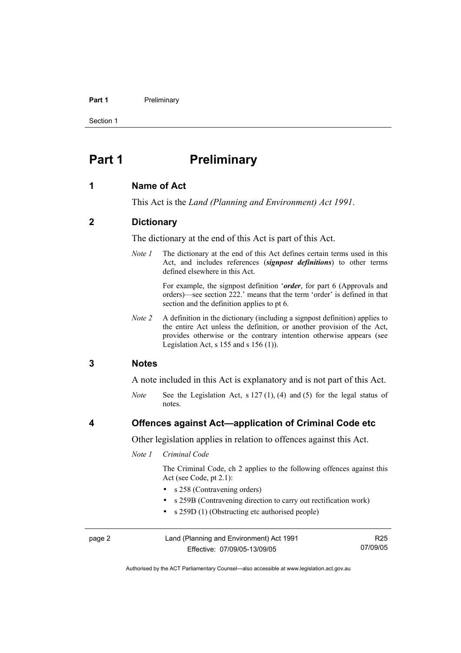#### Part 1 **Preliminary**

Section 1

# **Part 1** Preliminary

#### **1 Name of Act**

This Act is the *Land (Planning and Environment) Act 1991*.

## **2 Dictionary**

The dictionary at the end of this Act is part of this Act.

*Note 1* The dictionary at the end of this Act defines certain terms used in this Act, and includes references (*signpost definitions*) to other terms defined elsewhere in this Act.

> For example, the signpost definition '*order*, for part 6 (Approvals and orders)—see section 222.' means that the term 'order' is defined in that section and the definition applies to pt 6.

*Note 2* A definition in the dictionary (including a signpost definition) applies to the entire Act unless the definition, or another provision of the Act, provides otherwise or the contrary intention otherwise appears (see Legislation Act,  $s$  155 and  $s$  156 (1)).

### **3 Notes**

A note included in this Act is explanatory and is not part of this Act.

*Note* See the Legislation Act, s 127 (1), (4) and (5) for the legal status of notes.

### **4 Offences against Act—application of Criminal Code etc**

Other legislation applies in relation to offences against this Act.

#### *Note 1 Criminal Code*

 The Criminal Code, ch 2 applies to the following offences against this Act (see Code, pt 2.1):

- s 258 (Contravening orders)
- s 259B (Contravening direction to carry out rectification work)
- s 259D (1) (Obstructing etc authorised people)

| page 2 | Land (Planning and Environment) Act 1991 | R25      |
|--------|------------------------------------------|----------|
|        | Effective: 07/09/05-13/09/05             | 07/09/05 |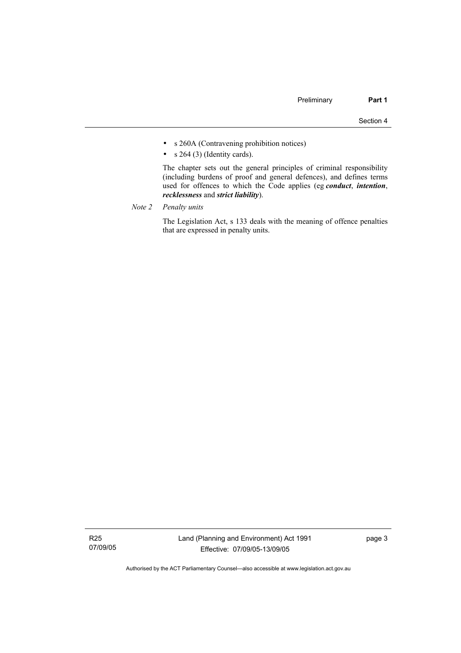- s 260A (Contravening prohibition notices)
- $s$  264 (3) (Identity cards).

 The chapter sets out the general principles of criminal responsibility (including burdens of proof and general defences), and defines terms used for offences to which the Code applies (eg *conduct*, *intention*, *recklessness* and *strict liability*).

*Note 2 Penalty units*

 The Legislation Act, s 133 deals with the meaning of offence penalties that are expressed in penalty units.

R25 07/09/05 page 3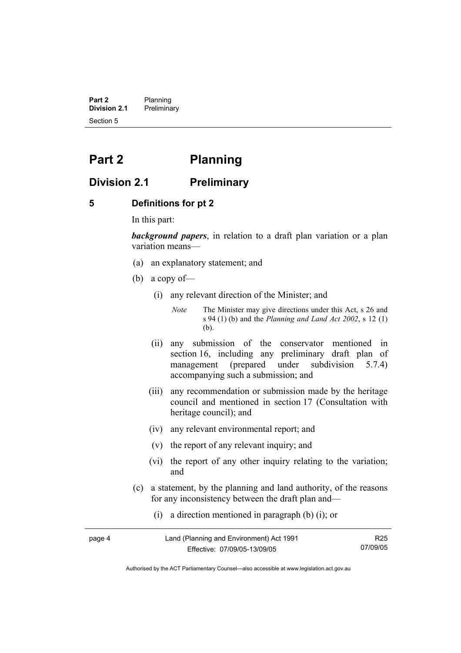**Part 2** Planning<br>**Division 2.1** Prelimina **Division 2.1** Preliminary Section 5

# **Part 2 Planning**

# **Division 2.1 Preliminary**

## **5 Definitions for pt 2**

In this part:

*background papers*, in relation to a draft plan variation or a plan variation means—

- (a) an explanatory statement; and
- (b) a copy of—
	- (i) any relevant direction of the Minister; and

*Note* The Minister may give directions under this Act, s 26 and s 94 (1) (b) and the *Planning and Land Act 2002*, s 12 (1) (b).

- (ii) any submission of the conservator mentioned in section 16, including any preliminary draft plan of management (prepared under subdivision 5.7.4) accompanying such a submission; and
- (iii) any recommendation or submission made by the heritage council and mentioned in section 17 (Consultation with heritage council); and
- (iv) any relevant environmental report; and
- (v) the report of any relevant inquiry; and
- (vi) the report of any other inquiry relating to the variation; and
- (c) a statement, by the planning and land authority, of the reasons for any inconsistency between the draft plan and—
	- (i) a direction mentioned in paragraph (b) (i); or

| page 4 | Land (Planning and Environment) Act 1991 | R25      |
|--------|------------------------------------------|----------|
|        | Effective: 07/09/05-13/09/05             | 07/09/05 |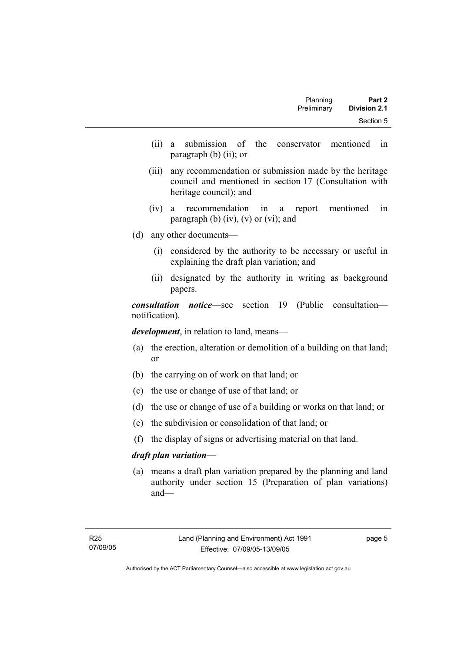| Part 2              | Planning    |
|---------------------|-------------|
| <b>Division 2.1</b> | Preliminary |
| Section 5           |             |

- (ii) a submission of the conservator mentioned in paragraph (b) (ii); or
- (iii) any recommendation or submission made by the heritage council and mentioned in section 17 (Consultation with heritage council); and
- (iv) a recommendation in a report mentioned in paragraph (b)  $(iv)$ ,  $(v)$  or  $(vi)$ ; and
- (d) any other documents—
	- (i) considered by the authority to be necessary or useful in explaining the draft plan variation; and
	- (ii) designated by the authority in writing as background papers.

*consultation notice*—see section 19 (Public consultation notification).

*development*, in relation to land, means—

- (a) the erection, alteration or demolition of a building on that land; or
- (b) the carrying on of work on that land; or
- (c) the use or change of use of that land; or
- (d) the use or change of use of a building or works on that land; or
- (e) the subdivision or consolidation of that land; or
- (f) the display of signs or advertising material on that land.

#### *draft plan variation*—

 (a) means a draft plan variation prepared by the planning and land authority under section 15 (Preparation of plan variations) and—

page 5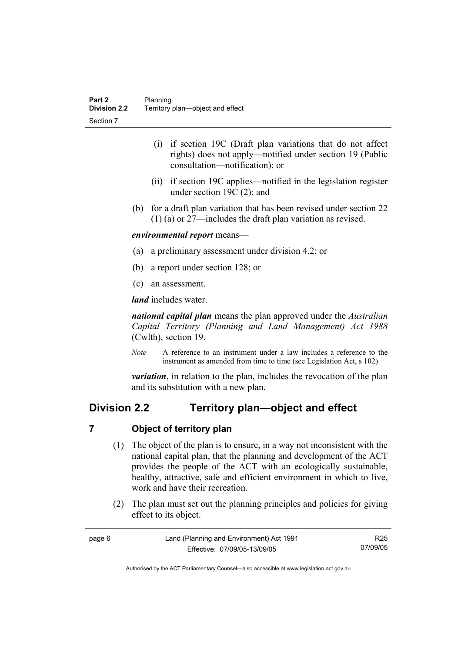- (i) if section 19C (Draft plan variations that do not affect rights) does not apply—notified under section 19 (Public consultation—notification); or
- (ii) if section 19C applies—notified in the legislation register under section 19C (2); and
- (b) for a draft plan variation that has been revised under section 22 (1) (a) or 27—includes the draft plan variation as revised.

## *environmental report* means—

- (a) a preliminary assessment under division 4.2; or
- (b) a report under section 128; or
- (c) an assessment.

*land* includes water.

*national capital plan* means the plan approved under the *Australian Capital Territory (Planning and Land Management) Act 1988* (Cwlth), section 19.

*Note* A reference to an instrument under a law includes a reference to the instrument as amended from time to time (see Legislation Act, s 102)

*variation*, in relation to the plan, includes the revocation of the plan and its substitution with a new plan.

# **Division 2.2 Territory plan—object and effect**

## **7 Object of territory plan**

- (1) The object of the plan is to ensure, in a way not inconsistent with the national capital plan, that the planning and development of the ACT provides the people of the ACT with an ecologically sustainable, healthy, attractive, safe and efficient environment in which to live, work and have their recreation.
- (2) The plan must set out the planning principles and policies for giving effect to its object.

| page 6 | Land (Planning and Environment) Act 1991 | R25      |
|--------|------------------------------------------|----------|
|        | Effective: 07/09/05-13/09/05             | 07/09/05 |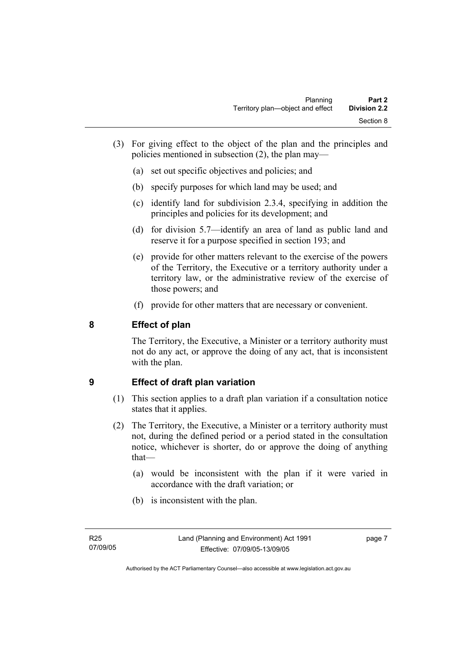- (3) For giving effect to the object of the plan and the principles and policies mentioned in subsection (2), the plan may—
	- (a) set out specific objectives and policies; and
	- (b) specify purposes for which land may be used; and
	- (c) identify land for subdivision 2.3.4, specifying in addition the principles and policies for its development; and
	- (d) for division 5.7—identify an area of land as public land and reserve it for a purpose specified in section 193; and
	- (e) provide for other matters relevant to the exercise of the powers of the Territory, the Executive or a territory authority under a territory law, or the administrative review of the exercise of those powers; and
	- (f) provide for other matters that are necessary or convenient.

# **8 Effect of plan**

The Territory, the Executive, a Minister or a territory authority must not do any act, or approve the doing of any act, that is inconsistent with the plan.

# **9 Effect of draft plan variation**

- (1) This section applies to a draft plan variation if a consultation notice states that it applies.
- (2) The Territory, the Executive, a Minister or a territory authority must not, during the defined period or a period stated in the consultation notice, whichever is shorter, do or approve the doing of anything that—
	- (a) would be inconsistent with the plan if it were varied in accordance with the draft variation; or
	- (b) is inconsistent with the plan.

page 7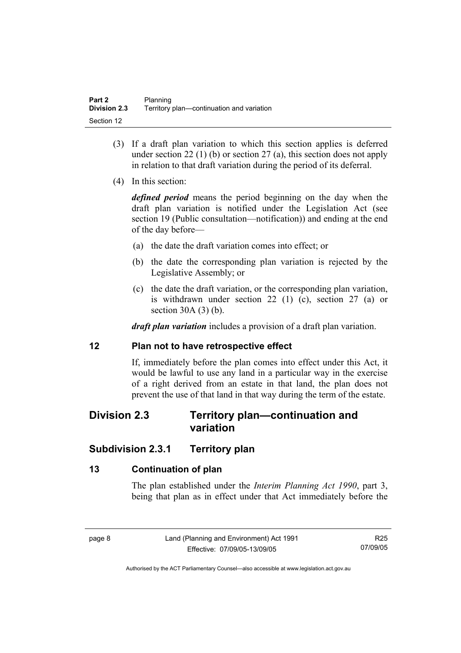- (3) If a draft plan variation to which this section applies is deferred under section 22 (1) (b) or section 27 (a), this section does not apply in relation to that draft variation during the period of its deferral.
- (4) In this section:

*defined period* means the period beginning on the day when the draft plan variation is notified under the Legislation Act (see section 19 (Public consultation—notification)) and ending at the end of the day before—

- (a) the date the draft variation comes into effect; or
- (b) the date the corresponding plan variation is rejected by the Legislative Assembly; or
- (c) the date the draft variation, or the corresponding plan variation, is withdrawn under section 22 (1) (c), section 27 (a) or section 30A (3) (b).

*draft plan variation* includes a provision of a draft plan variation.

## **12 Plan not to have retrospective effect**

If, immediately before the plan comes into effect under this Act, it would be lawful to use any land in a particular way in the exercise of a right derived from an estate in that land, the plan does not prevent the use of that land in that way during the term of the estate.

# **Division 2.3 Territory plan—continuation and variation**

# **Subdivision 2.3.1 Territory plan**

# **13 Continuation of plan**

The plan established under the *Interim Planning Act 1990*, part 3, being that plan as in effect under that Act immediately before the

R25 07/09/05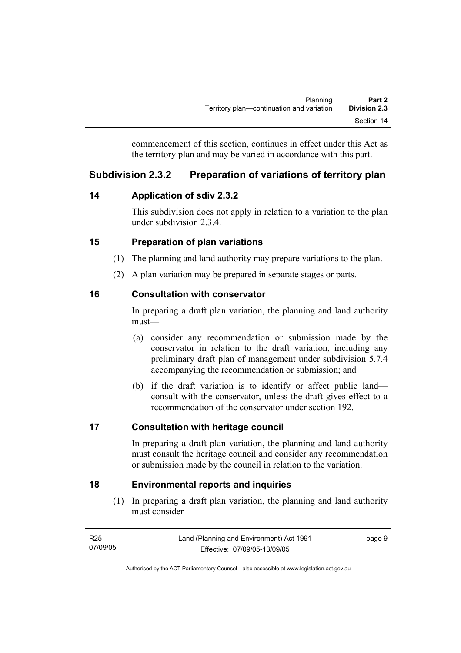commencement of this section, continues in effect under this Act as the territory plan and may be varied in accordance with this part.

# **Subdivision 2.3.2 Preparation of variations of territory plan**

# **14 Application of sdiv 2.3.2**

This subdivision does not apply in relation to a variation to the plan under subdivision 2.3.4.

# **15 Preparation of plan variations**

- (1) The planning and land authority may prepare variations to the plan.
- (2) A plan variation may be prepared in separate stages or parts.

# **16 Consultation with conservator**

In preparing a draft plan variation, the planning and land authority must—

- (a) consider any recommendation or submission made by the conservator in relation to the draft variation, including any preliminary draft plan of management under subdivision 5.7.4 accompanying the recommendation or submission; and
- (b) if the draft variation is to identify or affect public land consult with the conservator, unless the draft gives effect to a recommendation of the conservator under section 192.

# **17 Consultation with heritage council**

In preparing a draft plan variation, the planning and land authority must consult the heritage council and consider any recommendation or submission made by the council in relation to the variation.

# **18 Environmental reports and inquiries**

 (1) In preparing a draft plan variation, the planning and land authority must consider—

| R25      | Land (Planning and Environment) Act 1991 | page 9 |
|----------|------------------------------------------|--------|
| 07/09/05 | Effective: 07/09/05-13/09/05             |        |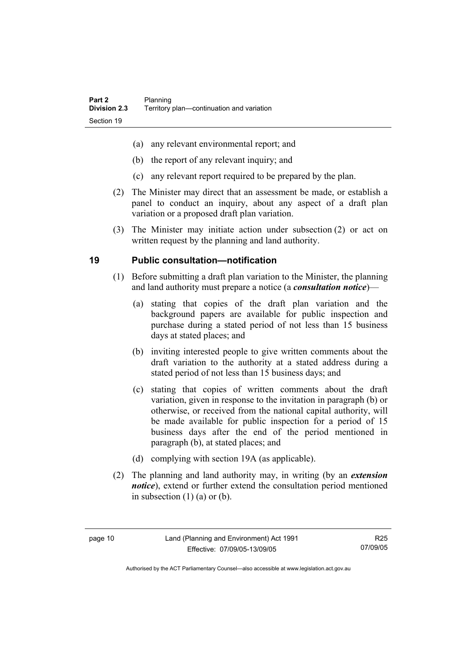- (a) any relevant environmental report; and
- (b) the report of any relevant inquiry; and
- (c) any relevant report required to be prepared by the plan.
- (2) The Minister may direct that an assessment be made, or establish a panel to conduct an inquiry, about any aspect of a draft plan variation or a proposed draft plan variation.
- (3) The Minister may initiate action under subsection (2) or act on written request by the planning and land authority.

# **19 Public consultation—notification**

- (1) Before submitting a draft plan variation to the Minister, the planning and land authority must prepare a notice (a *consultation notice*)—
	- (a) stating that copies of the draft plan variation and the background papers are available for public inspection and purchase during a stated period of not less than 15 business days at stated places; and
	- (b) inviting interested people to give written comments about the draft variation to the authority at a stated address during a stated period of not less than 15 business days; and
	- (c) stating that copies of written comments about the draft variation, given in response to the invitation in paragraph (b) or otherwise, or received from the national capital authority, will be made available for public inspection for a period of 15 business days after the end of the period mentioned in paragraph (b), at stated places; and
	- (d) complying with section 19A (as applicable).
- (2) The planning and land authority may, in writing (by an *extension notice*), extend or further extend the consultation period mentioned in subsection  $(1)$   $(a)$  or  $(b)$ .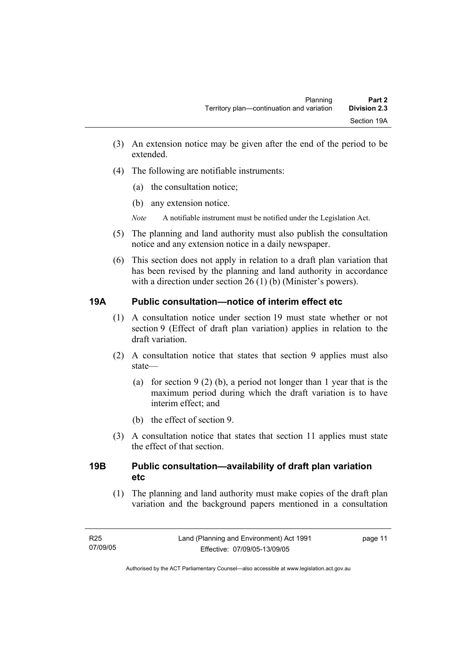- (3) An extension notice may be given after the end of the period to be extended.
- (4) The following are notifiable instruments:
	- (a) the consultation notice;
	- (b) any extension notice.
	- *Note* A notifiable instrument must be notified under the Legislation Act.
- (5) The planning and land authority must also publish the consultation notice and any extension notice in a daily newspaper.
- (6) This section does not apply in relation to a draft plan variation that has been revised by the planning and land authority in accordance with a direction under section 26 (1) (b) (Minister's powers).

# **19A Public consultation—notice of interim effect etc**

- (1) A consultation notice under section 19 must state whether or not section 9 (Effect of draft plan variation) applies in relation to the draft variation.
- (2) A consultation notice that states that section 9 applies must also state—
	- (a) for section 9 (2) (b), a period not longer than 1 year that is the maximum period during which the draft variation is to have interim effect; and
	- (b) the effect of section 9.
- (3) A consultation notice that states that section 11 applies must state the effect of that section.

# **19B Public consultation—availability of draft plan variation etc**

(1) The planning and land authority must make copies of the draft plan variation and the background papers mentioned in a consultation

page 11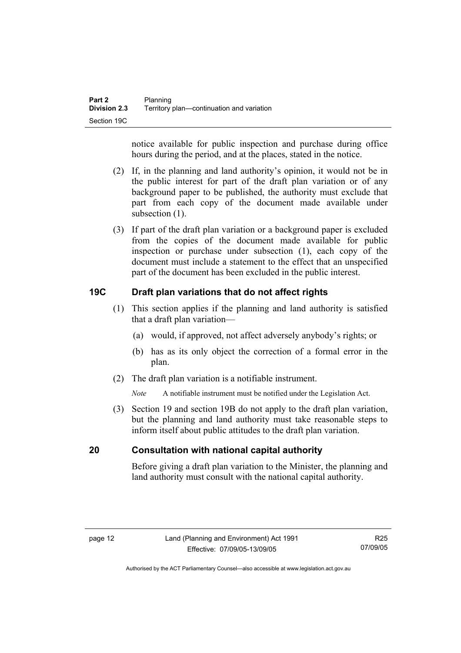notice available for public inspection and purchase during office hours during the period, and at the places, stated in the notice.

- (2) If, in the planning and land authority's opinion, it would not be in the public interest for part of the draft plan variation or of any background paper to be published, the authority must exclude that part from each copy of the document made available under subsection  $(1)$ .
- (3) If part of the draft plan variation or a background paper is excluded from the copies of the document made available for public inspection or purchase under subsection (1), each copy of the document must include a statement to the effect that an unspecified part of the document has been excluded in the public interest.

# **19C Draft plan variations that do not affect rights**

- (1) This section applies if the planning and land authority is satisfied that a draft plan variation—
	- (a) would, if approved, not affect adversely anybody's rights; or
	- (b) has as its only object the correction of a formal error in the plan.
- (2) The draft plan variation is a notifiable instrument.

*Note* A notifiable instrument must be notified under the Legislation Act.

 (3) Section 19 and section 19B do not apply to the draft plan variation, but the planning and land authority must take reasonable steps to inform itself about public attitudes to the draft plan variation.

## **20 Consultation with national capital authority**

Before giving a draft plan variation to the Minister, the planning and land authority must consult with the national capital authority.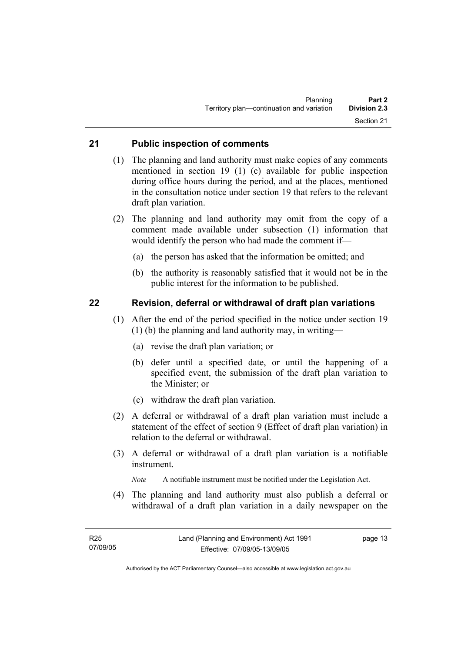## **21 Public inspection of comments**

- (1) The planning and land authority must make copies of any comments mentioned in section 19 (1) (c) available for public inspection during office hours during the period, and at the places, mentioned in the consultation notice under section 19 that refers to the relevant draft plan variation.
- (2) The planning and land authority may omit from the copy of a comment made available under subsection (1) information that would identify the person who had made the comment if—
	- (a) the person has asked that the information be omitted; and
	- (b) the authority is reasonably satisfied that it would not be in the public interest for the information to be published.

## **22 Revision, deferral or withdrawal of draft plan variations**

- (1) After the end of the period specified in the notice under section 19 (1) (b) the planning and land authority may, in writing—
	- (a) revise the draft plan variation; or
	- (b) defer until a specified date, or until the happening of a specified event, the submission of the draft plan variation to the Minister; or
	- (c) withdraw the draft plan variation.
- (2) A deferral or withdrawal of a draft plan variation must include a statement of the effect of section 9 (Effect of draft plan variation) in relation to the deferral or withdrawal.
- (3) A deferral or withdrawal of a draft plan variation is a notifiable instrument.

*Note* A notifiable instrument must be notified under the Legislation Act.

(4) The planning and land authority must also publish a deferral or withdrawal of a draft plan variation in a daily newspaper on the

page 13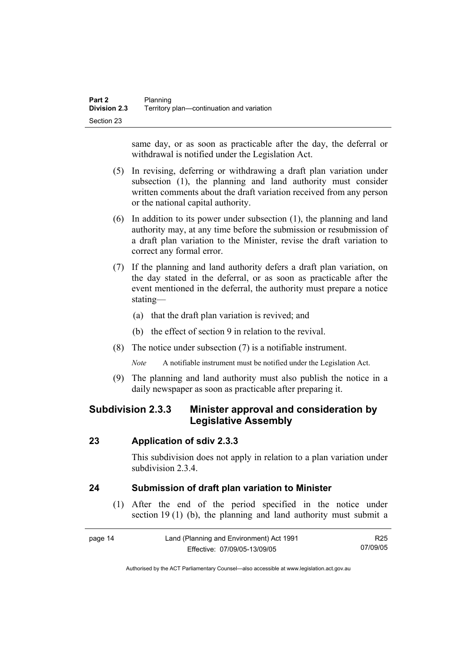same day, or as soon as practicable after the day, the deferral or withdrawal is notified under the Legislation Act.

- (5) In revising, deferring or withdrawing a draft plan variation under subsection (1), the planning and land authority must consider written comments about the draft variation received from any person or the national capital authority.
- (6) In addition to its power under subsection (1), the planning and land authority may, at any time before the submission or resubmission of a draft plan variation to the Minister, revise the draft variation to correct any formal error.
- (7) If the planning and land authority defers a draft plan variation, on the day stated in the deferral, or as soon as practicable after the event mentioned in the deferral, the authority must prepare a notice stating—
	- (a) that the draft plan variation is revived; and
	- (b) the effect of section 9 in relation to the revival.
- (8) The notice under subsection (7) is a notifiable instrument.

*Note* A notifiable instrument must be notified under the Legislation Act.

(9) The planning and land authority must also publish the notice in a daily newspaper as soon as practicable after preparing it.

# **Subdivision 2.3.3 Minister approval and consideration by Legislative Assembly**

## **23 Application of sdiv 2.3.3**

This subdivision does not apply in relation to a plan variation under subdivision 2.3.4

# **24 Submission of draft plan variation to Minister**

 (1) After the end of the period specified in the notice under section 19 (1) (b), the planning and land authority must submit a

| page 14 | Land (Planning and Environment) Act 1991 | R25      |
|---------|------------------------------------------|----------|
|         | Effective: 07/09/05-13/09/05             | 07/09/05 |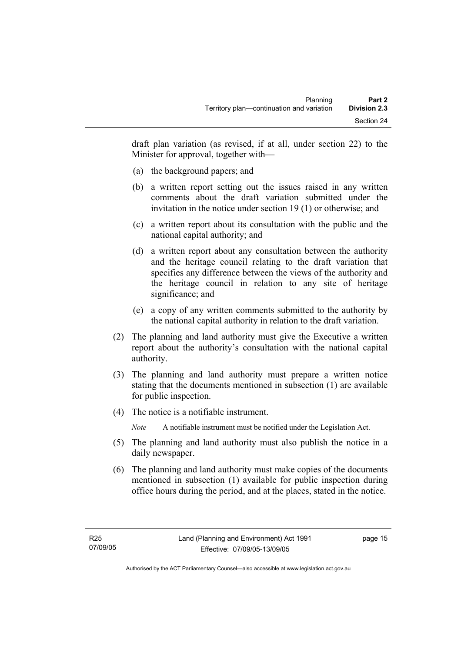draft plan variation (as revised, if at all, under section 22) to the Minister for approval, together with—

- (a) the background papers; and
- (b) a written report setting out the issues raised in any written comments about the draft variation submitted under the invitation in the notice under section 19 (1) or otherwise; and
- (c) a written report about its consultation with the public and the national capital authority; and
- (d) a written report about any consultation between the authority and the heritage council relating to the draft variation that specifies any difference between the views of the authority and the heritage council in relation to any site of heritage significance; and
- (e) a copy of any written comments submitted to the authority by the national capital authority in relation to the draft variation.
- (2) The planning and land authority must give the Executive a written report about the authority's consultation with the national capital authority.
- (3) The planning and land authority must prepare a written notice stating that the documents mentioned in subsection (1) are available for public inspection.
- (4) The notice is a notifiable instrument.

*Note* A notifiable instrument must be notified under the Legislation Act.

- (5) The planning and land authority must also publish the notice in a daily newspaper.
- (6) The planning and land authority must make copies of the documents mentioned in subsection (1) available for public inspection during office hours during the period, and at the places, stated in the notice.

page 15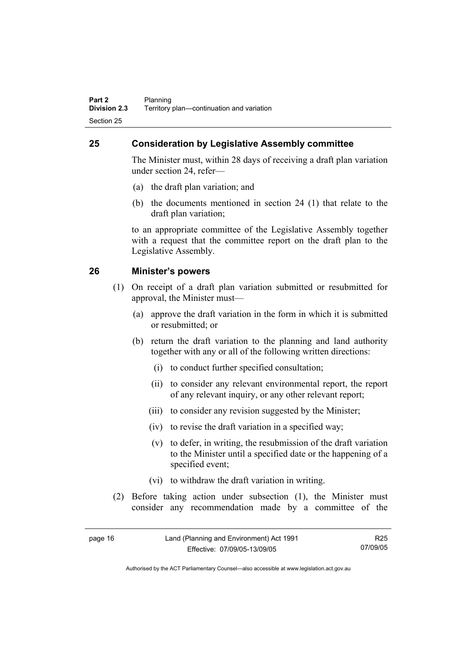# **25 Consideration by Legislative Assembly committee**

The Minister must, within 28 days of receiving a draft plan variation under section 24, refer—

- (a) the draft plan variation; and
- (b) the documents mentioned in section 24 (1) that relate to the draft plan variation;

to an appropriate committee of the Legislative Assembly together with a request that the committee report on the draft plan to the Legislative Assembly.

## **26 Minister's powers**

- (1) On receipt of a draft plan variation submitted or resubmitted for approval, the Minister must—
	- (a) approve the draft variation in the form in which it is submitted or resubmitted; or
	- (b) return the draft variation to the planning and land authority together with any or all of the following written directions:
		- (i) to conduct further specified consultation;
		- (ii) to consider any relevant environmental report, the report of any relevant inquiry, or any other relevant report;
		- (iii) to consider any revision suggested by the Minister;
		- (iv) to revise the draft variation in a specified way;
		- (v) to defer, in writing, the resubmission of the draft variation to the Minister until a specified date or the happening of a specified event;
		- (vi) to withdraw the draft variation in writing.
- (2) Before taking action under subsection (1), the Minister must consider any recommendation made by a committee of the

| page 16 | Land (Planning and Environment) Act 1991 | R25      |
|---------|------------------------------------------|----------|
|         | Effective: 07/09/05-13/09/05             | 07/09/05 |

Authorised by the ACT Parliamentary Counsel—also accessible at www.legislation.act.gov.au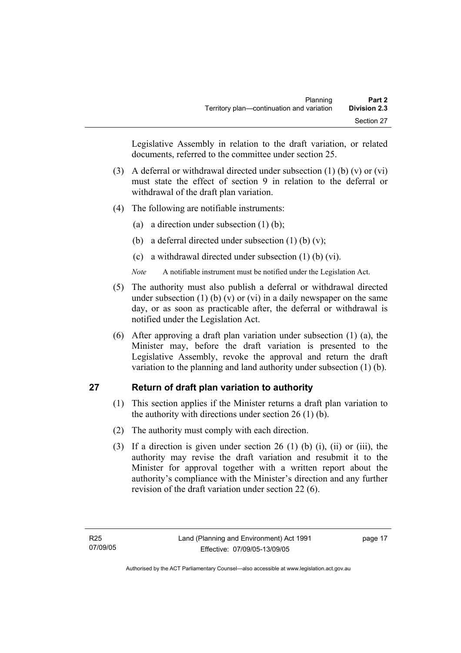Legislative Assembly in relation to the draft variation, or related documents, referred to the committee under section 25.

- (3) A deferral or withdrawal directed under subsection (1) (b) (v) or (vi) must state the effect of section 9 in relation to the deferral or withdrawal of the draft plan variation.
- (4) The following are notifiable instruments:
	- (a) a direction under subsection  $(1)$  (b);
	- (b) a deferral directed under subsection  $(1)$  (b)  $(v)$ ;
	- (c) a withdrawal directed under subsection (1) (b) (vi).
	- *Note* A notifiable instrument must be notified under the Legislation Act.
- (5) The authority must also publish a deferral or withdrawal directed under subsection (1) (b) (v) or (vi) in a daily newspaper on the same day, or as soon as practicable after, the deferral or withdrawal is notified under the Legislation Act.
- (6) After approving a draft plan variation under subsection (1) (a), the Minister may, before the draft variation is presented to the Legislative Assembly, revoke the approval and return the draft variation to the planning and land authority under subsection (1) (b).

# **27 Return of draft plan variation to authority**

- (1) This section applies if the Minister returns a draft plan variation to the authority with directions under section 26 (1) (b).
- (2) The authority must comply with each direction.
- (3) If a direction is given under section 26 (1) (b) (i), (ii) or (iii), the authority may revise the draft variation and resubmit it to the Minister for approval together with a written report about the authority's compliance with the Minister's direction and any further revision of the draft variation under section 22 (6).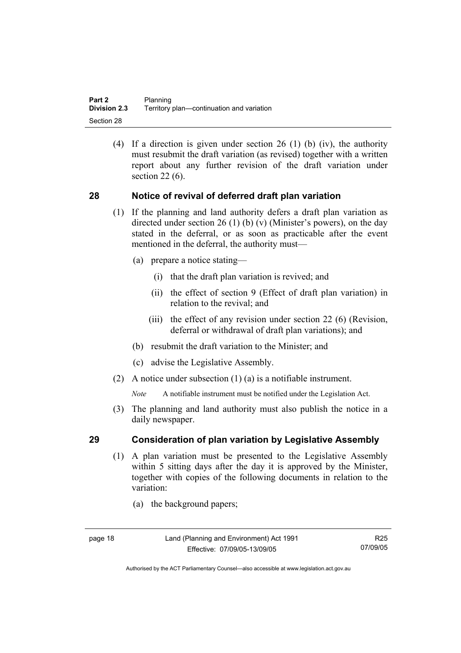(4) If a direction is given under section 26 (1) (b) (iv), the authority must resubmit the draft variation (as revised) together with a written report about any further revision of the draft variation under section 22 (6).

## **28 Notice of revival of deferred draft plan variation**

- (1) If the planning and land authority defers a draft plan variation as directed under section 26 (1) (b) (v) (Minister's powers), on the day stated in the deferral, or as soon as practicable after the event mentioned in the deferral, the authority must—
	- (a) prepare a notice stating—
		- (i) that the draft plan variation is revived; and
		- (ii) the effect of section 9 (Effect of draft plan variation) in relation to the revival; and
		- (iii) the effect of any revision under section 22 (6) (Revision, deferral or withdrawal of draft plan variations); and
	- (b) resubmit the draft variation to the Minister; and
	- (c) advise the Legislative Assembly.
- (2) A notice under subsection (1) (a) is a notifiable instrument.

*Note* A notifiable instrument must be notified under the Legislation Act.

(3) The planning and land authority must also publish the notice in a daily newspaper.

## **29 Consideration of plan variation by Legislative Assembly**

- (1) A plan variation must be presented to the Legislative Assembly within 5 sitting days after the day it is approved by the Minister, together with copies of the following documents in relation to the variation:
	- (a) the background papers;

R25 07/09/05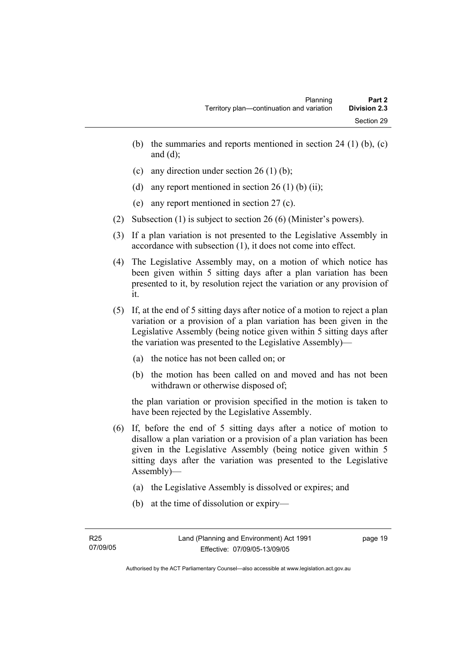- (b) the summaries and reports mentioned in section 24 (1) (b),  $(c)$ and  $(d)$ ;
- (c) any direction under section 26 (1) (b);
- (d) any report mentioned in section  $26(1)$  (b) (ii);
- (e) any report mentioned in section 27 (c).
- (2) Subsection (1) is subject to section 26 (6) (Minister's powers).
- (3) If a plan variation is not presented to the Legislative Assembly in accordance with subsection (1), it does not come into effect.
- (4) The Legislative Assembly may, on a motion of which notice has been given within 5 sitting days after a plan variation has been presented to it, by resolution reject the variation or any provision of it.
- (5) If, at the end of 5 sitting days after notice of a motion to reject a plan variation or a provision of a plan variation has been given in the Legislative Assembly (being notice given within 5 sitting days after the variation was presented to the Legislative Assembly)—
	- (a) the notice has not been called on; or
	- (b) the motion has been called on and moved and has not been withdrawn or otherwise disposed of;

the plan variation or provision specified in the motion is taken to have been rejected by the Legislative Assembly.

- (6) If, before the end of 5 sitting days after a notice of motion to disallow a plan variation or a provision of a plan variation has been given in the Legislative Assembly (being notice given within 5 sitting days after the variation was presented to the Legislative Assembly)—
	- (a) the Legislative Assembly is dissolved or expires; and
	- (b) at the time of dissolution or expiry—

page 19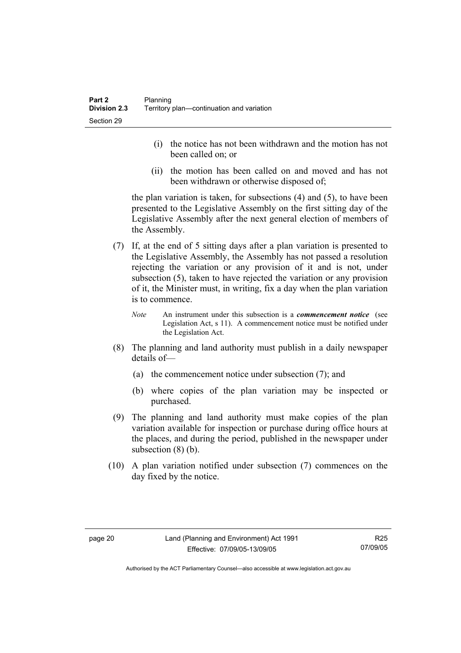- (i) the notice has not been withdrawn and the motion has not been called on; or
- (ii) the motion has been called on and moved and has not been withdrawn or otherwise disposed of;

the plan variation is taken, for subsections (4) and (5), to have been presented to the Legislative Assembly on the first sitting day of the Legislative Assembly after the next general election of members of the Assembly.

- (7) If, at the end of 5 sitting days after a plan variation is presented to the Legislative Assembly, the Assembly has not passed a resolution rejecting the variation or any provision of it and is not, under subsection (5), taken to have rejected the variation or any provision of it, the Minister must, in writing, fix a day when the plan variation is to commence.
	- *Note* An instrument under this subsection is a *commencement notice* (see Legislation Act, s 11). A commencement notice must be notified under the Legislation Act.
- (8) The planning and land authority must publish in a daily newspaper details of—
	- (a) the commencement notice under subsection (7); and
	- (b) where copies of the plan variation may be inspected or purchased.
- (9) The planning and land authority must make copies of the plan variation available for inspection or purchase during office hours at the places, and during the period, published in the newspaper under subsection  $(8)$  (b).
- (10) A plan variation notified under subsection (7) commences on the day fixed by the notice.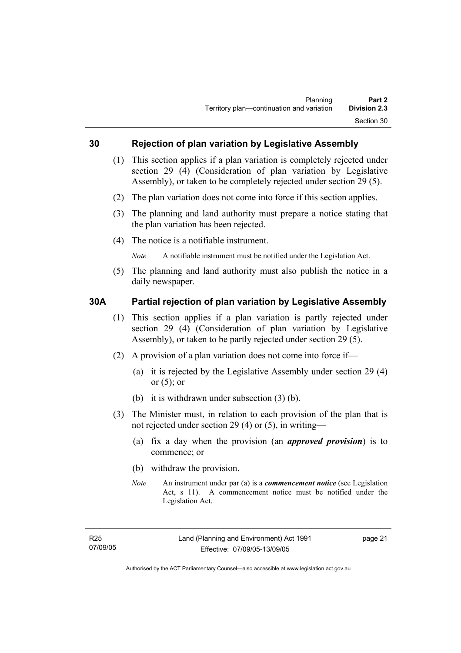## **30 Rejection of plan variation by Legislative Assembly**

- (1) This section applies if a plan variation is completely rejected under section 29 (4) (Consideration of plan variation by Legislative Assembly), or taken to be completely rejected under section 29 (5).
- (2) The plan variation does not come into force if this section applies.
- (3) The planning and land authority must prepare a notice stating that the plan variation has been rejected.
- (4) The notice is a notifiable instrument.

*Note* A notifiable instrument must be notified under the Legislation Act.

(5) The planning and land authority must also publish the notice in a daily newspaper.

## **30A Partial rejection of plan variation by Legislative Assembly**

- (1) This section applies if a plan variation is partly rejected under section 29 (4) (Consideration of plan variation by Legislative Assembly), or taken to be partly rejected under section 29 (5).
- (2) A provision of a plan variation does not come into force if—
	- (a) it is rejected by the Legislative Assembly under section 29 (4) or  $(5)$ ; or
	- (b) it is withdrawn under subsection (3) (b).
- (3) The Minister must, in relation to each provision of the plan that is not rejected under section 29 (4) or (5), in writing—
	- (a) fix a day when the provision (an *approved provision*) is to commence; or
	- (b) withdraw the provision.
	- *Note* An instrument under par (a) is a *commencement notice* (see Legislation Act, s 11). A commencement notice must be notified under the Legislation Act.

page 21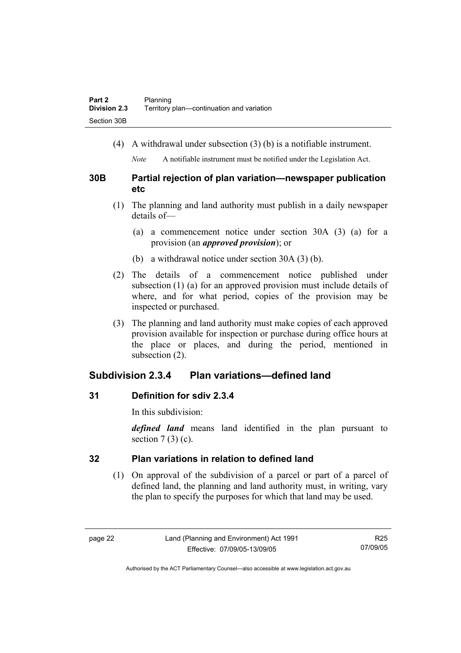(4) A withdrawal under subsection (3) (b) is a notifiable instrument.

*Note* A notifiable instrument must be notified under the Legislation Act.

## **30B Partial rejection of plan variation—newspaper publication etc**

- (1) The planning and land authority must publish in a daily newspaper details of—
	- (a) a commencement notice under section 30A (3) (a) for a provision (an *approved provision*); or
	- (b) a withdrawal notice under section 30A (3) (b).
- (2) The details of a commencement notice published under subsection (1) (a) for an approved provision must include details of where, and for what period, copies of the provision may be inspected or purchased.
- (3) The planning and land authority must make copies of each approved provision available for inspection or purchase during office hours at the place or places, and during the period, mentioned in subsection (2).

# **Subdivision 2.3.4 Plan variations—defined land**

# **31 Definition for sdiv 2.3.4**

In this subdivision:

*defined land* means land identified in the plan pursuant to section  $7(3)(c)$ .

# **32 Plan variations in relation to defined land**

 (1) On approval of the subdivision of a parcel or part of a parcel of defined land, the planning and land authority must, in writing, vary the plan to specify the purposes for which that land may be used.

R25 07/09/05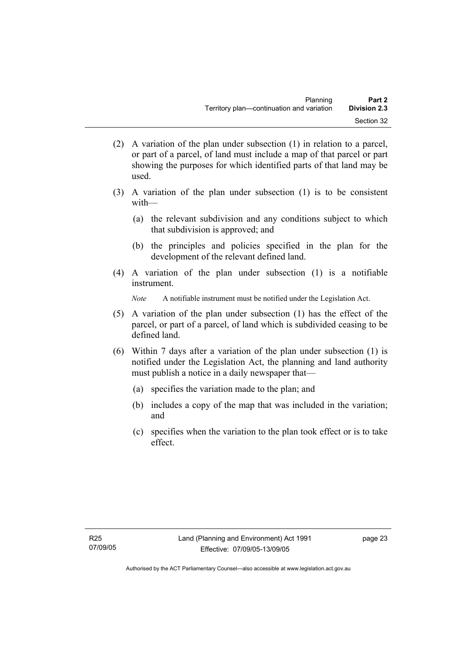- (2) A variation of the plan under subsection (1) in relation to a parcel, or part of a parcel, of land must include a map of that parcel or part showing the purposes for which identified parts of that land may be used.
- (3) A variation of the plan under subsection (1) is to be consistent with—
	- (a) the relevant subdivision and any conditions subject to which that subdivision is approved; and
	- (b) the principles and policies specified in the plan for the development of the relevant defined land.
- (4) A variation of the plan under subsection (1) is a notifiable instrument.

*Note* A notifiable instrument must be notified under the Legislation Act.

- (5) A variation of the plan under subsection (1) has the effect of the parcel, or part of a parcel, of land which is subdivided ceasing to be defined land.
- (6) Within 7 days after a variation of the plan under subsection (1) is notified under the Legislation Act, the planning and land authority must publish a notice in a daily newspaper that—
	- (a) specifies the variation made to the plan; and
	- (b) includes a copy of the map that was included in the variation; and
	- (c) specifies when the variation to the plan took effect or is to take effect.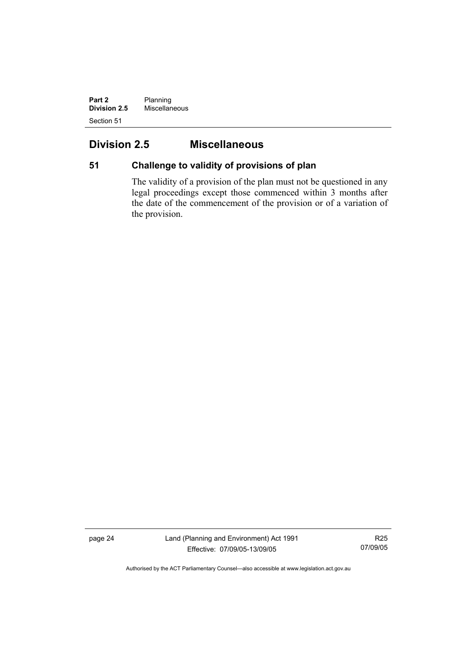**Part 2** Planning **Division 2.5** Miscellaneous Section 51

## **Division 2.5 Miscellaneous**

## **51 Challenge to validity of provisions of plan**

The validity of a provision of the plan must not be questioned in any legal proceedings except those commenced within 3 months after the date of the commencement of the provision or of a variation of the provision.

page 24 Land (Planning and Environment) Act 1991 Effective: 07/09/05-13/09/05

R25 07/09/05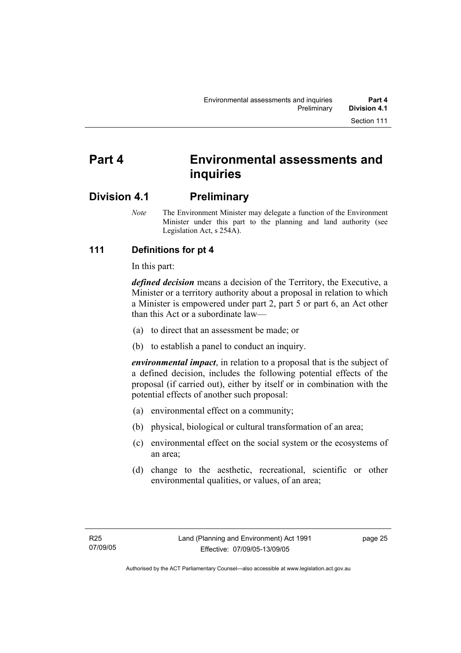# **Part 4 Environmental assessments and inquiries**

## **Division 4.1 Preliminary**

*Note* The Environment Minister may delegate a function of the Environment Minister under this part to the planning and land authority (see Legislation Act, s 254A).

## **111 Definitions for pt 4**

In this part:

*defined decision* means a decision of the Territory, the Executive, a Minister or a territory authority about a proposal in relation to which a Minister is empowered under part 2, part 5 or part 6, an Act other than this Act or a subordinate law—

- (a) to direct that an assessment be made; or
- (b) to establish a panel to conduct an inquiry.

*environmental impact*, in relation to a proposal that is the subject of a defined decision, includes the following potential effects of the proposal (if carried out), either by itself or in combination with the potential effects of another such proposal:

- (a) environmental effect on a community;
- (b) physical, biological or cultural transformation of an area;
- (c) environmental effect on the social system or the ecosystems of an area;
- (d) change to the aesthetic, recreational, scientific or other environmental qualities, or values, of an area;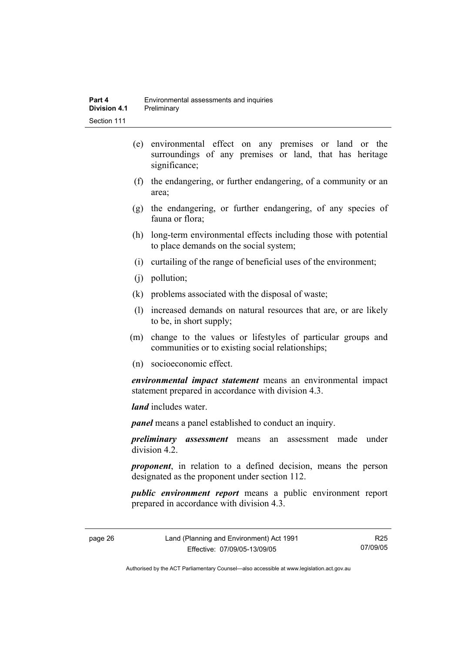- (e) environmental effect on any premises or land or the surroundings of any premises or land, that has heritage significance;
- (f) the endangering, or further endangering, of a community or an area;
- (g) the endangering, or further endangering, of any species of fauna or flora;
- (h) long-term environmental effects including those with potential to place demands on the social system;
- (i) curtailing of the range of beneficial uses of the environment;
- (j) pollution;
- (k) problems associated with the disposal of waste;
- (l) increased demands on natural resources that are, or are likely to be, in short supply;
- (m) change to the values or lifestyles of particular groups and communities or to existing social relationships;
- (n) socioeconomic effect.

*environmental impact statement* means an environmental impact statement prepared in accordance with division 4.3.

*land* includes water.

*panel* means a panel established to conduct an inquiry.

*preliminary assessment* means an assessment made under division 4.2.

*proponent*, in relation to a defined decision, means the person designated as the proponent under section 112.

*public environment report* means a public environment report prepared in accordance with division 4.3.

page 26 Land (Planning and Environment) Act 1991 Effective: 07/09/05-13/09/05

R25 07/09/05

Authorised by the ACT Parliamentary Counsel—also accessible at www.legislation.act.gov.au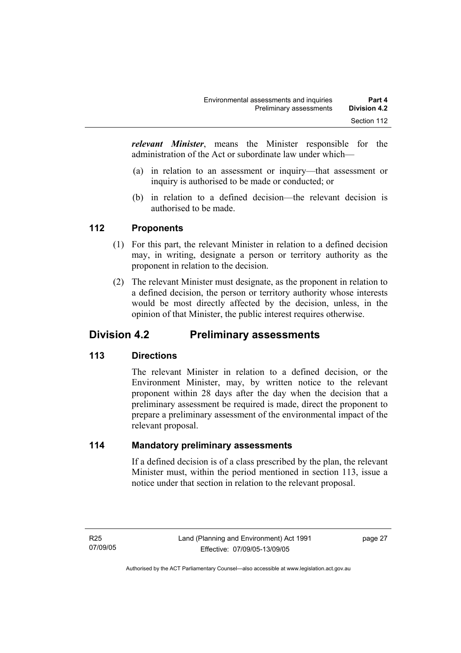*relevant Minister*, means the Minister responsible for the administration of the Act or subordinate law under which—

- (a) in relation to an assessment or inquiry—that assessment or inquiry is authorised to be made or conducted; or
- (b) in relation to a defined decision—the relevant decision is authorised to be made.

## **112 Proponents**

- (1) For this part, the relevant Minister in relation to a defined decision may, in writing, designate a person or territory authority as the proponent in relation to the decision.
- (2) The relevant Minister must designate, as the proponent in relation to a defined decision, the person or territory authority whose interests would be most directly affected by the decision, unless, in the opinion of that Minister, the public interest requires otherwise.

## **Division 4.2 Preliminary assessments**

## **113 Directions**

The relevant Minister in relation to a defined decision, or the Environment Minister, may, by written notice to the relevant proponent within 28 days after the day when the decision that a preliminary assessment be required is made, direct the proponent to prepare a preliminary assessment of the environmental impact of the relevant proposal.

#### **114 Mandatory preliminary assessments**

If a defined decision is of a class prescribed by the plan, the relevant Minister must, within the period mentioned in section 113, issue a notice under that section in relation to the relevant proposal.

page 27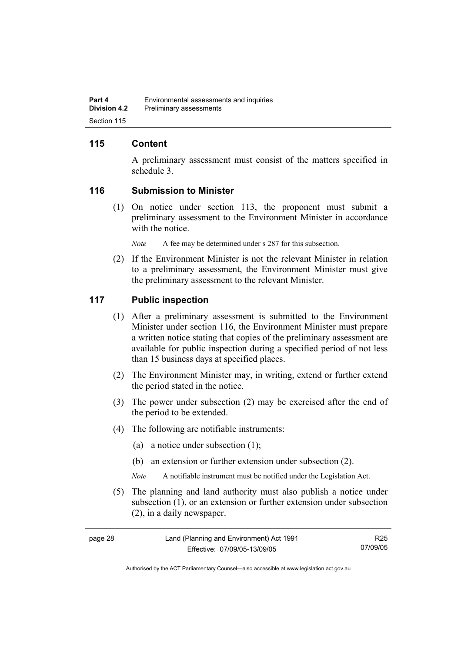## **115 Content**

A preliminary assessment must consist of the matters specified in schedule 3.

#### **116 Submission to Minister**

 (1) On notice under section 113, the proponent must submit a preliminary assessment to the Environment Minister in accordance with the notice.

*Note* A fee may be determined under s 287 for this subsection.

 (2) If the Environment Minister is not the relevant Minister in relation to a preliminary assessment, the Environment Minister must give the preliminary assessment to the relevant Minister.

#### **117 Public inspection**

- (1) After a preliminary assessment is submitted to the Environment Minister under section 116, the Environment Minister must prepare a written notice stating that copies of the preliminary assessment are available for public inspection during a specified period of not less than 15 business days at specified places.
- (2) The Environment Minister may, in writing, extend or further extend the period stated in the notice.
- (3) The power under subsection (2) may be exercised after the end of the period to be extended.
- (4) The following are notifiable instruments:
	- (a) a notice under subsection (1);
	- (b) an extension or further extension under subsection (2).
	- *Note* A notifiable instrument must be notified under the Legislation Act.
- (5) The planning and land authority must also publish a notice under subsection (1), or an extension or further extension under subsection (2), in a daily newspaper.

| page 28 |  |  |
|---------|--|--|
|         |  |  |

R25 07/09/05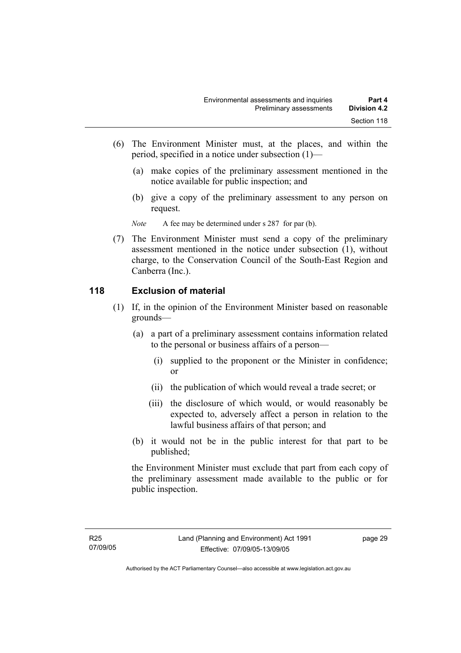- (6) The Environment Minister must, at the places, and within the period, specified in a notice under subsection (1)—
	- (a) make copies of the preliminary assessment mentioned in the notice available for public inspection; and
	- (b) give a copy of the preliminary assessment to any person on request.

*Note* A fee may be determined under s 287 for par (b).

 (7) The Environment Minister must send a copy of the preliminary assessment mentioned in the notice under subsection (1), without charge, to the Conservation Council of the South-East Region and Canberra (Inc.).

#### **118 Exclusion of material**

- (1) If, in the opinion of the Environment Minister based on reasonable grounds—
	- (a) a part of a preliminary assessment contains information related to the personal or business affairs of a person—
		- (i) supplied to the proponent or the Minister in confidence; or
		- (ii) the publication of which would reveal a trade secret; or
		- (iii) the disclosure of which would, or would reasonably be expected to, adversely affect a person in relation to the lawful business affairs of that person; and
	- (b) it would not be in the public interest for that part to be published;

the Environment Minister must exclude that part from each copy of the preliminary assessment made available to the public or for public inspection.

page 29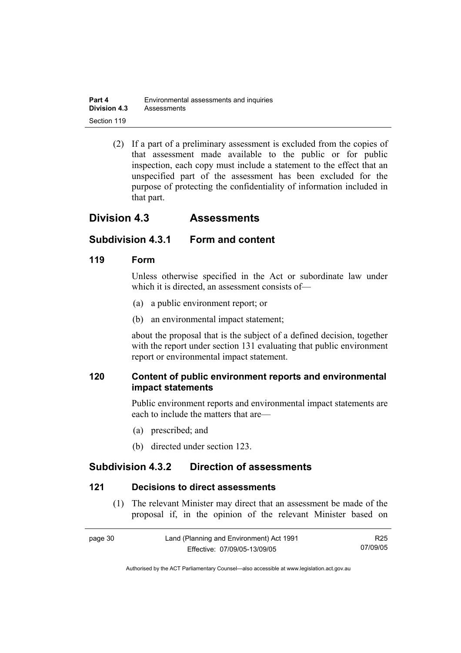| Part 4              | Environmental assessments and inquiries |
|---------------------|-----------------------------------------|
| <b>Division 4.3</b> | Assessments                             |
| Section 119         |                                         |

 (2) If a part of a preliminary assessment is excluded from the copies of that assessment made available to the public or for public inspection, each copy must include a statement to the effect that an unspecified part of the assessment has been excluded for the purpose of protecting the confidentiality of information included in that part.

## **Division 4.3 Assessments**

## **Subdivision 4.3.1 Form and content**

#### **119 Form**

Unless otherwise specified in the Act or subordinate law under which it is directed, an assessment consists of—

- (a) a public environment report; or
- (b) an environmental impact statement;

about the proposal that is the subject of a defined decision, together with the report under section 131 evaluating that public environment report or environmental impact statement.

## **120 Content of public environment reports and environmental impact statements**

Public environment reports and environmental impact statements are each to include the matters that are—

- (a) prescribed; and
- (b) directed under section 123.

## **Subdivision 4.3.2 Direction of assessments**

#### **121 Decisions to direct assessments**

 (1) The relevant Minister may direct that an assessment be made of the proposal if, in the opinion of the relevant Minister based on

| page 30 | Land (Planning and Environment) Act 1991 | R25      |
|---------|------------------------------------------|----------|
|         | Effective: 07/09/05-13/09/05             | 07/09/05 |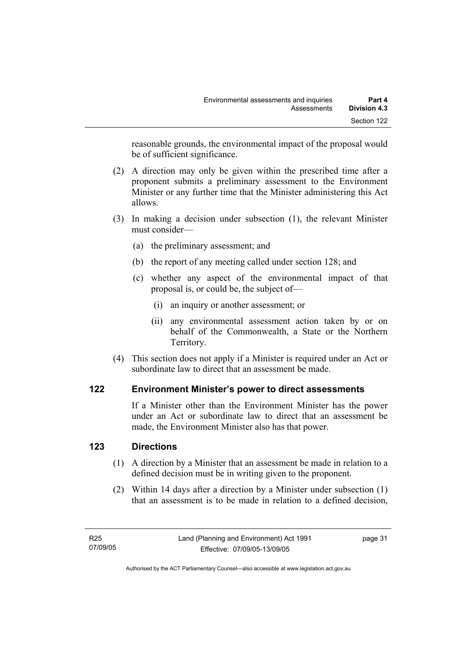reasonable grounds, the environmental impact of the proposal would be of sufficient significance.

- (2) A direction may only be given within the prescribed time after a proponent submits a preliminary assessment to the Environment Minister or any further time that the Minister administering this Act allows.
- (3) In making a decision under subsection (1), the relevant Minister must consider—
	- (a) the preliminary assessment; and
	- (b) the report of any meeting called under section 128; and
	- (c) whether any aspect of the environmental impact of that proposal is, or could be, the subject of—
		- (i) an inquiry or another assessment; or
		- (ii) any environmental assessment action taken by or on behalf of the Commonwealth, a State or the Northern Territory.
- (4) This section does not apply if a Minister is required under an Act or subordinate law to direct that an assessment be made.

## **122 Environment Minister's power to direct assessments**

If a Minister other than the Environment Minister has the power under an Act or subordinate law to direct that an assessment be made, the Environment Minister also has that power.

## **123 Directions**

- (1) A direction by a Minister that an assessment be made in relation to a defined decision must be in writing given to the proponent.
- (2) Within 14 days after a direction by a Minister under subsection (1) that an assessment is to be made in relation to a defined decision,

page 31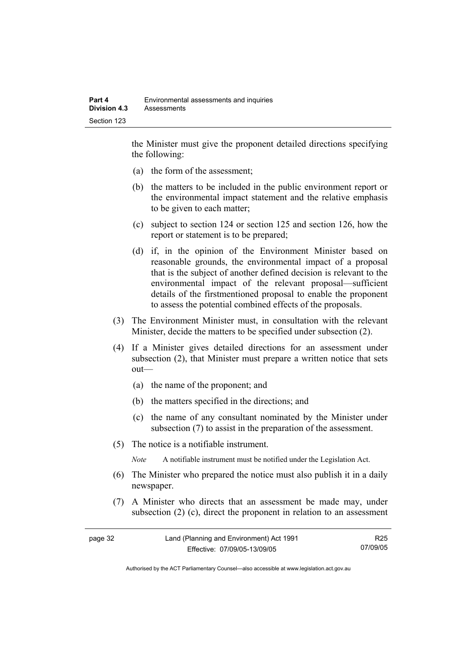the Minister must give the proponent detailed directions specifying the following:

- (a) the form of the assessment;
- (b) the matters to be included in the public environment report or the environmental impact statement and the relative emphasis to be given to each matter;
- (c) subject to section 124 or section 125 and section 126, how the report or statement is to be prepared;
- (d) if, in the opinion of the Environment Minister based on reasonable grounds, the environmental impact of a proposal that is the subject of another defined decision is relevant to the environmental impact of the relevant proposal—sufficient details of the firstmentioned proposal to enable the proponent to assess the potential combined effects of the proposals.
- (3) The Environment Minister must, in consultation with the relevant Minister, decide the matters to be specified under subsection (2).
- (4) If a Minister gives detailed directions for an assessment under subsection (2), that Minister must prepare a written notice that sets out—
	- (a) the name of the proponent; and
	- (b) the matters specified in the directions; and
	- (c) the name of any consultant nominated by the Minister under subsection (7) to assist in the preparation of the assessment.
- (5) The notice is a notifiable instrument.

*Note* A notifiable instrument must be notified under the Legislation Act.

- (6) The Minister who prepared the notice must also publish it in a daily newspaper.
- (7) A Minister who directs that an assessment be made may, under subsection (2) (c), direct the proponent in relation to an assessment

| page 32 | Land (Planning and Environment) Act 1991 | R25      |
|---------|------------------------------------------|----------|
|         | Effective: 07/09/05-13/09/05             | 07/09/05 |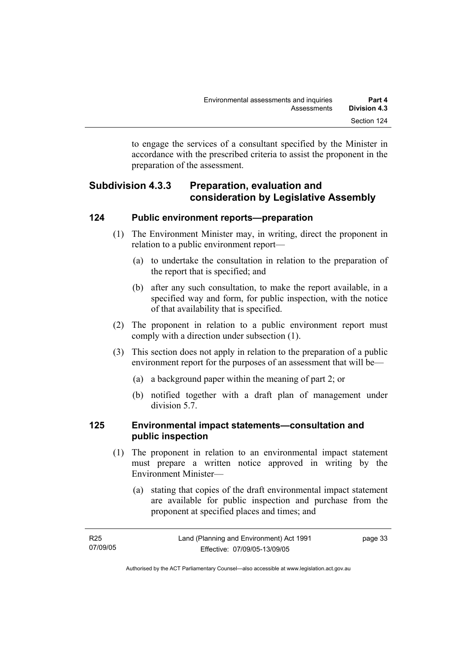to engage the services of a consultant specified by the Minister in accordance with the prescribed criteria to assist the proponent in the preparation of the assessment.

## **Subdivision 4.3.3 Preparation, evaluation and consideration by Legislative Assembly**

#### **124 Public environment reports—preparation**

- (1) The Environment Minister may, in writing, direct the proponent in relation to a public environment report—
	- (a) to undertake the consultation in relation to the preparation of the report that is specified; and
	- (b) after any such consultation, to make the report available, in a specified way and form, for public inspection, with the notice of that availability that is specified.
- (2) The proponent in relation to a public environment report must comply with a direction under subsection (1).
- (3) This section does not apply in relation to the preparation of a public environment report for the purposes of an assessment that will be—
	- (a) a background paper within the meaning of part 2; or
	- (b) notified together with a draft plan of management under division 5.7.

## **125 Environmental impact statements—consultation and public inspection**

- (1) The proponent in relation to an environmental impact statement must prepare a written notice approved in writing by the Environment Minister—
	- (a) stating that copies of the draft environmental impact statement are available for public inspection and purchase from the proponent at specified places and times; and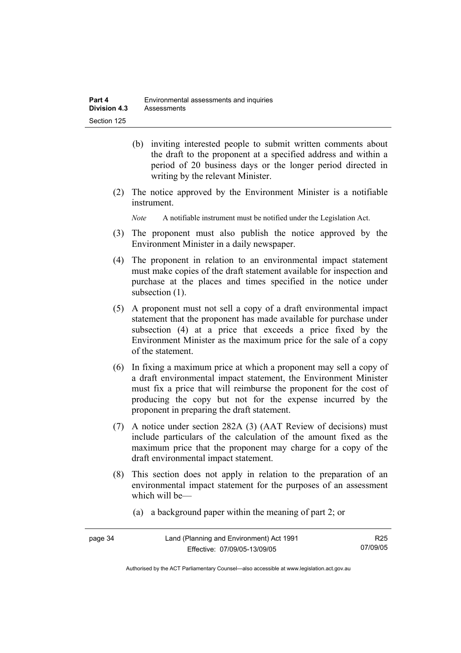- (b) inviting interested people to submit written comments about the draft to the proponent at a specified address and within a period of 20 business days or the longer period directed in writing by the relevant Minister.
- (2) The notice approved by the Environment Minister is a notifiable instrument.

*Note* A notifiable instrument must be notified under the Legislation Act.

- (3) The proponent must also publish the notice approved by the Environment Minister in a daily newspaper.
- (4) The proponent in relation to an environmental impact statement must make copies of the draft statement available for inspection and purchase at the places and times specified in the notice under subsection  $(1)$ .
- (5) A proponent must not sell a copy of a draft environmental impact statement that the proponent has made available for purchase under subsection (4) at a price that exceeds a price fixed by the Environment Minister as the maximum price for the sale of a copy of the statement.
- (6) In fixing a maximum price at which a proponent may sell a copy of a draft environmental impact statement, the Environment Minister must fix a price that will reimburse the proponent for the cost of producing the copy but not for the expense incurred by the proponent in preparing the draft statement.
- (7) A notice under section 282A (3) (AAT Review of decisions) must include particulars of the calculation of the amount fixed as the maximum price that the proponent may charge for a copy of the draft environmental impact statement.
- (8) This section does not apply in relation to the preparation of an environmental impact statement for the purposes of an assessment which will be—
	- (a) a background paper within the meaning of part 2; or

| page 34 | Land (Planning and Environment) Act 1991 | R <sub>25</sub> |
|---------|------------------------------------------|-----------------|
|         | Effective: 07/09/05-13/09/05             | 07/09/05        |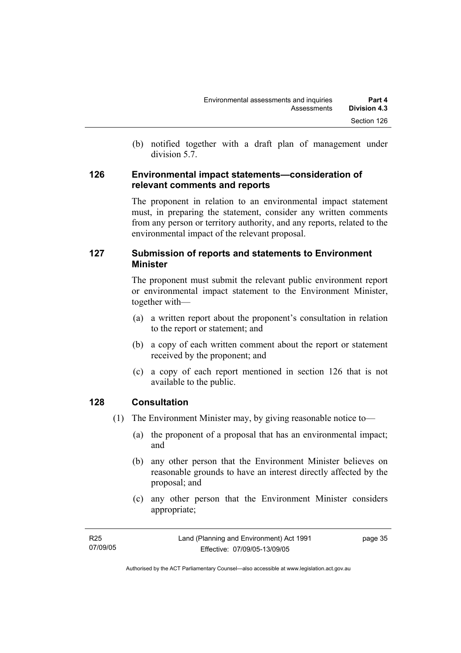(b) notified together with a draft plan of management under division 5.7.

#### **126 Environmental impact statements—consideration of relevant comments and reports**

The proponent in relation to an environmental impact statement must, in preparing the statement, consider any written comments from any person or territory authority, and any reports, related to the environmental impact of the relevant proposal.

## **127 Submission of reports and statements to Environment Minister**

The proponent must submit the relevant public environment report or environmental impact statement to the Environment Minister, together with—

- (a) a written report about the proponent's consultation in relation to the report or statement; and
- (b) a copy of each written comment about the report or statement received by the proponent; and
- (c) a copy of each report mentioned in section 126 that is not available to the public.

## **128 Consultation**

- (1) The Environment Minister may, by giving reasonable notice to—
	- (a) the proponent of a proposal that has an environmental impact; and
	- (b) any other person that the Environment Minister believes on reasonable grounds to have an interest directly affected by the proposal; and
	- (c) any other person that the Environment Minister considers appropriate;

| R25      | Land (Planning and Environment) Act 1991 | page 35 |
|----------|------------------------------------------|---------|
| 07/09/05 | Effective: 07/09/05-13/09/05             |         |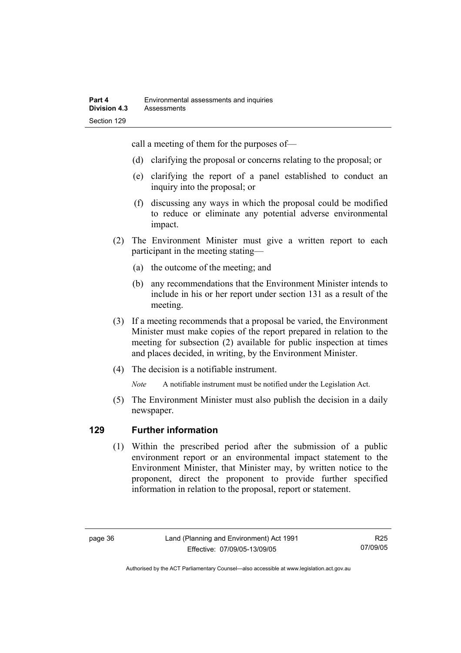call a meeting of them for the purposes of—

- (d) clarifying the proposal or concerns relating to the proposal; or
- (e) clarifying the report of a panel established to conduct an inquiry into the proposal; or
- (f) discussing any ways in which the proposal could be modified to reduce or eliminate any potential adverse environmental impact.
- (2) The Environment Minister must give a written report to each participant in the meeting stating—
	- (a) the outcome of the meeting; and
	- (b) any recommendations that the Environment Minister intends to include in his or her report under section 131 as a result of the meeting.
- (3) If a meeting recommends that a proposal be varied, the Environment Minister must make copies of the report prepared in relation to the meeting for subsection (2) available for public inspection at times and places decided, in writing, by the Environment Minister.
- (4) The decision is a notifiable instrument.

*Note* A notifiable instrument must be notified under the Legislation Act.

(5) The Environment Minister must also publish the decision in a daily newspaper.

## **129 Further information**

 (1) Within the prescribed period after the submission of a public environment report or an environmental impact statement to the Environment Minister, that Minister may, by written notice to the proponent, direct the proponent to provide further specified information in relation to the proposal, report or statement.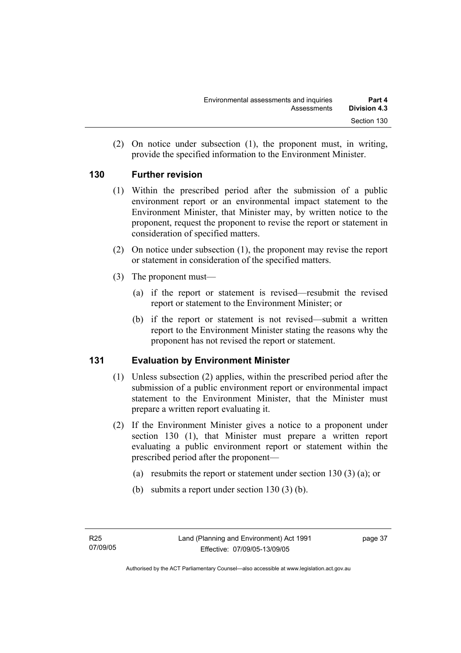(2) On notice under subsection (1), the proponent must, in writing, provide the specified information to the Environment Minister.

## **130 Further revision**

- (1) Within the prescribed period after the submission of a public environment report or an environmental impact statement to the Environment Minister, that Minister may, by written notice to the proponent, request the proponent to revise the report or statement in consideration of specified matters.
- (2) On notice under subsection (1), the proponent may revise the report or statement in consideration of the specified matters.
- (3) The proponent must—
	- (a) if the report or statement is revised—resubmit the revised report or statement to the Environment Minister; or
	- (b) if the report or statement is not revised—submit a written report to the Environment Minister stating the reasons why the proponent has not revised the report or statement.

## **131 Evaluation by Environment Minister**

- (1) Unless subsection (2) applies, within the prescribed period after the submission of a public environment report or environmental impact statement to the Environment Minister, that the Minister must prepare a written report evaluating it.
- (2) If the Environment Minister gives a notice to a proponent under section 130 (1), that Minister must prepare a written report evaluating a public environment report or statement within the prescribed period after the proponent—
	- (a) resubmits the report or statement under section 130 (3) (a); or
	- (b) submits a report under section 130 (3) (b).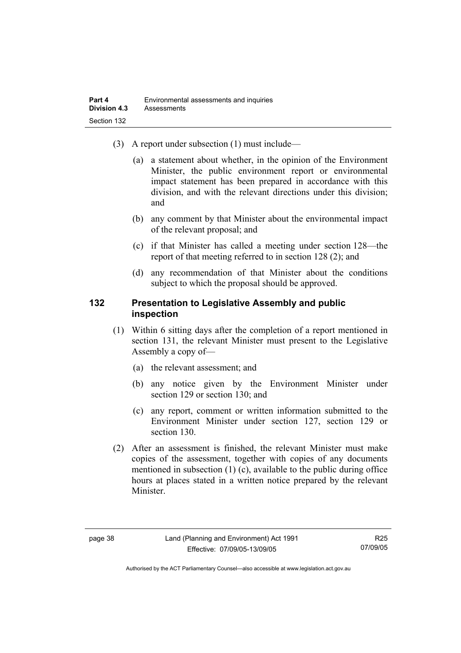- (3) A report under subsection (1) must include—
	- (a) a statement about whether, in the opinion of the Environment Minister, the public environment report or environmental impact statement has been prepared in accordance with this division, and with the relevant directions under this division; and
	- (b) any comment by that Minister about the environmental impact of the relevant proposal; and
	- (c) if that Minister has called a meeting under section 128—the report of that meeting referred to in section 128 (2); and
	- (d) any recommendation of that Minister about the conditions subject to which the proposal should be approved.

#### **132 Presentation to Legislative Assembly and public inspection**

- (1) Within 6 sitting days after the completion of a report mentioned in section 131, the relevant Minister must present to the Legislative Assembly a copy of—
	- (a) the relevant assessment; and
	- (b) any notice given by the Environment Minister under section 129 or section 130; and
	- (c) any report, comment or written information submitted to the Environment Minister under section 127, section 129 or section 130.
- (2) After an assessment is finished, the relevant Minister must make copies of the assessment, together with copies of any documents mentioned in subsection (1) (c), available to the public during office hours at places stated in a written notice prepared by the relevant Minister.

Authorised by the ACT Parliamentary Counsel—also accessible at www.legislation.act.gov.au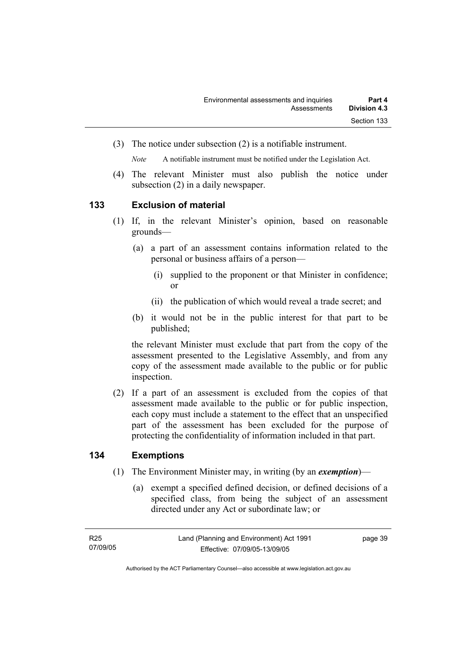(3) The notice under subsection (2) is a notifiable instrument.

*Note* A notifiable instrument must be notified under the Legislation Act.

(4) The relevant Minister must also publish the notice under subsection (2) in a daily newspaper.

#### **133 Exclusion of material**

- (1) If, in the relevant Minister's opinion, based on reasonable grounds—
	- (a) a part of an assessment contains information related to the personal or business affairs of a person—
		- (i) supplied to the proponent or that Minister in confidence; or
		- (ii) the publication of which would reveal a trade secret; and
	- (b) it would not be in the public interest for that part to be published;

the relevant Minister must exclude that part from the copy of the assessment presented to the Legislative Assembly, and from any copy of the assessment made available to the public or for public inspection.

 (2) If a part of an assessment is excluded from the copies of that assessment made available to the public or for public inspection, each copy must include a statement to the effect that an unspecified part of the assessment has been excluded for the purpose of protecting the confidentiality of information included in that part.

## **134 Exemptions**

- (1) The Environment Minister may, in writing (by an *exemption*)—
	- (a) exempt a specified defined decision, or defined decisions of a specified class, from being the subject of an assessment directed under any Act or subordinate law; or

page 39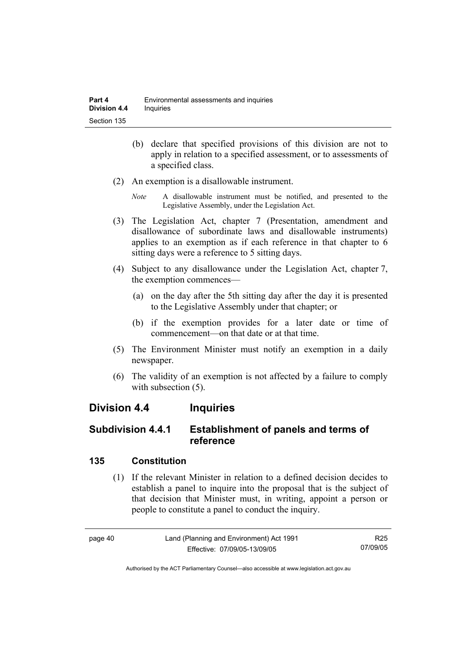- (b) declare that specified provisions of this division are not to apply in relation to a specified assessment, or to assessments of a specified class.
- (2) An exemption is a disallowable instrument.
	- *Note* A disallowable instrument must be notified, and presented to the Legislative Assembly, under the Legislation Act.
- (3) The Legislation Act, chapter 7 (Presentation, amendment and disallowance of subordinate laws and disallowable instruments) applies to an exemption as if each reference in that chapter to 6 sitting days were a reference to 5 sitting days.
- (4) Subject to any disallowance under the Legislation Act, chapter 7, the exemption commences—
	- (a) on the day after the 5th sitting day after the day it is presented to the Legislative Assembly under that chapter; or
	- (b) if the exemption provides for a later date or time of commencement—on that date or at that time.
- (5) The Environment Minister must notify an exemption in a daily newspaper.
- (6) The validity of an exemption is not affected by a failure to comply with subsection  $(5)$ .

## **Division 4.4 Inquiries**

## **Subdivision 4.4.1 Establishment of panels and terms of reference**

## **135 Constitution**

 (1) If the relevant Minister in relation to a defined decision decides to establish a panel to inquire into the proposal that is the subject of that decision that Minister must, in writing, appoint a person or people to constitute a panel to conduct the inquiry.

page 40 Land (Planning and Environment) Act 1991 Effective: 07/09/05-13/09/05 R25 07/09/05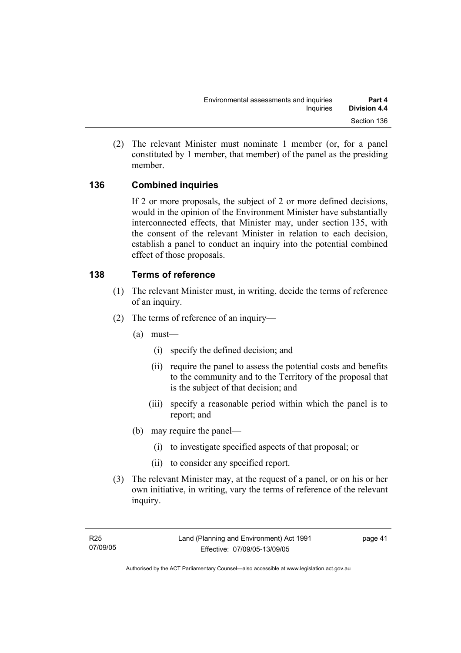(2) The relevant Minister must nominate 1 member (or, for a panel constituted by 1 member, that member) of the panel as the presiding member.

## **136 Combined inquiries**

If 2 or more proposals, the subject of 2 or more defined decisions, would in the opinion of the Environment Minister have substantially interconnected effects, that Minister may, under section 135, with the consent of the relevant Minister in relation to each decision, establish a panel to conduct an inquiry into the potential combined effect of those proposals.

## **138 Terms of reference**

- (1) The relevant Minister must, in writing, decide the terms of reference of an inquiry.
- (2) The terms of reference of an inquiry—
	- (a) must—
		- (i) specify the defined decision; and
		- (ii) require the panel to assess the potential costs and benefits to the community and to the Territory of the proposal that is the subject of that decision; and
		- (iii) specify a reasonable period within which the panel is to report; and
	- (b) may require the panel—
		- (i) to investigate specified aspects of that proposal; or
		- (ii) to consider any specified report.
- (3) The relevant Minister may, at the request of a panel, or on his or her own initiative, in writing, vary the terms of reference of the relevant inquiry.

page 41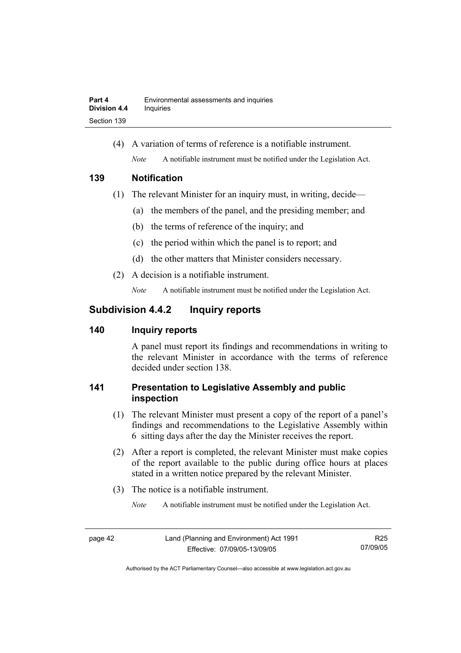(4) A variation of terms of reference is a notifiable instrument. *Note* A notifiable instrument must be notified under the Legislation Act.

#### **139 Notification**

- (1) The relevant Minister for an inquiry must, in writing, decide—
	- (a) the members of the panel, and the presiding member; and
	- (b) the terms of reference of the inquiry; and
	- (c) the period within which the panel is to report; and
	- (d) the other matters that Minister considers necessary.
- (2) A decision is a notifiable instrument.

*Note* A notifiable instrument must be notified under the Legislation Act.

## **Subdivision 4.4.2 Inquiry reports**

## **140 Inquiry reports**

A panel must report its findings and recommendations in writing to the relevant Minister in accordance with the terms of reference decided under section 138.

## **141 Presentation to Legislative Assembly and public inspection**

- (1) The relevant Minister must present a copy of the report of a panel's findings and recommendations to the Legislative Assembly within 6 sitting days after the day the Minister receives the report.
- (2) After a report is completed, the relevant Minister must make copies of the report available to the public during office hours at places stated in a written notice prepared by the relevant Minister.
- (3) The notice is a notifiable instrument.

*Note* A notifiable instrument must be notified under the Legislation Act.

R25 07/09/05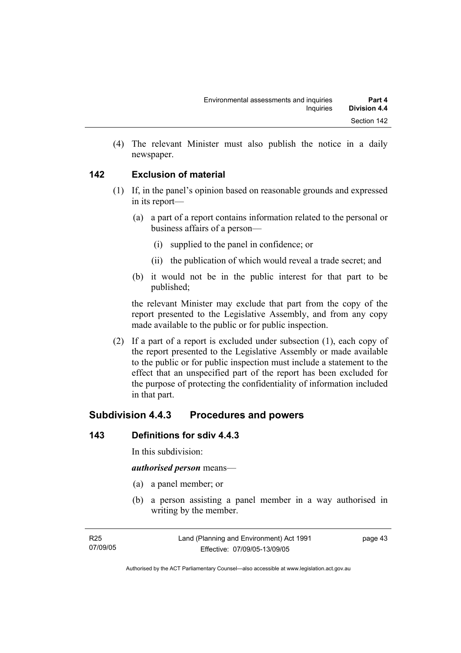(4) The relevant Minister must also publish the notice in a daily newspaper.

## **142 Exclusion of material**

- (1) If, in the panel's opinion based on reasonable grounds and expressed in its report—
	- (a) a part of a report contains information related to the personal or business affairs of a person—
		- (i) supplied to the panel in confidence; or
		- (ii) the publication of which would reveal a trade secret; and
	- (b) it would not be in the public interest for that part to be published;

the relevant Minister may exclude that part from the copy of the report presented to the Legislative Assembly, and from any copy made available to the public or for public inspection.

 (2) If a part of a report is excluded under subsection (1), each copy of the report presented to the Legislative Assembly or made available to the public or for public inspection must include a statement to the effect that an unspecified part of the report has been excluded for the purpose of protecting the confidentiality of information included in that part.

## **Subdivision 4.4.3 Procedures and powers**

## **143 Definitions for sdiv 4.4.3**

In this subdivision:

#### *authorised person* means—

- (a) a panel member; or
- (b) a person assisting a panel member in a way authorised in writing by the member.

page 43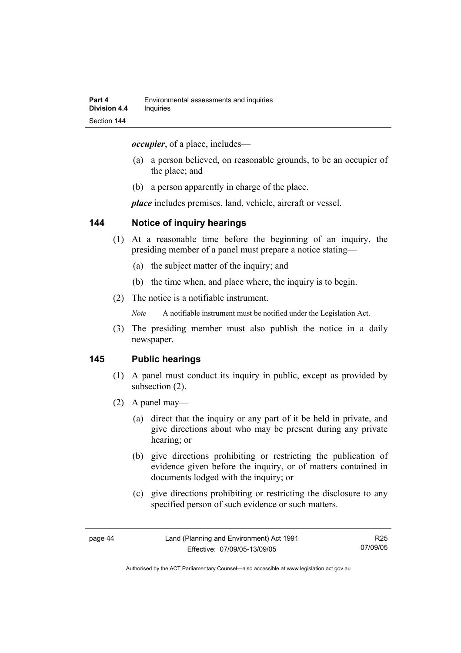*occupier*, of a place, includes—

- (a) a person believed, on reasonable grounds, to be an occupier of the place; and
- (b) a person apparently in charge of the place.

*place* includes premises, land, vehicle, aircraft or vessel.

#### **144 Notice of inquiry hearings**

- (1) At a reasonable time before the beginning of an inquiry, the presiding member of a panel must prepare a notice stating—
	- (a) the subject matter of the inquiry; and
	- (b) the time when, and place where, the inquiry is to begin.
- (2) The notice is a notifiable instrument.

*Note* A notifiable instrument must be notified under the Legislation Act.

(3) The presiding member must also publish the notice in a daily newspaper.

#### **145 Public hearings**

- (1) A panel must conduct its inquiry in public, except as provided by subsection (2).
- (2) A panel may—
	- (a) direct that the inquiry or any part of it be held in private, and give directions about who may be present during any private hearing; or
	- (b) give directions prohibiting or restricting the publication of evidence given before the inquiry, or of matters contained in documents lodged with the inquiry; or
	- (c) give directions prohibiting or restricting the disclosure to any specified person of such evidence or such matters.

R25 07/09/05

Authorised by the ACT Parliamentary Counsel—also accessible at www.legislation.act.gov.au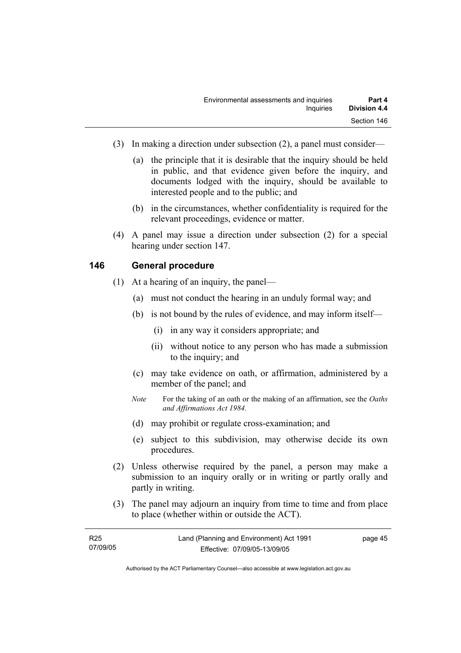- (3) In making a direction under subsection (2), a panel must consider—
	- (a) the principle that it is desirable that the inquiry should be held in public, and that evidence given before the inquiry, and documents lodged with the inquiry, should be available to interested people and to the public; and
	- (b) in the circumstances, whether confidentiality is required for the relevant proceedings, evidence or matter.
- (4) A panel may issue a direction under subsection (2) for a special hearing under section 147.

#### **146 General procedure**

- (1) At a hearing of an inquiry, the panel—
	- (a) must not conduct the hearing in an unduly formal way; and
	- (b) is not bound by the rules of evidence, and may inform itself—
		- (i) in any way it considers appropriate; and
		- (ii) without notice to any person who has made a submission to the inquiry; and
	- (c) may take evidence on oath, or affirmation, administered by a member of the panel; and
	- *Note* For the taking of an oath or the making of an affirmation, see the *Oaths and Affirmations Act 1984.*
	- (d) may prohibit or regulate cross-examination; and
	- (e) subject to this subdivision, may otherwise decide its own procedures.
- (2) Unless otherwise required by the panel, a person may make a submission to an inquiry orally or in writing or partly orally and partly in writing.
- (3) The panel may adjourn an inquiry from time to time and from place to place (whether within or outside the ACT).

| R <sub>25</sub> | Land (Planning and Environment) Act 1991 | page 45 |
|-----------------|------------------------------------------|---------|
| 07/09/05        | Effective: 07/09/05-13/09/05             |         |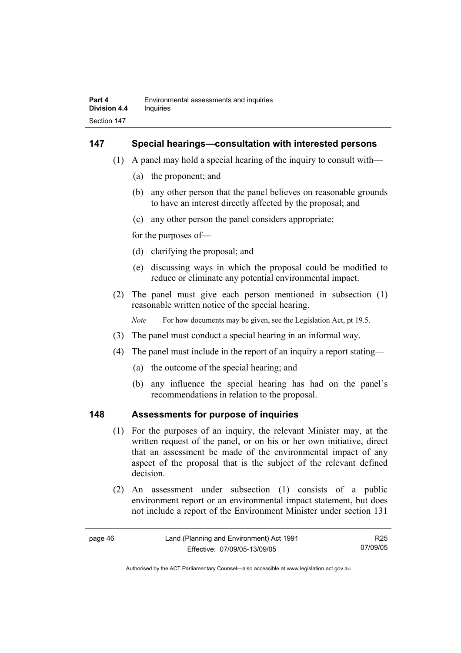#### **147 Special hearings—consultation with interested persons**

- (1) A panel may hold a special hearing of the inquiry to consult with—
	- (a) the proponent; and
	- (b) any other person that the panel believes on reasonable grounds to have an interest directly affected by the proposal; and
	- (c) any other person the panel considers appropriate;

for the purposes of—

- (d) clarifying the proposal; and
- (e) discussing ways in which the proposal could be modified to reduce or eliminate any potential environmental impact.
- (2) The panel must give each person mentioned in subsection (1) reasonable written notice of the special hearing.

*Note* For how documents may be given, see the Legislation Act, pt 19.5.

- (3) The panel must conduct a special hearing in an informal way.
- (4) The panel must include in the report of an inquiry a report stating—
	- (a) the outcome of the special hearing; and
	- (b) any influence the special hearing has had on the panel's recommendations in relation to the proposal.

#### **148 Assessments for purpose of inquiries**

- (1) For the purposes of an inquiry, the relevant Minister may, at the written request of the panel, or on his or her own initiative, direct that an assessment be made of the environmental impact of any aspect of the proposal that is the subject of the relevant defined decision.
- (2) An assessment under subsection (1) consists of a public environment report or an environmental impact statement, but does not include a report of the Environment Minister under section 131

| page 46 | Land (Planning and Environment) Act 1991 | R25      |
|---------|------------------------------------------|----------|
|         | Effective: 07/09/05-13/09/05             | 07/09/05 |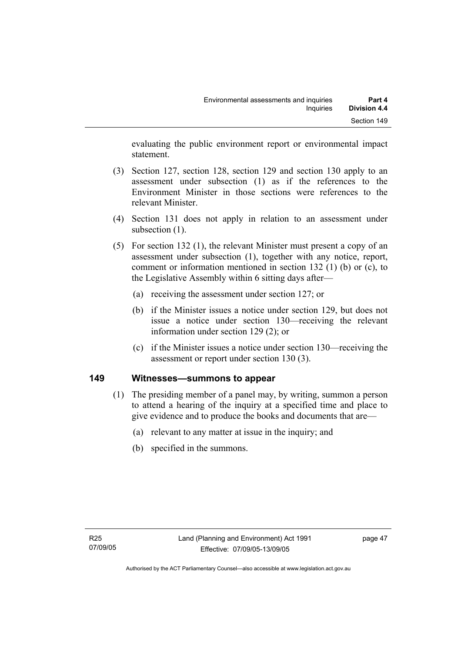evaluating the public environment report or environmental impact statement.

- (3) Section 127, section 128, section 129 and section 130 apply to an assessment under subsection (1) as if the references to the Environment Minister in those sections were references to the relevant Minister.
- (4) Section 131 does not apply in relation to an assessment under subsection  $(1)$ .
- (5) For section 132 (1), the relevant Minister must present a copy of an assessment under subsection (1), together with any notice, report, comment or information mentioned in section 132 (1) (b) or (c), to the Legislative Assembly within 6 sitting days after—
	- (a) receiving the assessment under section 127; or
	- (b) if the Minister issues a notice under section 129, but does not issue a notice under section 130—receiving the relevant information under section 129 (2); or
	- (c) if the Minister issues a notice under section 130—receiving the assessment or report under section 130 (3).

## **149 Witnesses—summons to appear**

- (1) The presiding member of a panel may, by writing, summon a person to attend a hearing of the inquiry at a specified time and place to give evidence and to produce the books and documents that are—
	- (a) relevant to any matter at issue in the inquiry; and
	- (b) specified in the summons.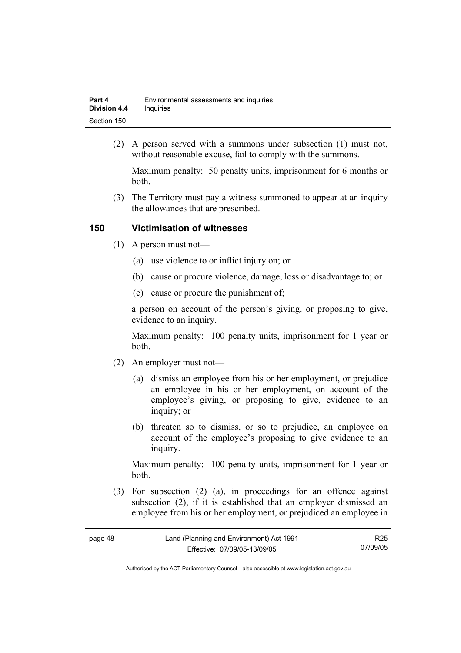| Part 4              | Environmental assessments and inquiries |
|---------------------|-----------------------------------------|
| <b>Division 4.4</b> | Inquiries                               |
| Section 150         |                                         |

 (2) A person served with a summons under subsection (1) must not, without reasonable excuse, fail to comply with the summons.

Maximum penalty: 50 penalty units, imprisonment for 6 months or both.

 (3) The Territory must pay a witness summoned to appear at an inquiry the allowances that are prescribed.

#### **150 Victimisation of witnesses**

- (1) A person must not—
	- (a) use violence to or inflict injury on; or
	- (b) cause or procure violence, damage, loss or disadvantage to; or
	- (c) cause or procure the punishment of;

a person on account of the person's giving, or proposing to give, evidence to an inquiry.

Maximum penalty: 100 penalty units, imprisonment for 1 year or both.

- (2) An employer must not—
	- (a) dismiss an employee from his or her employment, or prejudice an employee in his or her employment, on account of the employee's giving, or proposing to give, evidence to an inquiry; or
	- (b) threaten so to dismiss, or so to prejudice, an employee on account of the employee's proposing to give evidence to an inquiry.

Maximum penalty: 100 penalty units, imprisonment for 1 year or both.

 (3) For subsection (2) (a), in proceedings for an offence against subsection (2), if it is established that an employer dismissed an employee from his or her employment, or prejudiced an employee in

R25 07/09/05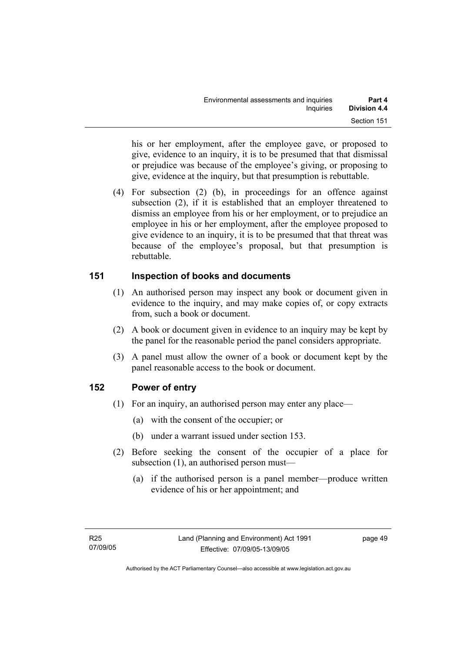his or her employment, after the employee gave, or proposed to give, evidence to an inquiry, it is to be presumed that that dismissal or prejudice was because of the employee's giving, or proposing to give, evidence at the inquiry, but that presumption is rebuttable.

 (4) For subsection (2) (b), in proceedings for an offence against subsection (2), if it is established that an employer threatened to dismiss an employee from his or her employment, or to prejudice an employee in his or her employment, after the employee proposed to give evidence to an inquiry, it is to be presumed that that threat was because of the employee's proposal, but that presumption is rebuttable.

## **151 Inspection of books and documents**

- (1) An authorised person may inspect any book or document given in evidence to the inquiry, and may make copies of, or copy extracts from, such a book or document.
- (2) A book or document given in evidence to an inquiry may be kept by the panel for the reasonable period the panel considers appropriate.
- (3) A panel must allow the owner of a book or document kept by the panel reasonable access to the book or document.

## **152 Power of entry**

- (1) For an inquiry, an authorised person may enter any place—
	- (a) with the consent of the occupier; or
	- (b) under a warrant issued under section 153.
- (2) Before seeking the consent of the occupier of a place for subsection (1), an authorised person must—
	- (a) if the authorised person is a panel member—produce written evidence of his or her appointment; and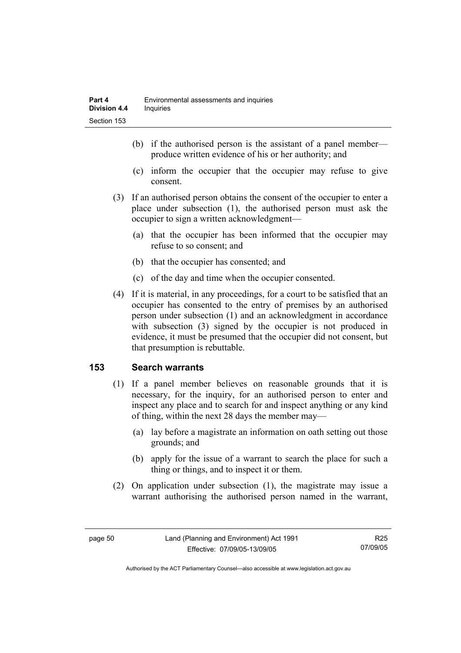- (b) if the authorised person is the assistant of a panel member produce written evidence of his or her authority; and
- (c) inform the occupier that the occupier may refuse to give consent.
- (3) If an authorised person obtains the consent of the occupier to enter a place under subsection (1), the authorised person must ask the occupier to sign a written acknowledgment—
	- (a) that the occupier has been informed that the occupier may refuse to so consent; and
	- (b) that the occupier has consented; and
	- (c) of the day and time when the occupier consented.
- (4) If it is material, in any proceedings, for a court to be satisfied that an occupier has consented to the entry of premises by an authorised person under subsection (1) and an acknowledgment in accordance with subsection (3) signed by the occupier is not produced in evidence, it must be presumed that the occupier did not consent, but that presumption is rebuttable.

## **153 Search warrants**

- (1) If a panel member believes on reasonable grounds that it is necessary, for the inquiry, for an authorised person to enter and inspect any place and to search for and inspect anything or any kind of thing, within the next 28 days the member may—
	- (a) lay before a magistrate an information on oath setting out those grounds; and
	- (b) apply for the issue of a warrant to search the place for such a thing or things, and to inspect it or them.
- (2) On application under subsection (1), the magistrate may issue a warrant authorising the authorised person named in the warrant,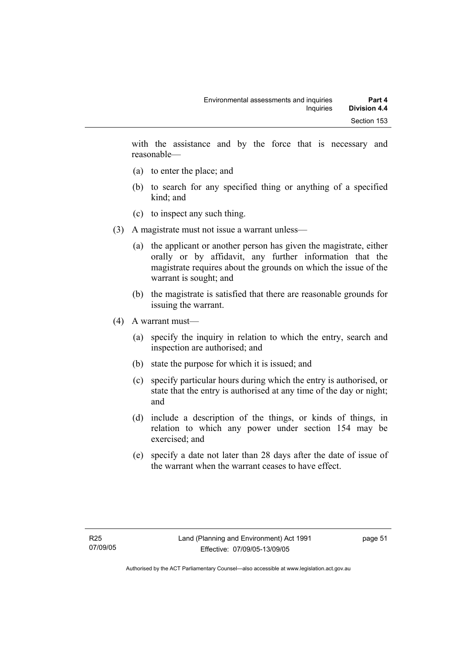with the assistance and by the force that is necessary and reasonable—

- (a) to enter the place; and
- (b) to search for any specified thing or anything of a specified kind; and
- (c) to inspect any such thing.
- (3) A magistrate must not issue a warrant unless—
	- (a) the applicant or another person has given the magistrate, either orally or by affidavit, any further information that the magistrate requires about the grounds on which the issue of the warrant is sought; and
	- (b) the magistrate is satisfied that there are reasonable grounds for issuing the warrant.
- (4) A warrant must—
	- (a) specify the inquiry in relation to which the entry, search and inspection are authorised; and
	- (b) state the purpose for which it is issued; and
	- (c) specify particular hours during which the entry is authorised, or state that the entry is authorised at any time of the day or night; and
	- (d) include a description of the things, or kinds of things, in relation to which any power under section 154 may be exercised; and
	- (e) specify a date not later than 28 days after the date of issue of the warrant when the warrant ceases to have effect.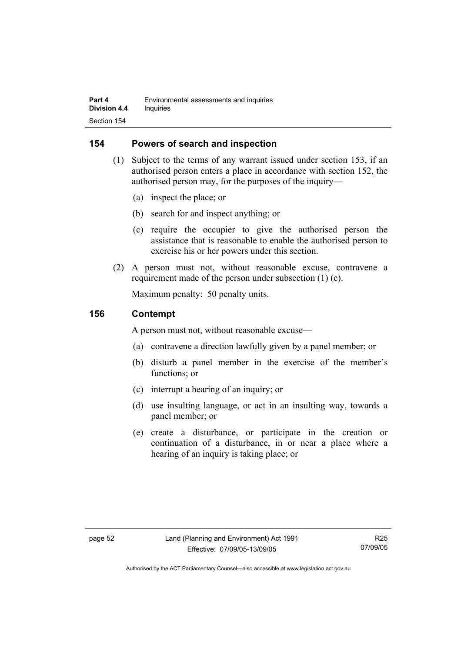#### **154 Powers of search and inspection**

- (1) Subject to the terms of any warrant issued under section 153, if an authorised person enters a place in accordance with section 152, the authorised person may, for the purposes of the inquiry—
	- (a) inspect the place; or
	- (b) search for and inspect anything; or
	- (c) require the occupier to give the authorised person the assistance that is reasonable to enable the authorised person to exercise his or her powers under this section.
- (2) A person must not, without reasonable excuse, contravene a requirement made of the person under subsection (1) (c).

Maximum penalty: 50 penalty units.

#### **156 Contempt**

A person must not, without reasonable excuse—

- (a) contravene a direction lawfully given by a panel member; or
- (b) disturb a panel member in the exercise of the member's functions; or
- (c) interrupt a hearing of an inquiry; or
- (d) use insulting language, or act in an insulting way, towards a panel member; or
- (e) create a disturbance, or participate in the creation or continuation of a disturbance, in or near a place where a hearing of an inquiry is taking place; or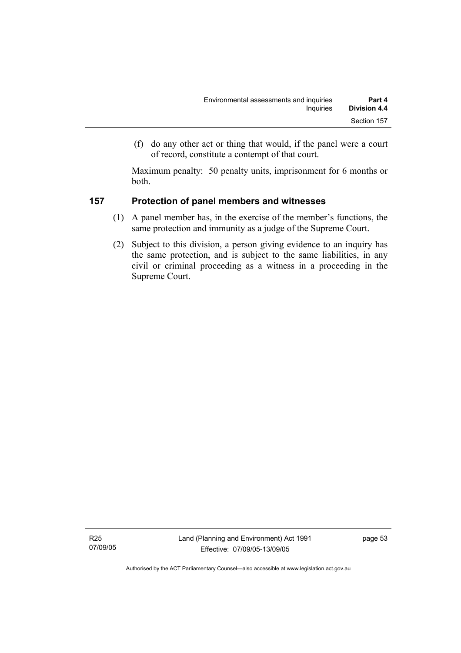(f) do any other act or thing that would, if the panel were a court of record, constitute a contempt of that court.

Maximum penalty: 50 penalty units, imprisonment for 6 months or both.

## **157 Protection of panel members and witnesses**

- (1) A panel member has, in the exercise of the member's functions, the same protection and immunity as a judge of the Supreme Court.
- (2) Subject to this division, a person giving evidence to an inquiry has the same protection, and is subject to the same liabilities, in any civil or criminal proceeding as a witness in a proceeding in the Supreme Court.

R25 07/09/05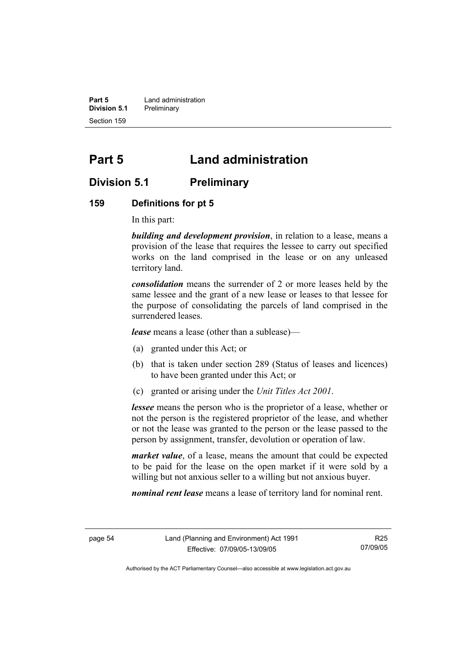**Part 5 Land administration Division 5.1** Preliminary Section 159

# **Part 5 Land administration**

## **Division 5.1 Preliminary**

#### **159 Definitions for pt 5**

In this part:

*building and development provision*, in relation to a lease, means a provision of the lease that requires the lessee to carry out specified works on the land comprised in the lease or on any unleased territory land.

*consolidation* means the surrender of 2 or more leases held by the same lessee and the grant of a new lease or leases to that lessee for the purpose of consolidating the parcels of land comprised in the surrendered leases.

*lease* means a lease (other than a sublease)—

- (a) granted under this Act; or
- (b) that is taken under section 289 (Status of leases and licences) to have been granted under this Act; or
- (c) granted or arising under the *Unit Titles Act 2001*.

*lessee* means the person who is the proprietor of a lease, whether or not the person is the registered proprietor of the lease, and whether or not the lease was granted to the person or the lease passed to the person by assignment, transfer, devolution or operation of law.

*market value*, of a lease, means the amount that could be expected to be paid for the lease on the open market if it were sold by a willing but not anxious seller to a willing but not anxious buyer.

*nominal rent lease* means a lease of territory land for nominal rent.

R25 07/09/05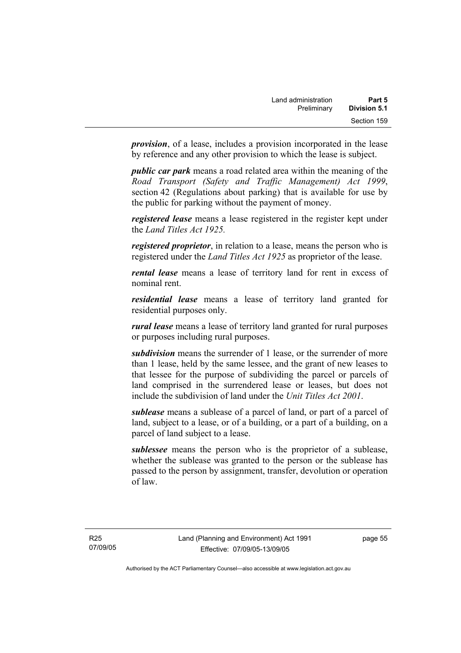*provision*, of a lease, includes a provision incorporated in the lease by reference and any other provision to which the lease is subject.

*public car park* means a road related area within the meaning of the *Road Transport (Safety and Traffic Management) Act 1999*, section 42 (Regulations about parking) that is available for use by the public for parking without the payment of money.

*registered lease* means a lease registered in the register kept under the *Land Titles Act 1925.*

*registered proprietor*, in relation to a lease, means the person who is registered under the *Land Titles Act 1925* as proprietor of the lease.

*rental lease* means a lease of territory land for rent in excess of nominal rent.

*residential lease* means a lease of territory land granted for residential purposes only.

*rural lease* means a lease of territory land granted for rural purposes or purposes including rural purposes.

*subdivision* means the surrender of 1 lease, or the surrender of more than 1 lease, held by the same lessee, and the grant of new leases to that lessee for the purpose of subdividing the parcel or parcels of land comprised in the surrendered lease or leases, but does not include the subdivision of land under the *Unit Titles Act 2001*.

*sublease* means a sublease of a parcel of land, or part of a parcel of land, subject to a lease, or of a building, or a part of a building, on a parcel of land subject to a lease.

*sublessee* means the person who is the proprietor of a sublease, whether the sublease was granted to the person or the sublease has passed to the person by assignment, transfer, devolution or operation of law.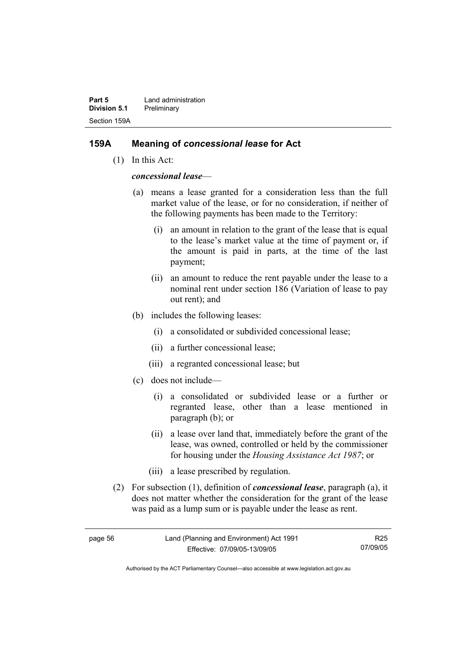**Part 5 Land administration Division 5.1** Preliminary Section 159A

#### **159A Meaning of** *concessional lease* **for Act**

(1) In this Act:

*concessional lease*—

- (a) means a lease granted for a consideration less than the full market value of the lease, or for no consideration, if neither of the following payments has been made to the Territory:
	- (i) an amount in relation to the grant of the lease that is equal to the lease's market value at the time of payment or, if the amount is paid in parts, at the time of the last payment;
	- (ii) an amount to reduce the rent payable under the lease to a nominal rent under section 186 (Variation of lease to pay out rent); and
- (b) includes the following leases:
	- (i) a consolidated or subdivided concessional lease;
	- (ii) a further concessional lease;
	- (iii) a regranted concessional lease; but
- (c) does not include—
	- (i) a consolidated or subdivided lease or a further or regranted lease, other than a lease mentioned in paragraph (b); or
	- (ii) a lease over land that, immediately before the grant of the lease, was owned, controlled or held by the commissioner for housing under the *Housing Assistance Act 1987*; or
	- (iii) a lease prescribed by regulation.
- (2) For subsection (1), definition of *concessional lease*, paragraph (a), it does not matter whether the consideration for the grant of the lease was paid as a lump sum or is payable under the lease as rent.

R25 07/09/05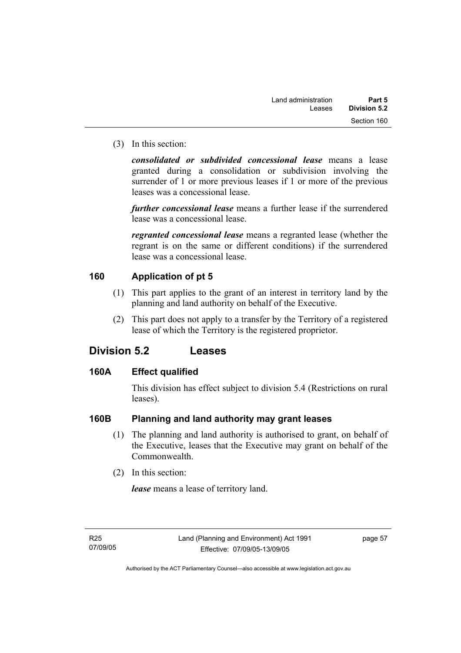(3) In this section:

*consolidated or subdivided concessional lease* means a lease granted during a consolidation or subdivision involving the surrender of 1 or more previous leases if 1 or more of the previous leases was a concessional lease.

*further concessional lease* means a further lease if the surrendered lease was a concessional lease.

*regranted concessional lease* means a regranted lease (whether the regrant is on the same or different conditions) if the surrendered lease was a concessional lease.

## **160 Application of pt 5**

- (1) This part applies to the grant of an interest in territory land by the planning and land authority on behalf of the Executive.
- (2) This part does not apply to a transfer by the Territory of a registered lease of which the Territory is the registered proprietor.

## **Division 5.2 Leases**

#### **160A Effect qualified**

This division has effect subject to division 5.4 (Restrictions on rural leases).

## **160B Planning and land authority may grant leases**

- (1) The planning and land authority is authorised to grant, on behalf of the Executive, leases that the Executive may grant on behalf of the Commonwealth.
- (2) In this section:

*lease* means a lease of territory land.

page 57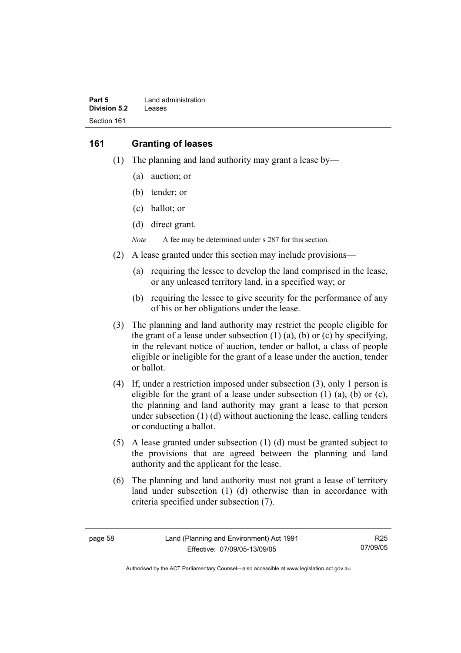| Part 5       | Land administration |
|--------------|---------------------|
| Division 5.2 | Leases              |
| Section 161  |                     |

#### **161 Granting of leases**

- (1) The planning and land authority may grant a lease by—
	- (a) auction; or
	- (b) tender; or
	- (c) ballot; or
	- (d) direct grant.

*Note* A fee may be determined under s 287 for this section.

- (2) A lease granted under this section may include provisions—
	- (a) requiring the lessee to develop the land comprised in the lease, or any unleased territory land, in a specified way; or
	- (b) requiring the lessee to give security for the performance of any of his or her obligations under the lease.
- (3) The planning and land authority may restrict the people eligible for the grant of a lease under subsection  $(1)$   $(a)$ ,  $(b)$  or  $(c)$  by specifying, in the relevant notice of auction, tender or ballot, a class of people eligible or ineligible for the grant of a lease under the auction, tender or ballot.
- (4) If, under a restriction imposed under subsection (3), only 1 person is eligible for the grant of a lease under subsection  $(1)$   $(a)$ ,  $(b)$  or  $(c)$ , the planning and land authority may grant a lease to that person under subsection (1) (d) without auctioning the lease, calling tenders or conducting a ballot.
- (5) A lease granted under subsection (1) (d) must be granted subject to the provisions that are agreed between the planning and land authority and the applicant for the lease.
- (6) The planning and land authority must not grant a lease of territory land under subsection (1) (d) otherwise than in accordance with criteria specified under subsection (7).

R25 07/09/05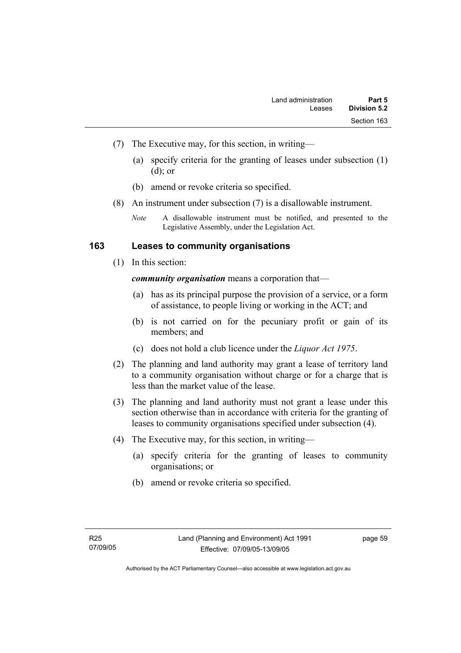- (7) The Executive may, for this section, in writing—
	- (a) specify criteria for the granting of leases under subsection (1) (d); or
	- (b) amend or revoke criteria so specified.
- (8) An instrument under subsection (7) is a disallowable instrument.

#### **163 Leases to community organisations**

(1) In this section:

*community organisation* means a corporation that—

- (a) has as its principal purpose the provision of a service, or a form of assistance, to people living or working in the ACT; and
- (b) is not carried on for the pecuniary profit or gain of its members; and
- (c) does not hold a club licence under the *Liquor Act 1975*.
- (2) The planning and land authority may grant a lease of territory land to a community organisation without charge or for a charge that is less than the market value of the lease.
- (3) The planning and land authority must not grant a lease under this section otherwise than in accordance with criteria for the granting of leases to community organisations specified under subsection (4).
- (4) The Executive may, for this section, in writing—
	- (a) specify criteria for the granting of leases to community organisations; or
	- (b) amend or revoke criteria so specified.

*Note* A disallowable instrument must be notified, and presented to the Legislative Assembly, under the Legislation Act.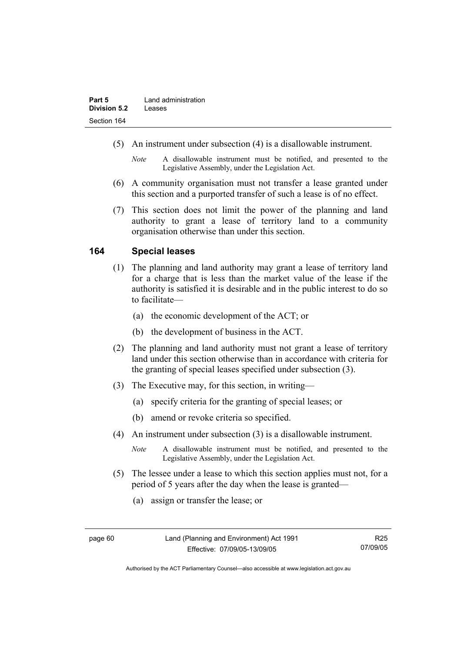- (5) An instrument under subsection (4) is a disallowable instrument.
	- *Note* A disallowable instrument must be notified, and presented to the Legislative Assembly, under the Legislation Act.
- (6) A community organisation must not transfer a lease granted under this section and a purported transfer of such a lease is of no effect.
- (7) This section does not limit the power of the planning and land authority to grant a lease of territory land to a community organisation otherwise than under this section.

#### **164 Special leases**

- (1) The planning and land authority may grant a lease of territory land for a charge that is less than the market value of the lease if the authority is satisfied it is desirable and in the public interest to do so to facilitate—
	- (a) the economic development of the ACT; or
	- (b) the development of business in the ACT.
- (2) The planning and land authority must not grant a lease of territory land under this section otherwise than in accordance with criteria for the granting of special leases specified under subsection (3).
- (3) The Executive may, for this section, in writing—
	- (a) specify criteria for the granting of special leases; or
	- (b) amend or revoke criteria so specified.
- (4) An instrument under subsection (3) is a disallowable instrument.
	- *Note* A disallowable instrument must be notified, and presented to the Legislative Assembly, under the Legislation Act.
- (5) The lessee under a lease to which this section applies must not, for a period of 5 years after the day when the lease is granted—
	- (a) assign or transfer the lease; or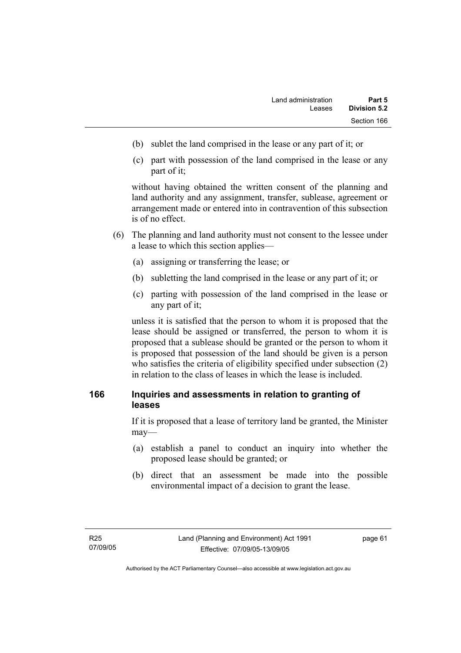- (b) sublet the land comprised in the lease or any part of it; or
- (c) part with possession of the land comprised in the lease or any part of it;

without having obtained the written consent of the planning and land authority and any assignment, transfer, sublease, agreement or arrangement made or entered into in contravention of this subsection is of no effect.

- (6) The planning and land authority must not consent to the lessee under a lease to which this section applies—
	- (a) assigning or transferring the lease; or
	- (b) subletting the land comprised in the lease or any part of it; or
	- (c) parting with possession of the land comprised in the lease or any part of it;

unless it is satisfied that the person to whom it is proposed that the lease should be assigned or transferred, the person to whom it is proposed that a sublease should be granted or the person to whom it is proposed that possession of the land should be given is a person who satisfies the criteria of eligibility specified under subsection (2) in relation to the class of leases in which the lease is included.

#### **166 Inquiries and assessments in relation to granting of leases**

If it is proposed that a lease of territory land be granted, the Minister may—

- (a) establish a panel to conduct an inquiry into whether the proposed lease should be granted; or
- (b) direct that an assessment be made into the possible environmental impact of a decision to grant the lease.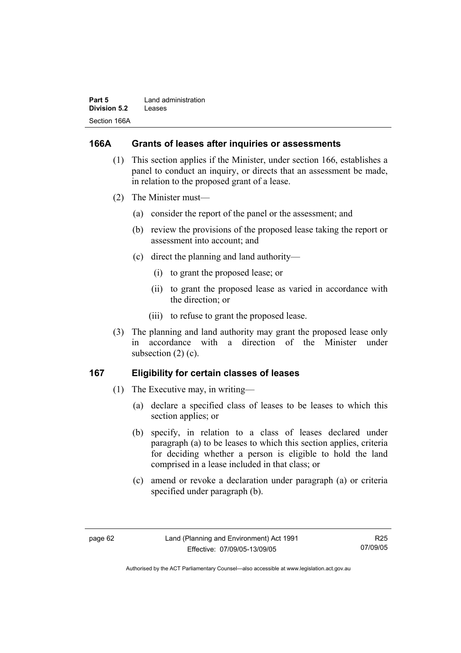| Part 5       | Land administration |
|--------------|---------------------|
| Division 5.2 | Leases              |
| Section 166A |                     |

#### **166A Grants of leases after inquiries or assessments**

- (1) This section applies if the Minister, under section 166, establishes a panel to conduct an inquiry, or directs that an assessment be made, in relation to the proposed grant of a lease.
- (2) The Minister must—
	- (a) consider the report of the panel or the assessment; and
	- (b) review the provisions of the proposed lease taking the report or assessment into account; and
	- (c) direct the planning and land authority—
		- (i) to grant the proposed lease; or
		- (ii) to grant the proposed lease as varied in accordance with the direction; or
		- (iii) to refuse to grant the proposed lease.
- (3) The planning and land authority may grant the proposed lease only in accordance with a direction of the Minister under subsection  $(2)$   $(c)$ .

#### **167 Eligibility for certain classes of leases**

- (1) The Executive may, in writing—
	- (a) declare a specified class of leases to be leases to which this section applies; or
	- (b) specify, in relation to a class of leases declared under paragraph (a) to be leases to which this section applies, criteria for deciding whether a person is eligible to hold the land comprised in a lease included in that class; or
	- (c) amend or revoke a declaration under paragraph (a) or criteria specified under paragraph (b).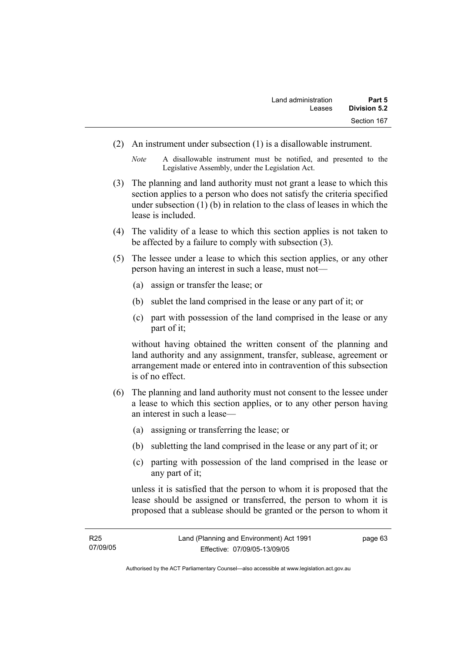(2) An instrument under subsection (1) is a disallowable instrument.

*Note* A disallowable instrument must be notified, and presented to the Legislative Assembly, under the Legislation Act.

- (3) The planning and land authority must not grant a lease to which this section applies to a person who does not satisfy the criteria specified under subsection (1) (b) in relation to the class of leases in which the lease is included.
- (4) The validity of a lease to which this section applies is not taken to be affected by a failure to comply with subsection (3).
- (5) The lessee under a lease to which this section applies, or any other person having an interest in such a lease, must not—
	- (a) assign or transfer the lease; or
	- (b) sublet the land comprised in the lease or any part of it; or
	- (c) part with possession of the land comprised in the lease or any part of it;

without having obtained the written consent of the planning and land authority and any assignment, transfer, sublease, agreement or arrangement made or entered into in contravention of this subsection is of no effect.

- (6) The planning and land authority must not consent to the lessee under a lease to which this section applies, or to any other person having an interest in such a lease—
	- (a) assigning or transferring the lease; or
	- (b) subletting the land comprised in the lease or any part of it; or
	- (c) parting with possession of the land comprised in the lease or any part of it;

unless it is satisfied that the person to whom it is proposed that the lease should be assigned or transferred, the person to whom it is proposed that a sublease should be granted or the person to whom it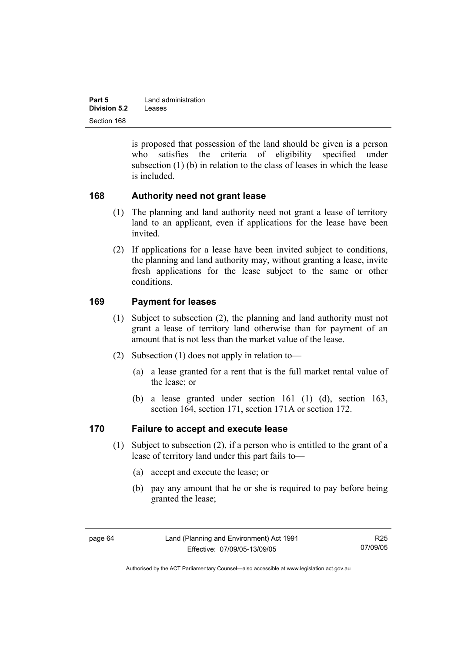| Part 5              | Land administration |
|---------------------|---------------------|
| <b>Division 5.2</b> | Leases              |
| Section 168         |                     |

is proposed that possession of the land should be given is a person who satisfies the criteria of eligibility specified under subsection (1) (b) in relation to the class of leases in which the lease is included.

#### **168 Authority need not grant lease**

- (1) The planning and land authority need not grant a lease of territory land to an applicant, even if applications for the lease have been invited.
- (2) If applications for a lease have been invited subject to conditions, the planning and land authority may, without granting a lease, invite fresh applications for the lease subject to the same or other conditions.

## **169 Payment for leases**

- (1) Subject to subsection (2), the planning and land authority must not grant a lease of territory land otherwise than for payment of an amount that is not less than the market value of the lease.
- (2) Subsection (1) does not apply in relation to—
	- (a) a lease granted for a rent that is the full market rental value of the lease; or
	- (b) a lease granted under section 161 (1) (d), section 163, section 164, section 171, section 171A or section 172.

## **170 Failure to accept and execute lease**

- (1) Subject to subsection (2), if a person who is entitled to the grant of a lease of territory land under this part fails to—
	- (a) accept and execute the lease; or
	- (b) pay any amount that he or she is required to pay before being granted the lease;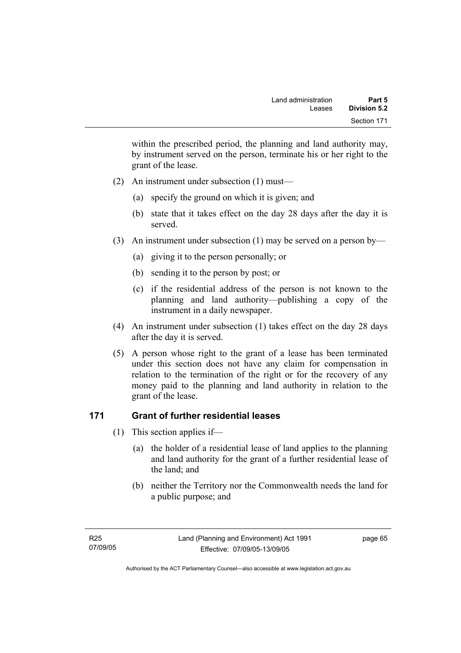within the prescribed period, the planning and land authority may, by instrument served on the person, terminate his or her right to the grant of the lease.

- (2) An instrument under subsection (1) must—
	- (a) specify the ground on which it is given; and
	- (b) state that it takes effect on the day 28 days after the day it is served.
- (3) An instrument under subsection (1) may be served on a person by—
	- (a) giving it to the person personally; or
	- (b) sending it to the person by post; or
	- (c) if the residential address of the person is not known to the planning and land authority—publishing a copy of the instrument in a daily newspaper.
- (4) An instrument under subsection (1) takes effect on the day 28 days after the day it is served.
- (5) A person whose right to the grant of a lease has been terminated under this section does not have any claim for compensation in relation to the termination of the right or for the recovery of any money paid to the planning and land authority in relation to the grant of the lease.

## **171 Grant of further residential leases**

- (1) This section applies if—
	- (a) the holder of a residential lease of land applies to the planning and land authority for the grant of a further residential lease of the land; and
	- (b) neither the Territory nor the Commonwealth needs the land for a public purpose; and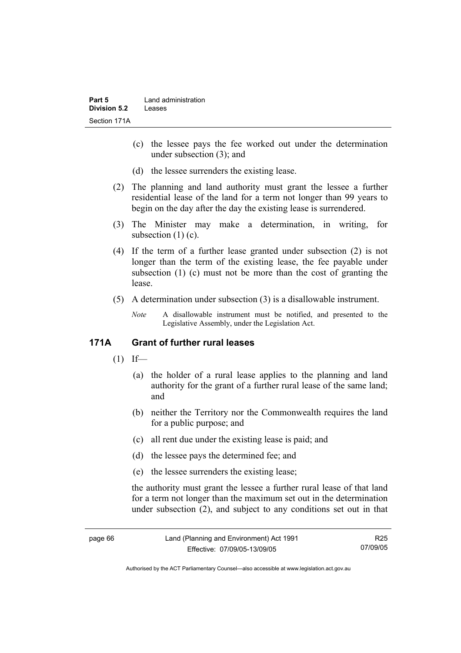- (c) the lessee pays the fee worked out under the determination under subsection (3); and
- (d) the lessee surrenders the existing lease.
- (2) The planning and land authority must grant the lessee a further residential lease of the land for a term not longer than 99 years to begin on the day after the day the existing lease is surrendered.
- (3) The Minister may make a determination, in writing, for subsection  $(1)(c)$ .
- (4) If the term of a further lease granted under subsection (2) is not longer than the term of the existing lease, the fee payable under subsection (1) (c) must not be more than the cost of granting the lease.
- (5) A determination under subsection (3) is a disallowable instrument.
	- *Note* A disallowable instrument must be notified, and presented to the Legislative Assembly, under the Legislation Act.

## **171A Grant of further rural leases**

- $(1)$  If—
	- (a) the holder of a rural lease applies to the planning and land authority for the grant of a further rural lease of the same land; and
	- (b) neither the Territory nor the Commonwealth requires the land for a public purpose; and
	- (c) all rent due under the existing lease is paid; and
	- (d) the lessee pays the determined fee; and
	- (e) the lessee surrenders the existing lease;

the authority must grant the lessee a further rural lease of that land for a term not longer than the maximum set out in the determination under subsection (2), and subject to any conditions set out in that

Authorised by the ACT Parliamentary Counsel—also accessible at www.legislation.act.gov.au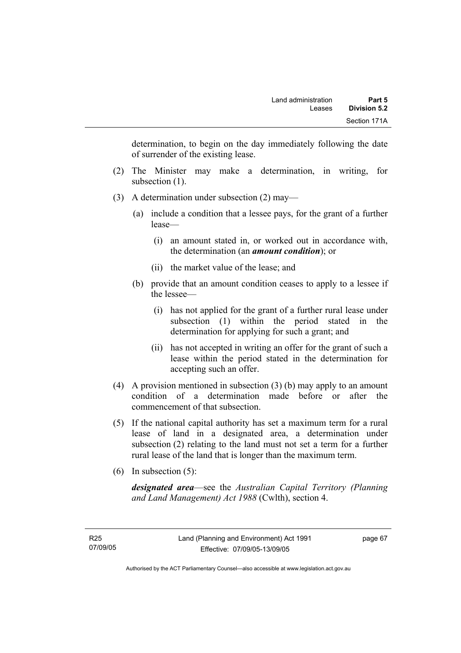determination, to begin on the day immediately following the date of surrender of the existing lease.

- (2) The Minister may make a determination, in writing, for subsection  $(1)$ .
- (3) A determination under subsection (2) may—
	- (a) include a condition that a lessee pays, for the grant of a further lease—
		- (i) an amount stated in, or worked out in accordance with, the determination (an *amount condition*); or
		- (ii) the market value of the lease; and
	- (b) provide that an amount condition ceases to apply to a lessee if the lessee—
		- (i) has not applied for the grant of a further rural lease under subsection (1) within the period stated in the determination for applying for such a grant; and
		- (ii) has not accepted in writing an offer for the grant of such a lease within the period stated in the determination for accepting such an offer.
- (4) A provision mentioned in subsection (3) (b) may apply to an amount condition of a determination made before or after the commencement of that subsection.
- (5) If the national capital authority has set a maximum term for a rural lease of land in a designated area, a determination under subsection (2) relating to the land must not set a term for a further rural lease of the land that is longer than the maximum term.
- (6) In subsection (5):

*designated area*—see the *Australian Capital Territory (Planning and Land Management) Act 1988* (Cwlth), section 4.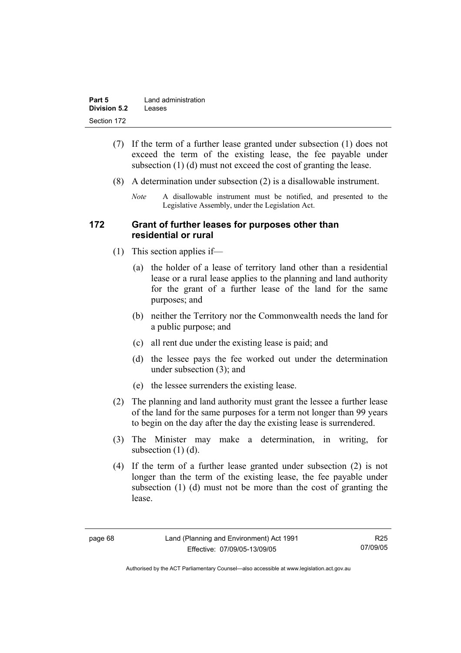| Part 5              | Land administration |
|---------------------|---------------------|
| <b>Division 5.2</b> | Leases              |
| Section 172         |                     |

- (7) If the term of a further lease granted under subsection (1) does not exceed the term of the existing lease, the fee payable under subsection (1) (d) must not exceed the cost of granting the lease.
- (8) A determination under subsection (2) is a disallowable instrument.
	- *Note* A disallowable instrument must be notified, and presented to the Legislative Assembly, under the Legislation Act.

#### **172 Grant of further leases for purposes other than residential or rural**

- (1) This section applies if—
	- (a) the holder of a lease of territory land other than a residential lease or a rural lease applies to the planning and land authority for the grant of a further lease of the land for the same purposes; and
	- (b) neither the Territory nor the Commonwealth needs the land for a public purpose; and
	- (c) all rent due under the existing lease is paid; and
	- (d) the lessee pays the fee worked out under the determination under subsection (3); and
	- (e) the lessee surrenders the existing lease.
- (2) The planning and land authority must grant the lessee a further lease of the land for the same purposes for a term not longer than 99 years to begin on the day after the day the existing lease is surrendered.
- (3) The Minister may make a determination, in writing, for subsection  $(1)$   $(d)$ .
- (4) If the term of a further lease granted under subsection (2) is not longer than the term of the existing lease, the fee payable under subsection (1) (d) must not be more than the cost of granting the lease.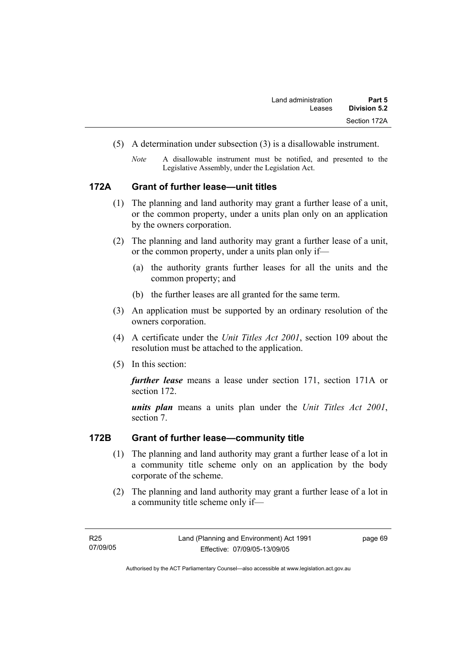- (5) A determination under subsection (3) is a disallowable instrument.
	- *Note* A disallowable instrument must be notified, and presented to the Legislative Assembly, under the Legislation Act.

#### **172A Grant of further lease—unit titles**

- (1) The planning and land authority may grant a further lease of a unit, or the common property, under a units plan only on an application by the owners corporation.
- (2) The planning and land authority may grant a further lease of a unit, or the common property, under a units plan only if—
	- (a) the authority grants further leases for all the units and the common property; and
	- (b) the further leases are all granted for the same term.
- (3) An application must be supported by an ordinary resolution of the owners corporation.
- (4) A certificate under the *Unit Titles Act 2001*, section 109 about the resolution must be attached to the application.
- (5) In this section:

*further lease* means a lease under section 171, section 171A or section 172.

*units plan* means a units plan under the *Unit Titles Act 2001*, section 7.

#### **172B Grant of further lease—community title**

- (1) The planning and land authority may grant a further lease of a lot in a community title scheme only on an application by the body corporate of the scheme.
- (2) The planning and land authority may grant a further lease of a lot in a community title scheme only if—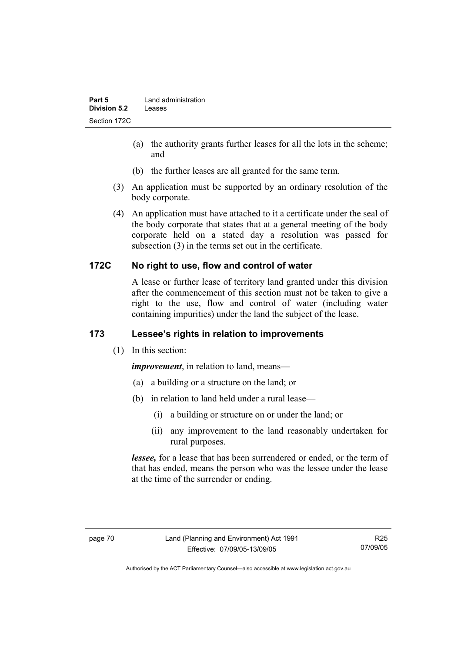- (a) the authority grants further leases for all the lots in the scheme; and
- (b) the further leases are all granted for the same term.
- (3) An application must be supported by an ordinary resolution of the body corporate.
- (4) An application must have attached to it a certificate under the seal of the body corporate that states that at a general meeting of the body corporate held on a stated day a resolution was passed for subsection (3) in the terms set out in the certificate.

## **172C No right to use, flow and control of water**

A lease or further lease of territory land granted under this division after the commencement of this section must not be taken to give a right to the use, flow and control of water (including water containing impurities) under the land the subject of the lease.

# **173 Lessee's rights in relation to improvements**

(1) In this section:

*improvement*, in relation to land, means—

- (a) a building or a structure on the land; or
- (b) in relation to land held under a rural lease—
	- (i) a building or structure on or under the land; or
	- (ii) any improvement to the land reasonably undertaken for rural purposes.

*lessee,* for a lease that has been surrendered or ended, or the term of that has ended, means the person who was the lessee under the lease at the time of the surrender or ending.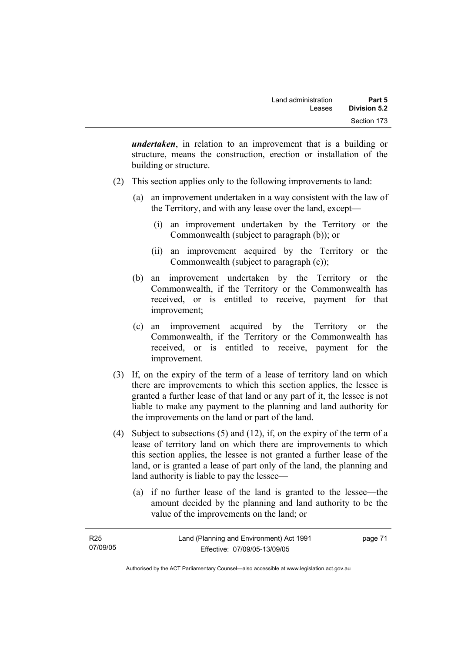*undertaken*, in relation to an improvement that is a building or structure, means the construction, erection or installation of the building or structure.

- (2) This section applies only to the following improvements to land:
	- (a) an improvement undertaken in a way consistent with the law of the Territory, and with any lease over the land, except—
		- (i) an improvement undertaken by the Territory or the Commonwealth (subject to paragraph (b)); or
		- (ii) an improvement acquired by the Territory or the Commonwealth (subject to paragraph (c));
	- (b) an improvement undertaken by the Territory or the Commonwealth, if the Territory or the Commonwealth has received, or is entitled to receive, payment for that improvement;
	- (c) an improvement acquired by the Territory or the Commonwealth, if the Territory or the Commonwealth has received, or is entitled to receive, payment for the improvement.
- (3) If, on the expiry of the term of a lease of territory land on which there are improvements to which this section applies, the lessee is granted a further lease of that land or any part of it, the lessee is not liable to make any payment to the planning and land authority for the improvements on the land or part of the land.
- (4) Subject to subsections (5) and (12), if, on the expiry of the term of a lease of territory land on which there are improvements to which this section applies, the lessee is not granted a further lease of the land, or is granted a lease of part only of the land, the planning and land authority is liable to pay the lessee—
	- (a) if no further lease of the land is granted to the lessee—the amount decided by the planning and land authority to be the value of the improvements on the land; or

| R <sub>25</sub> | Land (Planning and Environment) Act 1991 | page 71 |
|-----------------|------------------------------------------|---------|
| 07/09/05        | Effective: 07/09/05-13/09/05             |         |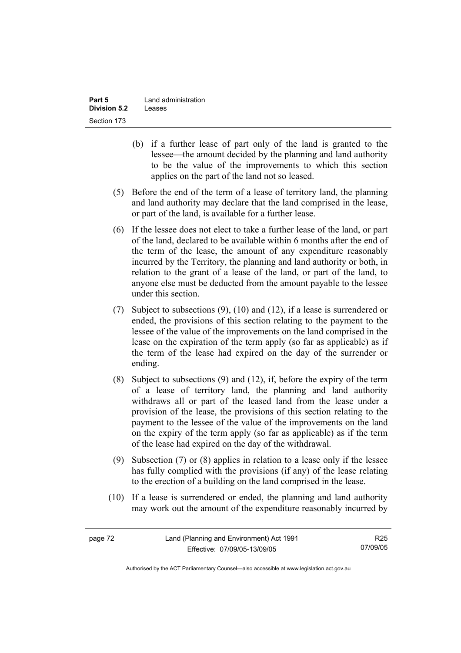| Part 5              | Land administration |
|---------------------|---------------------|
| <b>Division 5.2</b> | Leases              |
| Section 173         |                     |

- (b) if a further lease of part only of the land is granted to the lessee—the amount decided by the planning and land authority to be the value of the improvements to which this section applies on the part of the land not so leased.
- (5) Before the end of the term of a lease of territory land, the planning and land authority may declare that the land comprised in the lease, or part of the land, is available for a further lease.
- (6) If the lessee does not elect to take a further lease of the land, or part of the land, declared to be available within 6 months after the end of the term of the lease, the amount of any expenditure reasonably incurred by the Territory, the planning and land authority or both, in relation to the grant of a lease of the land, or part of the land, to anyone else must be deducted from the amount payable to the lessee under this section.
- (7) Subject to subsections (9), (10) and (12), if a lease is surrendered or ended, the provisions of this section relating to the payment to the lessee of the value of the improvements on the land comprised in the lease on the expiration of the term apply (so far as applicable) as if the term of the lease had expired on the day of the surrender or ending.
- (8) Subject to subsections (9) and (12), if, before the expiry of the term of a lease of territory land, the planning and land authority withdraws all or part of the leased land from the lease under a provision of the lease, the provisions of this section relating to the payment to the lessee of the value of the improvements on the land on the expiry of the term apply (so far as applicable) as if the term of the lease had expired on the day of the withdrawal.
- (9) Subsection (7) or (8) applies in relation to a lease only if the lessee has fully complied with the provisions (if any) of the lease relating to the erection of a building on the land comprised in the lease.
- (10) If a lease is surrendered or ended, the planning and land authority may work out the amount of the expenditure reasonably incurred by

R25 07/09/05

Authorised by the ACT Parliamentary Counsel—also accessible at www.legislation.act.gov.au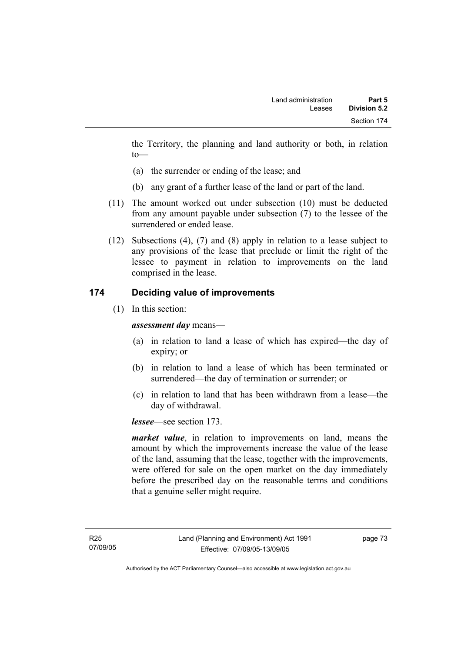the Territory, the planning and land authority or both, in relation to—

- (a) the surrender or ending of the lease; and
- (b) any grant of a further lease of the land or part of the land.
- (11) The amount worked out under subsection (10) must be deducted from any amount payable under subsection (7) to the lessee of the surrendered or ended lease.
- (12) Subsections (4), (7) and (8) apply in relation to a lease subject to any provisions of the lease that preclude or limit the right of the lessee to payment in relation to improvements on the land comprised in the lease.

## **174 Deciding value of improvements**

(1) In this section:

*assessment day* means—

- (a) in relation to land a lease of which has expired—the day of expiry; or
- (b) in relation to land a lease of which has been terminated or surrendered—the day of termination or surrender; or
- (c) in relation to land that has been withdrawn from a lease—the day of withdrawal.

*lessee*—see section 173.

*market value*, in relation to improvements on land, means the amount by which the improvements increase the value of the lease of the land, assuming that the lease, together with the improvements, were offered for sale on the open market on the day immediately before the prescribed day on the reasonable terms and conditions that a genuine seller might require.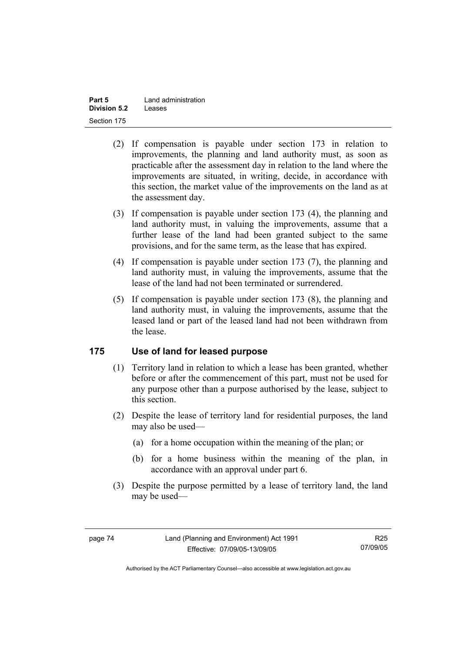| Part 5              | Land administration |
|---------------------|---------------------|
| <b>Division 5.2</b> | Leases              |
| Section 175         |                     |

- (2) If compensation is payable under section 173 in relation to improvements, the planning and land authority must, as soon as practicable after the assessment day in relation to the land where the improvements are situated, in writing, decide, in accordance with this section, the market value of the improvements on the land as at the assessment day.
- (3) If compensation is payable under section 173 (4), the planning and land authority must, in valuing the improvements, assume that a further lease of the land had been granted subject to the same provisions, and for the same term, as the lease that has expired.
- (4) If compensation is payable under section 173 (7), the planning and land authority must, in valuing the improvements, assume that the lease of the land had not been terminated or surrendered.
- (5) If compensation is payable under section 173 (8), the planning and land authority must, in valuing the improvements, assume that the leased land or part of the leased land had not been withdrawn from the lease.

## **175 Use of land for leased purpose**

- (1) Territory land in relation to which a lease has been granted, whether before or after the commencement of this part, must not be used for any purpose other than a purpose authorised by the lease, subject to this section.
- (2) Despite the lease of territory land for residential purposes, the land may also be used—
	- (a) for a home occupation within the meaning of the plan; or
	- (b) for a home business within the meaning of the plan, in accordance with an approval under part 6.
- (3) Despite the purpose permitted by a lease of territory land, the land may be used—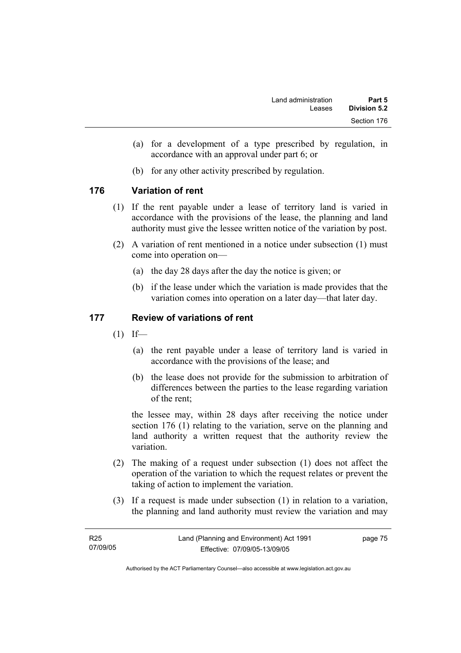- (a) for a development of a type prescribed by regulation, in accordance with an approval under part 6; or
- (b) for any other activity prescribed by regulation.

## **176 Variation of rent**

- (1) If the rent payable under a lease of territory land is varied in accordance with the provisions of the lease, the planning and land authority must give the lessee written notice of the variation by post.
- (2) A variation of rent mentioned in a notice under subsection (1) must come into operation on—
	- (a) the day 28 days after the day the notice is given; or
	- (b) if the lease under which the variation is made provides that the variation comes into operation on a later day—that later day.

## **177 Review of variations of rent**

- $(1)$  If—
	- (a) the rent payable under a lease of territory land is varied in accordance with the provisions of the lease; and
	- (b) the lease does not provide for the submission to arbitration of differences between the parties to the lease regarding variation of the rent;

the lessee may, within 28 days after receiving the notice under section 176 (1) relating to the variation, serve on the planning and land authority a written request that the authority review the variation.

- (2) The making of a request under subsection (1) does not affect the operation of the variation to which the request relates or prevent the taking of action to implement the variation.
- (3) If a request is made under subsection (1) in relation to a variation, the planning and land authority must review the variation and may

| R25      | Land (Planning and Environment) Act 1991 | page 75 |
|----------|------------------------------------------|---------|
| 07/09/05 | Effective: 07/09/05-13/09/05             |         |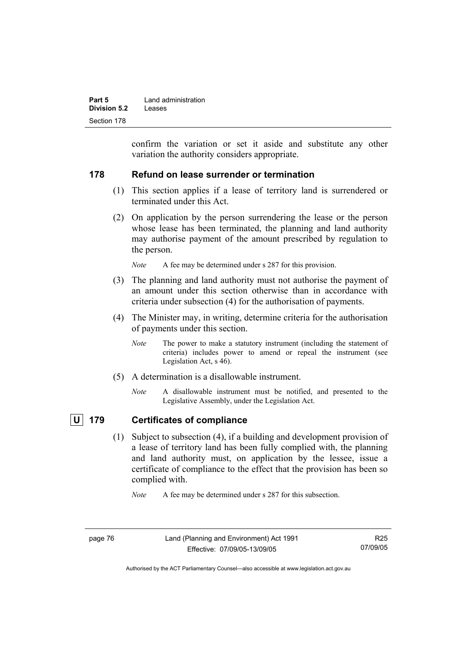| Part 5       | Land administration |
|--------------|---------------------|
| Division 5.2 | Leases              |
| Section 178  |                     |

confirm the variation or set it aside and substitute any other variation the authority considers appropriate.

#### **178 Refund on lease surrender or termination**

- (1) This section applies if a lease of territory land is surrendered or terminated under this Act.
- (2) On application by the person surrendering the lease or the person whose lease has been terminated, the planning and land authority may authorise payment of the amount prescribed by regulation to the person.

*Note* A fee may be determined under s 287 for this provision.

- (3) The planning and land authority must not authorise the payment of an amount under this section otherwise than in accordance with criteria under subsection (4) for the authorisation of payments.
- (4) The Minister may, in writing, determine criteria for the authorisation of payments under this section.
	- *Note* The power to make a statutory instrument (including the statement of criteria) includes power to amend or repeal the instrument (see Legislation Act, s 46).
- (5) A determination is a disallowable instrument.
	- *Note* A disallowable instrument must be notified, and presented to the Legislative Assembly, under the Legislation Act.

## **U 179 Certificates of compliance**

 (1) Subject to subsection (4), if a building and development provision of a lease of territory land has been fully complied with, the planning and land authority must, on application by the lessee, issue a certificate of compliance to the effect that the provision has been so complied with.

*Note* A fee may be determined under s 287 for this subsection.

Authorised by the ACT Parliamentary Counsel—also accessible at www.legislation.act.gov.au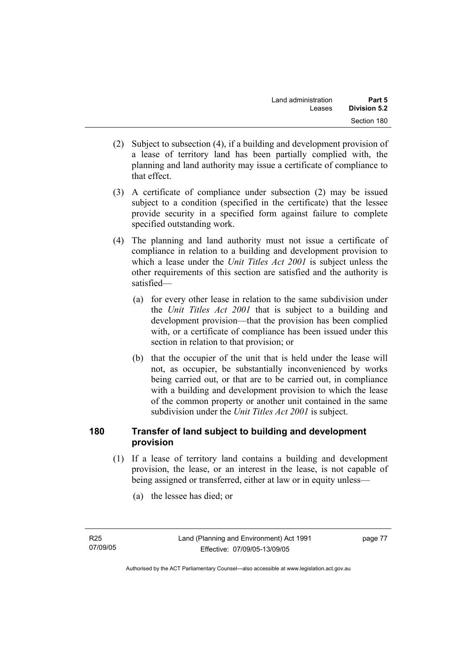- (2) Subject to subsection (4), if a building and development provision of a lease of territory land has been partially complied with, the planning and land authority may issue a certificate of compliance to that effect.
- (3) A certificate of compliance under subsection (2) may be issued subject to a condition (specified in the certificate) that the lessee provide security in a specified form against failure to complete specified outstanding work.
- (4) The planning and land authority must not issue a certificate of compliance in relation to a building and development provision to which a lease under the *Unit Titles Act 2001* is subject unless the other requirements of this section are satisfied and the authority is satisfied—
	- (a) for every other lease in relation to the same subdivision under the *Unit Titles Act 2001* that is subject to a building and development provision—that the provision has been complied with, or a certificate of compliance has been issued under this section in relation to that provision; or
	- (b) that the occupier of the unit that is held under the lease will not, as occupier, be substantially inconvenienced by works being carried out, or that are to be carried out, in compliance with a building and development provision to which the lease of the common property or another unit contained in the same subdivision under the *Unit Titles Act 2001* is subject.

## **180 Transfer of land subject to building and development provision**

- (1) If a lease of territory land contains a building and development provision, the lease, or an interest in the lease, is not capable of being assigned or transferred, either at law or in equity unless—
	- (a) the lessee has died; or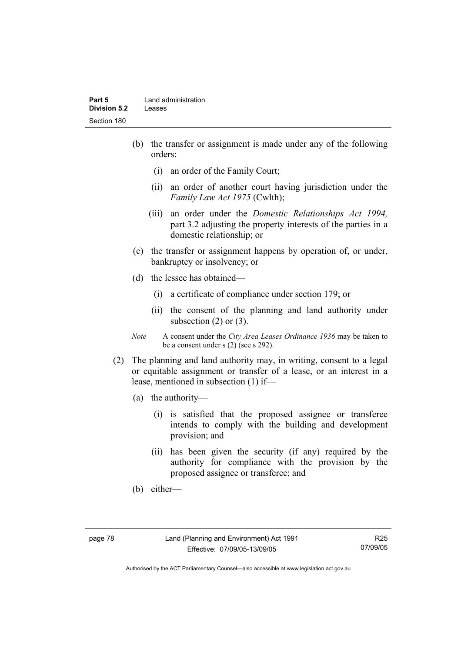#### **Part 5** Land administration **Division 5.2** Leases Section 180

- (b) the transfer or assignment is made under any of the following orders:
	- (i) an order of the Family Court;
	- (ii) an order of another court having jurisdiction under the *Family Law Act 1975* (Cwlth);
	- (iii) an order under the *Domestic Relationships Act 1994,*  part 3.2 adjusting the property interests of the parties in a domestic relationship; or
- (c) the transfer or assignment happens by operation of, or under, bankruptcy or insolvency; or
- (d) the lessee has obtained—
	- (i) a certificate of compliance under section 179; or
	- (ii) the consent of the planning and land authority under subsection (2) or (3).
- *Note* A consent under the *City Area Leases Ordinance 1936* may be taken to be a consent under s (2) (see s 292).
- (2) The planning and land authority may, in writing, consent to a legal or equitable assignment or transfer of a lease, or an interest in a lease, mentioned in subsection (1) if—
	- (a) the authority—
		- (i) is satisfied that the proposed assignee or transferee intends to comply with the building and development provision; and
		- (ii) has been given the security (if any) required by the authority for compliance with the provision by the proposed assignee or transferee; and
	- (b) either—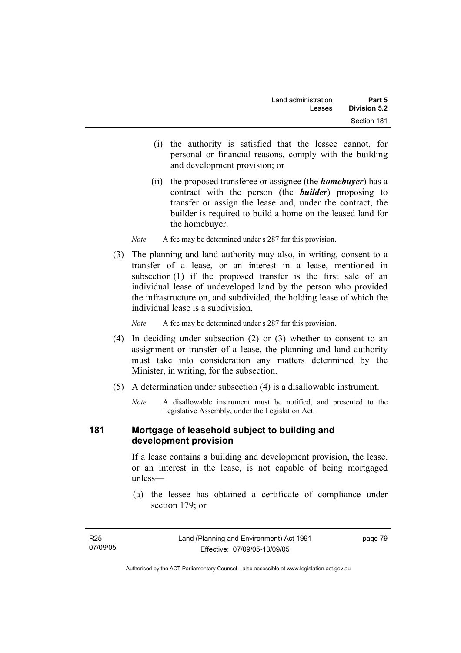- (i) the authority is satisfied that the lessee cannot, for personal or financial reasons, comply with the building and development provision; or
- (ii) the proposed transferee or assignee (the *homebuyer*) has a contract with the person (the *builder*) proposing to transfer or assign the lease and, under the contract, the builder is required to build a home on the leased land for the homebuyer.
- *Note* A fee may be determined under s 287 for this provision.
- (3) The planning and land authority may also, in writing, consent to a transfer of a lease, or an interest in a lease, mentioned in subsection (1) if the proposed transfer is the first sale of an individual lease of undeveloped land by the person who provided the infrastructure on, and subdivided, the holding lease of which the individual lease is a subdivision.

*Note* A fee may be determined under s 287 for this provision.

- (4) In deciding under subsection (2) or (3) whether to consent to an assignment or transfer of a lease, the planning and land authority must take into consideration any matters determined by the Minister, in writing, for the subsection.
- (5) A determination under subsection (4) is a disallowable instrument.
	- *Note* A disallowable instrument must be notified, and presented to the Legislative Assembly, under the Legislation Act.

#### **181 Mortgage of leasehold subject to building and development provision**

If a lease contains a building and development provision, the lease, or an interest in the lease, is not capable of being mortgaged unless—

 (a) the lessee has obtained a certificate of compliance under section 179; or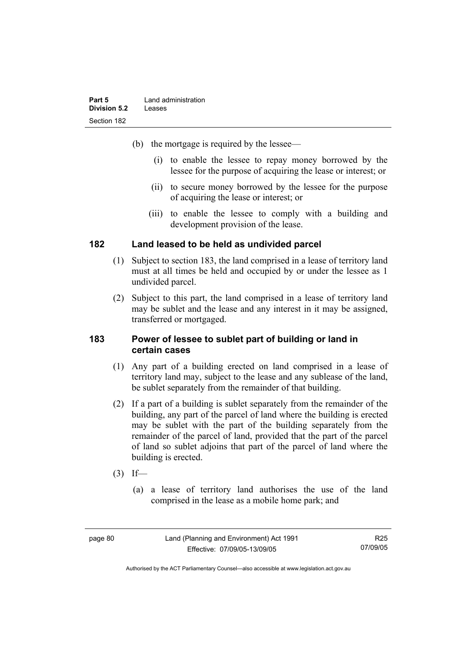| Part 5       | Land administration |
|--------------|---------------------|
| Division 5.2 | Leases              |
| Section 182  |                     |

- (b) the mortgage is required by the lessee—
	- (i) to enable the lessee to repay money borrowed by the lessee for the purpose of acquiring the lease or interest; or
	- (ii) to secure money borrowed by the lessee for the purpose of acquiring the lease or interest; or
	- (iii) to enable the lessee to comply with a building and development provision of the lease.

#### **182 Land leased to be held as undivided parcel**

- (1) Subject to section 183, the land comprised in a lease of territory land must at all times be held and occupied by or under the lessee as 1 undivided parcel.
- (2) Subject to this part, the land comprised in a lease of territory land may be sublet and the lease and any interest in it may be assigned, transferred or mortgaged.

#### **183 Power of lessee to sublet part of building or land in certain cases**

- (1) Any part of a building erected on land comprised in a lease of territory land may, subject to the lease and any sublease of the land, be sublet separately from the remainder of that building.
- (2) If a part of a building is sublet separately from the remainder of the building, any part of the parcel of land where the building is erected may be sublet with the part of the building separately from the remainder of the parcel of land, provided that the part of the parcel of land so sublet adjoins that part of the parcel of land where the building is erected.
- $(3)$  If—
	- (a) a lease of territory land authorises the use of the land comprised in the lease as a mobile home park; and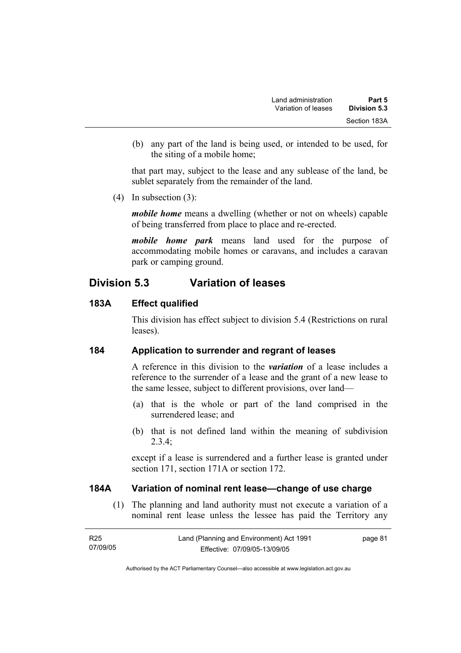(b) any part of the land is being used, or intended to be used, for the siting of a mobile home;

that part may, subject to the lease and any sublease of the land, be sublet separately from the remainder of the land.

(4) In subsection (3):

*mobile home* means a dwelling (whether or not on wheels) capable of being transferred from place to place and re-erected.

*mobile home park* means land used for the purpose of accommodating mobile homes or caravans, and includes a caravan park or camping ground.

# **Division 5.3 Variation of leases**

## **183A Effect qualified**

This division has effect subject to division 5.4 (Restrictions on rural leases).

## **184 Application to surrender and regrant of leases**

A reference in this division to the *variation* of a lease includes a reference to the surrender of a lease and the grant of a new lease to the same lessee, subject to different provisions, over land—

- (a) that is the whole or part of the land comprised in the surrendered lease; and
- (b) that is not defined land within the meaning of subdivision 2.3.4;

except if a lease is surrendered and a further lease is granted under section 171, section 171A or section 172.

## **184A Variation of nominal rent lease—change of use charge**

 (1) The planning and land authority must not execute a variation of a nominal rent lease unless the lessee has paid the Territory any

| R25      | Land (Planning and Environment) Act 1991 | page 81 |
|----------|------------------------------------------|---------|
| 07/09/05 | Effective: 07/09/05-13/09/05             |         |

Authorised by the ACT Parliamentary Counsel—also accessible at www.legislation.act.gov.au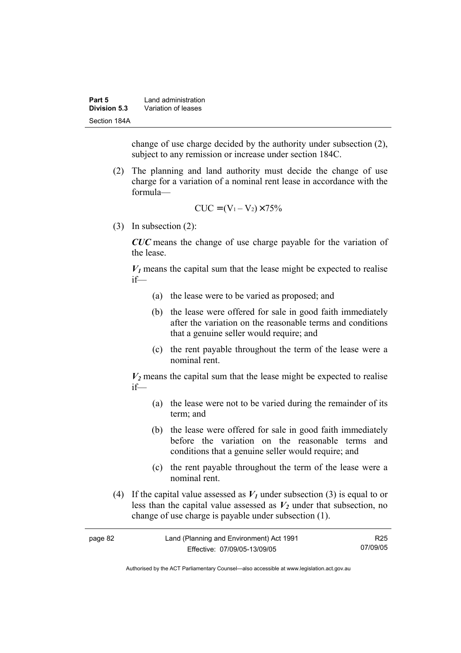| Part 5       | Land administration |
|--------------|---------------------|
| Division 5.3 | Variation of leases |
| Section 184A |                     |

change of use charge decided by the authority under subsection (2), subject to any remission or increase under section 184C.

 (2) The planning and land authority must decide the change of use charge for a variation of a nominal rent lease in accordance with the formula—

$$
CUC = (V_1 - V_2) \times 75\%
$$

(3) In subsection (2):

*CUC* means the change of use charge payable for the variation of the lease.

 $V_1$  means the capital sum that the lease might be expected to realise if—

- (a) the lease were to be varied as proposed; and
- (b) the lease were offered for sale in good faith immediately after the variation on the reasonable terms and conditions that a genuine seller would require; and
- (c) the rent payable throughout the term of the lease were a nominal rent.

 $V_2$  means the capital sum that the lease might be expected to realise if—

- (a) the lease were not to be varied during the remainder of its term; and
- (b) the lease were offered for sale in good faith immediately before the variation on the reasonable terms and conditions that a genuine seller would require; and
- (c) the rent payable throughout the term of the lease were a nominal rent.
- (4) If the capital value assessed as  $V_I$  under subsection (3) is equal to or less than the capital value assessed as  $V_2$  under that subsection, no change of use charge is payable under subsection (1).

| page 82 | Land (Planning and Environment) Act 1991 | R25      |
|---------|------------------------------------------|----------|
|         | Effective: 07/09/05-13/09/05             | 07/09/05 |

Authorised by the ACT Parliamentary Counsel—also accessible at www.legislation.act.gov.au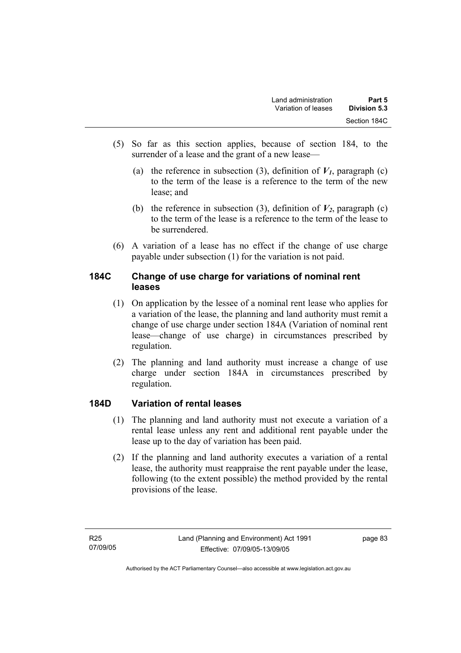- (5) So far as this section applies, because of section 184, to the surrender of a lease and the grant of a new lease—
	- (a) the reference in subsection (3), definition of  $V_I$ , paragraph (c) to the term of the lease is a reference to the term of the new lease; and
	- (b) the reference in subsection (3), definition of  $V_2$ , paragraph (c) to the term of the lease is a reference to the term of the lease to be surrendered.
- (6) A variation of a lease has no effect if the change of use charge payable under subsection (1) for the variation is not paid.

## **184C Change of use charge for variations of nominal rent leases**

- (1) On application by the lessee of a nominal rent lease who applies for a variation of the lease, the planning and land authority must remit a change of use charge under section 184A (Variation of nominal rent lease—change of use charge) in circumstances prescribed by regulation.
- (2) The planning and land authority must increase a change of use charge under section 184A in circumstances prescribed by regulation.

# **184D Variation of rental leases**

- (1) The planning and land authority must not execute a variation of a rental lease unless any rent and additional rent payable under the lease up to the day of variation has been paid.
- (2) If the planning and land authority executes a variation of a rental lease, the authority must reappraise the rent payable under the lease, following (to the extent possible) the method provided by the rental provisions of the lease.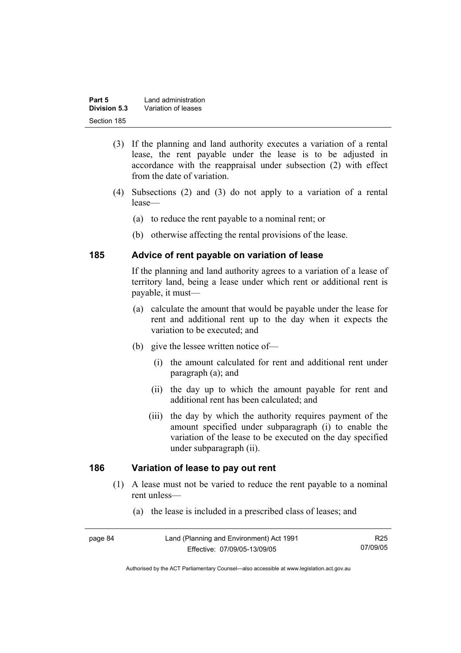| Part 5       | Land administration |
|--------------|---------------------|
| Division 5.3 | Variation of leases |
| Section 185  |                     |

- (3) If the planning and land authority executes a variation of a rental lease, the rent payable under the lease is to be adjusted in accordance with the reappraisal under subsection (2) with effect from the date of variation.
- (4) Subsections (2) and (3) do not apply to a variation of a rental lease—
	- (a) to reduce the rent payable to a nominal rent; or
	- (b) otherwise affecting the rental provisions of the lease.

#### **185 Advice of rent payable on variation of lease**

If the planning and land authority agrees to a variation of a lease of territory land, being a lease under which rent or additional rent is payable, it must—

- (a) calculate the amount that would be payable under the lease for rent and additional rent up to the day when it expects the variation to be executed; and
- (b) give the lessee written notice of—
	- (i) the amount calculated for rent and additional rent under paragraph (a); and
	- (ii) the day up to which the amount payable for rent and additional rent has been calculated; and
	- (iii) the day by which the authority requires payment of the amount specified under subparagraph (i) to enable the variation of the lease to be executed on the day specified under subparagraph (ii).

#### **186 Variation of lease to pay out rent**

- (1) A lease must not be varied to reduce the rent payable to a nominal rent unless—
	- (a) the lease is included in a prescribed class of leases; and

| page 84 | Land (Planning and Environment) Act 1991 | R <sub>25</sub> |
|---------|------------------------------------------|-----------------|
|         | Effective: 07/09/05-13/09/05             | 07/09/05        |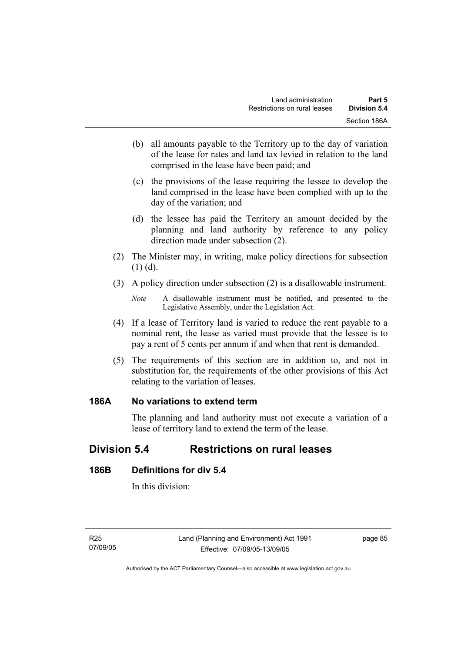- (b) all amounts payable to the Territory up to the day of variation of the lease for rates and land tax levied in relation to the land comprised in the lease have been paid; and
- (c) the provisions of the lease requiring the lessee to develop the land comprised in the lease have been complied with up to the day of the variation; and
- (d) the lessee has paid the Territory an amount decided by the planning and land authority by reference to any policy direction made under subsection (2).
- (2) The Minister may, in writing, make policy directions for subsection  $(1)$   $(d)$ .
- (3) A policy direction under subsection (2) is a disallowable instrument.

- (4) If a lease of Territory land is varied to reduce the rent payable to a nominal rent, the lease as varied must provide that the lessee is to pay a rent of 5 cents per annum if and when that rent is demanded.
- (5) The requirements of this section are in addition to, and not in substitution for, the requirements of the other provisions of this Act relating to the variation of leases.

## **186A No variations to extend term**

The planning and land authority must not execute a variation of a lease of territory land to extend the term of the lease.

# **Division 5.4 Restrictions on rural leases**

## **186B Definitions for div 5.4**

In this division:

*Note* A disallowable instrument must be notified, and presented to the Legislative Assembly, under the Legislation Act.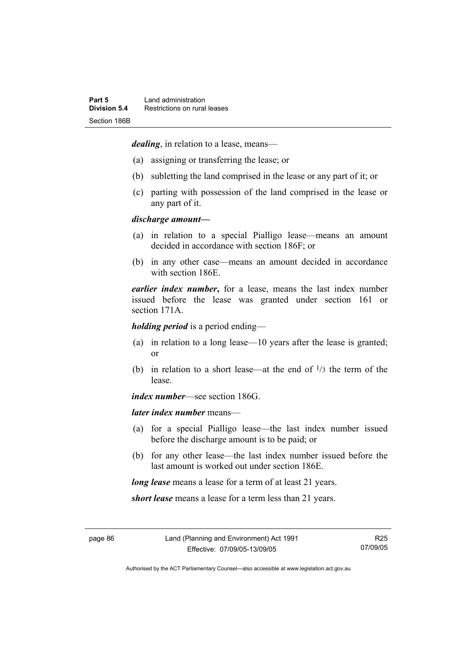*dealing*, in relation to a lease, means—

- (a) assigning or transferring the lease; or
- (b) subletting the land comprised in the lease or any part of it; or
- (c) parting with possession of the land comprised in the lease or any part of it.

#### *discharge amount—*

- (a) in relation to a special Pialligo lease—means an amount decided in accordance with section 186F; or
- (b) in any other case—means an amount decided in accordance with section 186E.

*earlier index number***,** for a lease, means the last index number issued before the lease was granted under section 161 or section 171A.

*holding period* is a period ending—

- (a) in relation to a long lease—10 years after the lease is granted; or
- (b) in relation to a short lease—at the end of  $\frac{1}{3}$  the term of the lease.

*index number*—see section 186G.

*later index number* means—

- (a) for a special Pialligo lease—the last index number issued before the discharge amount is to be paid; or
- (b) for any other lease—the last index number issued before the last amount is worked out under section 186E.

*long lease* means a lease for a term of at least 21 years.

*short lease* means a lease for a term less than 21 years.

Authorised by the ACT Parliamentary Counsel—also accessible at www.legislation.act.gov.au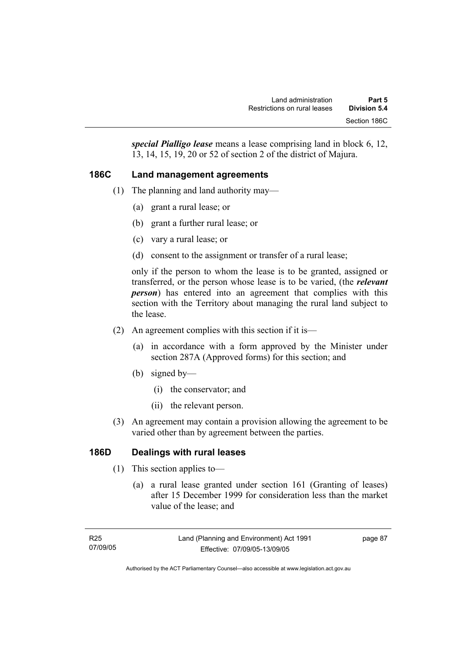*special Pialligo lease* means a lease comprising land in block 6, 12, 13, 14, 15, 19, 20 or 52 of section 2 of the district of Majura.

## **186C Land management agreements**

- (1) The planning and land authority may—
	- (a) grant a rural lease; or
	- (b) grant a further rural lease; or
	- (c) vary a rural lease; or
	- (d) consent to the assignment or transfer of a rural lease;

only if the person to whom the lease is to be granted, assigned or transferred, or the person whose lease is to be varied, (the *relevant person*) has entered into an agreement that complies with this section with the Territory about managing the rural land subject to the lease.

- (2) An agreement complies with this section if it is—
	- (a) in accordance with a form approved by the Minister under section 287A (Approved forms) for this section; and
	- (b) signed by—
		- (i) the conservator; and
		- (ii) the relevant person.
- (3) An agreement may contain a provision allowing the agreement to be varied other than by agreement between the parties.

## **186D Dealings with rural leases**

- (1) This section applies to—
	- (a) a rural lease granted under section 161 (Granting of leases) after 15 December 1999 for consideration less than the market value of the lease; and

page 87

Authorised by the ACT Parliamentary Counsel—also accessible at www.legislation.act.gov.au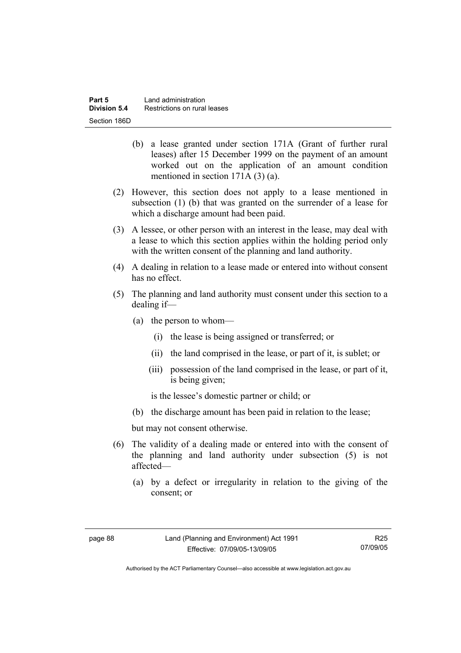- (b) a lease granted under section 171A (Grant of further rural leases) after 15 December 1999 on the payment of an amount worked out on the application of an amount condition mentioned in section 171A (3) (a).
- (2) However, this section does not apply to a lease mentioned in subsection (1) (b) that was granted on the surrender of a lease for which a discharge amount had been paid.
- (3) A lessee, or other person with an interest in the lease, may deal with a lease to which this section applies within the holding period only with the written consent of the planning and land authority.
- (4) A dealing in relation to a lease made or entered into without consent has no effect.
- (5) The planning and land authority must consent under this section to a dealing if—
	- (a) the person to whom—
		- (i) the lease is being assigned or transferred; or
		- (ii) the land comprised in the lease, or part of it, is sublet; or
		- (iii) possession of the land comprised in the lease, or part of it, is being given;

is the lessee's domestic partner or child; or

(b) the discharge amount has been paid in relation to the lease;

but may not consent otherwise.

- (6) The validity of a dealing made or entered into with the consent of the planning and land authority under subsection (5) is not affected—
	- (a) by a defect or irregularity in relation to the giving of the consent; or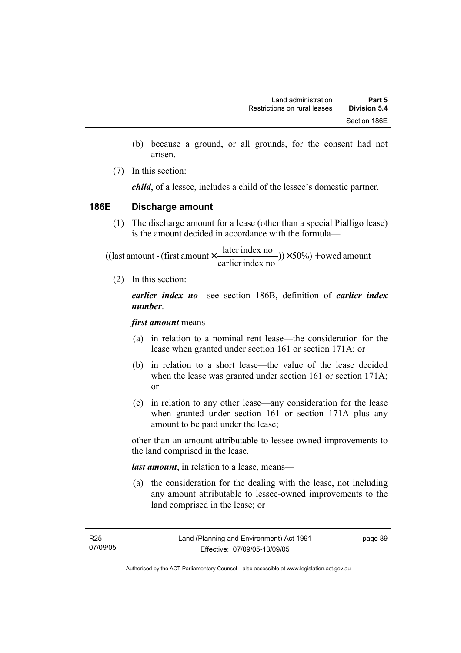- (b) because a ground, or all grounds, for the consent had not arisen.
- (7) In this section:

*child*, of a lessee, includes a child of the lessee's domestic partner.

## **186E Discharge amount**

 (1) The discharge amount for a lease (other than a special Pialligo lease) is the amount decided in accordance with the formula—

 $(y) \times 50\%$  + owed amount earlier index no ((last amount - (first amount  $\times \frac{\text{later index no}}{\text{in} \cdot \cdot \cdot \cdot}$ )) $\times$  50%) +

(2) In this section:

*earlier index no*—see section 186B, definition of *earlier index number*.

*first amount* means—

- (a) in relation to a nominal rent lease—the consideration for the lease when granted under section 161 or section 171A; or
- (b) in relation to a short lease—the value of the lease decided when the lease was granted under section 161 or section 171A; or
- (c) in relation to any other lease—any consideration for the lease when granted under section 161 or section 171A plus any amount to be paid under the lease;

other than an amount attributable to lessee-owned improvements to the land comprised in the lease.

*last amount*, in relation to a lease, means—

 (a) the consideration for the dealing with the lease, not including any amount attributable to lessee-owned improvements to the land comprised in the lease; or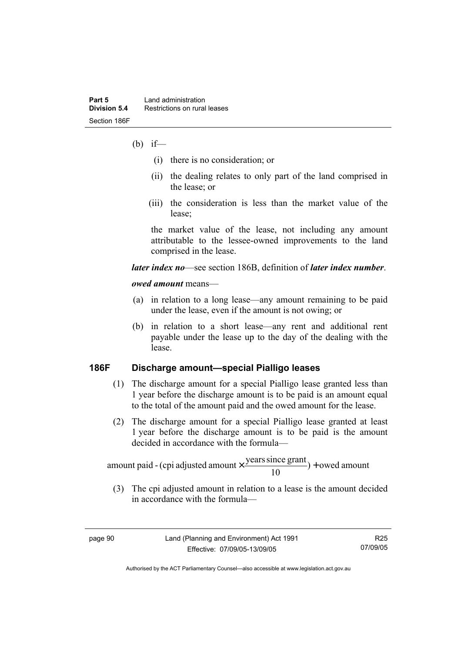- (b) if—
	- (i) there is no consideration; or
	- (ii) the dealing relates to only part of the land comprised in the lease; or
	- (iii) the consideration is less than the market value of the lease;

the market value of the lease, not including any amount attributable to the lessee-owned improvements to the land comprised in the lease.

#### *later index no*—see section 186B, definition of *later index number*.

#### *owed amount* means—

- (a) in relation to a long lease—any amount remaining to be paid under the lease, even if the amount is not owing; or
- (b) in relation to a short lease—any rent and additional rent payable under the lease up to the day of the dealing with the lease.

#### **186F Discharge amount—special Pialligo leases**

- (1) The discharge amount for a special Pialligo lease granted less than 1 year before the discharge amount is to be paid is an amount equal to the total of the amount paid and the owed amount for the lease.
- (2) The discharge amount for a special Pialligo lease granted at least 1 year before the discharge amount is to be paid is the amount decided in accordance with the formula—

 $) +$  owed amount 10 amount paid - (cpi adjusted amount  $\times \frac{\text{years since grant}}{10}$ ) +

 (3) The cpi adjusted amount in relation to a lease is the amount decided in accordance with the formula—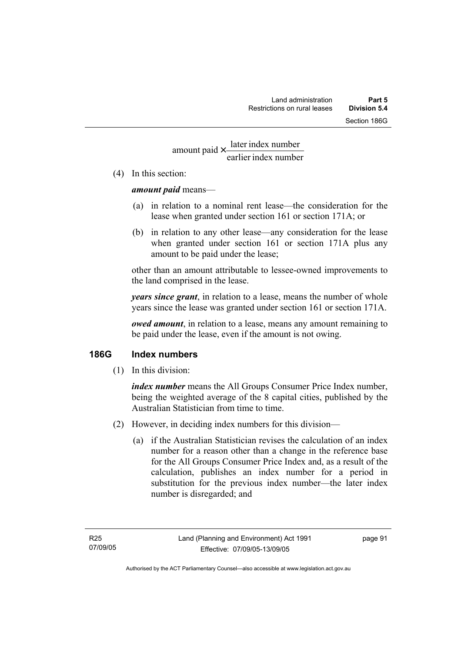# earlier index number amount paid  $\times \frac{\text{later index number}}{\text{lintermax}}$

(4) In this section:

#### *amount paid* means—

- (a) in relation to a nominal rent lease—the consideration for the lease when granted under section 161 or section 171A; or
- (b) in relation to any other lease—any consideration for the lease when granted under section 161 or section 171A plus any amount to be paid under the lease;

other than an amount attributable to lessee-owned improvements to the land comprised in the lease.

*years since grant*, in relation to a lease, means the number of whole years since the lease was granted under section 161 or section 171A.

*owed amount*, in relation to a lease, means any amount remaining to be paid under the lease, even if the amount is not owing.

## **186G Index numbers**

(1) In this division:

*index number* means the All Groups Consumer Price Index number, being the weighted average of the 8 capital cities, published by the Australian Statistician from time to time.

- (2) However, in deciding index numbers for this division—
	- (a) if the Australian Statistician revises the calculation of an index number for a reason other than a change in the reference base for the All Groups Consumer Price Index and, as a result of the calculation, publishes an index number for a period in substitution for the previous index number—the later index number is disregarded; and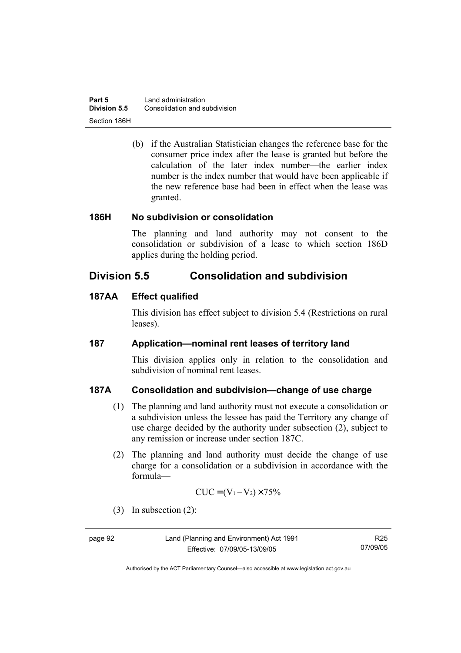| Part 5       | Land administration           |
|--------------|-------------------------------|
| Division 5.5 | Consolidation and subdivision |
| Section 186H |                               |

 (b) if the Australian Statistician changes the reference base for the consumer price index after the lease is granted but before the calculation of the later index number—the earlier index number is the index number that would have been applicable if the new reference base had been in effect when the lease was granted.

#### **186H No subdivision or consolidation**

The planning and land authority may not consent to the consolidation or subdivision of a lease to which section 186D applies during the holding period.

# **Division 5.5 Consolidation and subdivision**

#### **187AA Effect qualified**

This division has effect subject to division 5.4 (Restrictions on rural leases).

#### **187 Application—nominal rent leases of territory land**

This division applies only in relation to the consolidation and subdivision of nominal rent leases.

#### **187A Consolidation and subdivision—change of use charge**

- (1) The planning and land authority must not execute a consolidation or a subdivision unless the lessee has paid the Territory any change of use charge decided by the authority under subsection (2), subject to any remission or increase under section 187C.
- (2) The planning and land authority must decide the change of use charge for a consolidation or a subdivision in accordance with the formula—

$$
CUC = (V_1 - V_2) \times 75\%
$$

(3) In subsection (2):

page 92 Land (Planning and Environment) Act 1991 Effective: 07/09/05-13/09/05

R25 07/09/05

Authorised by the ACT Parliamentary Counsel—also accessible at www.legislation.act.gov.au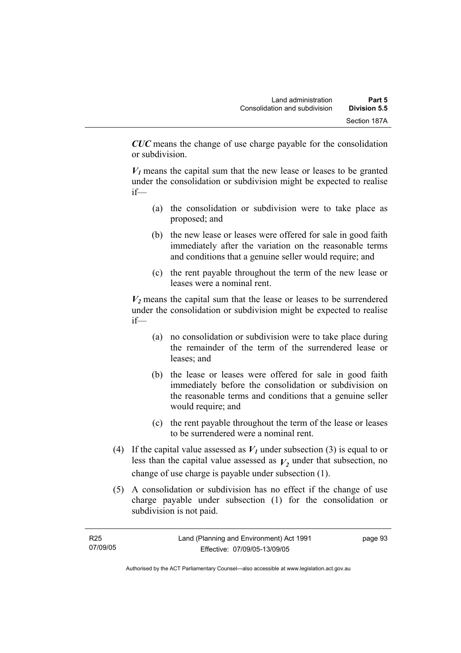*CUC* means the change of use charge payable for the consolidation or subdivision.

 $V_1$  means the capital sum that the new lease or leases to be granted under the consolidation or subdivision might be expected to realise if—

- (a) the consolidation or subdivision were to take place as proposed; and
- (b) the new lease or leases were offered for sale in good faith immediately after the variation on the reasonable terms and conditions that a genuine seller would require; and
- (c) the rent payable throughout the term of the new lease or leases were a nominal rent.

 $V_2$  means the capital sum that the lease or leases to be surrendered under the consolidation or subdivision might be expected to realise if—

- (a) no consolidation or subdivision were to take place during the remainder of the term of the surrendered lease or leases; and
- (b) the lease or leases were offered for sale in good faith immediately before the consolidation or subdivision on the reasonable terms and conditions that a genuine seller would require; and
- (c) the rent payable throughout the term of the lease or leases to be surrendered were a nominal rent.
- (4) If the capital value assessed as  $V_I$  under subsection (3) is equal to or less than the capital value assessed as  $V_2$  under that subsection, no change of use charge is payable under subsection (1).
- (5) A consolidation or subdivision has no effect if the change of use charge payable under subsection (1) for the consolidation or subdivision is not paid.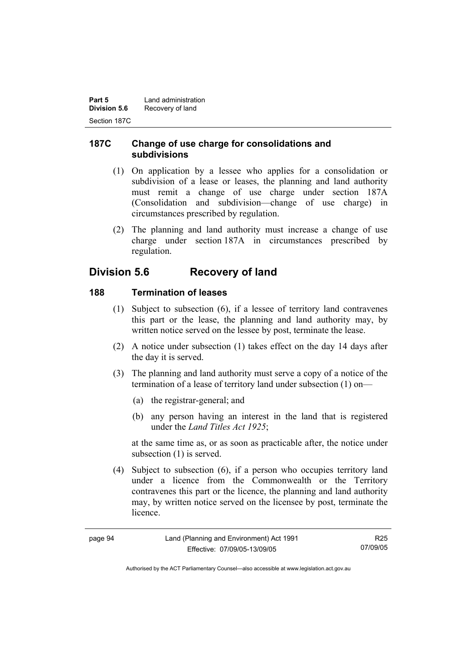| Part 5              | Land administration |
|---------------------|---------------------|
| <b>Division 5.6</b> | Recovery of land    |
| Section 187C        |                     |

## **187C Change of use charge for consolidations and subdivisions**

- (1) On application by a lessee who applies for a consolidation or subdivision of a lease or leases, the planning and land authority must remit a change of use charge under section 187A (Consolidation and subdivision—change of use charge) in circumstances prescribed by regulation.
- (2) The planning and land authority must increase a change of use charge under section 187A in circumstances prescribed by regulation.

# **Division 5.6 Recovery of land**

#### **188 Termination of leases**

- (1) Subject to subsection (6), if a lessee of territory land contravenes this part or the lease, the planning and land authority may, by written notice served on the lessee by post, terminate the lease.
- (2) A notice under subsection (1) takes effect on the day 14 days after the day it is served.
- (3) The planning and land authority must serve a copy of a notice of the termination of a lease of territory land under subsection (1) on—
	- (a) the registrar-general; and
	- (b) any person having an interest in the land that is registered under the *Land Titles Act 1925*;

at the same time as, or as soon as practicable after, the notice under subsection (1) is served.

 (4) Subject to subsection (6), if a person who occupies territory land under a licence from the Commonwealth or the Territory contravenes this part or the licence, the planning and land authority may, by written notice served on the licensee by post, terminate the licence.

| ۰.<br>nade |  |
|------------|--|
|------------|--|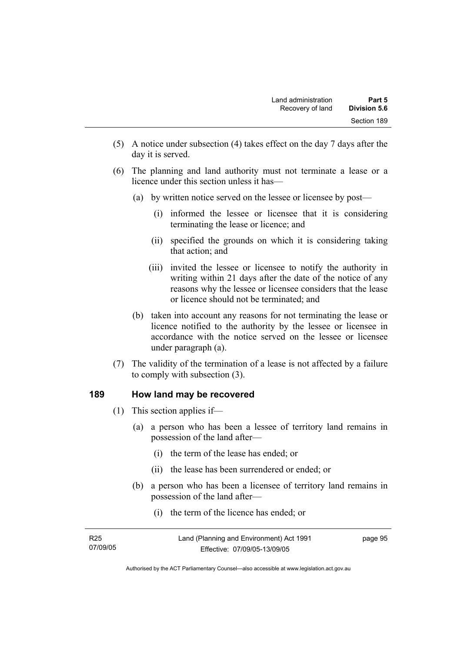- (5) A notice under subsection (4) takes effect on the day 7 days after the day it is served.
- (6) The planning and land authority must not terminate a lease or a licence under this section unless it has—
	- (a) by written notice served on the lessee or licensee by post—
		- (i) informed the lessee or licensee that it is considering terminating the lease or licence; and
		- (ii) specified the grounds on which it is considering taking that action; and
		- (iii) invited the lessee or licensee to notify the authority in writing within 21 days after the date of the notice of any reasons why the lessee or licensee considers that the lease or licence should not be terminated; and
	- (b) taken into account any reasons for not terminating the lease or licence notified to the authority by the lessee or licensee in accordance with the notice served on the lessee or licensee under paragraph (a).
- (7) The validity of the termination of a lease is not affected by a failure to comply with subsection (3).

#### **189 How land may be recovered**

- (1) This section applies if—
	- (a) a person who has been a lessee of territory land remains in possession of the land after—
		- (i) the term of the lease has ended; or
		- (ii) the lease has been surrendered or ended; or
	- (b) a person who has been a licensee of territory land remains in possession of the land after—
		- (i) the term of the licence has ended; or

| R25      | Land (Planning and Environment) Act 1991 | page 95 |
|----------|------------------------------------------|---------|
| 07/09/05 | Effective: 07/09/05-13/09/05             |         |

Authorised by the ACT Parliamentary Counsel—also accessible at www.legislation.act.gov.au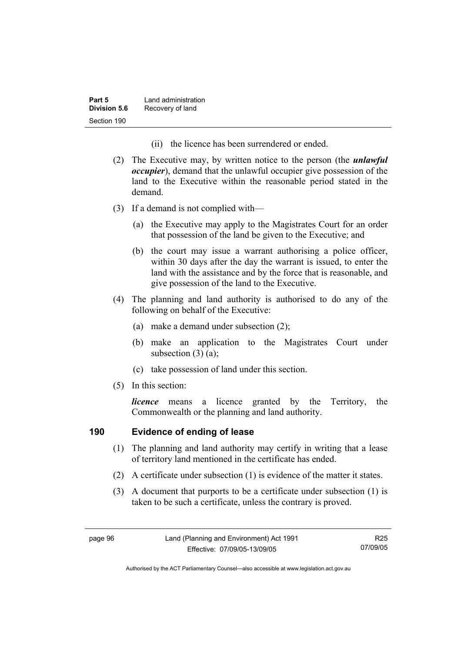| Part 5       | Land administration |
|--------------|---------------------|
| Division 5.6 | Recovery of land    |
| Section 190  |                     |

- (ii) the licence has been surrendered or ended.
- (2) The Executive may, by written notice to the person (the *unlawful occupier*), demand that the unlawful occupier give possession of the land to the Executive within the reasonable period stated in the demand.
- (3) If a demand is not complied with—
	- (a) the Executive may apply to the Magistrates Court for an order that possession of the land be given to the Executive; and
	- (b) the court may issue a warrant authorising a police officer, within 30 days after the day the warrant is issued, to enter the land with the assistance and by the force that is reasonable, and give possession of the land to the Executive.
- (4) The planning and land authority is authorised to do any of the following on behalf of the Executive:
	- (a) make a demand under subsection (2);
	- (b) make an application to the Magistrates Court under subsection  $(3)$   $(a)$ ;
	- (c) take possession of land under this section.
- (5) In this section:

*licence* means a licence granted by the Territory, the Commonwealth or the planning and land authority.

# **190 Evidence of ending of lease**

- (1) The planning and land authority may certify in writing that a lease of territory land mentioned in the certificate has ended.
- (2) A certificate under subsection (1) is evidence of the matter it states.
- (3) A document that purports to be a certificate under subsection (1) is taken to be such a certificate, unless the contrary is proved.

R25 07/09/05

Authorised by the ACT Parliamentary Counsel—also accessible at www.legislation.act.gov.au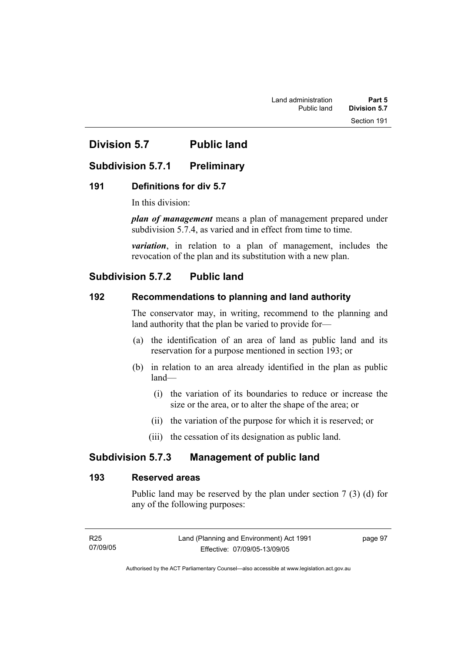# **Division 5.7 Public land**

# **Subdivision 5.7.1 Preliminary**

#### **191 Definitions for div 5.7**

In this division:

*plan of management* means a plan of management prepared under subdivision 5.7.4, as varied and in effect from time to time.

*variation*, in relation to a plan of management, includes the revocation of the plan and its substitution with a new plan.

# **Subdivision 5.7.2 Public land**

# **192 Recommendations to planning and land authority**

The conservator may, in writing, recommend to the planning and land authority that the plan be varied to provide for—

- (a) the identification of an area of land as public land and its reservation for a purpose mentioned in section 193; or
- (b) in relation to an area already identified in the plan as public land—
	- (i) the variation of its boundaries to reduce or increase the size or the area, or to alter the shape of the area; or
	- (ii) the variation of the purpose for which it is reserved; or
	- (iii) the cessation of its designation as public land.

# **Subdivision 5.7.3 Management of public land**

#### **193 Reserved areas**

Public land may be reserved by the plan under section 7 (3) (d) for any of the following purposes:

| R25      | Land (Planning and Environment) Act 1991 | page 97 |
|----------|------------------------------------------|---------|
| 07/09/05 | Effective: 07/09/05-13/09/05             |         |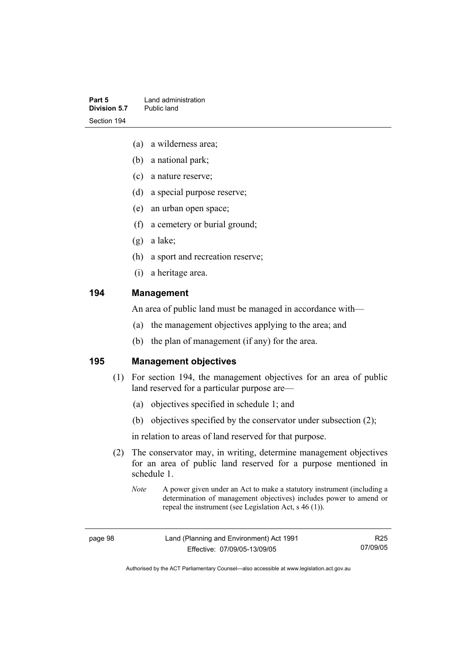| Part 5       | Land administration |
|--------------|---------------------|
| Division 5.7 | Public land         |
| Section 194  |                     |

- (a) a wilderness area;
- (b) a national park;
- (c) a nature reserve;
- (d) a special purpose reserve;
- (e) an urban open space;
- (f) a cemetery or burial ground;
- (g) a lake;
- (h) a sport and recreation reserve;
- (i) a heritage area.

# **194 Management**

An area of public land must be managed in accordance with—

- (a) the management objectives applying to the area; and
- (b) the plan of management (if any) for the area.

**195 Management objectives** 

- (1) For section 194, the management objectives for an area of public land reserved for a particular purpose are—
	- (a) objectives specified in schedule 1; and
	- (b) objectives specified by the conservator under subsection (2);

in relation to areas of land reserved for that purpose.

- (2) The conservator may, in writing, determine management objectives for an area of public land reserved for a purpose mentioned in schedule 1.
	- *Note* A power given under an Act to make a statutory instrument (including a determination of management objectives) includes power to amend or repeal the instrument (see Legislation Act, s 46 (1)).

R25 07/09/05

Authorised by the ACT Parliamentary Counsel—also accessible at www.legislation.act.gov.au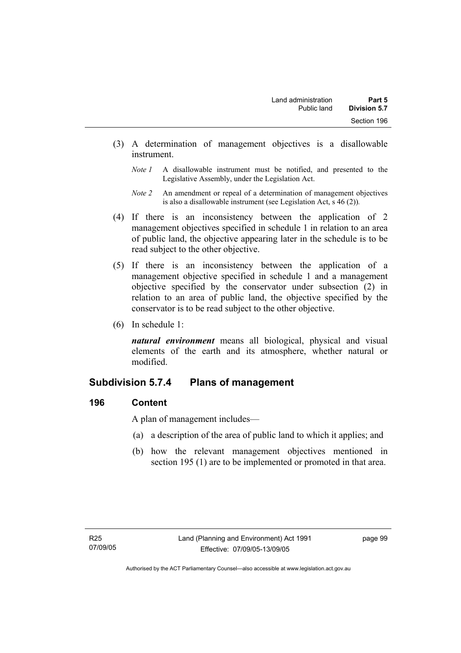- (3) A determination of management objectives is a disallowable instrument.
	- *Note 1* A disallowable instrument must be notified, and presented to the Legislative Assembly, under the Legislation Act.
	- *Note 2* An amendment or repeal of a determination of management objectives is also a disallowable instrument (see Legislation Act, s 46 (2))*.*
- (4) If there is an inconsistency between the application of 2 management objectives specified in schedule 1 in relation to an area of public land, the objective appearing later in the schedule is to be read subject to the other objective.
- (5) If there is an inconsistency between the application of a management objective specified in schedule 1 and a management objective specified by the conservator under subsection (2) in relation to an area of public land, the objective specified by the conservator is to be read subject to the other objective.
- (6) In schedule 1:

*natural environment* means all biological, physical and visual elements of the earth and its atmosphere, whether natural or modified.

# **Subdivision 5.7.4 Plans of management**

# **196 Content**

A plan of management includes—

- (a) a description of the area of public land to which it applies; and
- (b) how the relevant management objectives mentioned in section 195 (1) are to be implemented or promoted in that area.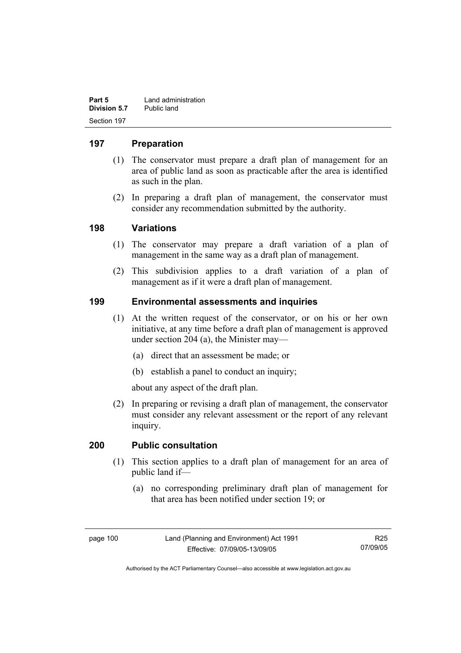| Part 5       | Land administration |
|--------------|---------------------|
| Division 5.7 | Public land         |
| Section 197  |                     |

# **197 Preparation**

- (1) The conservator must prepare a draft plan of management for an area of public land as soon as practicable after the area is identified as such in the plan.
- (2) In preparing a draft plan of management, the conservator must consider any recommendation submitted by the authority.

# **198 Variations**

- (1) The conservator may prepare a draft variation of a plan of management in the same way as a draft plan of management.
- (2) This subdivision applies to a draft variation of a plan of management as if it were a draft plan of management.

# **199 Environmental assessments and inquiries**

- (1) At the written request of the conservator, or on his or her own initiative, at any time before a draft plan of management is approved under section 204 (a), the Minister may—
	- (a) direct that an assessment be made; or
	- (b) establish a panel to conduct an inquiry;

about any aspect of the draft plan.

 (2) In preparing or revising a draft plan of management, the conservator must consider any relevant assessment or the report of any relevant inquiry.

#### **200 Public consultation**

- (1) This section applies to a draft plan of management for an area of public land if—
	- (a) no corresponding preliminary draft plan of management for that area has been notified under section 19; or

page 100 Land (Planning and Environment) Act 1991 Effective: 07/09/05-13/09/05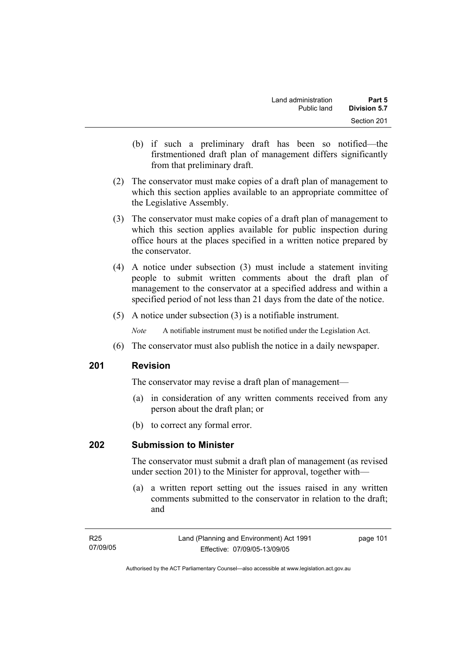- (b) if such a preliminary draft has been so notified—the firstmentioned draft plan of management differs significantly from that preliminary draft.
- (2) The conservator must make copies of a draft plan of management to which this section applies available to an appropriate committee of the Legislative Assembly.
- (3) The conservator must make copies of a draft plan of management to which this section applies available for public inspection during office hours at the places specified in a written notice prepared by the conservator.
- (4) A notice under subsection (3) must include a statement inviting people to submit written comments about the draft plan of management to the conservator at a specified address and within a specified period of not less than 21 days from the date of the notice.
- (5) A notice under subsection (3) is a notifiable instrument.

*Note* A notifiable instrument must be notified under the Legislation Act.

(6) The conservator must also publish the notice in a daily newspaper.

#### **201 Revision**

The conservator may revise a draft plan of management—

- (a) in consideration of any written comments received from any person about the draft plan; or
- (b) to correct any formal error.

# **202 Submission to Minister**

The conservator must submit a draft plan of management (as revised under section 201) to the Minister for approval, together with—

 (a) a written report setting out the issues raised in any written comments submitted to the conservator in relation to the draft; and

| R25      | Land (Planning and Environment) Act 1991 | page 101 |
|----------|------------------------------------------|----------|
| 07/09/05 | Effective: 07/09/05-13/09/05             |          |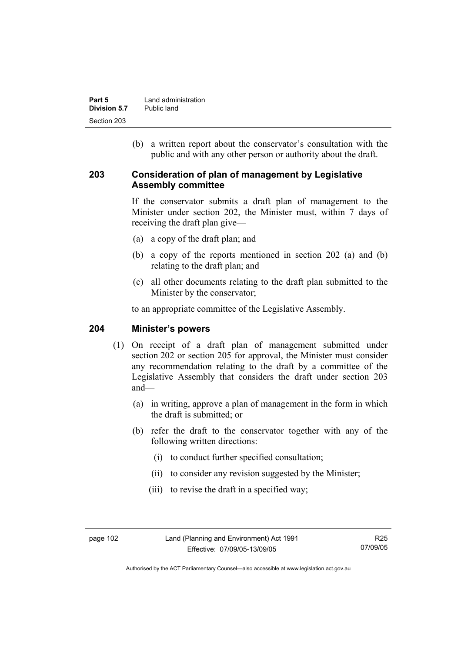| Part 5       | Land administration |
|--------------|---------------------|
| Division 5.7 | Public land         |
| Section 203  |                     |

 (b) a written report about the conservator's consultation with the public and with any other person or authority about the draft.

#### **203 Consideration of plan of management by Legislative Assembly committee**

If the conservator submits a draft plan of management to the Minister under section 202, the Minister must, within 7 days of receiving the draft plan give—

- (a) a copy of the draft plan; and
- (b) a copy of the reports mentioned in section 202 (a) and (b) relating to the draft plan; and
- (c) all other documents relating to the draft plan submitted to the Minister by the conservator;

to an appropriate committee of the Legislative Assembly.

#### **204 Minister's powers**

- (1) On receipt of a draft plan of management submitted under section 202 or section 205 for approval, the Minister must consider any recommendation relating to the draft by a committee of the Legislative Assembly that considers the draft under section 203 and—
	- (a) in writing, approve a plan of management in the form in which the draft is submitted; or
	- (b) refer the draft to the conservator together with any of the following written directions:
		- (i) to conduct further specified consultation;
		- (ii) to consider any revision suggested by the Minister;
		- (iii) to revise the draft in a specified way;

Authorised by the ACT Parliamentary Counsel—also accessible at www.legislation.act.gov.au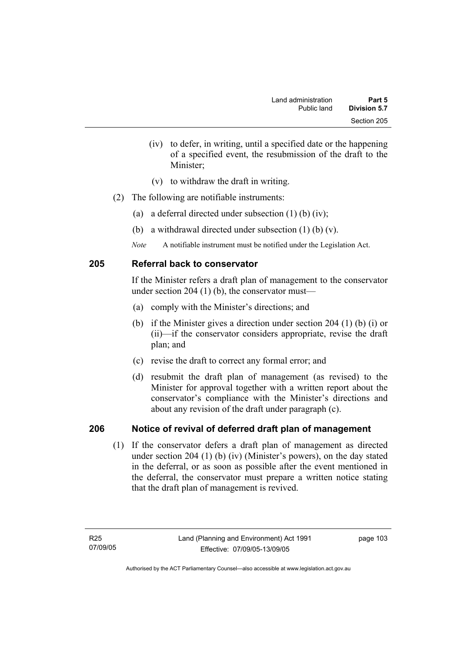- (iv) to defer, in writing, until a specified date or the happening of a specified event, the resubmission of the draft to the Minister;
- (v) to withdraw the draft in writing.
- (2) The following are notifiable instruments:
	- (a) a deferral directed under subsection (1) (b) (iv);
	- (b) a withdrawal directed under subsection (1) (b) (v).
	- *Note* A notifiable instrument must be notified under the Legislation Act.

# **205 Referral back to conservator**

If the Minister refers a draft plan of management to the conservator under section 204  $(1)$  (b), the conservator must—

- (a) comply with the Minister's directions; and
- (b) if the Minister gives a direction under section 204 (1) (b) (i) or (ii)—if the conservator considers appropriate, revise the draft plan; and
- (c) revise the draft to correct any formal error; and
- (d) resubmit the draft plan of management (as revised) to the Minister for approval together with a written report about the conservator's compliance with the Minister's directions and about any revision of the draft under paragraph (c).

# **206 Notice of revival of deferred draft plan of management**

(1) If the conservator defers a draft plan of management as directed under section 204 (1) (b) (iv) (Minister's powers), on the day stated in the deferral, or as soon as possible after the event mentioned in the deferral, the conservator must prepare a written notice stating that the draft plan of management is revived.

page 103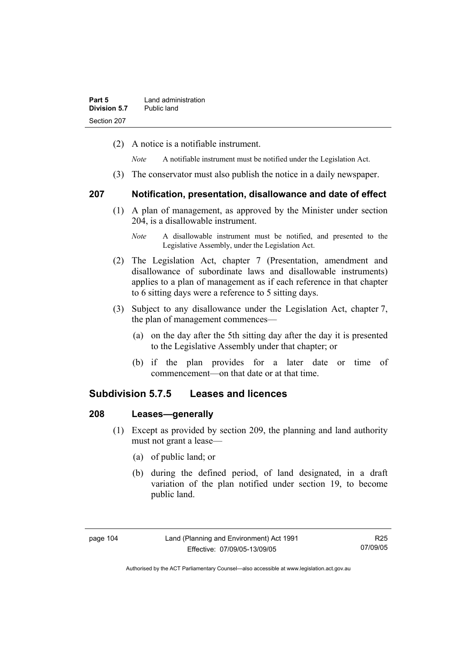(2) A notice is a notifiable instrument.

*Note* A notifiable instrument must be notified under the Legislation Act.

(3) The conservator must also publish the notice in a daily newspaper.

#### **207 Notification, presentation, disallowance and date of effect**

- (1) A plan of management, as approved by the Minister under section 204, is a disallowable instrument.
	- *Note* A disallowable instrument must be notified, and presented to the Legislative Assembly, under the Legislation Act.
- (2) The Legislation Act, chapter 7 (Presentation, amendment and disallowance of subordinate laws and disallowable instruments) applies to a plan of management as if each reference in that chapter to 6 sitting days were a reference to 5 sitting days.
- (3) Subject to any disallowance under the Legislation Act, chapter 7, the plan of management commences—
	- (a) on the day after the 5th sitting day after the day it is presented to the Legislative Assembly under that chapter; or
	- (b) if the plan provides for a later date or time of commencement—on that date or at that time.

# **Subdivision 5.7.5 Leases and licences**

#### **208 Leases—generally**

- (1) Except as provided by section 209, the planning and land authority must not grant a lease—
	- (a) of public land; or
	- (b) during the defined period, of land designated, in a draft variation of the plan notified under section 19, to become public land.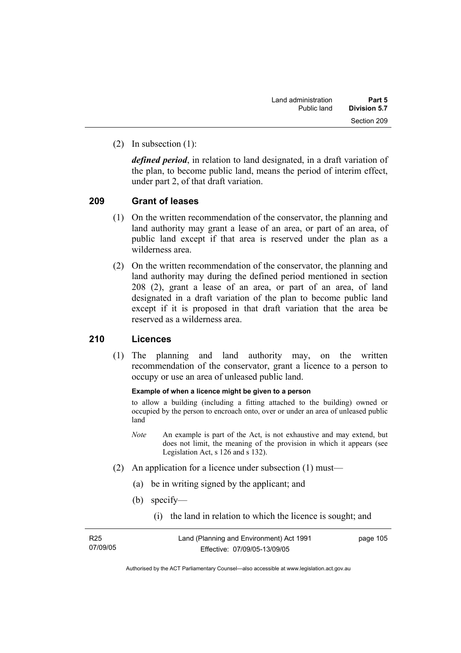(2) In subsection (1):

*defined period*, in relation to land designated, in a draft variation of the plan, to become public land, means the period of interim effect, under part 2, of that draft variation.

#### **209 Grant of leases**

- (1) On the written recommendation of the conservator, the planning and land authority may grant a lease of an area, or part of an area, of public land except if that area is reserved under the plan as a wilderness area.
- (2) On the written recommendation of the conservator, the planning and land authority may during the defined period mentioned in section 208 (2), grant a lease of an area, or part of an area, of land designated in a draft variation of the plan to become public land except if it is proposed in that draft variation that the area be reserved as a wilderness area.

# **210 Licences**

 (1) The planning and land authority may, on the written recommendation of the conservator, grant a licence to a person to occupy or use an area of unleased public land.

#### **Example of when a licence might be given to a person**

to allow a building (including a fitting attached to the building) owned or occupied by the person to encroach onto, over or under an area of unleased public land

- *Note* An example is part of the Act, is not exhaustive and may extend, but does not limit, the meaning of the provision in which it appears (see Legislation Act, s 126 and s 132).
- (2) An application for a licence under subsection (1) must—
	- (a) be in writing signed by the applicant; and
	- (b) specify—
		- (i) the land in relation to which the licence is sought; and

| R <sub>25</sub> |  |
|-----------------|--|
| 07/09/05        |  |

page 105

Authorised by the ACT Parliamentary Counsel—also accessible at www.legislation.act.gov.au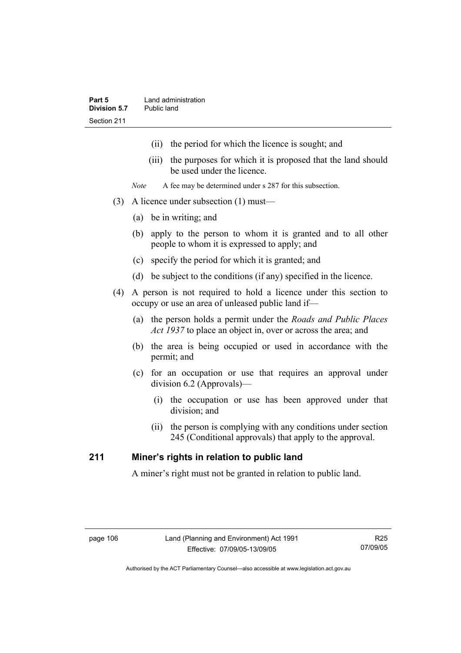- (ii) the period for which the licence is sought; and
- (iii) the purposes for which it is proposed that the land should be used under the licence.
- *Note* A fee may be determined under s 287 for this subsection.
- (3) A licence under subsection (1) must—
	- (a) be in writing; and
	- (b) apply to the person to whom it is granted and to all other people to whom it is expressed to apply; and
	- (c) specify the period for which it is granted; and
	- (d) be subject to the conditions (if any) specified in the licence.
- (4) A person is not required to hold a licence under this section to occupy or use an area of unleased public land if—
	- (a) the person holds a permit under the *Roads and Public Places Act 1937* to place an object in, over or across the area; and
	- (b) the area is being occupied or used in accordance with the permit; and
	- (c) for an occupation or use that requires an approval under division 6.2 (Approvals)—
		- (i) the occupation or use has been approved under that division; and
		- (ii) the person is complying with any conditions under section 245 (Conditional approvals) that apply to the approval.

# **211 Miner's rights in relation to public land**

A miner's right must not be granted in relation to public land.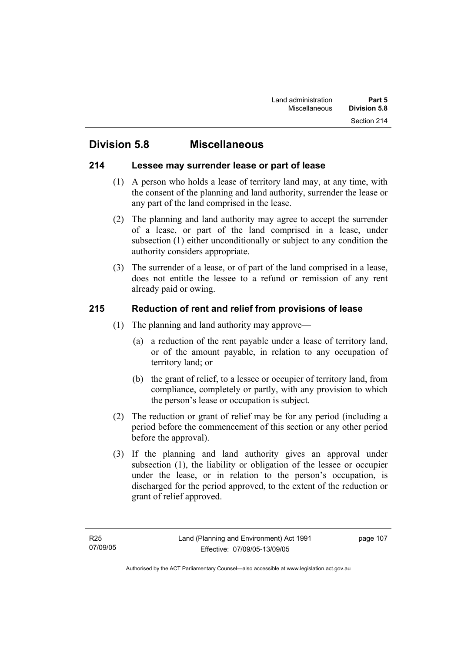# **Division 5.8 Miscellaneous**

# **214 Lessee may surrender lease or part of lease**

- (1) A person who holds a lease of territory land may, at any time, with the consent of the planning and land authority, surrender the lease or any part of the land comprised in the lease.
- (2) The planning and land authority may agree to accept the surrender of a lease, or part of the land comprised in a lease, under subsection (1) either unconditionally or subject to any condition the authority considers appropriate.
- (3) The surrender of a lease, or of part of the land comprised in a lease, does not entitle the lessee to a refund or remission of any rent already paid or owing.

# **215 Reduction of rent and relief from provisions of lease**

- (1) The planning and land authority may approve—
	- (a) a reduction of the rent payable under a lease of territory land, or of the amount payable, in relation to any occupation of territory land; or
	- (b) the grant of relief, to a lessee or occupier of territory land, from compliance, completely or partly, with any provision to which the person's lease or occupation is subject.
- (2) The reduction or grant of relief may be for any period (including a period before the commencement of this section or any other period before the approval).
- (3) If the planning and land authority gives an approval under subsection (1), the liability or obligation of the lessee or occupier under the lease, or in relation to the person's occupation, is discharged for the period approved, to the extent of the reduction or grant of relief approved.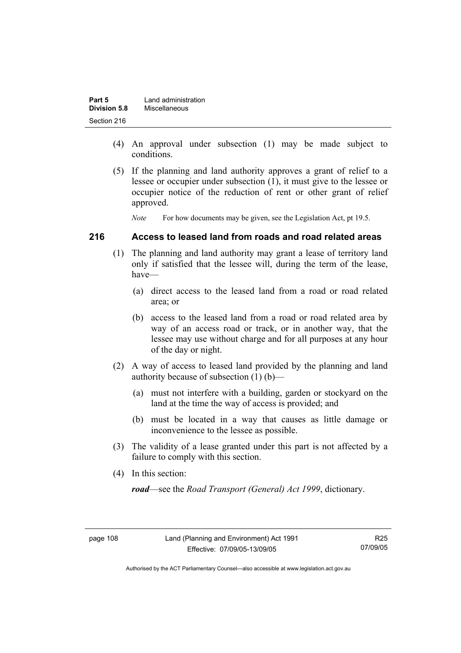| Part 5       | Land administration |
|--------------|---------------------|
| Division 5.8 | Miscellaneous       |
| Section 216  |                     |

- (4) An approval under subsection (1) may be made subject to conditions.
- (5) If the planning and land authority approves a grant of relief to a lessee or occupier under subsection (1), it must give to the lessee or occupier notice of the reduction of rent or other grant of relief approved.

*Note* For how documents may be given, see the Legislation Act, pt 19.5.

#### **216 Access to leased land from roads and road related areas**

- (1) The planning and land authority may grant a lease of territory land only if satisfied that the lessee will, during the term of the lease, have—
	- (a) direct access to the leased land from a road or road related area; or
	- (b) access to the leased land from a road or road related area by way of an access road or track, or in another way, that the lessee may use without charge and for all purposes at any hour of the day or night.
- (2) A way of access to leased land provided by the planning and land authority because of subsection (1) (b)—
	- (a) must not interfere with a building, garden or stockyard on the land at the time the way of access is provided; and
	- (b) must be located in a way that causes as little damage or inconvenience to the lessee as possible.
- (3) The validity of a lease granted under this part is not affected by a failure to comply with this section.
- (4) In this section:

*road*—see the *Road Transport (General) Act 1999*, dictionary.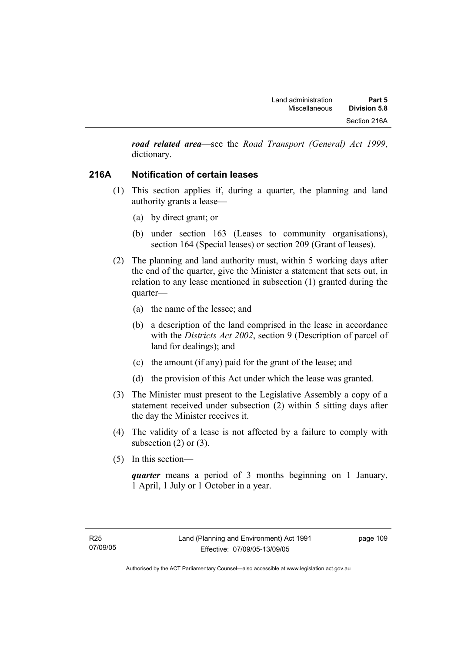*road related area*—see the *Road Transport (General) Act 1999*, dictionary.

# **216A Notification of certain leases**

- (1) This section applies if, during a quarter, the planning and land authority grants a lease—
	- (a) by direct grant; or
	- (b) under section 163 (Leases to community organisations), section 164 (Special leases) or section 209 (Grant of leases).
- (2) The planning and land authority must, within 5 working days after the end of the quarter, give the Minister a statement that sets out, in relation to any lease mentioned in subsection (1) granted during the quarter—
	- (a) the name of the lessee; and
	- (b) a description of the land comprised in the lease in accordance with the *Districts Act 2002*, section 9 (Description of parcel of land for dealings); and
	- (c) the amount (if any) paid for the grant of the lease; and
	- (d) the provision of this Act under which the lease was granted.
- (3) The Minister must present to the Legislative Assembly a copy of a statement received under subsection (2) within 5 sitting days after the day the Minister receives it.
- (4) The validity of a lease is not affected by a failure to comply with subsection  $(2)$  or  $(3)$ .
- (5) In this section—

*quarter* means a period of 3 months beginning on 1 January, 1 April, 1 July or 1 October in a year.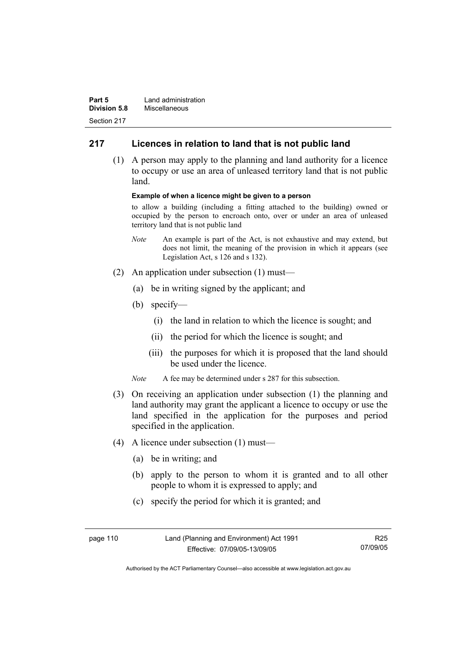| Part 5              | Land administration |
|---------------------|---------------------|
| <b>Division 5.8</b> | Miscellaneous       |
| Section 217         |                     |

# **217 Licences in relation to land that is not public land**

 (1) A person may apply to the planning and land authority for a licence to occupy or use an area of unleased territory land that is not public land.

#### **Example of when a licence might be given to a person**

to allow a building (including a fitting attached to the building) owned or occupied by the person to encroach onto, over or under an area of unleased territory land that is not public land

- *Note* An example is part of the Act, is not exhaustive and may extend, but does not limit, the meaning of the provision in which it appears (see Legislation Act, s 126 and s 132).
- (2) An application under subsection (1) must—
	- (a) be in writing signed by the applicant; and
	- (b) specify—
		- (i) the land in relation to which the licence is sought; and
		- (ii) the period for which the licence is sought; and
		- (iii) the purposes for which it is proposed that the land should be used under the licence.
	- *Note* A fee may be determined under s 287 for this subsection.
- (3) On receiving an application under subsection (1) the planning and land authority may grant the applicant a licence to occupy or use the land specified in the application for the purposes and period specified in the application.
- (4) A licence under subsection (1) must—
	- (a) be in writing; and
	- (b) apply to the person to whom it is granted and to all other people to whom it is expressed to apply; and
	- (c) specify the period for which it is granted; and

| page 110 | Land (Planning and Environment) Act 1991 | R <sub>25</sub> |
|----------|------------------------------------------|-----------------|
|          | Effective: 07/09/05-13/09/05             | 07/09/05        |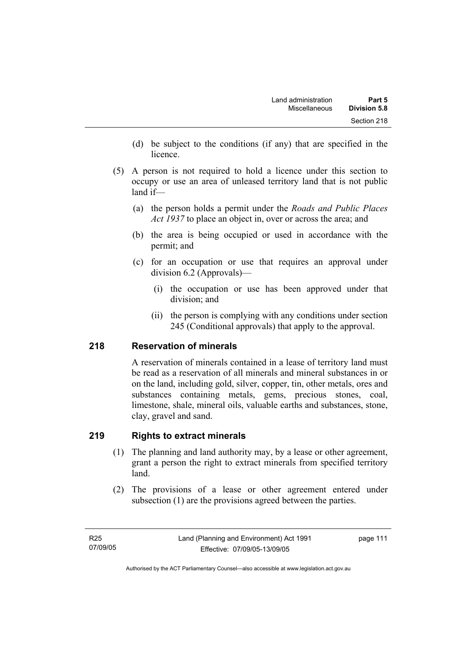- (d) be subject to the conditions (if any) that are specified in the licence.
- (5) A person is not required to hold a licence under this section to occupy or use an area of unleased territory land that is not public land if—
	- (a) the person holds a permit under the *Roads and Public Places Act 1937* to place an object in, over or across the area; and
	- (b) the area is being occupied or used in accordance with the permit; and
	- (c) for an occupation or use that requires an approval under division 6.2 (Approvals)—
		- (i) the occupation or use has been approved under that division; and
		- (ii) the person is complying with any conditions under section 245 (Conditional approvals) that apply to the approval.

# **218 Reservation of minerals**

A reservation of minerals contained in a lease of territory land must be read as a reservation of all minerals and mineral substances in or on the land, including gold, silver, copper, tin, other metals, ores and substances containing metals, gems, precious stones, coal, limestone, shale, mineral oils, valuable earths and substances, stone, clay, gravel and sand.

# **219 Rights to extract minerals**

- (1) The planning and land authority may, by a lease or other agreement, grant a person the right to extract minerals from specified territory land.
- (2) The provisions of a lease or other agreement entered under subsection (1) are the provisions agreed between the parties.

page 111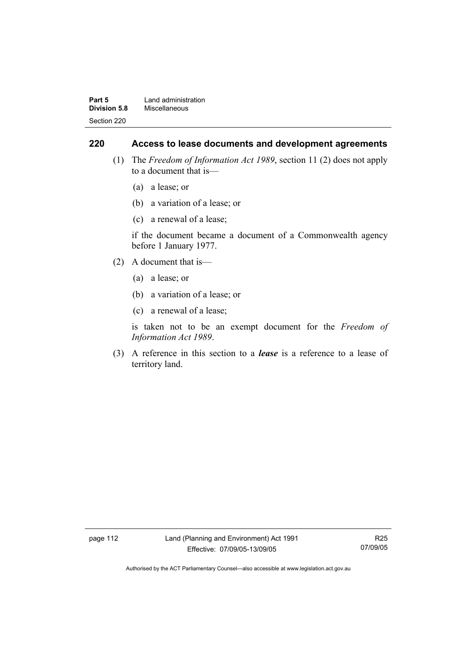| Part 5              | Land administration |
|---------------------|---------------------|
| <b>Division 5.8</b> | Miscellaneous       |
| Section 220         |                     |

#### **220 Access to lease documents and development agreements**

- (1) The *Freedom of Information Act 1989*, section 11 (2) does not apply to a document that is—
	- (a) a lease; or
	- (b) a variation of a lease; or
	- (c) a renewal of a lease;

if the document became a document of a Commonwealth agency before 1 January 1977.

- (2) A document that is—
	- (a) a lease; or
	- (b) a variation of a lease; or
	- (c) a renewal of a lease;

is taken not to be an exempt document for the *Freedom of Information Act 1989*.

 (3) A reference in this section to a *lease* is a reference to a lease of territory land.

page 112 Land (Planning and Environment) Act 1991 Effective: 07/09/05-13/09/05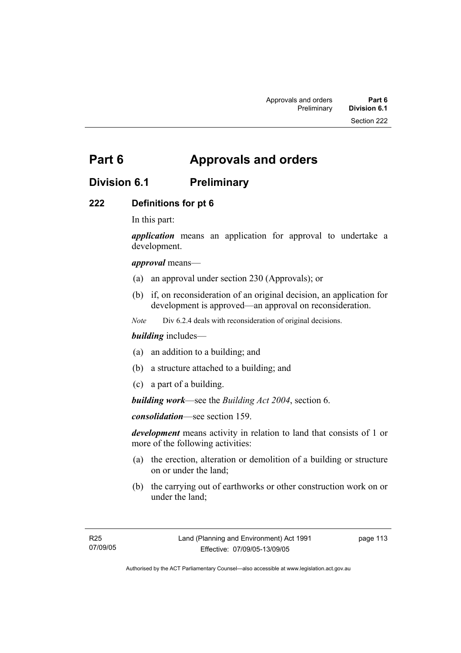# **Part 6 Approvals and orders**

# **Division 6.1 Preliminary**

# **222 Definitions for pt 6**

In this part:

*application* means an application for approval to undertake a development.

#### *approval* means—

- (a) an approval under section 230 (Approvals); or
- (b) if, on reconsideration of an original decision, an application for development is approved—an approval on reconsideration.

*Note* Div 6.2.4 deals with reconsideration of original decisions.

#### *building* includes—

- (a) an addition to a building; and
- (b) a structure attached to a building; and
- (c) a part of a building.

*building work*—see the *Building Act 2004*, section 6.

*consolidation*—see section 159.

*development* means activity in relation to land that consists of 1 or more of the following activities:

- (a) the erection, alteration or demolition of a building or structure on or under the land;
- (b) the carrying out of earthworks or other construction work on or under the land;

page 113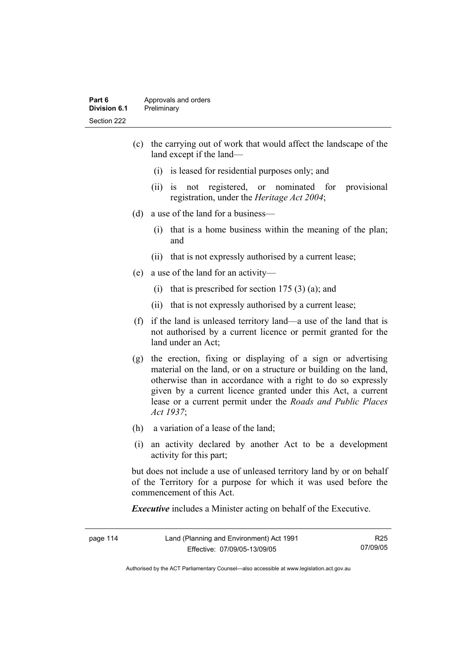#### **Part 6 Approvals and orders Division 6.1** Preliminary Section 222

- (c) the carrying out of work that would affect the landscape of the land except if the land—
	- (i) is leased for residential purposes only; and
	- (ii) is not registered, or nominated for provisional registration, under the *Heritage Act 2004*;
- (d) a use of the land for a business—
	- (i) that is a home business within the meaning of the plan; and
	- (ii) that is not expressly authorised by a current lease;
- (e) a use of the land for an activity—
	- (i) that is prescribed for section  $175(3)(a)$ ; and
	- (ii) that is not expressly authorised by a current lease;
- (f) if the land is unleased territory land—a use of the land that is not authorised by a current licence or permit granted for the land under an Act;
- (g) the erection, fixing or displaying of a sign or advertising material on the land, or on a structure or building on the land, otherwise than in accordance with a right to do so expressly given by a current licence granted under this Act, a current lease or a current permit under the *Roads and Public Places Act 1937*;
- (h) a variation of a lease of the land;
- (i) an activity declared by another Act to be a development activity for this part;

but does not include a use of unleased territory land by or on behalf of the Territory for a purpose for which it was used before the commencement of this Act.

*Executive* includes a Minister acting on behalf of the Executive.

| page 114 | Land (Planning and Environment) Act 1991 | R25.     |
|----------|------------------------------------------|----------|
|          | Effective: 07/09/05-13/09/05             | 07/09/05 |

Authorised by the ACT Parliamentary Counsel—also accessible at www.legislation.act.gov.au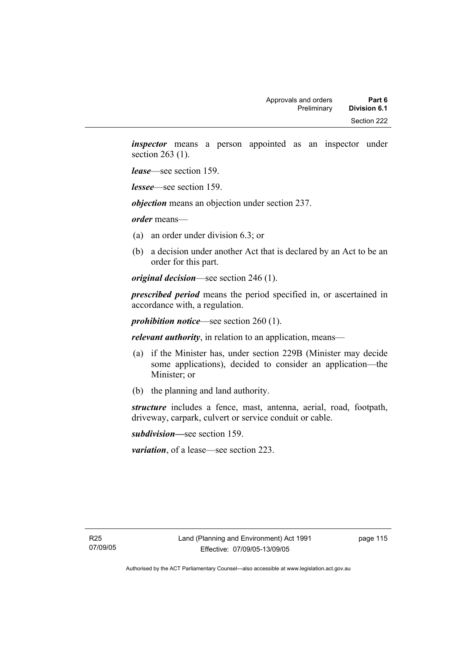*inspector* means a person appointed as an inspector under section 263 (1).

*lease*—see section 159.

*lessee*—see section 159.

*objection* means an objection under section 237.

*order* means—

- (a) an order under division 6.3; or
- (b) a decision under another Act that is declared by an Act to be an order for this part.

*original decision*—see section 246 (1).

*prescribed period* means the period specified in, or ascertained in accordance with, a regulation.

*prohibition notice*—see section 260 (1).

*relevant authority*, in relation to an application, means—

- (a) if the Minister has, under section 229B (Minister may decide some applications), decided to consider an application—the Minister; or
- (b) the planning and land authority.

*structure* includes a fence, mast, antenna, aerial, road, footpath, driveway, carpark, culvert or service conduit or cable.

*subdivision—*see section 159.

*variation*, of a lease—see section 223.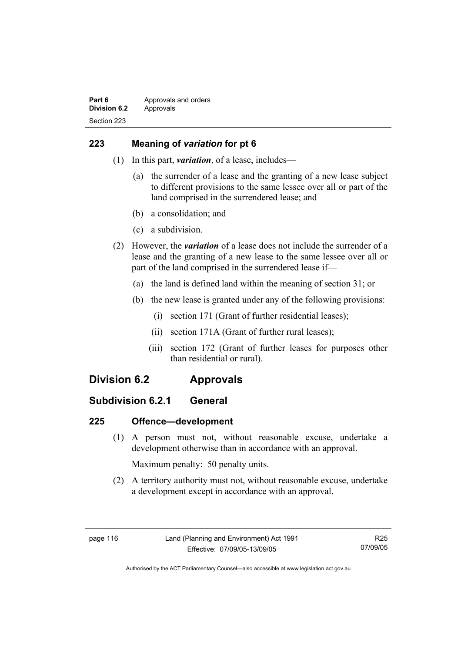# **223 Meaning of** *variation* **for pt 6**

- (1) In this part, *variation*, of a lease, includes—
	- (a) the surrender of a lease and the granting of a new lease subject to different provisions to the same lessee over all or part of the land comprised in the surrendered lease; and
	- (b) a consolidation; and
	- (c) a subdivision.
- (2) However, the *variation* of a lease does not include the surrender of a lease and the granting of a new lease to the same lessee over all or part of the land comprised in the surrendered lease if—
	- (a) the land is defined land within the meaning of section 31; or
	- (b) the new lease is granted under any of the following provisions:
		- (i) section 171 (Grant of further residential leases);
		- (ii) section 171A (Grant of further rural leases);
		- (iii) section 172 (Grant of further leases for purposes other than residential or rural).

# **Division 6.2 Approvals**

# **Subdivision 6.2.1 General**

# **225 Offence—development**

 (1) A person must not, without reasonable excuse, undertake a development otherwise than in accordance with an approval.

Maximum penalty: 50 penalty units.

 (2) A territory authority must not, without reasonable excuse, undertake a development except in accordance with an approval.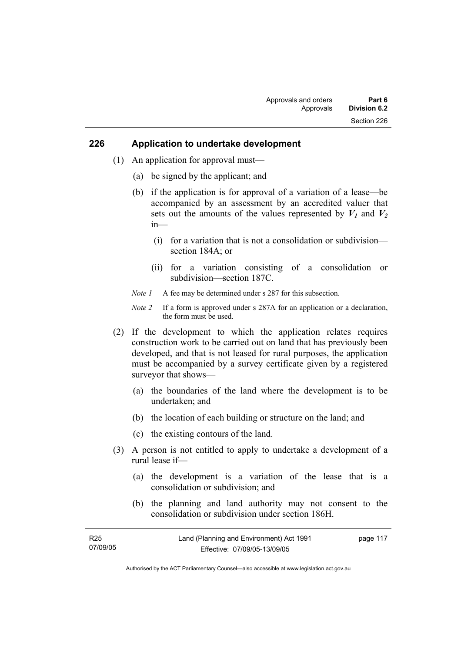#### **226 Application to undertake development**

- (1) An application for approval must—
	- (a) be signed by the applicant; and
	- (b) if the application is for approval of a variation of a lease—be accompanied by an assessment by an accredited valuer that sets out the amounts of the values represented by  $V_1$  and  $V_2$ in—
		- (i) for a variation that is not a consolidation or subdivision section 184A; or
		- (ii) for a variation consisting of a consolidation or subdivision—section 187C.
	- *Note 1* A fee may be determined under s 287 for this subsection.
	- *Note 2* If a form is approved under s 287A for an application or a declaration, the form must be used.
- (2) If the development to which the application relates requires construction work to be carried out on land that has previously been developed, and that is not leased for rural purposes, the application must be accompanied by a survey certificate given by a registered surveyor that shows—
	- (a) the boundaries of the land where the development is to be undertaken; and
	- (b) the location of each building or structure on the land; and
	- (c) the existing contours of the land.
- (3) A person is not entitled to apply to undertake a development of a rural lease if—
	- (a) the development is a variation of the lease that is a consolidation or subdivision; and
	- (b) the planning and land authority may not consent to the consolidation or subdivision under section 186H.

| <b>R25</b> | Land (Planning and Environment) Act 1991 | page 117 |
|------------|------------------------------------------|----------|
| 07/09/05   | Effective: 07/09/05-13/09/05             |          |

Authorised by the ACT Parliamentary Counsel—also accessible at www.legislation.act.gov.au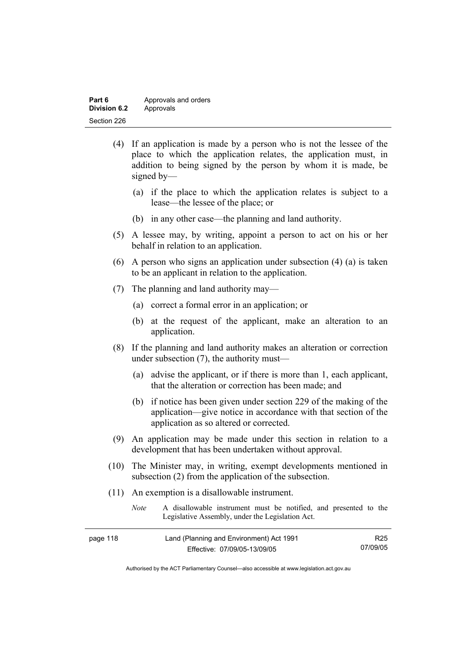| Part 6       | Approvals and orders |
|--------------|----------------------|
| Division 6.2 | Approvals            |
| Section 226  |                      |

- (4) If an application is made by a person who is not the lessee of the place to which the application relates, the application must, in addition to being signed by the person by whom it is made, be signed by—
	- (a) if the place to which the application relates is subject to a lease—the lessee of the place; or
	- (b) in any other case—the planning and land authority.
- (5) A lessee may, by writing, appoint a person to act on his or her behalf in relation to an application.
- (6) A person who signs an application under subsection (4) (a) is taken to be an applicant in relation to the application.
- (7) The planning and land authority may—
	- (a) correct a formal error in an application; or
	- (b) at the request of the applicant, make an alteration to an application.
- (8) If the planning and land authority makes an alteration or correction under subsection (7), the authority must—
	- (a) advise the applicant, or if there is more than 1, each applicant, that the alteration or correction has been made; and
	- (b) if notice has been given under section 229 of the making of the application—give notice in accordance with that section of the application as so altered or corrected.
- (9) An application may be made under this section in relation to a development that has been undertaken without approval.
- (10) The Minister may, in writing, exempt developments mentioned in subsection (2) from the application of the subsection.
- (11) An exemption is a disallowable instrument.

| <i>Note</i> | A disallowable instrument must be notified, and presented to the |
|-------------|------------------------------------------------------------------|
|             | Legislative Assembly, under the Legislation Act.                 |

| page 118 | Land (Planning and Environment) Act 1991 | R <sub>25</sub> |
|----------|------------------------------------------|-----------------|
|          | Effective: 07/09/05-13/09/05             | 07/09/05        |

Authorised by the ACT Parliamentary Counsel—also accessible at www.legislation.act.gov.au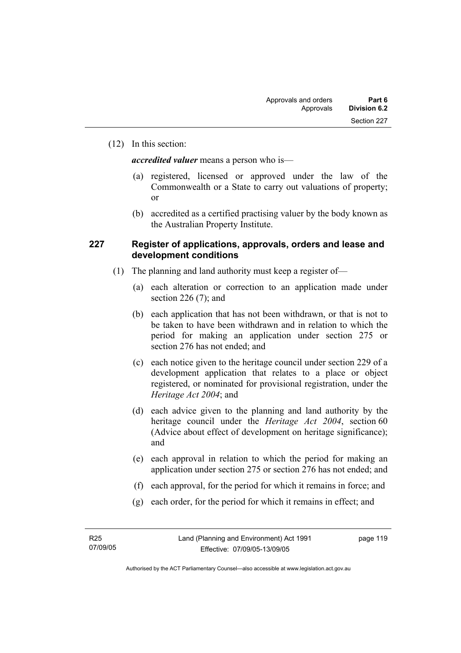(12) In this section:

*accredited valuer* means a person who is—

- (a) registered, licensed or approved under the law of the Commonwealth or a State to carry out valuations of property; or
- (b) accredited as a certified practising valuer by the body known as the Australian Property Institute.

#### **227 Register of applications, approvals, orders and lease and development conditions**

- (1) The planning and land authority must keep a register of—
	- (a) each alteration or correction to an application made under section 226 $(7)$ ; and
	- (b) each application that has not been withdrawn, or that is not to be taken to have been withdrawn and in relation to which the period for making an application under section 275 or section 276 has not ended; and
	- (c) each notice given to the heritage council under section 229 of a development application that relates to a place or object registered, or nominated for provisional registration, under the *Heritage Act 2004*; and
	- (d) each advice given to the planning and land authority by the heritage council under the *Heritage Act 2004*, section 60 (Advice about effect of development on heritage significance); and
	- (e) each approval in relation to which the period for making an application under section 275 or section 276 has not ended; and
	- (f) each approval, for the period for which it remains in force; and
	- (g) each order, for the period for which it remains in effect; and

page 119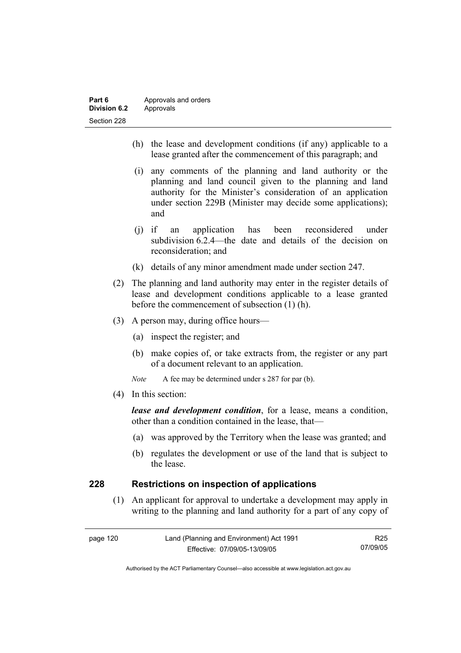| Part 6              | Approvals and orders |
|---------------------|----------------------|
| <b>Division 6.2</b> | Approvals            |
| Section 228         |                      |

- (h) the lease and development conditions (if any) applicable to a lease granted after the commencement of this paragraph; and
- (i) any comments of the planning and land authority or the planning and land council given to the planning and land authority for the Minister's consideration of an application under section 229B (Minister may decide some applications); and
- (j) if an application has been reconsidered under subdivision 6.2.4—the date and details of the decision on reconsideration; and
- (k) details of any minor amendment made under section 247.
- (2) The planning and land authority may enter in the register details of lease and development conditions applicable to a lease granted before the commencement of subsection (1) (h).
- (3) A person may, during office hours—
	- (a) inspect the register; and
	- (b) make copies of, or take extracts from, the register or any part of a document relevant to an application.
	- *Note* A fee may be determined under s 287 for par (b).
- (4) In this section:

*lease and development condition*, for a lease, means a condition, other than a condition contained in the lease, that—

- (a) was approved by the Territory when the lease was granted; and
- (b) regulates the development or use of the land that is subject to the lease.

#### **228 Restrictions on inspection of applications**

 (1) An applicant for approval to undertake a development may apply in writing to the planning and land authority for a part of any copy of

| page 120 | Land (Planning and Environment) Act 1991 | R25      |
|----------|------------------------------------------|----------|
|          | Effective: 07/09/05-13/09/05             | 07/09/05 |

Authorised by the ACT Parliamentary Counsel—also accessible at www.legislation.act.gov.au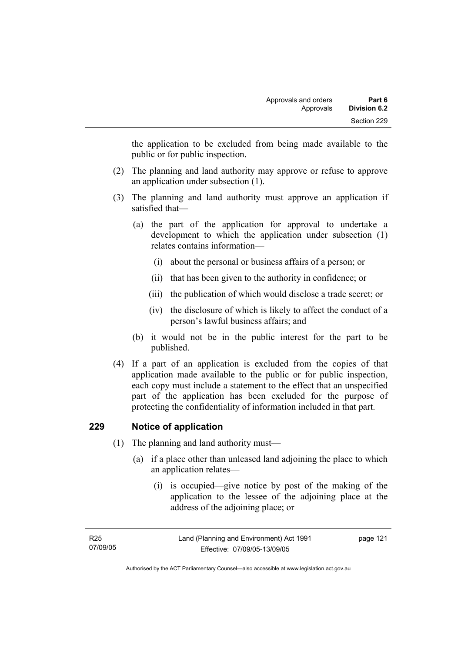the application to be excluded from being made available to the public or for public inspection.

- (2) The planning and land authority may approve or refuse to approve an application under subsection (1).
- (3) The planning and land authority must approve an application if satisfied that—
	- (a) the part of the application for approval to undertake a development to which the application under subsection (1) relates contains information—
		- (i) about the personal or business affairs of a person; or
		- (ii) that has been given to the authority in confidence; or
		- (iii) the publication of which would disclose a trade secret; or
		- (iv) the disclosure of which is likely to affect the conduct of a person's lawful business affairs; and
	- (b) it would not be in the public interest for the part to be published.
- (4) If a part of an application is excluded from the copies of that application made available to the public or for public inspection, each copy must include a statement to the effect that an unspecified part of the application has been excluded for the purpose of protecting the confidentiality of information included in that part.

# **229 Notice of application**

- (1) The planning and land authority must—
	- (a) if a place other than unleased land adjoining the place to which an application relates—
		- (i) is occupied—give notice by post of the making of the application to the lessee of the adjoining place at the address of the adjoining place; or

| R25      | Land (Planning and Environment) Act 1991 | page 121 |
|----------|------------------------------------------|----------|
| 07/09/05 | Effective: 07/09/05-13/09/05             |          |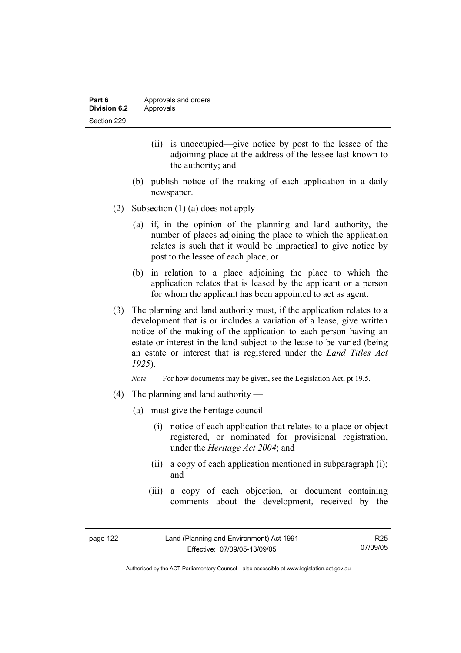- (ii) is unoccupied—give notice by post to the lessee of the adjoining place at the address of the lessee last-known to the authority; and
- (b) publish notice of the making of each application in a daily newspaper.
- (2) Subsection (1) (a) does not apply—
	- (a) if, in the opinion of the planning and land authority, the number of places adjoining the place to which the application relates is such that it would be impractical to give notice by post to the lessee of each place; or
	- (b) in relation to a place adjoining the place to which the application relates that is leased by the applicant or a person for whom the applicant has been appointed to act as agent.
- (3) The planning and land authority must, if the application relates to a development that is or includes a variation of a lease, give written notice of the making of the application to each person having an estate or interest in the land subject to the lease to be varied (being an estate or interest that is registered under the *Land Titles Act 1925*).

*Note* For how documents may be given, see the Legislation Act, pt 19.5.

- (4) The planning and land authority
	- (a) must give the heritage council—
		- (i) notice of each application that relates to a place or object registered, or nominated for provisional registration, under the *Heritage Act 2004*; and
		- (ii) a copy of each application mentioned in subparagraph (i); and
		- (iii) a copy of each objection, or document containing comments about the development, received by the

| page 122 | Land (Planning and Environment) Act 1991 | R25      |
|----------|------------------------------------------|----------|
|          | Effective: 07/09/05-13/09/05             | 07/09/05 |

Authorised by the ACT Parliamentary Counsel—also accessible at www.legislation.act.gov.au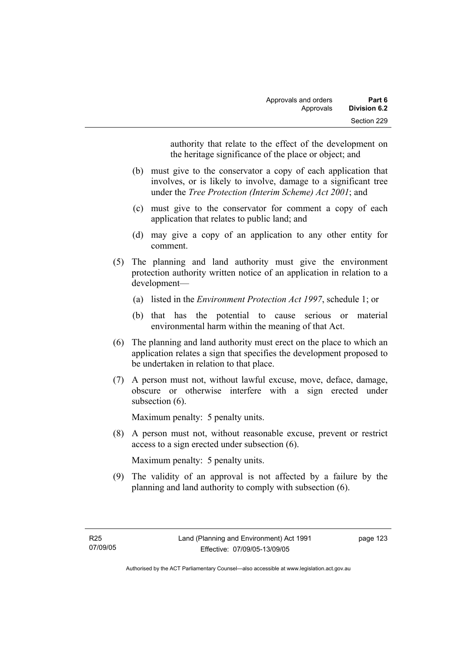authority that relate to the effect of the development on the heritage significance of the place or object; and

- (b) must give to the conservator a copy of each application that involves, or is likely to involve, damage to a significant tree under the *Tree Protection (Interim Scheme) Act 2001*; and
- (c) must give to the conservator for comment a copy of each application that relates to public land; and
- (d) may give a copy of an application to any other entity for comment.
- (5) The planning and land authority must give the environment protection authority written notice of an application in relation to a development—
	- (a) listed in the *Environment Protection Act 1997*, schedule 1; or
	- (b) that has the potential to cause serious or material environmental harm within the meaning of that Act.
- (6) The planning and land authority must erect on the place to which an application relates a sign that specifies the development proposed to be undertaken in relation to that place.
- (7) A person must not, without lawful excuse, move, deface, damage, obscure or otherwise interfere with a sign erected under subsection  $(6)$ .

Maximum penalty: 5 penalty units.

 (8) A person must not, without reasonable excuse, prevent or restrict access to a sign erected under subsection (6).

Maximum penalty: 5 penalty units.

 (9) The validity of an approval is not affected by a failure by the planning and land authority to comply with subsection (6).

page 123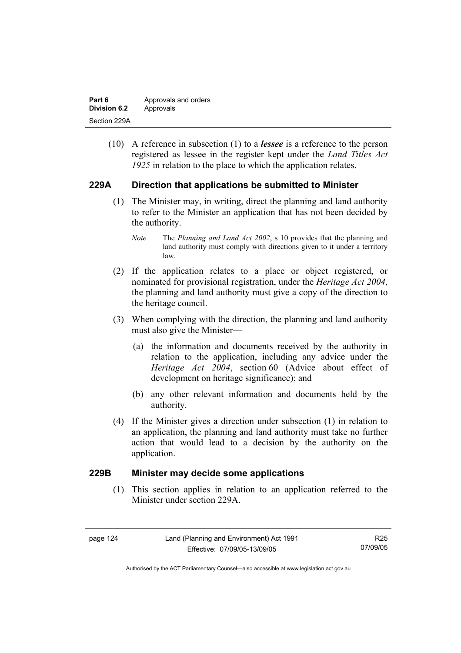| Part 6       | Approvals and orders |
|--------------|----------------------|
| Division 6.2 | Approvals            |
| Section 229A |                      |

 (10) A reference in subsection (1) to a *lessee* is a reference to the person registered as lessee in the register kept under the *Land Titles Act 1925* in relation to the place to which the application relates.

# **229A Direction that applications be submitted to Minister**

- (1) The Minister may, in writing, direct the planning and land authority to refer to the Minister an application that has not been decided by the authority.
	- *Note* The *Planning and Land Act 2002*, s 10 provides that the planning and land authority must comply with directions given to it under a territory law.
- (2) If the application relates to a place or object registered, or nominated for provisional registration, under the *Heritage Act 2004*, the planning and land authority must give a copy of the direction to the heritage council.
- (3) When complying with the direction, the planning and land authority must also give the Minister—
	- (a) the information and documents received by the authority in relation to the application, including any advice under the *Heritage Act 2004*, section 60 (Advice about effect of development on heritage significance); and
	- (b) any other relevant information and documents held by the authority.
- (4) If the Minister gives a direction under subsection (1) in relation to an application, the planning and land authority must take no further action that would lead to a decision by the authority on the application.

#### **229B Minister may decide some applications**

 (1) This section applies in relation to an application referred to the Minister under section 229A.

| page | 2Δ |
|------|----|
|------|----|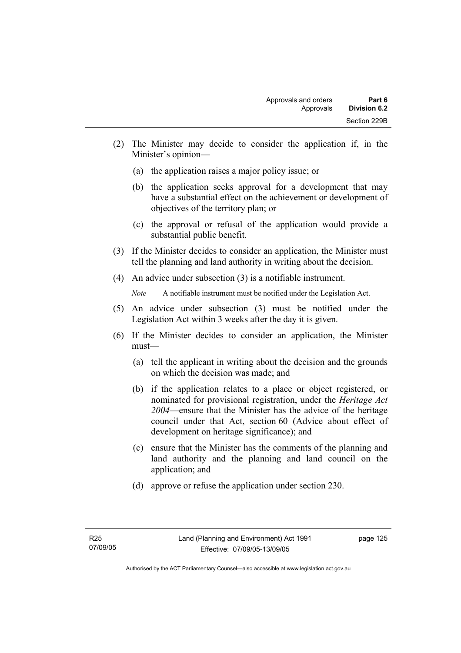- (2) The Minister may decide to consider the application if, in the Minister's opinion—
	- (a) the application raises a major policy issue; or
	- (b) the application seeks approval for a development that may have a substantial effect on the achievement or development of objectives of the territory plan; or
	- (c) the approval or refusal of the application would provide a substantial public benefit.
- (3) If the Minister decides to consider an application, the Minister must tell the planning and land authority in writing about the decision.
- (4) An advice under subsection (3) is a notifiable instrument.

*Note* A notifiable instrument must be notified under the Legislation Act.

- (5) An advice under subsection (3) must be notified under the Legislation Act within 3 weeks after the day it is given.
- (6) If the Minister decides to consider an application, the Minister must—
	- (a) tell the applicant in writing about the decision and the grounds on which the decision was made; and
	- (b) if the application relates to a place or object registered, or nominated for provisional registration, under the *Heritage Act 2004*—ensure that the Minister has the advice of the heritage council under that Act, section 60 (Advice about effect of development on heritage significance); and
	- (c) ensure that the Minister has the comments of the planning and land authority and the planning and land council on the application; and
	- (d) approve or refuse the application under section 230.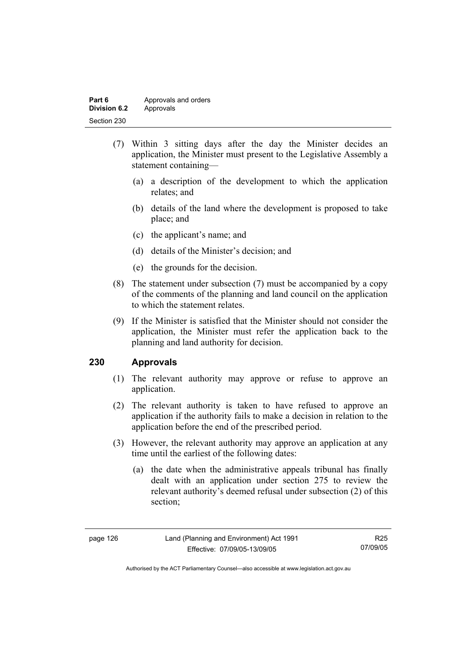| Part 6       | Approvals and orders |
|--------------|----------------------|
| Division 6.2 | Approvals            |
| Section 230  |                      |

- (7) Within 3 sitting days after the day the Minister decides an application, the Minister must present to the Legislative Assembly a statement containing—
	- (a) a description of the development to which the application relates; and
	- (b) details of the land where the development is proposed to take place; and
	- (c) the applicant's name; and
	- (d) details of the Minister's decision; and
	- (e) the grounds for the decision.
- (8) The statement under subsection (7) must be accompanied by a copy of the comments of the planning and land council on the application to which the statement relates.
- (9) If the Minister is satisfied that the Minister should not consider the application, the Minister must refer the application back to the planning and land authority for decision.

# **230 Approvals**

- (1) The relevant authority may approve or refuse to approve an application.
- (2) The relevant authority is taken to have refused to approve an application if the authority fails to make a decision in relation to the application before the end of the prescribed period.
- (3) However, the relevant authority may approve an application at any time until the earliest of the following dates:
	- (a) the date when the administrative appeals tribunal has finally dealt with an application under section 275 to review the relevant authority's deemed refusal under subsection (2) of this section;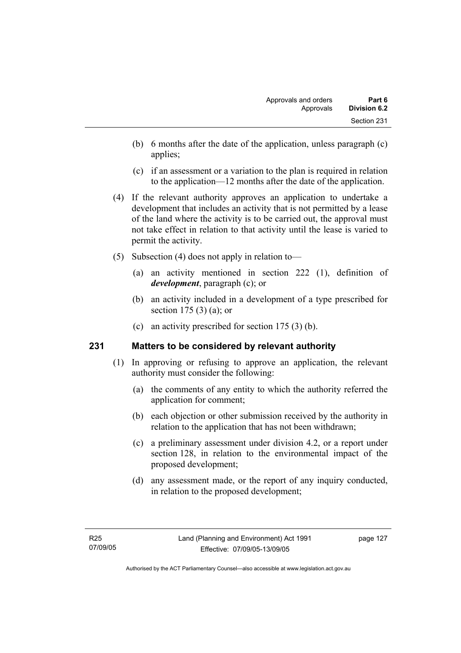- (b) 6 months after the date of the application, unless paragraph (c) applies;
- (c) if an assessment or a variation to the plan is required in relation to the application—12 months after the date of the application.
- (4) If the relevant authority approves an application to undertake a development that includes an activity that is not permitted by a lease of the land where the activity is to be carried out, the approval must not take effect in relation to that activity until the lease is varied to permit the activity.
- (5) Subsection (4) does not apply in relation to—
	- (a) an activity mentioned in section 222 (1), definition of *development*, paragraph (c); or
	- (b) an activity included in a development of a type prescribed for section 175 (3) (a); or
	- (c) an activity prescribed for section 175 (3) (b).

#### **231 Matters to be considered by relevant authority**

- (1) In approving or refusing to approve an application, the relevant authority must consider the following:
	- (a) the comments of any entity to which the authority referred the application for comment;
	- (b) each objection or other submission received by the authority in relation to the application that has not been withdrawn;
	- (c) a preliminary assessment under division 4.2, or a report under section 128, in relation to the environmental impact of the proposed development;
	- (d) any assessment made, or the report of any inquiry conducted, in relation to the proposed development;

page 127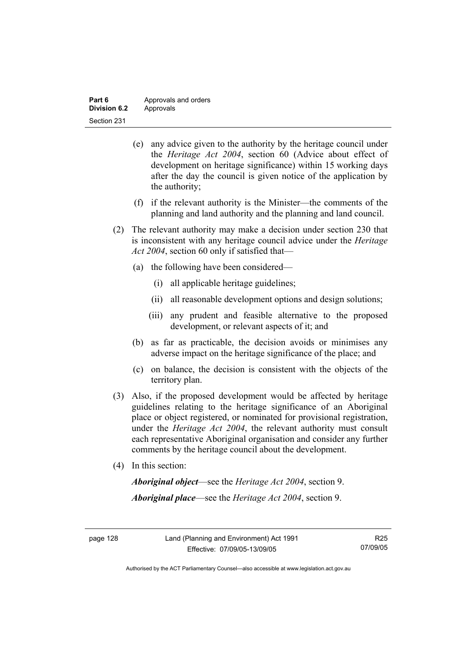| Part 6       | Approvals and orders |
|--------------|----------------------|
| Division 6.2 | Approvals            |
| Section 231  |                      |

- (e) any advice given to the authority by the heritage council under the *Heritage Act 2004*, section 60 (Advice about effect of development on heritage significance) within 15 working days after the day the council is given notice of the application by the authority;
- (f) if the relevant authority is the Minister—the comments of the planning and land authority and the planning and land council.
- (2) The relevant authority may make a decision under section 230 that is inconsistent with any heritage council advice under the *Heritage Act 2004*, section 60 only if satisfied that—
	- (a) the following have been considered—
		- (i) all applicable heritage guidelines;
		- (ii) all reasonable development options and design solutions;
		- (iii) any prudent and feasible alternative to the proposed development, or relevant aspects of it; and
	- (b) as far as practicable, the decision avoids or minimises any adverse impact on the heritage significance of the place; and
	- (c) on balance, the decision is consistent with the objects of the territory plan.
- (3) Also, if the proposed development would be affected by heritage guidelines relating to the heritage significance of an Aboriginal place or object registered, or nominated for provisional registration, under the *Heritage Act 2004*, the relevant authority must consult each representative Aboriginal organisation and consider any further comments by the heritage council about the development.
- (4) In this section:

*Aboriginal object*—see the *Heritage Act 2004*, section 9. *Aboriginal place*—see the *Heritage Act 2004*, section 9.

Authorised by the ACT Parliamentary Counsel—also accessible at www.legislation.act.gov.au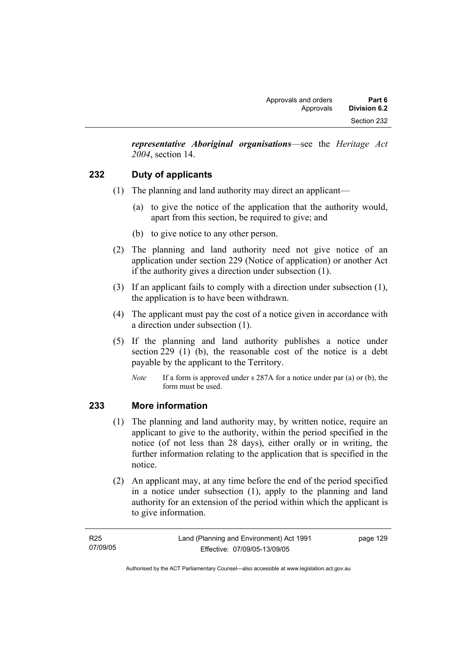*representative Aboriginal organisations*—see the *Heritage Act 2004*, section 14.

# **232 Duty of applicants**

- (1) The planning and land authority may direct an applicant—
	- (a) to give the notice of the application that the authority would, apart from this section, be required to give; and
	- (b) to give notice to any other person.
- (2) The planning and land authority need not give notice of an application under section 229 (Notice of application) or another Act if the authority gives a direction under subsection (1).
- (3) If an applicant fails to comply with a direction under subsection (1), the application is to have been withdrawn.
- (4) The applicant must pay the cost of a notice given in accordance with a direction under subsection (1).
- (5) If the planning and land authority publishes a notice under section 229 (1) (b), the reasonable cost of the notice is a debt payable by the applicant to the Territory.
	- *Note* If a form is approved under s 287A for a notice under par (a) or (b), the form must be used.

#### **233 More information**

- (1) The planning and land authority may, by written notice, require an applicant to give to the authority, within the period specified in the notice (of not less than 28 days), either orally or in writing, the further information relating to the application that is specified in the notice.
- (2) An applicant may, at any time before the end of the period specified in a notice under subsection (1), apply to the planning and land authority for an extension of the period within which the applicant is to give information.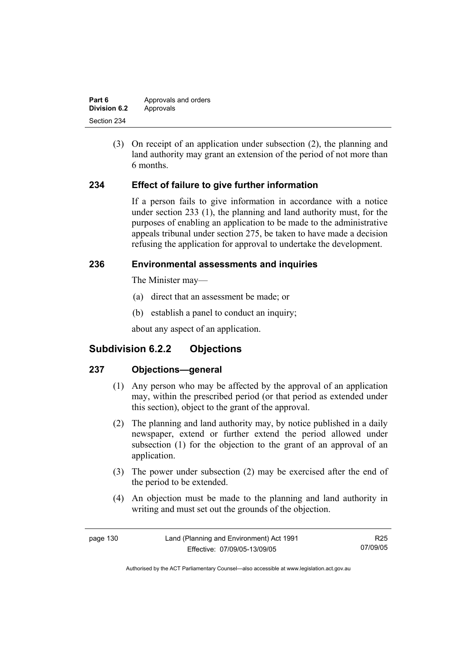| Part 6       | Approvals and orders |
|--------------|----------------------|
| Division 6.2 | Approvals            |
| Section 234  |                      |

 (3) On receipt of an application under subsection (2), the planning and land authority may grant an extension of the period of not more than 6 months.

# **234 Effect of failure to give further information**

If a person fails to give information in accordance with a notice under section 233 (1), the planning and land authority must, for the purposes of enabling an application to be made to the administrative appeals tribunal under section 275, be taken to have made a decision refusing the application for approval to undertake the development.

#### **236 Environmental assessments and inquiries**

The Minister may—

- (a) direct that an assessment be made; or
- (b) establish a panel to conduct an inquiry;

about any aspect of an application.

# **Subdivision 6.2.2 Objections**

#### **237 Objections—general**

- (1) Any person who may be affected by the approval of an application may, within the prescribed period (or that period as extended under this section), object to the grant of the approval.
- (2) The planning and land authority may, by notice published in a daily newspaper, extend or further extend the period allowed under subsection (1) for the objection to the grant of an approval of an application.
- (3) The power under subsection (2) may be exercised after the end of the period to be extended.
- (4) An objection must be made to the planning and land authority in writing and must set out the grounds of the objection.

| page 130 | Land (Planning and Environment) Act 1991 | R25      |
|----------|------------------------------------------|----------|
|          | Effective: 07/09/05-13/09/05             | 07/09/05 |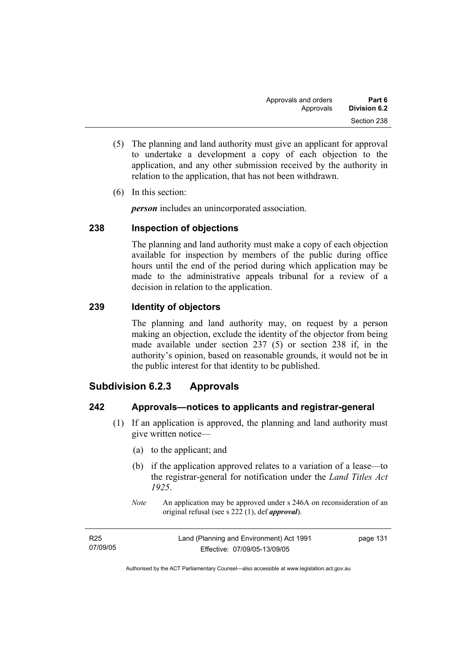- (5) The planning and land authority must give an applicant for approval to undertake a development a copy of each objection to the application, and any other submission received by the authority in relation to the application, that has not been withdrawn.
- (6) In this section:

*person* includes an unincorporated association.

# **238 Inspection of objections**

The planning and land authority must make a copy of each objection available for inspection by members of the public during office hours until the end of the period during which application may be made to the administrative appeals tribunal for a review of a decision in relation to the application.

# **239 Identity of objectors**

The planning and land authority may, on request by a person making an objection, exclude the identity of the objector from being made available under section 237 (5) or section 238 if, in the authority's opinion, based on reasonable grounds, it would not be in the public interest for that identity to be published.

# **Subdivision 6.2.3 Approvals**

# **242 Approvals—notices to applicants and registrar-general**

- (1) If an application is approved, the planning and land authority must give written notice—
	- (a) to the applicant; and
	- (b) if the application approved relates to a variation of a lease—to the registrar-general for notification under the *Land Titles Act 1925*.
	- *Note* An application may be approved under s 246A on reconsideration of an original refusal (see s 222 (1), def *approval*).

| R <sub>25</sub> | Land (Planning and Environment) Act 1991 | page 131 |
|-----------------|------------------------------------------|----------|
| 07/09/05        | Effective: 07/09/05-13/09/05             |          |
|                 |                                          |          |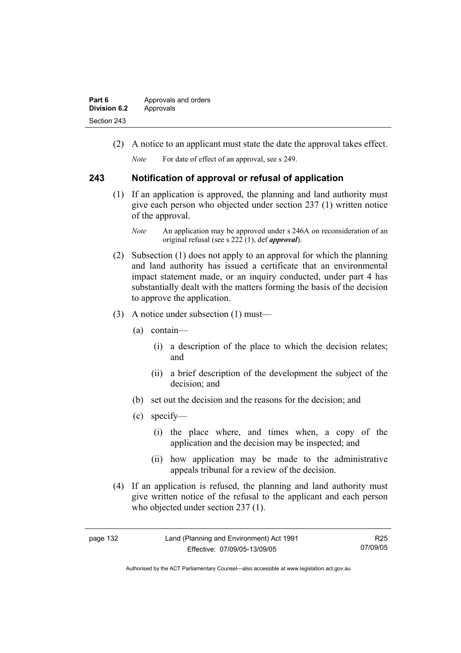| Part 6              | Approvals and orders |  |
|---------------------|----------------------|--|
| <b>Division 6.2</b> | Approvals            |  |
| Section 243         |                      |  |

(2) A notice to an applicant must state the date the approval takes effect.

*Note* For date of effect of an approval, see s 249.

#### **243 Notification of approval or refusal of application**

- (1) If an application is approved, the planning and land authority must give each person who objected under section 237 (1) written notice of the approval.
	- *Note* An application may be approved under s 246A on reconsideration of an original refusal (see s 222 (1), def *approval*).
- (2) Subsection (1) does not apply to an approval for which the planning and land authority has issued a certificate that an environmental impact statement made, or an inquiry conducted, under part 4 has substantially dealt with the matters forming the basis of the decision to approve the application.
- (3) A notice under subsection (1) must—
	- (a) contain—
		- (i) a description of the place to which the decision relates; and
		- (ii) a brief description of the development the subject of the decision; and
	- (b) set out the decision and the reasons for the decision; and
	- (c) specify—
		- (i) the place where, and times when, a copy of the application and the decision may be inspected; and
		- (ii) how application may be made to the administrative appeals tribunal for a review of the decision.
- (4) If an application is refused, the planning and land authority must give written notice of the refusal to the applicant and each person who objected under section 237 (1).

| 132<br>page |  |
|-------------|--|
|-------------|--|

R25 07/09/05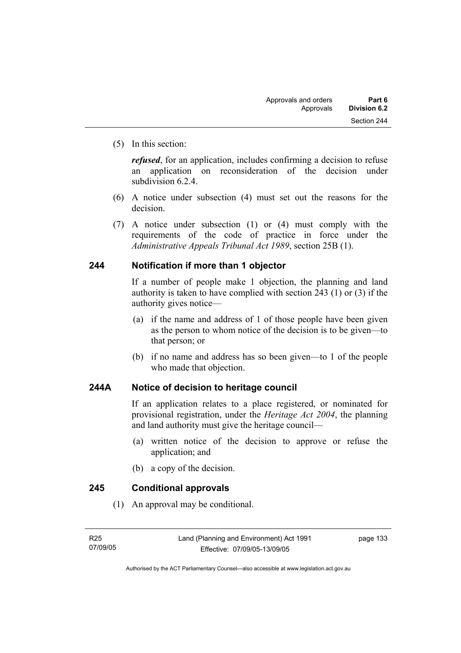(5) In this section:

*refused*, for an application, includes confirming a decision to refuse an application on reconsideration of the decision under subdivision 6.2.4.

- (6) A notice under subsection (4) must set out the reasons for the decision.
- (7) A notice under subsection (1) or (4) must comply with the requirements of the code of practice in force under the *Administrative Appeals Tribunal Act 1989*, section 25B (1).

# **244 Notification if more than 1 objector**

If a number of people make 1 objection, the planning and land authority is taken to have complied with section 243 (1) or (3) if the authority gives notice—

- (a) if the name and address of 1 of those people have been given as the person to whom notice of the decision is to be given—to that person; or
- (b) if no name and address has so been given—to 1 of the people who made that objection.

# **244A Notice of decision to heritage council**

If an application relates to a place registered, or nominated for provisional registration, under the *Heritage Act 2004*, the planning and land authority must give the heritage council—

- (a) written notice of the decision to approve or refuse the application; and
- (b) a copy of the decision.

# **245 Conditional approvals**

(1) An approval may be conditional.

page 133

Authorised by the ACT Parliamentary Counsel—also accessible at www.legislation.act.gov.au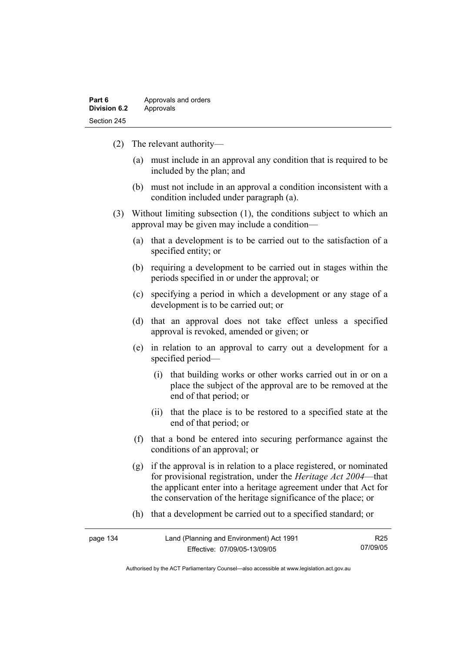| Part 6              | Approvals and orders |  |
|---------------------|----------------------|--|
| <b>Division 6.2</b> | Approvals            |  |
| Section 245         |                      |  |

- (2) The relevant authority—
	- (a) must include in an approval any condition that is required to be included by the plan; and
	- (b) must not include in an approval a condition inconsistent with a condition included under paragraph (a).
- (3) Without limiting subsection (1), the conditions subject to which an approval may be given may include a condition—
	- (a) that a development is to be carried out to the satisfaction of a specified entity; or
	- (b) requiring a development to be carried out in stages within the periods specified in or under the approval; or
	- (c) specifying a period in which a development or any stage of a development is to be carried out; or
	- (d) that an approval does not take effect unless a specified approval is revoked, amended or given; or
	- (e) in relation to an approval to carry out a development for a specified period—
		- (i) that building works or other works carried out in or on a place the subject of the approval are to be removed at the end of that period; or
		- (ii) that the place is to be restored to a specified state at the end of that period; or
	- (f) that a bond be entered into securing performance against the conditions of an approval; or
	- (g) if the approval is in relation to a place registered, or nominated for provisional registration, under the *Heritage Act 2004*—that the applicant enter into a heritage agreement under that Act for the conservation of the heritage significance of the place; or
	- (h) that a development be carried out to a specified standard; or

| page 134 | Land (Planning and Environment) Act 1991 | R <sub>25</sub> |
|----------|------------------------------------------|-----------------|
|          | Effective: 07/09/05-13/09/05             | 07/09/05        |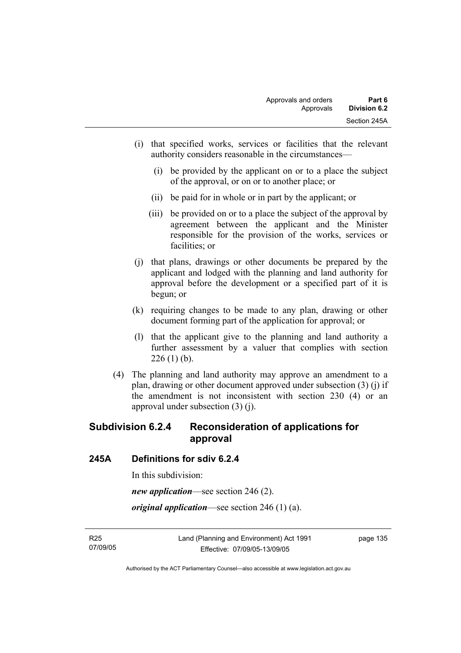- (i) that specified works, services or facilities that the relevant authority considers reasonable in the circumstances—
	- (i) be provided by the applicant on or to a place the subject of the approval, or on or to another place; or
	- (ii) be paid for in whole or in part by the applicant; or
	- (iii) be provided on or to a place the subject of the approval by agreement between the applicant and the Minister responsible for the provision of the works, services or facilities; or
- (j) that plans, drawings or other documents be prepared by the applicant and lodged with the planning and land authority for approval before the development or a specified part of it is begun; or
- (k) requiring changes to be made to any plan, drawing or other document forming part of the application for approval; or
- (l) that the applicant give to the planning and land authority a further assessment by a valuer that complies with section  $226(1)$  (b).
- (4) The planning and land authority may approve an amendment to a plan, drawing or other document approved under subsection (3) (j) if the amendment is not inconsistent with section 230 (4) or an approval under subsection (3) (j).

# **Subdivision 6.2.4 Reconsideration of applications for approval**

#### **245A Definitions for sdiv 6.2.4**

In this subdivision:

*new application*—see section 246 (2).

*original application*—see section 246 (1) (a).

R25 07/09/05 page 135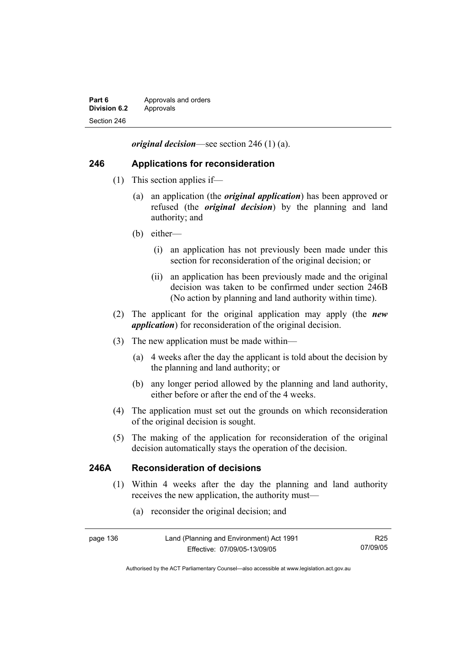| Part 6              | Approvals and orders |  |
|---------------------|----------------------|--|
| <b>Division 6.2</b> | Approvals            |  |
| Section 246         |                      |  |

*original decision*—see section 246 (1) (a).

#### **246 Applications for reconsideration**

- (1) This section applies if—
	- (a) an application (the *original application*) has been approved or refused (the *original decision*) by the planning and land authority; and
	- (b) either—
		- (i) an application has not previously been made under this section for reconsideration of the original decision; or
		- (ii) an application has been previously made and the original decision was taken to be confirmed under section 246B (No action by planning and land authority within time).
- (2) The applicant for the original application may apply (the *new application*) for reconsideration of the original decision.
- (3) The new application must be made within—
	- (a) 4 weeks after the day the applicant is told about the decision by the planning and land authority; or
	- (b) any longer period allowed by the planning and land authority, either before or after the end of the 4 weeks.
- (4) The application must set out the grounds on which reconsideration of the original decision is sought.
- (5) The making of the application for reconsideration of the original decision automatically stays the operation of the decision.

#### **246A Reconsideration of decisions**

- (1) Within 4 weeks after the day the planning and land authority receives the new application, the authority must—
	- (a) reconsider the original decision; and

| page 136 | Land (Planning and Environment) Act 1991 | R25      |
|----------|------------------------------------------|----------|
|          | Effective: 07/09/05-13/09/05             | 07/09/05 |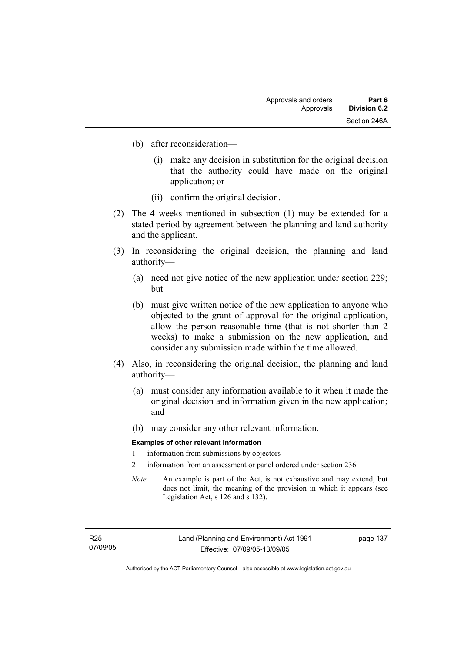- (b) after reconsideration—
	- (i) make any decision in substitution for the original decision that the authority could have made on the original application; or
	- (ii) confirm the original decision.
- (2) The 4 weeks mentioned in subsection (1) may be extended for a stated period by agreement between the planning and land authority and the applicant.
- (3) In reconsidering the original decision, the planning and land authority—
	- (a) need not give notice of the new application under section 229; but
	- (b) must give written notice of the new application to anyone who objected to the grant of approval for the original application, allow the person reasonable time (that is not shorter than 2 weeks) to make a submission on the new application, and consider any submission made within the time allowed.
- (4) Also, in reconsidering the original decision, the planning and land authority—
	- (a) must consider any information available to it when it made the original decision and information given in the new application; and
	- (b) may consider any other relevant information.

#### **Examples of other relevant information**

- 1 information from submissions by objectors
- 2 information from an assessment or panel ordered under section 236
- *Note* An example is part of the Act, is not exhaustive and may extend, but does not limit, the meaning of the provision in which it appears (see Legislation Act, s 126 and s 132).

page 137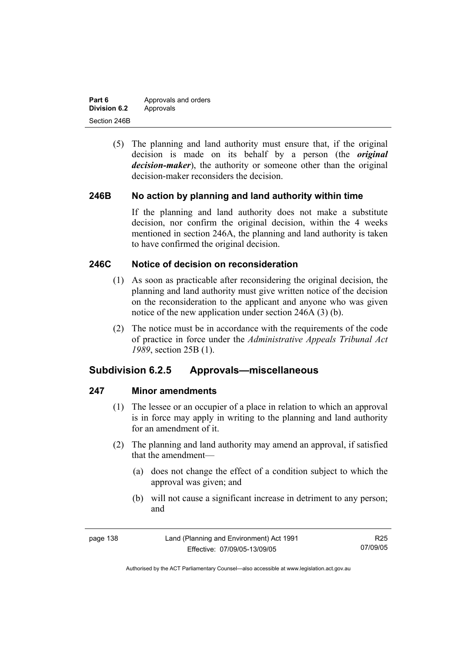| Part 6              | Approvals and orders |  |
|---------------------|----------------------|--|
| <b>Division 6.2</b> | Approvals            |  |
| Section 246B        |                      |  |

 (5) The planning and land authority must ensure that, if the original decision is made on its behalf by a person (the *original decision-maker*), the authority or someone other than the original decision-maker reconsiders the decision.

#### **246B No action by planning and land authority within time**

If the planning and land authority does not make a substitute decision, nor confirm the original decision, within the 4 weeks mentioned in section 246A, the planning and land authority is taken to have confirmed the original decision.

### **246C Notice of decision on reconsideration**

- (1) As soon as practicable after reconsidering the original decision, the planning and land authority must give written notice of the decision on the reconsideration to the applicant and anyone who was given notice of the new application under section 246A (3) (b).
- (2) The notice must be in accordance with the requirements of the code of practice in force under the *Administrative Appeals Tribunal Act 1989*, section 25B (1).

# **Subdivision 6.2.5 Approvals—miscellaneous**

#### **247 Minor amendments**

- (1) The lessee or an occupier of a place in relation to which an approval is in force may apply in writing to the planning and land authority for an amendment of it.
- (2) The planning and land authority may amend an approval, if satisfied that the amendment—
	- (a) does not change the effect of a condition subject to which the approval was given; and
	- (b) will not cause a significant increase in detriment to any person; and

| page 138 | Land (Planning and Environment) Act 1991 | R25      |
|----------|------------------------------------------|----------|
|          | Effective: 07/09/05-13/09/05             | 07/09/05 |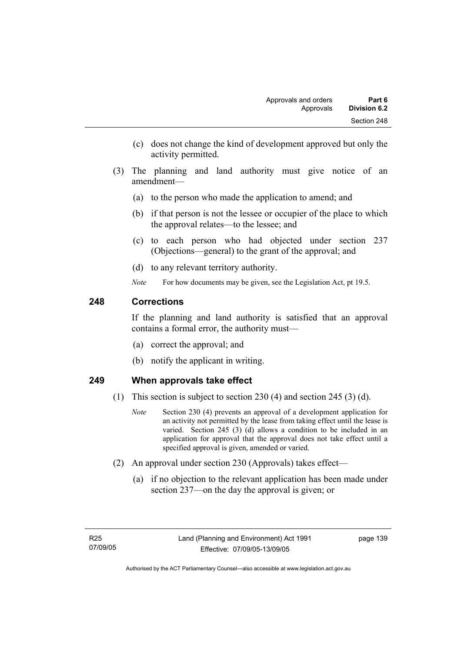- (c) does not change the kind of development approved but only the activity permitted.
- (3) The planning and land authority must give notice of an amendment—
	- (a) to the person who made the application to amend; and
	- (b) if that person is not the lessee or occupier of the place to which the approval relates—to the lessee; and
	- (c) to each person who had objected under section 237 (Objections—general) to the grant of the approval; and
	- (d) to any relevant territory authority.
	- *Note* For how documents may be given, see the Legislation Act, pt 19.5.

# **248 Corrections**

If the planning and land authority is satisfied that an approval contains a formal error, the authority must—

- (a) correct the approval; and
- (b) notify the applicant in writing.

# **249 When approvals take effect**

- (1) This section is subject to section 230 (4) and section 245 (3) (d).
	- *Note* Section 230 (4) prevents an approval of a development application for an activity not permitted by the lease from taking effect until the lease is varied. Section 245 (3) (d) allows a condition to be included in an application for approval that the approval does not take effect until a specified approval is given, amended or varied.
- (2) An approval under section 230 (Approvals) takes effect—
	- (a) if no objection to the relevant application has been made under section 237—on the day the approval is given; or

page 139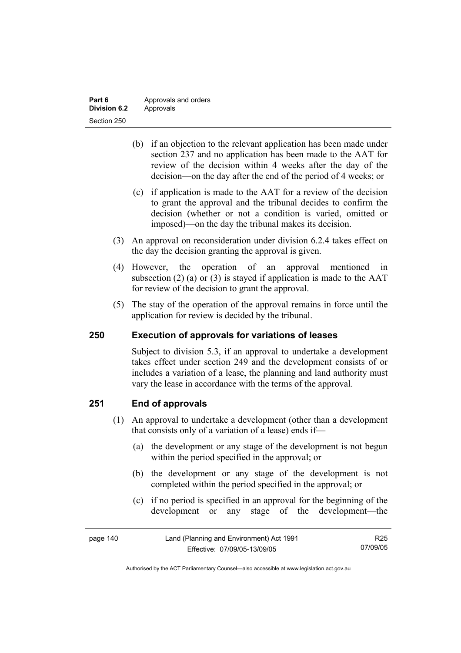| Part 6       | Approvals and orders |  |
|--------------|----------------------|--|
| Division 6.2 | Approvals            |  |
| Section 250  |                      |  |

- (b) if an objection to the relevant application has been made under section 237 and no application has been made to the AAT for review of the decision within 4 weeks after the day of the decision—on the day after the end of the period of 4 weeks; or
- (c) if application is made to the AAT for a review of the decision to grant the approval and the tribunal decides to confirm the decision (whether or not a condition is varied, omitted or imposed)—on the day the tribunal makes its decision.
- (3) An approval on reconsideration under division 6.2.4 takes effect on the day the decision granting the approval is given.
- (4) However, the operation of an approval mentioned in subsection (2) (a) or (3) is stayed if application is made to the  $AAT$ for review of the decision to grant the approval.
- (5) The stay of the operation of the approval remains in force until the application for review is decided by the tribunal.

#### **250 Execution of approvals for variations of leases**

Subject to division 5.3, if an approval to undertake a development takes effect under section 249 and the development consists of or includes a variation of a lease, the planning and land authority must vary the lease in accordance with the terms of the approval.

#### **251 End of approvals**

- (1) An approval to undertake a development (other than a development that consists only of a variation of a lease) ends if—
	- (a) the development or any stage of the development is not begun within the period specified in the approval; or
	- (b) the development or any stage of the development is not completed within the period specified in the approval; or
	- (c) if no period is specified in an approval for the beginning of the development or any stage of the development—the

| page 140 | Land (Planning and Environment) Act 1991 | R25      |
|----------|------------------------------------------|----------|
|          | Effective: 07/09/05-13/09/05             | 07/09/05 |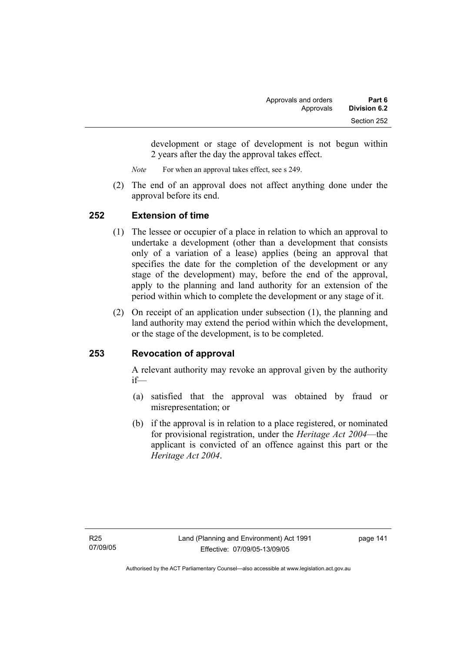development or stage of development is not begun within 2 years after the day the approval takes effect.

*Note* For when an approval takes effect, see s 249.

 (2) The end of an approval does not affect anything done under the approval before its end.

### **252 Extension of time**

- (1) The lessee or occupier of a place in relation to which an approval to undertake a development (other than a development that consists only of a variation of a lease) applies (being an approval that specifies the date for the completion of the development or any stage of the development) may, before the end of the approval, apply to the planning and land authority for an extension of the period within which to complete the development or any stage of it.
- (2) On receipt of an application under subsection (1), the planning and land authority may extend the period within which the development, or the stage of the development, is to be completed.

# **253 Revocation of approval**

A relevant authority may revoke an approval given by the authority if—

- (a) satisfied that the approval was obtained by fraud or misrepresentation; or
- (b) if the approval is in relation to a place registered, or nominated for provisional registration, under the *Heritage Act 2004*—the applicant is convicted of an offence against this part or the *Heritage Act 2004*.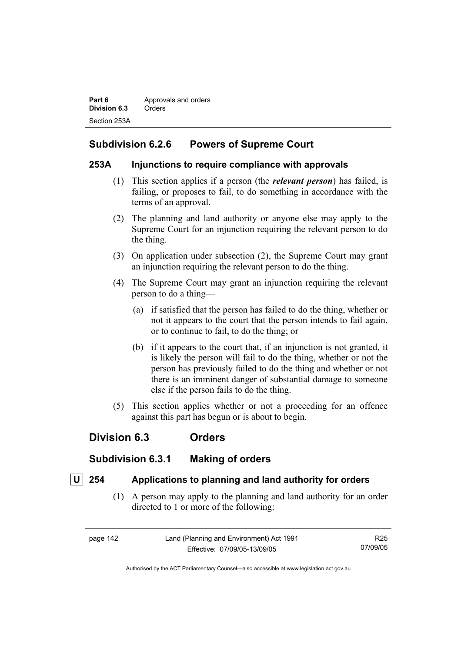**Part 6 Approvals and orders Division 6.3** Orders Section 253A

# **Subdivision 6.2.6 Powers of Supreme Court**

#### **253A Injunctions to require compliance with approvals**

- (1) This section applies if a person (the *relevant person*) has failed, is failing, or proposes to fail, to do something in accordance with the terms of an approval.
- (2) The planning and land authority or anyone else may apply to the Supreme Court for an injunction requiring the relevant person to do the thing.
- (3) On application under subsection (2), the Supreme Court may grant an injunction requiring the relevant person to do the thing.
- (4) The Supreme Court may grant an injunction requiring the relevant person to do a thing—
	- (a) if satisfied that the person has failed to do the thing, whether or not it appears to the court that the person intends to fail again, or to continue to fail, to do the thing; or
	- (b) if it appears to the court that, if an injunction is not granted, it is likely the person will fail to do the thing, whether or not the person has previously failed to do the thing and whether or not there is an imminent danger of substantial damage to someone else if the person fails to do the thing.
- (5) This section applies whether or not a proceeding for an offence against this part has begun or is about to begin.

# **Division 6.3 Orders**

# **Subdivision 6.3.1 Making of orders**

# **U 254 Applications to planning and land authority for orders**

 (1) A person may apply to the planning and land authority for an order directed to 1 or more of the following:

| page 142 | Land (Planning and Environment) Act 1991 | R25      |
|----------|------------------------------------------|----------|
|          | Effective: 07/09/05-13/09/05             | 07/09/05 |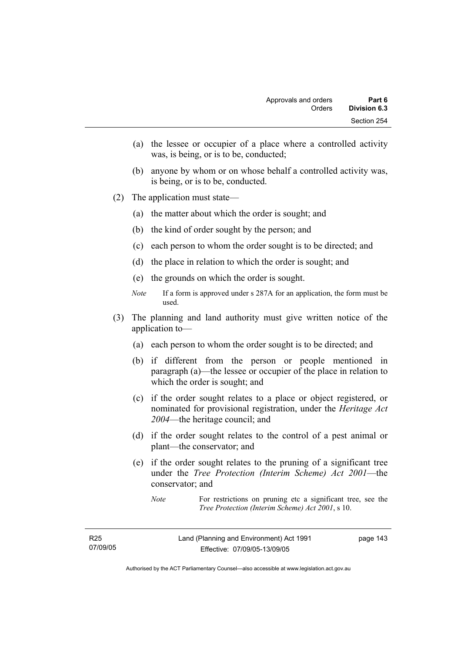- (a) the lessee or occupier of a place where a controlled activity was, is being, or is to be, conducted;
- (b) anyone by whom or on whose behalf a controlled activity was, is being, or is to be, conducted.
- (2) The application must state—
	- (a) the matter about which the order is sought; and
	- (b) the kind of order sought by the person; and
	- (c) each person to whom the order sought is to be directed; and
	- (d) the place in relation to which the order is sought; and
	- (e) the grounds on which the order is sought.
	- *Note* If a form is approved under s 287A for an application, the form must be used.
- (3) The planning and land authority must give written notice of the application to—
	- (a) each person to whom the order sought is to be directed; and
	- (b) if different from the person or people mentioned in paragraph (a)—the lessee or occupier of the place in relation to which the order is sought; and
	- (c) if the order sought relates to a place or object registered, or nominated for provisional registration, under the *Heritage Act 2004*—the heritage council; and
	- (d) if the order sought relates to the control of a pest animal or plant—the conservator; and
	- (e) if the order sought relates to the pruning of a significant tree under the *Tree Protection (Interim Scheme) Act 2001*—the conservator; and

*Note* For restrictions on pruning etc a significant tree, see the *Tree Protection (Interim Scheme) Act 2001*, s 10.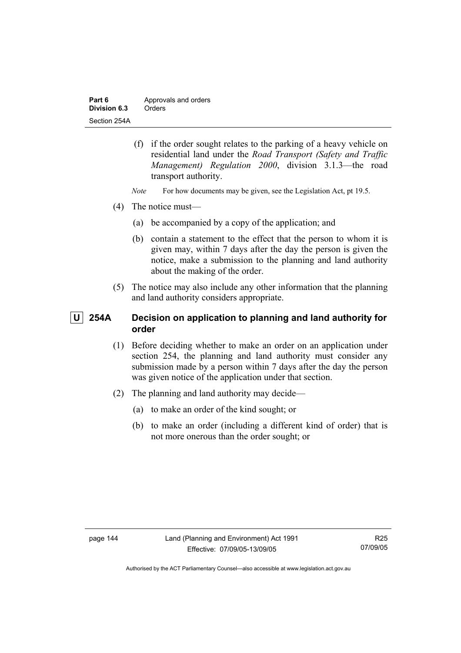| Part 6       | Approvals and orders |
|--------------|----------------------|
| Division 6.3 | Orders               |
| Section 254A |                      |

- (f) if the order sought relates to the parking of a heavy vehicle on residential land under the *Road Transport (Safety and Traffic Management) Regulation 2000*, division 3.1.3—the road transport authority.
- *Note* For how documents may be given, see the Legislation Act, pt 19.5.
- (4) The notice must—
	- (a) be accompanied by a copy of the application; and
	- (b) contain a statement to the effect that the person to whom it is given may, within 7 days after the day the person is given the notice, make a submission to the planning and land authority about the making of the order.
- (5) The notice may also include any other information that the planning and land authority considers appropriate.

# **U 254A Decision on application to planning and land authority for order**

- (1) Before deciding whether to make an order on an application under section 254, the planning and land authority must consider any submission made by a person within 7 days after the day the person was given notice of the application under that section.
- (2) The planning and land authority may decide—
	- (a) to make an order of the kind sought; or
	- (b) to make an order (including a different kind of order) that is not more onerous than the order sought; or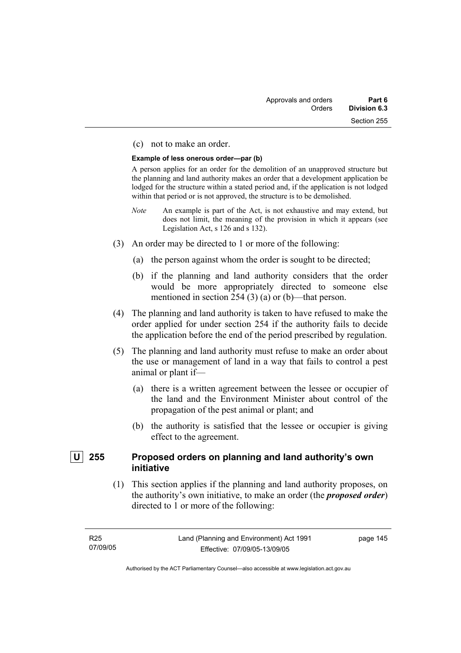#### (c) not to make an order.

#### **Example of less onerous order—par (b)**

A person applies for an order for the demolition of an unapproved structure but the planning and land authority makes an order that a development application be lodged for the structure within a stated period and, if the application is not lodged within that period or is not approved, the structure is to be demolished.

- *Note* An example is part of the Act, is not exhaustive and may extend, but does not limit, the meaning of the provision in which it appears (see Legislation Act, s 126 and s 132).
- (3) An order may be directed to 1 or more of the following:
	- (a) the person against whom the order is sought to be directed;
	- (b) if the planning and land authority considers that the order would be more appropriately directed to someone else mentioned in section 254 (3) (a) or (b)—that person.
- (4) The planning and land authority is taken to have refused to make the order applied for under section 254 if the authority fails to decide the application before the end of the period prescribed by regulation.
- (5) The planning and land authority must refuse to make an order about the use or management of land in a way that fails to control a pest animal or plant if—
	- (a) there is a written agreement between the lessee or occupier of the land and the Environment Minister about control of the propagation of the pest animal or plant; and
	- (b) the authority is satisfied that the lessee or occupier is giving effect to the agreement.

### **U 255 Proposed orders on planning and land authority's own initiative**

 (1) This section applies if the planning and land authority proposes, on the authority's own initiative, to make an order (the *proposed order*) directed to 1 or more of the following:

page 145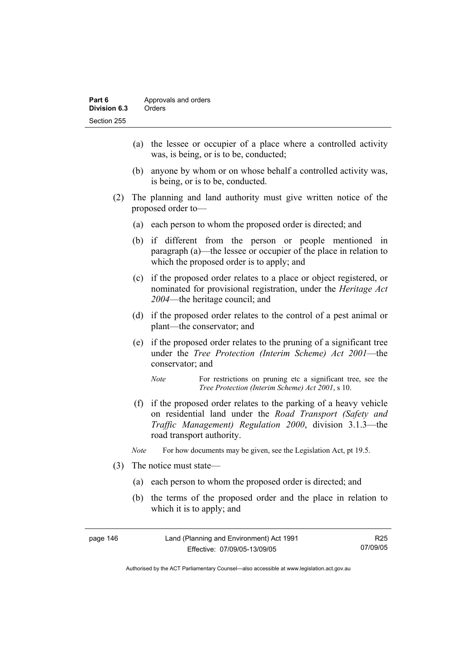- (a) the lessee or occupier of a place where a controlled activity was, is being, or is to be, conducted;
- (b) anyone by whom or on whose behalf a controlled activity was, is being, or is to be, conducted.
- (2) The planning and land authority must give written notice of the proposed order to—
	- (a) each person to whom the proposed order is directed; and
	- (b) if different from the person or people mentioned in paragraph (a)—the lessee or occupier of the place in relation to which the proposed order is to apply; and
	- (c) if the proposed order relates to a place or object registered, or nominated for provisional registration, under the *Heritage Act 2004*—the heritage council; and
	- (d) if the proposed order relates to the control of a pest animal or plant—the conservator; and
	- (e) if the proposed order relates to the pruning of a significant tree under the *Tree Protection (Interim Scheme) Act 2001*—the conservator; and
		- *Note* For restrictions on pruning etc a significant tree, see the *Tree Protection (Interim Scheme) Act 2001*, s 10.
	- (f) if the proposed order relates to the parking of a heavy vehicle on residential land under the *Road Transport (Safety and Traffic Management) Regulation 2000*, division 3.1.3—the road transport authority.
	- *Note* For how documents may be given, see the Legislation Act, pt 19.5.
- (3) The notice must state—
	- (a) each person to whom the proposed order is directed; and
	- (b) the terms of the proposed order and the place in relation to which it is to apply; and

| page 146 | Land (Planning and Environment) Act 1991 | R <sub>25</sub> |
|----------|------------------------------------------|-----------------|
|          | Effective: 07/09/05-13/09/05             | 07/09/05        |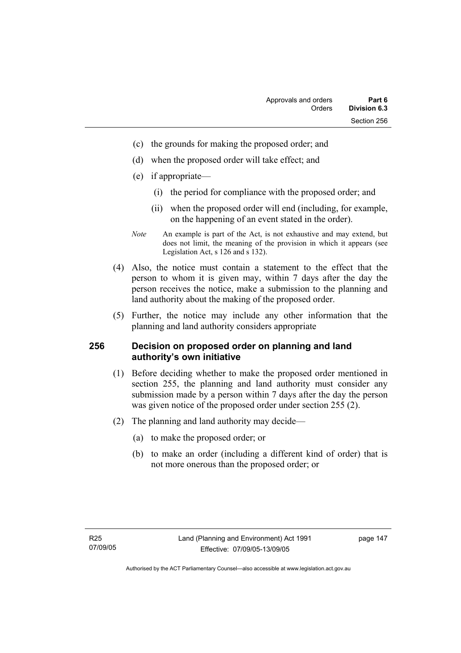- (c) the grounds for making the proposed order; and
- (d) when the proposed order will take effect; and
- (e) if appropriate—
	- (i) the period for compliance with the proposed order; and
	- (ii) when the proposed order will end (including, for example, on the happening of an event stated in the order).
- *Note* An example is part of the Act, is not exhaustive and may extend, but does not limit, the meaning of the provision in which it appears (see Legislation Act, s 126 and s 132).
- (4) Also, the notice must contain a statement to the effect that the person to whom it is given may, within 7 days after the day the person receives the notice, make a submission to the planning and land authority about the making of the proposed order.
- (5) Further, the notice may include any other information that the planning and land authority considers appropriate

#### **256 Decision on proposed order on planning and land authority's own initiative**

- (1) Before deciding whether to make the proposed order mentioned in section 255, the planning and land authority must consider any submission made by a person within 7 days after the day the person was given notice of the proposed order under section 255 (2).
- (2) The planning and land authority may decide—
	- (a) to make the proposed order; or
	- (b) to make an order (including a different kind of order) that is not more onerous than the proposed order; or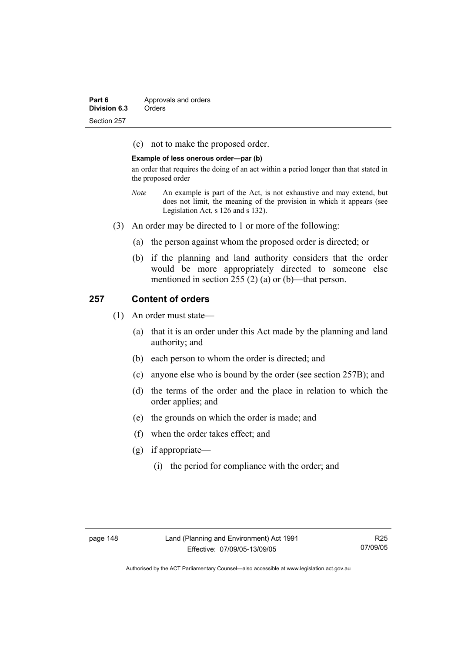| Part 6       | Approvals and orders |
|--------------|----------------------|
| Division 6.3 | Orders               |
| Section 257  |                      |

(c) not to make the proposed order.

#### **Example of less onerous order—par (b)**

an order that requires the doing of an act within a period longer than that stated in the proposed order

- *Note* An example is part of the Act, is not exhaustive and may extend, but does not limit, the meaning of the provision in which it appears (see Legislation Act, s 126 and s 132).
- (3) An order may be directed to 1 or more of the following:
	- (a) the person against whom the proposed order is directed; or
	- (b) if the planning and land authority considers that the order would be more appropriately directed to someone else mentioned in section 255 (2) (a) or (b)—that person.

#### **257 Content of orders**

- (1) An order must state—
	- (a) that it is an order under this Act made by the planning and land authority; and
	- (b) each person to whom the order is directed; and
	- (c) anyone else who is bound by the order (see section 257B); and
	- (d) the terms of the order and the place in relation to which the order applies; and
	- (e) the grounds on which the order is made; and
	- (f) when the order takes effect; and
	- (g) if appropriate—
		- (i) the period for compliance with the order; and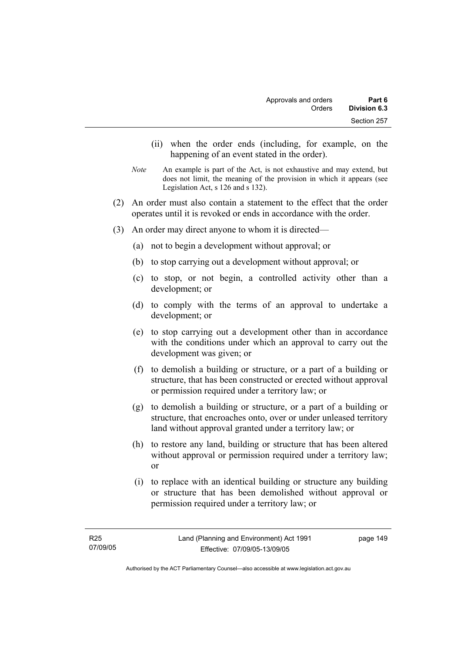- (ii) when the order ends (including, for example, on the happening of an event stated in the order).
- *Note* An example is part of the Act, is not exhaustive and may extend, but does not limit, the meaning of the provision in which it appears (see Legislation Act, s 126 and s 132).
- (2) An order must also contain a statement to the effect that the order operates until it is revoked or ends in accordance with the order.
- (3) An order may direct anyone to whom it is directed—
	- (a) not to begin a development without approval; or
	- (b) to stop carrying out a development without approval; or
	- (c) to stop, or not begin, a controlled activity other than a development; or
	- (d) to comply with the terms of an approval to undertake a development; or
	- (e) to stop carrying out a development other than in accordance with the conditions under which an approval to carry out the development was given; or
	- (f) to demolish a building or structure, or a part of a building or structure, that has been constructed or erected without approval or permission required under a territory law; or
	- (g) to demolish a building or structure, or a part of a building or structure, that encroaches onto, over or under unleased territory land without approval granted under a territory law; or
	- (h) to restore any land, building or structure that has been altered without approval or permission required under a territory law; or
	- (i) to replace with an identical building or structure any building or structure that has been demolished without approval or permission required under a territory law; or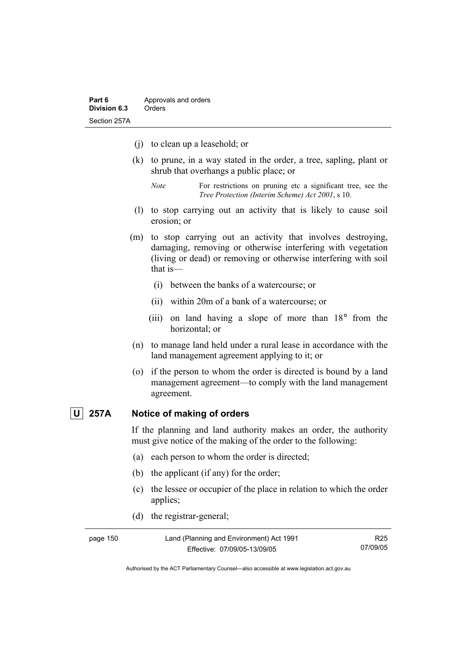- (j) to clean up a leasehold; or
- (k) to prune, in a way stated in the order, a tree, sapling, plant or shrub that overhangs a public place; or
	- *Note* For restrictions on pruning etc a significant tree, see the *Tree Protection (Interim Scheme) Act 2001*, s 10.
- (l) to stop carrying out an activity that is likely to cause soil erosion; or
- (m) to stop carrying out an activity that involves destroying, damaging, removing or otherwise interfering with vegetation (living or dead) or removing or otherwise interfering with soil that is—
	- (i) between the banks of a watercourse; or
	- (ii) within 20m of a bank of a watercourse; or
	- (iii) on land having a slope of more than 18° from the horizontal; or
- (n) to manage land held under a rural lease in accordance with the land management agreement applying to it; or
- (o) if the person to whom the order is directed is bound by a land management agreement—to comply with the land management agreement.

#### **U 257A Notice of making of orders**

If the planning and land authority makes an order, the authority must give notice of the making of the order to the following:

- (a) each person to whom the order is directed;
- (b) the applicant (if any) for the order;
- (c) the lessee or occupier of the place in relation to which the order applies;
- (d) the registrar-general;

| page 150 | Land (Planning and Environment) Act 1991 | R25      |
|----------|------------------------------------------|----------|
|          | Effective: 07/09/05-13/09/05             | 07/09/05 |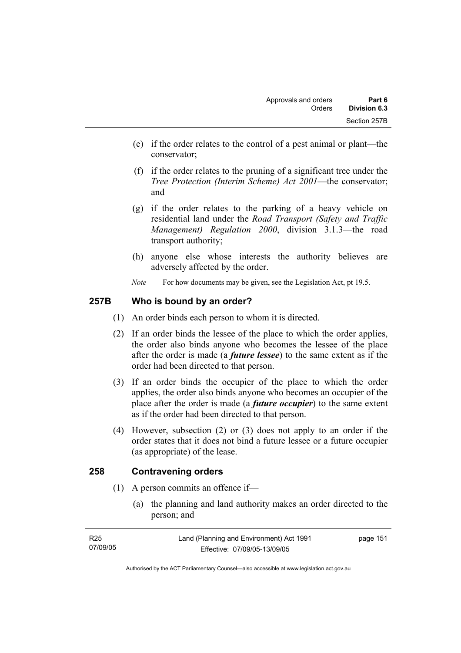- (e) if the order relates to the control of a pest animal or plant—the conservator;
- (f) if the order relates to the pruning of a significant tree under the *Tree Protection (Interim Scheme) Act 2001*—the conservator; and
- (g) if the order relates to the parking of a heavy vehicle on residential land under the *Road Transport (Safety and Traffic Management) Regulation 2000*, division 3.1.3—the road transport authority;
- (h) anyone else whose interests the authority believes are adversely affected by the order.
- *Note* For how documents may be given, see the Legislation Act, pt 19.5.

# **257B Who is bound by an order?**

- (1) An order binds each person to whom it is directed.
- (2) If an order binds the lessee of the place to which the order applies, the order also binds anyone who becomes the lessee of the place after the order is made (a *future lessee*) to the same extent as if the order had been directed to that person.
- (3) If an order binds the occupier of the place to which the order applies, the order also binds anyone who becomes an occupier of the place after the order is made (a *future occupier*) to the same extent as if the order had been directed to that person.
- (4) However, subsection (2) or (3) does not apply to an order if the order states that it does not bind a future lessee or a future occupier (as appropriate) of the lease.

# **258 Contravening orders**

- (1) A person commits an offence if—
	- (a) the planning and land authority makes an order directed to the person; and

| R25      | Land (Planning and Environment) Act 1991 | page 151 |
|----------|------------------------------------------|----------|
| 07/09/05 | Effective: 07/09/05-13/09/05             |          |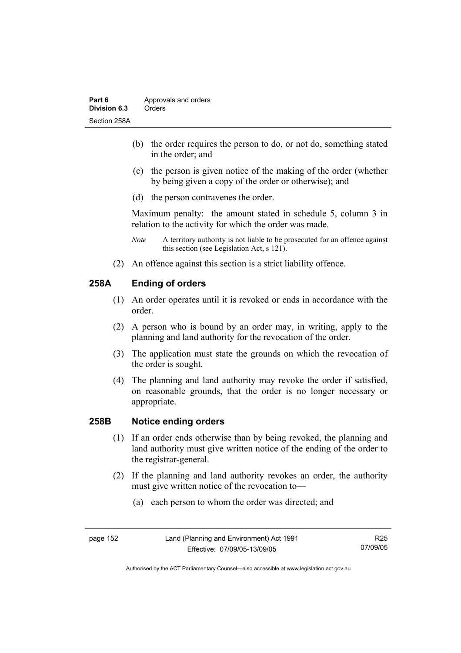- (b) the order requires the person to do, or not do, something stated in the order; and
- (c) the person is given notice of the making of the order (whether by being given a copy of the order or otherwise); and
- (d) the person contravenes the order.

Maximum penalty: the amount stated in schedule 5, column 3 in relation to the activity for which the order was made.

- *Note* A territory authority is not liable to be prosecuted for an offence against this section (see Legislation Act, s 121).
- (2) An offence against this section is a strict liability offence.

# **258A Ending of orders**

- (1) An order operates until it is revoked or ends in accordance with the order.
- (2) A person who is bound by an order may, in writing, apply to the planning and land authority for the revocation of the order.
- (3) The application must state the grounds on which the revocation of the order is sought.
- (4) The planning and land authority may revoke the order if satisfied, on reasonable grounds, that the order is no longer necessary or appropriate.

# **258B Notice ending orders**

- (1) If an order ends otherwise than by being revoked, the planning and land authority must give written notice of the ending of the order to the registrar-general.
- (2) If the planning and land authority revokes an order, the authority must give written notice of the revocation to—
	- (a) each person to whom the order was directed; and

| page | 152 |
|------|-----|
|------|-----|

R25 07/09/05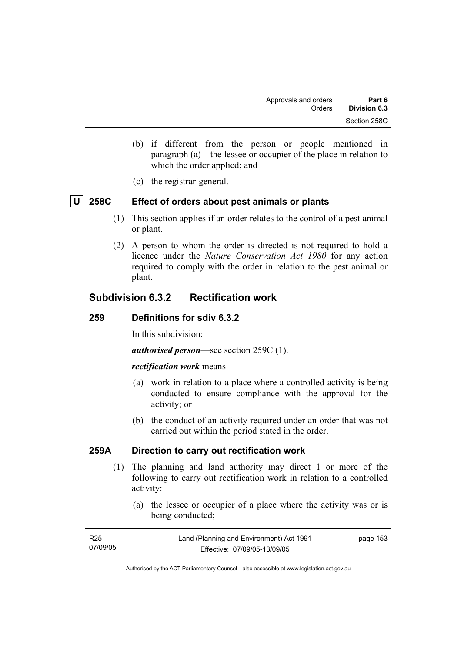- (b) if different from the person or people mentioned in paragraph (a)—the lessee or occupier of the place in relation to which the order applied; and
- (c) the registrar-general.

# **U 258C Effect of orders about pest animals or plants**

- (1) This section applies if an order relates to the control of a pest animal or plant.
- (2) A person to whom the order is directed is not required to hold a licence under the *Nature Conservation Act 1980* for any action required to comply with the order in relation to the pest animal or plant.

# **Subdivision 6.3.2 Rectification work**

#### **259 Definitions for sdiv 6.3.2**

In this subdivision:

*authorised person*—see section 259C (1).

#### *rectification work* means—

- (a) work in relation to a place where a controlled activity is being conducted to ensure compliance with the approval for the activity; or
- (b) the conduct of an activity required under an order that was not carried out within the period stated in the order.

#### **259A Direction to carry out rectification work**

- (1) The planning and land authority may direct 1 or more of the following to carry out rectification work in relation to a controlled activity:
	- (a) the lessee or occupier of a place where the activity was or is being conducted;

| R25      | Land (Planning and Environment) Act 1991 | page 153 |
|----------|------------------------------------------|----------|
| 07/09/05 | Effective: 07/09/05-13/09/05             |          |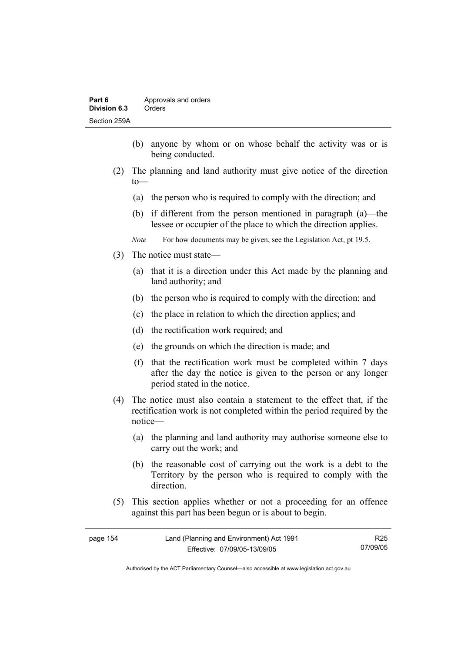- (b) anyone by whom or on whose behalf the activity was or is being conducted.
- (2) The planning and land authority must give notice of the direction to—
	- (a) the person who is required to comply with the direction; and
	- (b) if different from the person mentioned in paragraph (a)—the lessee or occupier of the place to which the direction applies.
	- *Note* For how documents may be given, see the Legislation Act, pt 19.5.
- (3) The notice must state—
	- (a) that it is a direction under this Act made by the planning and land authority; and
	- (b) the person who is required to comply with the direction; and
	- (c) the place in relation to which the direction applies; and
	- (d) the rectification work required; and
	- (e) the grounds on which the direction is made; and
	- (f) that the rectification work must be completed within 7 days after the day the notice is given to the person or any longer period stated in the notice.
- (4) The notice must also contain a statement to the effect that, if the rectification work is not completed within the period required by the notice—
	- (a) the planning and land authority may authorise someone else to carry out the work; and
	- (b) the reasonable cost of carrying out the work is a debt to the Territory by the person who is required to comply with the direction.
- (5) This section applies whether or not a proceeding for an offence against this part has been begun or is about to begin.

| page 154 | Land (Planning and Environment) Act 1991 | R <sub>25</sub> |
|----------|------------------------------------------|-----------------|
|          | Effective: 07/09/05-13/09/05             | 07/09/05        |

Authorised by the ACT Parliamentary Counsel—also accessible at www.legislation.act.gov.au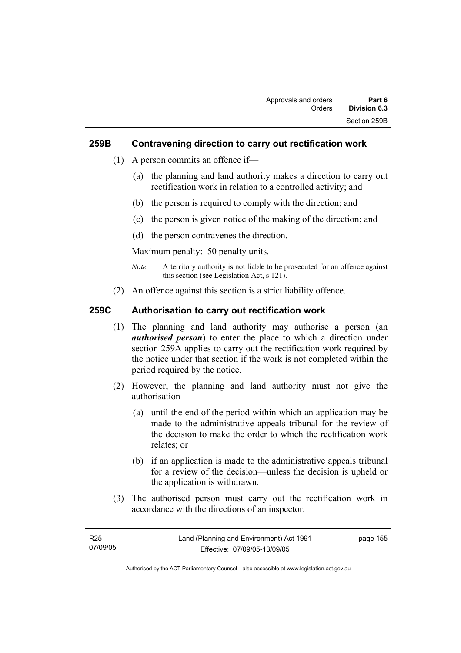#### **259B Contravening direction to carry out rectification work**

- (1) A person commits an offence if—
	- (a) the planning and land authority makes a direction to carry out rectification work in relation to a controlled activity; and
	- (b) the person is required to comply with the direction; and
	- (c) the person is given notice of the making of the direction; and
	- (d) the person contravenes the direction.

Maximum penalty: 50 penalty units.

- *Note* A territory authority is not liable to be prosecuted for an offence against this section (see Legislation Act, s 121).
- (2) An offence against this section is a strict liability offence.

### **259C Authorisation to carry out rectification work**

- (1) The planning and land authority may authorise a person (an *authorised person*) to enter the place to which a direction under section 259A applies to carry out the rectification work required by the notice under that section if the work is not completed within the period required by the notice.
- (2) However, the planning and land authority must not give the authorisation—
	- (a) until the end of the period within which an application may be made to the administrative appeals tribunal for the review of the decision to make the order to which the rectification work relates; or
	- (b) if an application is made to the administrative appeals tribunal for a review of the decision—unless the decision is upheld or the application is withdrawn.
- (3) The authorised person must carry out the rectification work in accordance with the directions of an inspector.

| R25      | Land (Planning and Environment) Act 1991 | page 155 |
|----------|------------------------------------------|----------|
| 07/09/05 | Effective: 07/09/05-13/09/05             |          |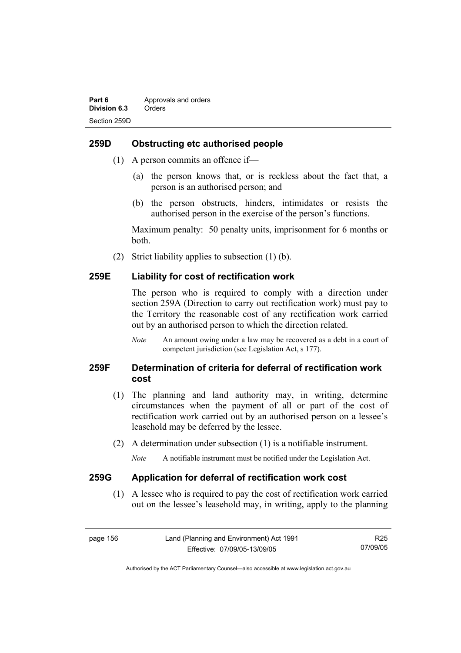#### **259D Obstructing etc authorised people**

- (1) A person commits an offence if—
	- (a) the person knows that, or is reckless about the fact that, a person is an authorised person; and
	- (b) the person obstructs, hinders, intimidates or resists the authorised person in the exercise of the person's functions.

Maximum penalty: 50 penalty units, imprisonment for 6 months or both.

(2) Strict liability applies to subsection (1) (b).

#### **259E Liability for cost of rectification work**

The person who is required to comply with a direction under section 259A (Direction to carry out rectification work) must pay to the Territory the reasonable cost of any rectification work carried out by an authorised person to which the direction related.

*Note* An amount owing under a law may be recovered as a debt in a court of competent jurisdiction (see Legislation Act, s 177).

# **259F Determination of criteria for deferral of rectification work cost**

- (1) The planning and land authority may, in writing, determine circumstances when the payment of all or part of the cost of rectification work carried out by an authorised person on a lessee's leasehold may be deferred by the lessee.
- (2) A determination under subsection (1) is a notifiable instrument.

*Note* A notifiable instrument must be notified under the Legislation Act.

#### **259G Application for deferral of rectification work cost**

 (1) A lessee who is required to pay the cost of rectification work carried out on the lessee's leasehold may, in writing, apply to the planning

page 156 Land (Planning and Environment) Act 1991 Effective: 07/09/05-13/09/05 R25 07/09/05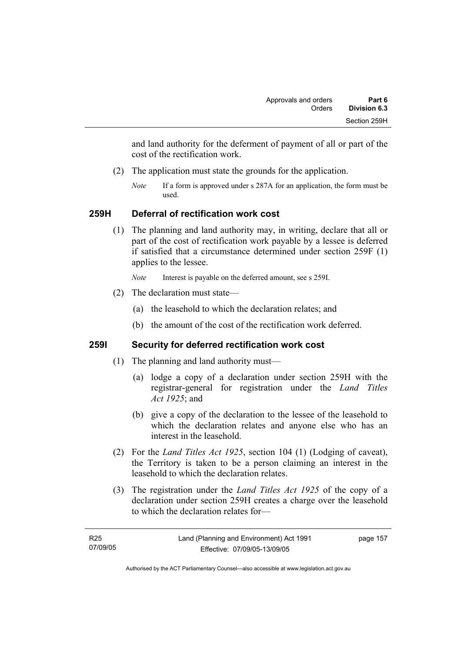and land authority for the deferment of payment of all or part of the cost of the rectification work.

- (2) The application must state the grounds for the application.
	- *Note* If a form is approved under s 287A for an application, the form must be used.

# **259H Deferral of rectification work cost**

 (1) The planning and land authority may, in writing, declare that all or part of the cost of rectification work payable by a lessee is deferred if satisfied that a circumstance determined under section 259F (1) applies to the lessee.

*Note* Interest is payable on the deferred amount, see s 259I.

- (2) The declaration must state—
	- (a) the leasehold to which the declaration relates; and
	- (b) the amount of the cost of the rectification work deferred.

# **259I Security for deferred rectification work cost**

- (1) The planning and land authority must—
	- (a) lodge a copy of a declaration under section 259H with the registrar-general for registration under the *Land Titles Act 1925*; and
	- (b) give a copy of the declaration to the lessee of the leasehold to which the declaration relates and anyone else who has an interest in the leasehold.
- (2) For the *Land Titles Act 1925*, section 104 (1) (Lodging of caveat), the Territory is taken to be a person claiming an interest in the leasehold to which the declaration relates.
- (3) The registration under the *Land Titles Act 1925* of the copy of a declaration under section 259H creates a charge over the leasehold to which the declaration relates for—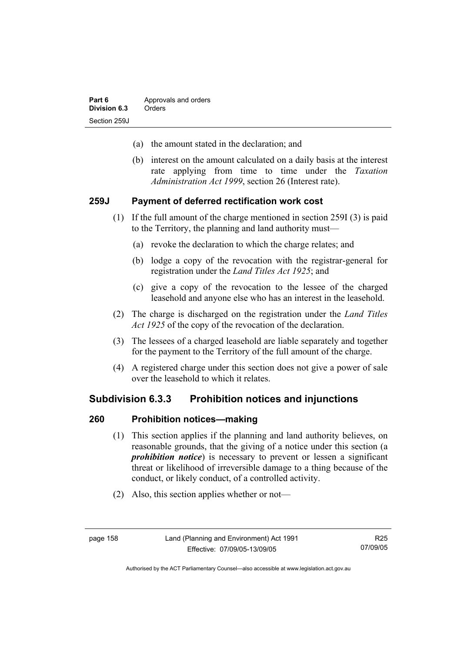- (a) the amount stated in the declaration; and
- (b) interest on the amount calculated on a daily basis at the interest rate applying from time to time under the *Taxation Administration Act 1999*, section 26 (Interest rate).

#### **259J Payment of deferred rectification work cost**

- (1) If the full amount of the charge mentioned in section 259I (3) is paid to the Territory, the planning and land authority must—
	- (a) revoke the declaration to which the charge relates; and
	- (b) lodge a copy of the revocation with the registrar-general for registration under the *Land Titles Act 1925*; and
	- (c) give a copy of the revocation to the lessee of the charged leasehold and anyone else who has an interest in the leasehold.
- (2) The charge is discharged on the registration under the *Land Titles Act 1925* of the copy of the revocation of the declaration.
- (3) The lessees of a charged leasehold are liable separately and together for the payment to the Territory of the full amount of the charge.
- (4) A registered charge under this section does not give a power of sale over the leasehold to which it relates.

# **Subdivision 6.3.3 Prohibition notices and injunctions**

#### **260 Prohibition notices—making**

- (1) This section applies if the planning and land authority believes, on reasonable grounds, that the giving of a notice under this section (a *prohibition notice*) is necessary to prevent or lessen a significant threat or likelihood of irreversible damage to a thing because of the conduct, or likely conduct, of a controlled activity.
- (2) Also, this section applies whether or not—

R25 07/09/05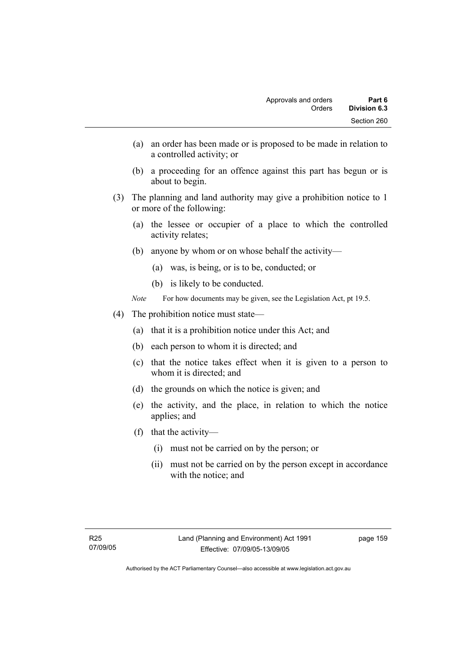- (a) an order has been made or is proposed to be made in relation to a controlled activity; or
- (b) a proceeding for an offence against this part has begun or is about to begin.
- (3) The planning and land authority may give a prohibition notice to 1 or more of the following:
	- (a) the lessee or occupier of a place to which the controlled activity relates;
	- (b) anyone by whom or on whose behalf the activity—
		- (a) was, is being, or is to be, conducted; or
		- (b) is likely to be conducted.
	- *Note* For how documents may be given, see the Legislation Act, pt 19.5.
- (4) The prohibition notice must state—
	- (a) that it is a prohibition notice under this Act; and
	- (b) each person to whom it is directed; and
	- (c) that the notice takes effect when it is given to a person to whom it is directed; and
	- (d) the grounds on which the notice is given; and
	- (e) the activity, and the place, in relation to which the notice applies; and
	- (f) that the activity—
		- (i) must not be carried on by the person; or
		- (ii) must not be carried on by the person except in accordance with the notice; and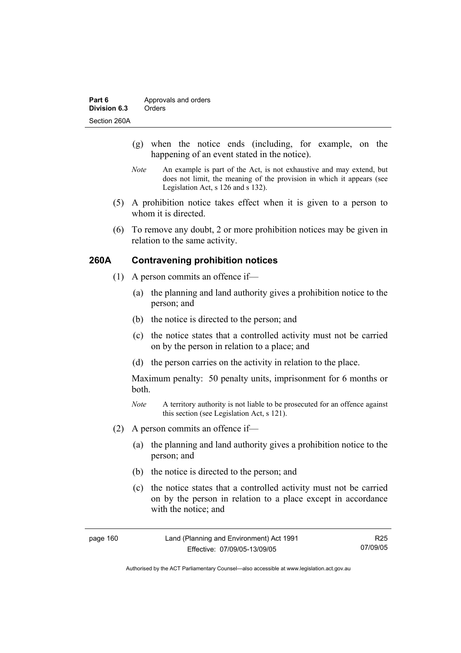- (g) when the notice ends (including, for example, on the happening of an event stated in the notice).
- *Note* An example is part of the Act, is not exhaustive and may extend, but does not limit, the meaning of the provision in which it appears (see Legislation Act, s 126 and s 132).
- (5) A prohibition notice takes effect when it is given to a person to whom it is directed.
- (6) To remove any doubt, 2 or more prohibition notices may be given in relation to the same activity.

### **260A Contravening prohibition notices**

- (1) A person commits an offence if—
	- (a) the planning and land authority gives a prohibition notice to the person; and
	- (b) the notice is directed to the person; and
	- (c) the notice states that a controlled activity must not be carried on by the person in relation to a place; and
	- (d) the person carries on the activity in relation to the place.

Maximum penalty: 50 penalty units, imprisonment for 6 months or both.

- *Note* A territory authority is not liable to be prosecuted for an offence against this section (see Legislation Act, s 121).
- (2) A person commits an offence if—
	- (a) the planning and land authority gives a prohibition notice to the person; and
	- (b) the notice is directed to the person; and
	- (c) the notice states that a controlled activity must not be carried on by the person in relation to a place except in accordance with the notice; and

| page 160 | Land (Planning and Environment) Act 1991 | R25      |
|----------|------------------------------------------|----------|
|          | Effective: 07/09/05-13/09/05             | 07/09/05 |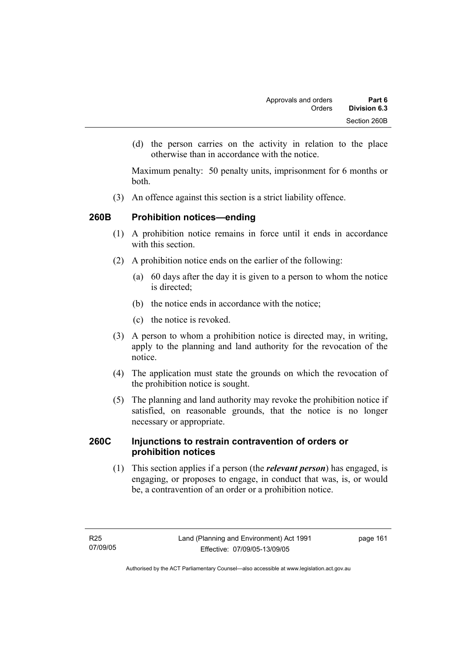(d) the person carries on the activity in relation to the place otherwise than in accordance with the notice.

Maximum penalty: 50 penalty units, imprisonment for 6 months or both.

(3) An offence against this section is a strict liability offence.

# **260B Prohibition notices—ending**

- (1) A prohibition notice remains in force until it ends in accordance with this section
- (2) A prohibition notice ends on the earlier of the following:
	- (a) 60 days after the day it is given to a person to whom the notice is directed:
	- (b) the notice ends in accordance with the notice;
	- (c) the notice is revoked.
- (3) A person to whom a prohibition notice is directed may, in writing, apply to the planning and land authority for the revocation of the notice.
- (4) The application must state the grounds on which the revocation of the prohibition notice is sought.
- (5) The planning and land authority may revoke the prohibition notice if satisfied, on reasonable grounds, that the notice is no longer necessary or appropriate.

### **260C Injunctions to restrain contravention of orders or prohibition notices**

 (1) This section applies if a person (the *relevant person*) has engaged, is engaging, or proposes to engage, in conduct that was, is, or would be, a contravention of an order or a prohibition notice.

page 161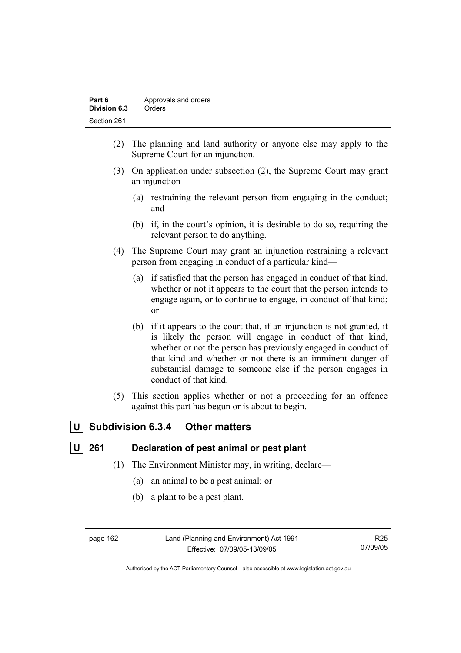| Part 6       | Approvals and orders |
|--------------|----------------------|
| Division 6.3 | Orders               |
| Section 261  |                      |

- (2) The planning and land authority or anyone else may apply to the Supreme Court for an injunction.
- (3) On application under subsection (2), the Supreme Court may grant an injunction—
	- (a) restraining the relevant person from engaging in the conduct; and
	- (b) if, in the court's opinion, it is desirable to do so, requiring the relevant person to do anything.
- (4) The Supreme Court may grant an injunction restraining a relevant person from engaging in conduct of a particular kind—
	- (a) if satisfied that the person has engaged in conduct of that kind, whether or not it appears to the court that the person intends to engage again, or to continue to engage, in conduct of that kind; or
	- (b) if it appears to the court that, if an injunction is not granted, it is likely the person will engage in conduct of that kind, whether or not the person has previously engaged in conduct of that kind and whether or not there is an imminent danger of substantial damage to someone else if the person engages in conduct of that kind.
- (5) This section applies whether or not a proceeding for an offence against this part has begun or is about to begin.

# **U Subdivision 6.3.4 Other matters**

# **U 261 Declaration of pest animal or pest plant**

- (1) The Environment Minister may, in writing, declare—
	- (a) an animal to be a pest animal; or
	- (b) a plant to be a pest plant.

page 162 Land (Planning and Environment) Act 1991 Effective: 07/09/05-13/09/05

R25 07/09/05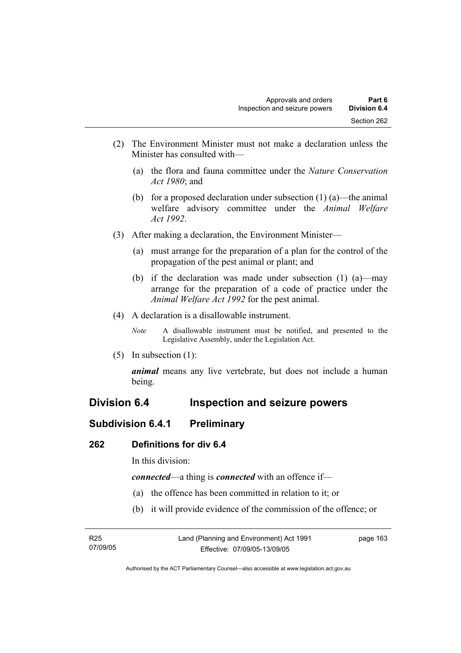- (2) The Environment Minister must not make a declaration unless the Minister has consulted with—
	- (a) the flora and fauna committee under the *Nature Conservation Act 1980*; and
	- (b) for a proposed declaration under subsection  $(1)$  (a)—the animal welfare advisory committee under the *Animal Welfare Act 1992*.
- (3) After making a declaration, the Environment Minister—
	- (a) must arrange for the preparation of a plan for the control of the propagation of the pest animal or plant; and
	- (b) if the declaration was made under subsection (1) (a)—may arrange for the preparation of a code of practice under the *Animal Welfare Act 1992* for the pest animal.
- (4) A declaration is a disallowable instrument.
	- *Note* A disallowable instrument must be notified, and presented to the Legislative Assembly, under the Legislation Act.
- (5) In subsection (1):

*animal* means any live vertebrate, but does not include a human being.

# **Division 6.4 Inspection and seizure powers**

# **Subdivision 6.4.1 Preliminary**

#### **262 Definitions for div 6.4**

In this division:

*connected*—a thing is *connected* with an offence if—

- (a) the offence has been committed in relation to it; or
- (b) it will provide evidence of the commission of the offence; or

| R <sub>25</sub> | Land (Planning and Environment) Act 1991 | page 163 |
|-----------------|------------------------------------------|----------|
| 07/09/05        | Effective: 07/09/05-13/09/05             |          |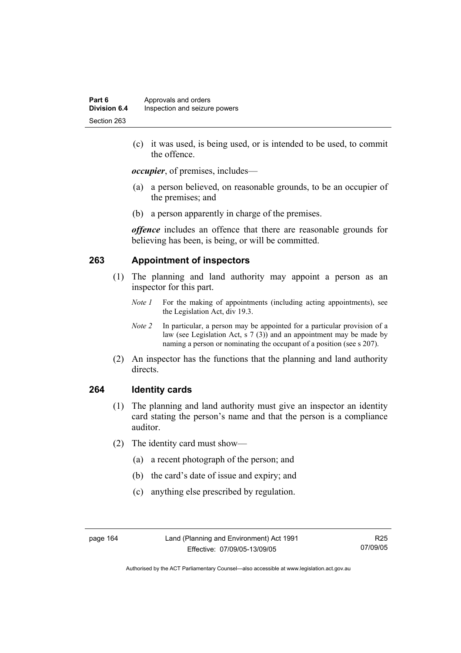(c) it was used, is being used, or is intended to be used, to commit the offence.

*occupier*, of premises, includes—

- (a) a person believed, on reasonable grounds, to be an occupier of the premises; and
- (b) a person apparently in charge of the premises.

*offence* includes an offence that there are reasonable grounds for believing has been, is being, or will be committed.

# **263 Appointment of inspectors**

- (1) The planning and land authority may appoint a person as an inspector for this part.
	- *Note 1* For the making of appointments (including acting appointments), see the Legislation Act, div 19.3.
	- *Note 2* In particular, a person may be appointed for a particular provision of a law (see Legislation Act, s 7 (3)) and an appointment may be made by naming a person or nominating the occupant of a position (see s 207).
- (2) An inspector has the functions that the planning and land authority directs.

#### **264 Identity cards**

- (1) The planning and land authority must give an inspector an identity card stating the person's name and that the person is a compliance auditor.
- (2) The identity card must show—
	- (a) a recent photograph of the person; and
	- (b) the card's date of issue and expiry; and
	- (c) anything else prescribed by regulation.

R25 07/09/05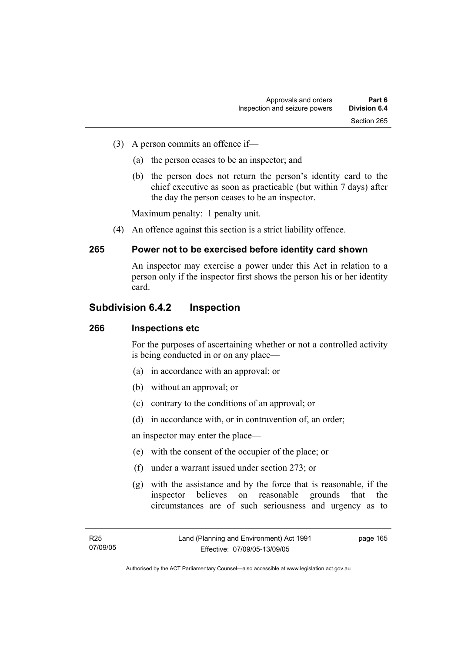- (3) A person commits an offence if—
	- (a) the person ceases to be an inspector; and
	- (b) the person does not return the person's identity card to the chief executive as soon as practicable (but within 7 days) after the day the person ceases to be an inspector.

Maximum penalty: 1 penalty unit.

(4) An offence against this section is a strict liability offence.

# **265 Power not to be exercised before identity card shown**

An inspector may exercise a power under this Act in relation to a person only if the inspector first shows the person his or her identity card.

# **Subdivision 6.4.2 Inspection**

#### **266 Inspections etc**

For the purposes of ascertaining whether or not a controlled activity is being conducted in or on any place—

- (a) in accordance with an approval; or
- (b) without an approval; or
- (c) contrary to the conditions of an approval; or
- (d) in accordance with, or in contravention of, an order;

an inspector may enter the place—

- (e) with the consent of the occupier of the place; or
- (f) under a warrant issued under section 273; or
- (g) with the assistance and by the force that is reasonable, if the inspector believes on reasonable grounds that the circumstances are of such seriousness and urgency as to

page 165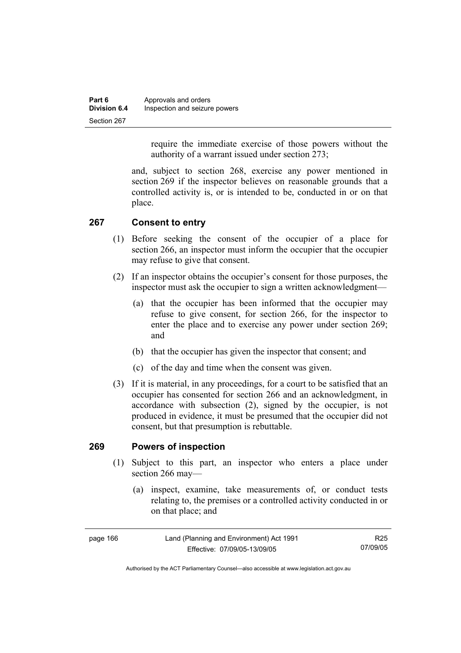| Part 6              | Approvals and orders          |
|---------------------|-------------------------------|
| <b>Division 6.4</b> | Inspection and seizure powers |
| Section 267         |                               |

require the immediate exercise of those powers without the authority of a warrant issued under section 273;

and, subject to section 268, exercise any power mentioned in section 269 if the inspector believes on reasonable grounds that a controlled activity is, or is intended to be, conducted in or on that place.

### **267 Consent to entry**

- (1) Before seeking the consent of the occupier of a place for section 266, an inspector must inform the occupier that the occupier may refuse to give that consent.
- (2) If an inspector obtains the occupier's consent for those purposes, the inspector must ask the occupier to sign a written acknowledgment—
	- (a) that the occupier has been informed that the occupier may refuse to give consent, for section 266, for the inspector to enter the place and to exercise any power under section 269; and
	- (b) that the occupier has given the inspector that consent; and
	- (c) of the day and time when the consent was given.
- (3) If it is material, in any proceedings, for a court to be satisfied that an occupier has consented for section 266 and an acknowledgment, in accordance with subsection (2), signed by the occupier, is not produced in evidence, it must be presumed that the occupier did not consent, but that presumption is rebuttable.

#### **269 Powers of inspection**

- (1) Subject to this part, an inspector who enters a place under section 266 may—
	- (a) inspect, examine, take measurements of, or conduct tests relating to, the premises or a controlled activity conducted in or on that place; and

| page 166 | Land (Planning and Environment) Act 1991 | R25      |
|----------|------------------------------------------|----------|
|          | Effective: 07/09/05-13/09/05             | 07/09/05 |

Authorised by the ACT Parliamentary Counsel—also accessible at www.legislation.act.gov.au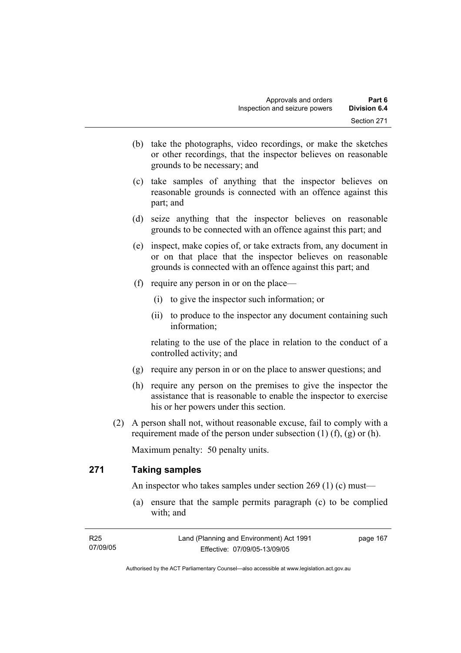- (b) take the photographs, video recordings, or make the sketches or other recordings, that the inspector believes on reasonable grounds to be necessary; and
- (c) take samples of anything that the inspector believes on reasonable grounds is connected with an offence against this part; and
- (d) seize anything that the inspector believes on reasonable grounds to be connected with an offence against this part; and
- (e) inspect, make copies of, or take extracts from, any document in or on that place that the inspector believes on reasonable grounds is connected with an offence against this part; and
- (f) require any person in or on the place—
	- (i) to give the inspector such information; or
	- (ii) to produce to the inspector any document containing such information;

relating to the use of the place in relation to the conduct of a controlled activity; and

- (g) require any person in or on the place to answer questions; and
- (h) require any person on the premises to give the inspector the assistance that is reasonable to enable the inspector to exercise his or her powers under this section.
- (2) A person shall not, without reasonable excuse, fail to comply with a requirement made of the person under subsection  $(1)$   $(f)$ ,  $(g)$  or  $(h)$ .

Maximum penalty: 50 penalty units.

## **271 Taking samples**

An inspector who takes samples under section 269 (1) (c) must—

 (a) ensure that the sample permits paragraph (c) to be complied with; and

| R25      | Land (Planning and Environment) Act 1991 | page 167 |
|----------|------------------------------------------|----------|
| 07/09/05 | Effective: 07/09/05-13/09/05             |          |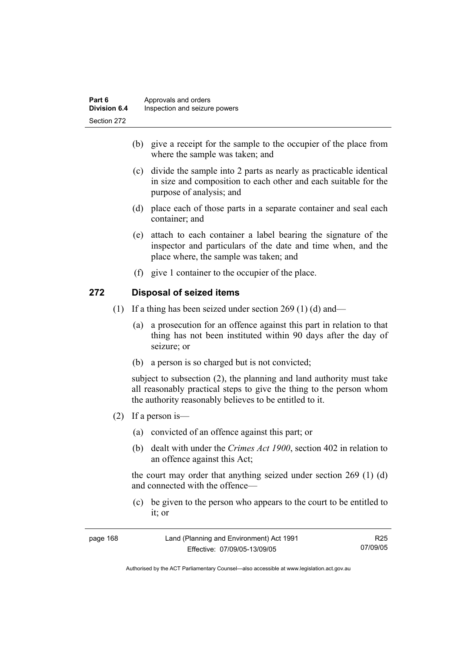- (b) give a receipt for the sample to the occupier of the place from where the sample was taken; and
- (c) divide the sample into 2 parts as nearly as practicable identical in size and composition to each other and each suitable for the purpose of analysis; and
- (d) place each of those parts in a separate container and seal each container; and
- (e) attach to each container a label bearing the signature of the inspector and particulars of the date and time when, and the place where, the sample was taken; and
- (f) give 1 container to the occupier of the place.

#### **272 Disposal of seized items**

- (1) If a thing has been seized under section 269 (1) (d) and—
	- (a) a prosecution for an offence against this part in relation to that thing has not been instituted within 90 days after the day of seizure; or
	- (b) a person is so charged but is not convicted;

subject to subsection (2), the planning and land authority must take all reasonably practical steps to give the thing to the person whom the authority reasonably believes to be entitled to it.

- (2) If a person is—
	- (a) convicted of an offence against this part; or
	- (b) dealt with under the *Crimes Act 1900*, section 402 in relation to an offence against this Act;

the court may order that anything seized under section 269 (1) (d) and connected with the offence—

 (c) be given to the person who appears to the court to be entitled to it; or

| page 168 | Land (Planning and Environment) Act 1991 | R25      |
|----------|------------------------------------------|----------|
|          | Effective: 07/09/05-13/09/05             | 07/09/05 |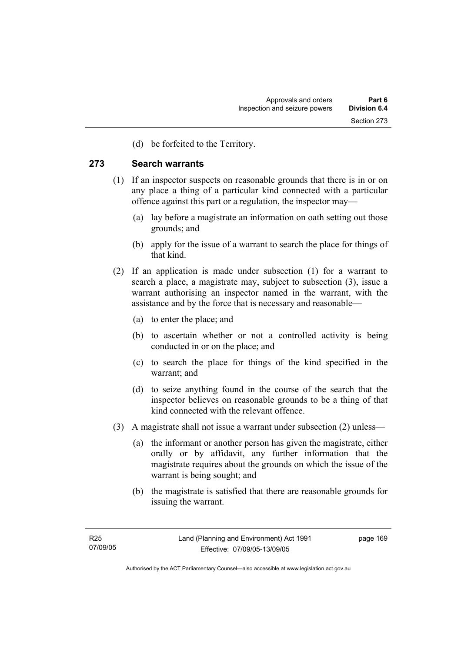(d) be forfeited to the Territory.

#### **273 Search warrants**

- (1) If an inspector suspects on reasonable grounds that there is in or on any place a thing of a particular kind connected with a particular offence against this part or a regulation, the inspector may—
	- (a) lay before a magistrate an information on oath setting out those grounds; and
	- (b) apply for the issue of a warrant to search the place for things of that kind.
- (2) If an application is made under subsection (1) for a warrant to search a place, a magistrate may, subject to subsection (3), issue a warrant authorising an inspector named in the warrant, with the assistance and by the force that is necessary and reasonable—
	- (a) to enter the place; and
	- (b) to ascertain whether or not a controlled activity is being conducted in or on the place; and
	- (c) to search the place for things of the kind specified in the warrant; and
	- (d) to seize anything found in the course of the search that the inspector believes on reasonable grounds to be a thing of that kind connected with the relevant offence.
- (3) A magistrate shall not issue a warrant under subsection (2) unless—
	- (a) the informant or another person has given the magistrate, either orally or by affidavit, any further information that the magistrate requires about the grounds on which the issue of the warrant is being sought; and
	- (b) the magistrate is satisfied that there are reasonable grounds for issuing the warrant.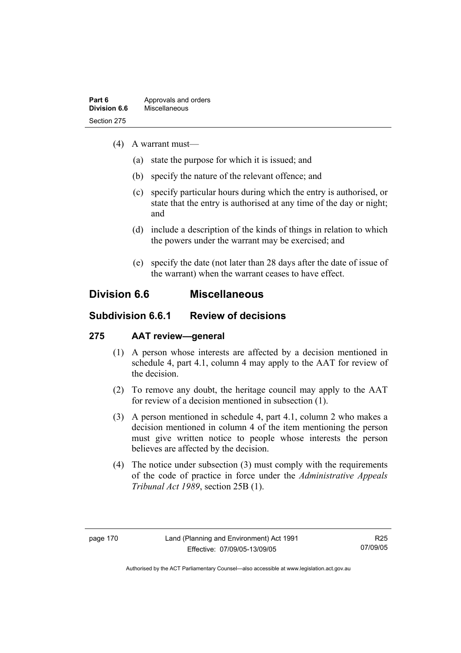- (4) A warrant must—
	- (a) state the purpose for which it is issued; and
	- (b) specify the nature of the relevant offence; and
	- (c) specify particular hours during which the entry is authorised, or state that the entry is authorised at any time of the day or night; and
	- (d) include a description of the kinds of things in relation to which the powers under the warrant may be exercised; and
	- (e) specify the date (not later than 28 days after the date of issue of the warrant) when the warrant ceases to have effect.

## **Division 6.6 Miscellaneous**

## **Subdivision 6.6.1 Review of decisions**

## **275 AAT review—general**

- (1) A person whose interests are affected by a decision mentioned in schedule 4, part 4.1, column 4 may apply to the AAT for review of the decision.
- (2) To remove any doubt, the heritage council may apply to the AAT for review of a decision mentioned in subsection (1).
- (3) A person mentioned in schedule 4, part 4.1, column 2 who makes a decision mentioned in column 4 of the item mentioning the person must give written notice to people whose interests the person believes are affected by the decision.
- (4) The notice under subsection (3) must comply with the requirements of the code of practice in force under the *Administrative Appeals Tribunal Act 1989*, section 25B (1).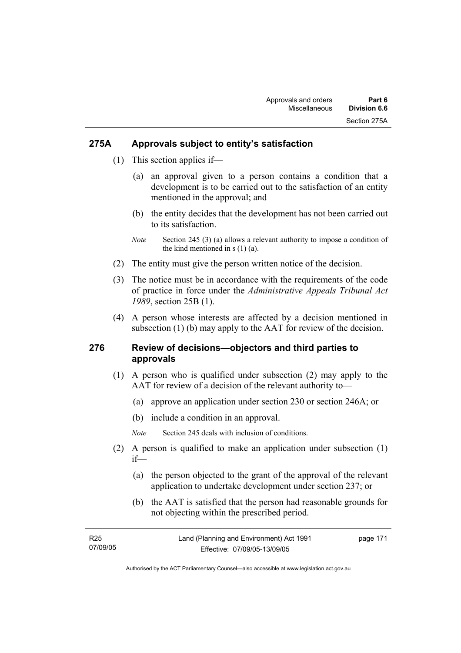#### **275A Approvals subject to entity's satisfaction**

- (1) This section applies if—
	- (a) an approval given to a person contains a condition that a development is to be carried out to the satisfaction of an entity mentioned in the approval; and
	- (b) the entity decides that the development has not been carried out to its satisfaction.
	- *Note* Section 245 (3) (a) allows a relevant authority to impose a condition of the kind mentioned in s (1) (a).
- (2) The entity must give the person written notice of the decision.
- (3) The notice must be in accordance with the requirements of the code of practice in force under the *Administrative Appeals Tribunal Act 1989*, section 25B (1).
- (4) A person whose interests are affected by a decision mentioned in subsection (1) (b) may apply to the AAT for review of the decision.

#### **276 Review of decisions—objectors and third parties to approvals**

- (1) A person who is qualified under subsection (2) may apply to the AAT for review of a decision of the relevant authority to—
	- (a) approve an application under section 230 or section 246A; or
	- (b) include a condition in an approval.
	- *Note* Section 245 deals with inclusion of conditions.
- (2) A person is qualified to make an application under subsection (1) if—
	- (a) the person objected to the grant of the approval of the relevant application to undertake development under section 237; or
	- (b) the AAT is satisfied that the person had reasonable grounds for not objecting within the prescribed period.

| R25      | Land (Planning and Environment) Act 1991 | page 171 |
|----------|------------------------------------------|----------|
| 07/09/05 | Effective: 07/09/05-13/09/05             |          |
|          |                                          |          |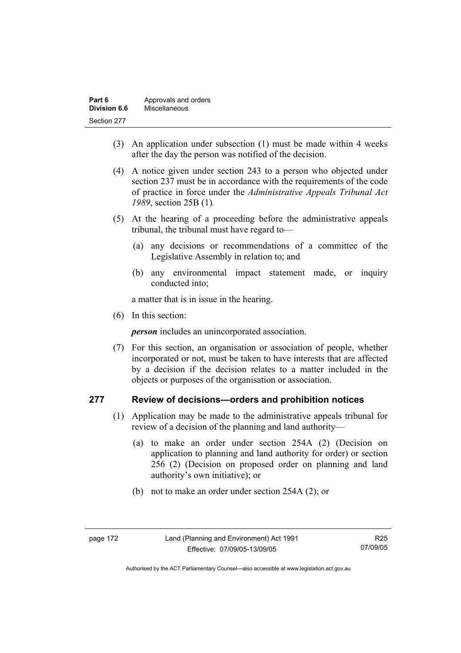| Part 6       | Approvals and orders |
|--------------|----------------------|
| Division 6.6 | Miscellaneous        |
| Section 277  |                      |

- (3) An application under subsection (1) must be made within 4 weeks after the day the person was notified of the decision.
- (4) A notice given under section 243 to a person who objected under section 237 must be in accordance with the requirements of the code of practice in force under the *Administrative Appeals Tribunal Act 1989*, section 25B (1)*.*
- (5) At the hearing of a proceeding before the administrative appeals tribunal, the tribunal must have regard to—
	- (a) any decisions or recommendations of a committee of the Legislative Assembly in relation to; and
	- (b) any environmental impact statement made, or inquiry conducted into;

a matter that is in issue in the hearing.

(6) In this section:

*person* includes an unincorporated association.

 (7) For this section, an organisation or association of people, whether incorporated or not, must be taken to have interests that are affected by a decision if the decision relates to a matter included in the objects or purposes of the organisation or association.

### **277 Review of decisions—orders and prohibition notices**

- (1) Application may be made to the administrative appeals tribunal for review of a decision of the planning and land authority—
	- (a) to make an order under section 254A (2) (Decision on application to planning and land authority for order) or section 256 (2) (Decision on proposed order on planning and land authority's own initiative); or
	- (b) not to make an order under section 254A (2); or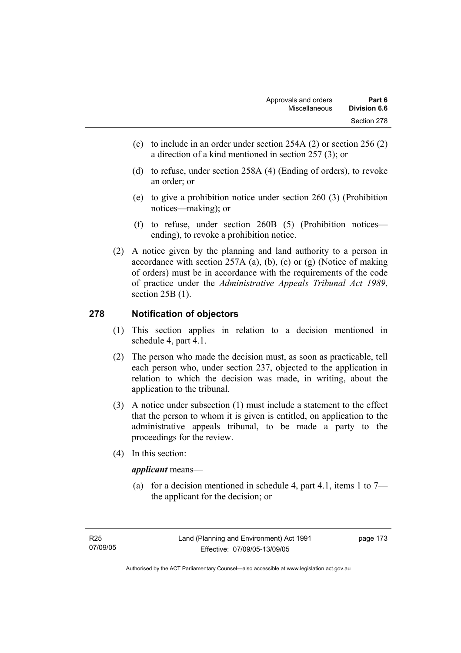- (c) to include in an order under section 254A (2) or section 256 (2) a direction of a kind mentioned in section 257 (3); or
- (d) to refuse, under section 258A (4) (Ending of orders), to revoke an order; or
- (e) to give a prohibition notice under section 260 (3) (Prohibition notices—making); or
- (f) to refuse, under section 260B (5) (Prohibition notices ending), to revoke a prohibition notice.
- (2) A notice given by the planning and land authority to a person in accordance with section 257A (a), (b), (c) or (g) (Notice of making of orders) must be in accordance with the requirements of the code of practice under the *Administrative Appeals Tribunal Act 1989*, section 25B (1).

## **278 Notification of objectors**

- (1) This section applies in relation to a decision mentioned in schedule 4, part 4.1.
- (2) The person who made the decision must, as soon as practicable, tell each person who, under section 237, objected to the application in relation to which the decision was made, in writing, about the application to the tribunal.
- (3) A notice under subsection (1) must include a statement to the effect that the person to whom it is given is entitled, on application to the administrative appeals tribunal, to be made a party to the proceedings for the review.
- (4) In this section:

#### *applicant* means—

(a) for a decision mentioned in schedule 4, part 4.1, items 1 to  $7$ the applicant for the decision; or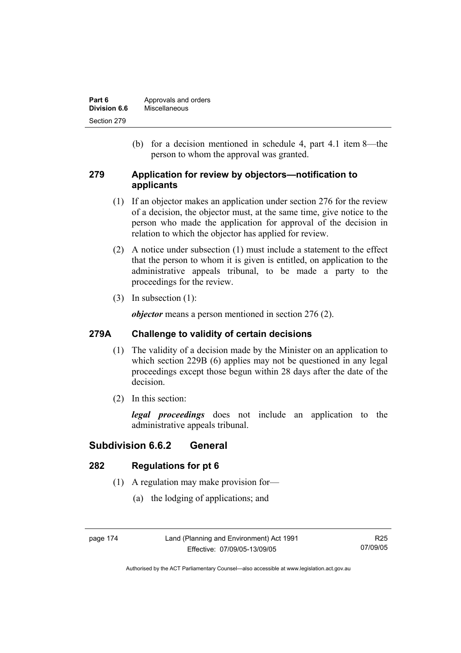| Part 6       | Approvals and orders |
|--------------|----------------------|
| Division 6.6 | Miscellaneous        |
| Section 279  |                      |

 (b) for a decision mentioned in schedule 4, part 4.1 item 8—the person to whom the approval was granted.

#### **279 Application for review by objectors—notification to applicants**

- (1) If an objector makes an application under section 276 for the review of a decision, the objector must, at the same time, give notice to the person who made the application for approval of the decision in relation to which the objector has applied for review.
- (2) A notice under subsection (1) must include a statement to the effect that the person to whom it is given is entitled, on application to the administrative appeals tribunal, to be made a party to the proceedings for the review.
- (3) In subsection (1):

*objector* means a person mentioned in section 276 (2).

## **279A Challenge to validity of certain decisions**

- (1) The validity of a decision made by the Minister on an application to which section 229B (6) applies may not be questioned in any legal proceedings except those begun within 28 days after the date of the decision.
- (2) In this section:

*legal proceedings* does not include an application to the administrative appeals tribunal.

## **Subdivision 6.6.2 General**

## **282 Regulations for pt 6**

- (1) A regulation may make provision for—
	- (a) the lodging of applications; and

page 174 Land (Planning and Environment) Act 1991 Effective: 07/09/05-13/09/05

Authorised by the ACT Parliamentary Counsel—also accessible at www.legislation.act.gov.au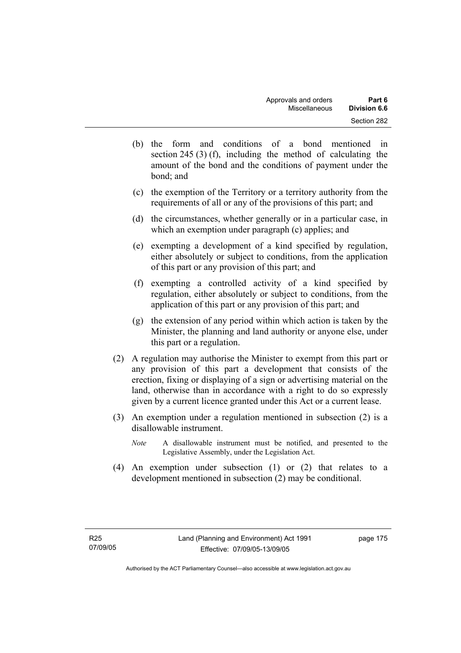- (b) the form and conditions of a bond mentioned in section 245 (3) (f), including the method of calculating the amount of the bond and the conditions of payment under the bond; and
- (c) the exemption of the Territory or a territory authority from the requirements of all or any of the provisions of this part; and
- (d) the circumstances, whether generally or in a particular case, in which an exemption under paragraph (c) applies; and
- (e) exempting a development of a kind specified by regulation, either absolutely or subject to conditions, from the application of this part or any provision of this part; and
- (f) exempting a controlled activity of a kind specified by regulation, either absolutely or subject to conditions, from the application of this part or any provision of this part; and
- (g) the extension of any period within which action is taken by the Minister, the planning and land authority or anyone else, under this part or a regulation.
- (2) A regulation may authorise the Minister to exempt from this part or any provision of this part a development that consists of the erection, fixing or displaying of a sign or advertising material on the land, otherwise than in accordance with a right to do so expressly given by a current licence granted under this Act or a current lease.
- (3) An exemption under a regulation mentioned in subsection (2) is a disallowable instrument.
	- *Note* A disallowable instrument must be notified, and presented to the Legislative Assembly, under the Legislation Act.
- (4) An exemption under subsection (1) or (2) that relates to a development mentioned in subsection (2) may be conditional.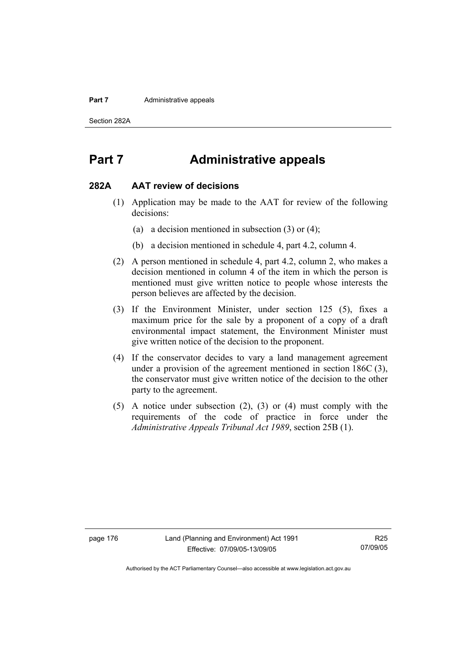#### **Part 7 Administrative appeals**

Section 282A

## **Part 7 Administrative appeals**

#### **282A AAT review of decisions**

- (1) Application may be made to the AAT for review of the following decisions:
	- (a) a decision mentioned in subsection (3) or (4);
	- (b) a decision mentioned in schedule 4, part 4.2, column 4.
- (2) A person mentioned in schedule 4, part 4.2, column 2, who makes a decision mentioned in column 4 of the item in which the person is mentioned must give written notice to people whose interests the person believes are affected by the decision.
- (3) If the Environment Minister, under section 125 (5), fixes a maximum price for the sale by a proponent of a copy of a draft environmental impact statement, the Environment Minister must give written notice of the decision to the proponent.
- (4) If the conservator decides to vary a land management agreement under a provision of the agreement mentioned in section 186C (3), the conservator must give written notice of the decision to the other party to the agreement.
- (5) A notice under subsection (2), (3) or (4) must comply with the requirements of the code of practice in force under the *Administrative Appeals Tribunal Act 1989*, section 25B (1).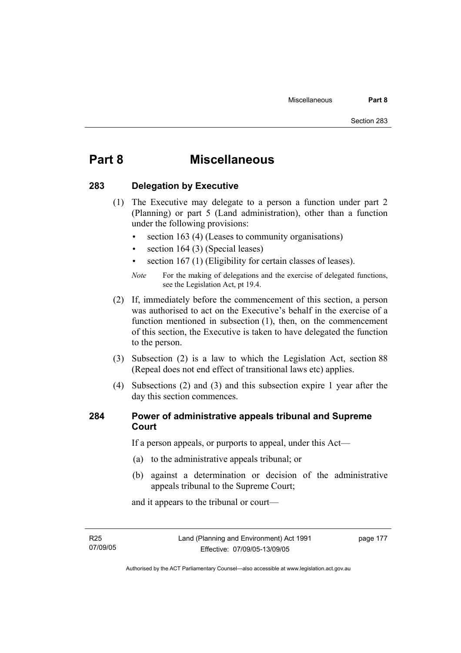## **Part 8 Miscellaneous**

### **283 Delegation by Executive**

- (1) The Executive may delegate to a person a function under part 2 (Planning) or part 5 (Land administration), other than a function under the following provisions:
	- section 163 (4) (Leases to community organisations)
	- section 164 (3) (Special leases)
	- section 167 (1) (Eligibility for certain classes of leases).

- (2) If, immediately before the commencement of this section, a person was authorised to act on the Executive's behalf in the exercise of a function mentioned in subsection (1), then, on the commencement of this section, the Executive is taken to have delegated the function to the person.
- (3) Subsection (2) is a law to which the Legislation Act, section 88 (Repeal does not end effect of transitional laws etc) applies.
- (4) Subsections (2) and (3) and this subsection expire 1 year after the day this section commences.

### **284 Power of administrative appeals tribunal and Supreme Court**

If a person appeals, or purports to appeal, under this Act—

- (a) to the administrative appeals tribunal; or
- (b) against a determination or decision of the administrative appeals tribunal to the Supreme Court;

and it appears to the tribunal or court—

R25 07/09/05

*Note* For the making of delegations and the exercise of delegated functions, see the Legislation Act, pt 19.4.

Authorised by the ACT Parliamentary Counsel—also accessible at www.legislation.act.gov.au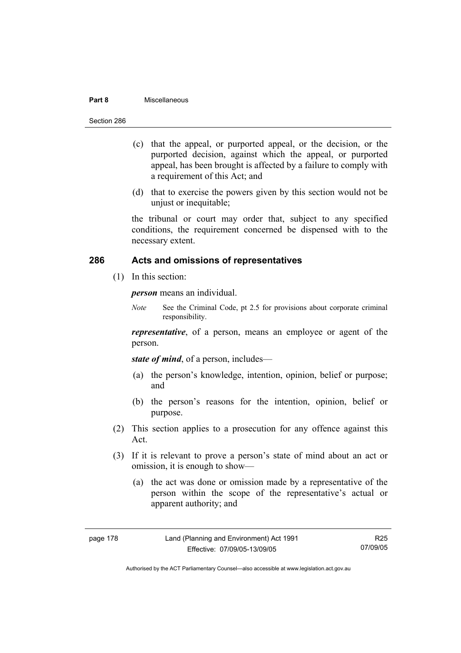#### **Part 8** Miscellaneous

- (c) that the appeal, or purported appeal, or the decision, or the purported decision, against which the appeal, or purported appeal, has been brought is affected by a failure to comply with a requirement of this Act; and
- (d) that to exercise the powers given by this section would not be unjust or inequitable;

the tribunal or court may order that, subject to any specified conditions, the requirement concerned be dispensed with to the necessary extent.

### **286 Acts and omissions of representatives**

(1) In this section:

*person* means an individual.

*Note* See the Criminal Code, pt 2.5 for provisions about corporate criminal responsibility.

*representative*, of a person, means an employee or agent of the person.

*state of mind*, of a person, includes—

- (a) the person's knowledge, intention, opinion, belief or purpose; and
- (b) the person's reasons for the intention, opinion, belief or purpose.
- (2) This section applies to a prosecution for any offence against this Act.
- (3) If it is relevant to prove a person's state of mind about an act or omission, it is enough to show—
	- (a) the act was done or omission made by a representative of the person within the scope of the representative's actual or apparent authority; and

| page | 78<br>-1 |
|------|----------|
|------|----------|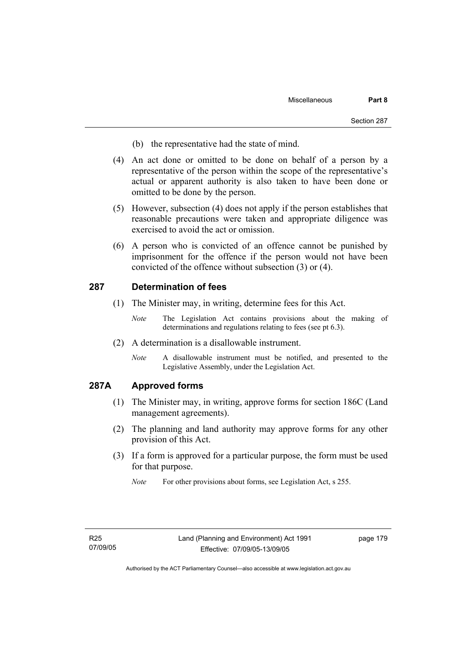- (b) the representative had the state of mind.
- (4) An act done or omitted to be done on behalf of a person by a representative of the person within the scope of the representative's actual or apparent authority is also taken to have been done or omitted to be done by the person.
- (5) However, subsection (4) does not apply if the person establishes that reasonable precautions were taken and appropriate diligence was exercised to avoid the act or omission.
- (6) A person who is convicted of an offence cannot be punished by imprisonment for the offence if the person would not have been convicted of the offence without subsection (3) or (4).

#### **287 Determination of fees**

- (1) The Minister may, in writing, determine fees for this Act.
	- *Note* The Legislation Act contains provisions about the making of determinations and regulations relating to fees (see pt 6.3).
- (2) A determination is a disallowable instrument.
	- *Note* A disallowable instrument must be notified, and presented to the Legislative Assembly, under the Legislation Act.

#### **287A Approved forms**

- (1) The Minister may, in writing, approve forms for section 186C (Land management agreements).
- (2) The planning and land authority may approve forms for any other provision of this Act.
- (3) If a form is approved for a particular purpose, the form must be used for that purpose.

*Note* For other provisions about forms, see Legislation Act, s 255.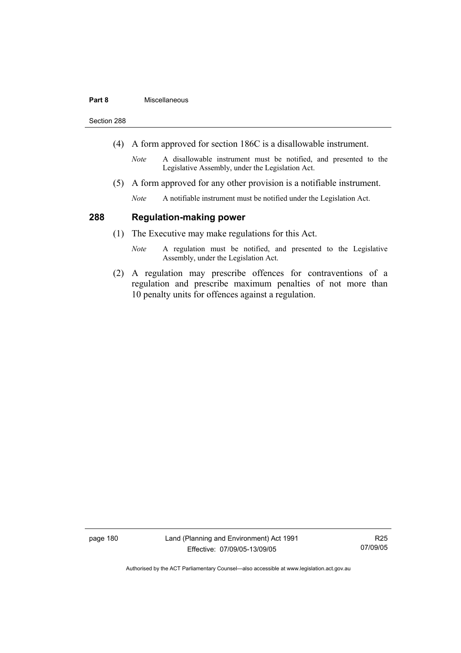#### **Part 8** Miscellaneous

Section 288

- (4) A form approved for section 186C is a disallowable instrument.
	- *Note* A disallowable instrument must be notified, and presented to the Legislative Assembly, under the Legislation Act.
- (5) A form approved for any other provision is a notifiable instrument.
	- *Note* A notifiable instrument must be notified under the Legislation Act.

#### **288 Regulation-making power**

- (1) The Executive may make regulations for this Act.
	- *Note* A regulation must be notified, and presented to the Legislative Assembly, under the Legislation Act.
- (2) A regulation may prescribe offences for contraventions of a regulation and prescribe maximum penalties of not more than 10 penalty units for offences against a regulation.

page 180 Land (Planning and Environment) Act 1991 Effective: 07/09/05-13/09/05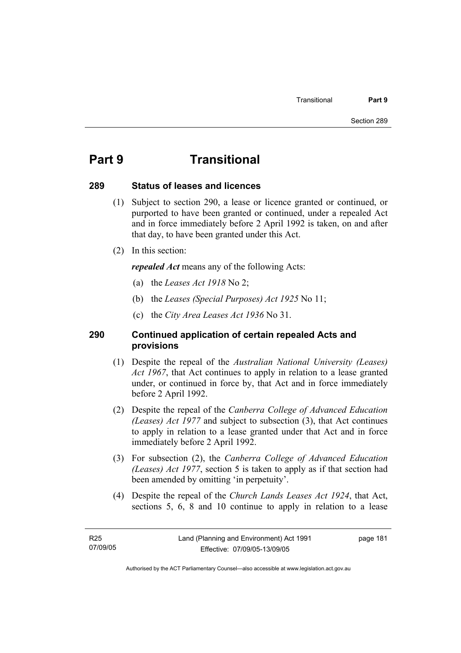## **Part 9 Transitional**

#### **289 Status of leases and licences**

- (1) Subject to section 290, a lease or licence granted or continued, or purported to have been granted or continued, under a repealed Act and in force immediately before 2 April 1992 is taken, on and after that day, to have been granted under this Act.
- (2) In this section:

*repealed Act* means any of the following Acts:

- (a) the *Leases Act 1918* No 2;
- (b) the *Leases (Special Purposes) Act 1925* No 11;
- (c) the *City Area Leases Act 1936* No 31.

### **290 Continued application of certain repealed Acts and provisions**

- (1) Despite the repeal of the *Australian National University (Leases) Act 1967*, that Act continues to apply in relation to a lease granted under, or continued in force by, that Act and in force immediately before 2 April 1992.
- (2) Despite the repeal of the *Canberra College of Advanced Education (Leases) Act 1977* and subject to subsection (3), that Act continues to apply in relation to a lease granted under that Act and in force immediately before 2 April 1992.
- (3) For subsection (2), the *Canberra College of Advanced Education (Leases) Act 1977*, section 5 is taken to apply as if that section had been amended by omitting 'in perpetuity'.
- (4) Despite the repeal of the *Church Lands Leases Act 1924*, that Act, sections 5, 6, 8 and 10 continue to apply in relation to a lease

page 181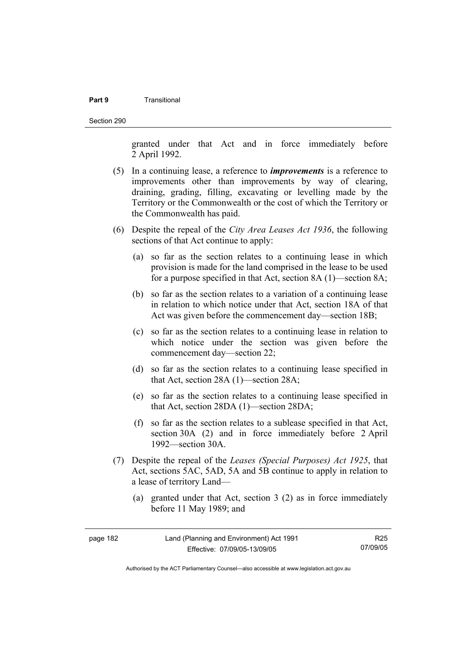#### **Part 9** Transitional

Section 290

granted under that Act and in force immediately before 2 April 1992.

- (5) In a continuing lease, a reference to *improvements* is a reference to improvements other than improvements by way of clearing, draining, grading, filling, excavating or levelling made by the Territory or the Commonwealth or the cost of which the Territory or the Commonwealth has paid.
- (6) Despite the repeal of the *City Area Leases Act 1936*, the following sections of that Act continue to apply:
	- (a) so far as the section relates to a continuing lease in which provision is made for the land comprised in the lease to be used for a purpose specified in that Act, section 8A (1)—section 8A;
	- (b) so far as the section relates to a variation of a continuing lease in relation to which notice under that Act, section 18A of that Act was given before the commencement day—section 18B;
	- (c) so far as the section relates to a continuing lease in relation to which notice under the section was given before the commencement day—section 22;
	- (d) so far as the section relates to a continuing lease specified in that Act, section 28A (1)—section 28A;
	- (e) so far as the section relates to a continuing lease specified in that Act, section 28DA (1)—section 28DA;
	- (f) so far as the section relates to a sublease specified in that Act, section 30A (2) and in force immediately before 2 April 1992—section 30A.
- (7) Despite the repeal of the *Leases (Special Purposes) Act 1925*, that Act, sections 5AC, 5AD, 5A and 5B continue to apply in relation to a lease of territory Land—
	- (a) granted under that Act, section 3 (2) as in force immediately before 11 May 1989; and

| page 182 | Land (Planning and Environment) Act 1991 | R25      |
|----------|------------------------------------------|----------|
|          | Effective: 07/09/05-13/09/05             | 07/09/05 |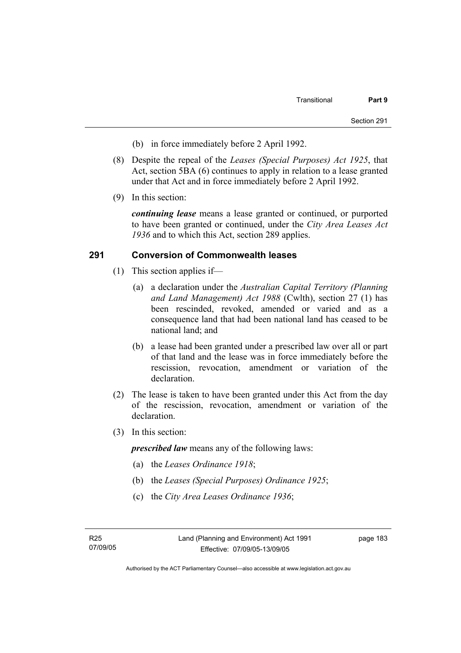- (b) in force immediately before 2 April 1992.
- (8) Despite the repeal of the *Leases (Special Purposes) Act 1925*, that Act, section 5BA (6) continues to apply in relation to a lease granted under that Act and in force immediately before 2 April 1992.
- (9) In this section:

*continuing lease* means a lease granted or continued, or purported to have been granted or continued, under the *City Area Leases Act 1936* and to which this Act, section 289 applies.

#### **291 Conversion of Commonwealth leases**

- (1) This section applies if—
	- (a) a declaration under the *Australian Capital Territory (Planning and Land Management) Act 1988* (Cwlth), section 27 (1) has been rescinded, revoked, amended or varied and as a consequence land that had been national land has ceased to be national land; and
	- (b) a lease had been granted under a prescribed law over all or part of that land and the lease was in force immediately before the rescission, revocation, amendment or variation of the declaration.
- (2) The lease is taken to have been granted under this Act from the day of the rescission, revocation, amendment or variation of the declaration.
- (3) In this section:

*prescribed law* means any of the following laws:

- (a) the *Leases Ordinance 1918*;
- (b) the *Leases (Special Purposes) Ordinance 1925*;
- (c) the *City Area Leases Ordinance 1936*;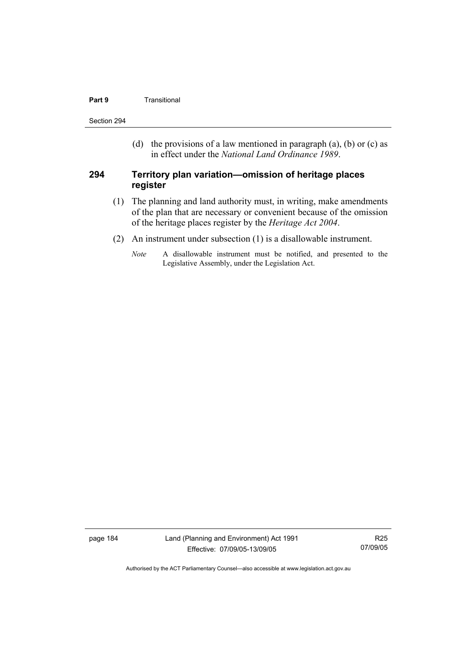#### **Part 9 Transitional**

Section 294

(d) the provisions of a law mentioned in paragraph (a), (b) or (c) as in effect under the *National Land Ordinance 1989*.

#### **294 Territory plan variation—omission of heritage places register**

- (1) The planning and land authority must, in writing, make amendments of the plan that are necessary or convenient because of the omission of the heritage places register by the *Heritage Act 2004*.
- (2) An instrument under subsection (1) is a disallowable instrument.
	- *Note* A disallowable instrument must be notified, and presented to the Legislative Assembly, under the Legislation Act.

page 184 Land (Planning and Environment) Act 1991 Effective: 07/09/05-13/09/05

R25 07/09/05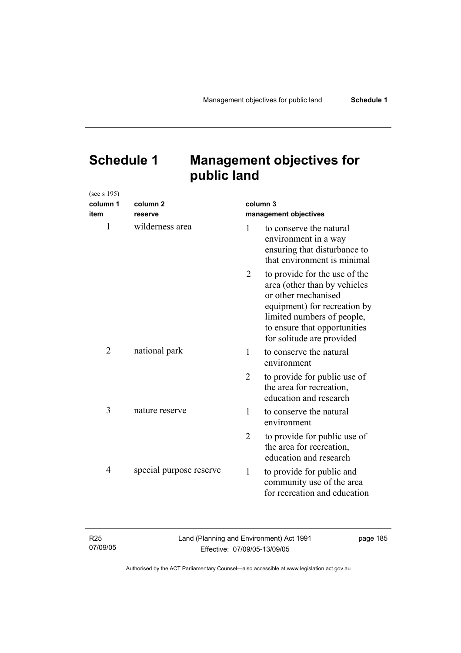# **Schedule 1 Management objectives for public land**

| (see s 195)    |                         |                |                                                                                                                                                                                                                 |
|----------------|-------------------------|----------------|-----------------------------------------------------------------------------------------------------------------------------------------------------------------------------------------------------------------|
| column 1       | column <sub>2</sub>     |                | column 3                                                                                                                                                                                                        |
| item           | reserve                 |                | management objectives                                                                                                                                                                                           |
| $\mathbf{1}$   | wilderness area         | 1              | to conserve the natural<br>environment in a way<br>ensuring that disturbance to<br>that environment is minimal                                                                                                  |
|                |                         | 2              | to provide for the use of the<br>area (other than by vehicles<br>or other mechanised<br>equipment) for recreation by<br>limited numbers of people,<br>to ensure that opportunities<br>for solitude are provided |
| $\overline{2}$ | national park           | 1              | to conserve the natural<br>environment                                                                                                                                                                          |
|                |                         | $\overline{2}$ | to provide for public use of<br>the area for recreation,<br>education and research                                                                                                                              |
| 3              | nature reserve          | 1              | to conserve the natural<br>environment                                                                                                                                                                          |
|                |                         | $\overline{2}$ | to provide for public use of<br>the area for recreation,<br>education and research                                                                                                                              |
| 4              | special purpose reserve | $\mathbf{1}$   | to provide for public and<br>community use of the area<br>for recreation and education                                                                                                                          |

| R <sub>25</sub> | Land (Planning and Environment) Act 1991 | page 185 |
|-----------------|------------------------------------------|----------|
| 07/09/05        | Effective: 07/09/05-13/09/05             |          |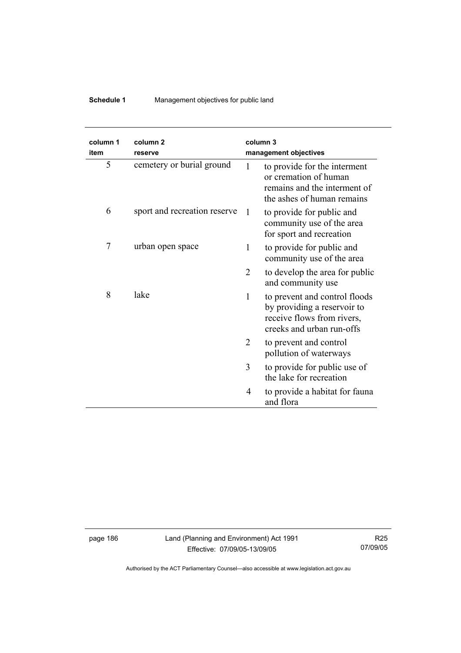## **Schedule 1** Management objectives for public land

| column 1<br>item | column <sub>2</sub><br>reserve | column <sub>3</sub><br>management objectives |                                                                                                                         |
|------------------|--------------------------------|----------------------------------------------|-------------------------------------------------------------------------------------------------------------------------|
| 5                | cemetery or burial ground      | 1                                            | to provide for the interment<br>or cremation of human<br>remains and the interment of<br>the ashes of human remains     |
| 6                | sport and recreation reserve   | -1                                           | to provide for public and<br>community use of the area<br>for sport and recreation                                      |
| 7                | urban open space               | 1                                            | to provide for public and<br>community use of the area                                                                  |
|                  |                                | 2                                            | to develop the area for public<br>and community use                                                                     |
| 8                | lake                           | 1                                            | to prevent and control floods<br>by providing a reservoir to<br>receive flows from rivers,<br>creeks and urban run-offs |
|                  |                                | 2                                            | to prevent and control<br>pollution of waterways                                                                        |
|                  |                                | 3                                            | to provide for public use of<br>the lake for recreation                                                                 |
|                  |                                | 4<br>and flora                               | to provide a habitat for fauna                                                                                          |

page 186 Land (Planning and Environment) Act 1991 Effective: 07/09/05-13/09/05

R25 07/09/05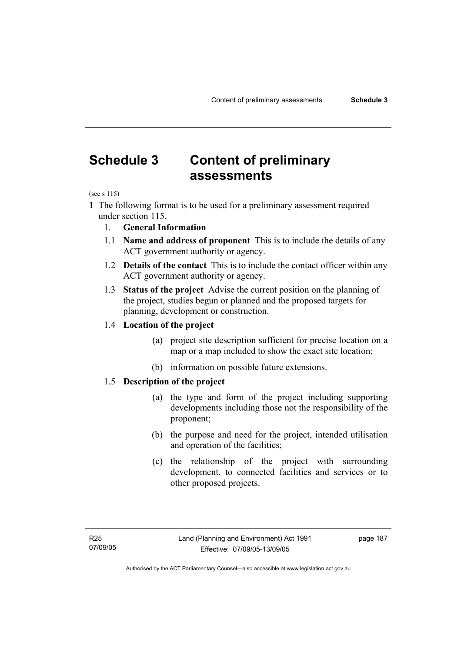# **Schedule 3 Content of preliminary assessments**

(see s 115)

**1** The following format is to be used for a preliminary assessment required under section 115.

- 1. **General Information**
- 1.1 **Name and address of proponent** This is to include the details of any ACT government authority or agency.
- 1.2 **Details of the contact** This is to include the contact officer within any ACT government authority or agency.
- 1.3 **Status of the project** Advise the current position on the planning of the project, studies begun or planned and the proposed targets for planning, development or construction.

#### 1.4 **Location of the project**

- (a) project site description sufficient for precise location on a map or a map included to show the exact site location;
- (b) information on possible future extensions.

#### 1.5 **Description of the project**

- (a) the type and form of the project including supporting developments including those not the responsibility of the proponent;
- (b) the purpose and need for the project, intended utilisation and operation of the facilities;
- (c) the relationship of the project with surrounding development, to connected facilities and services or to other proposed projects.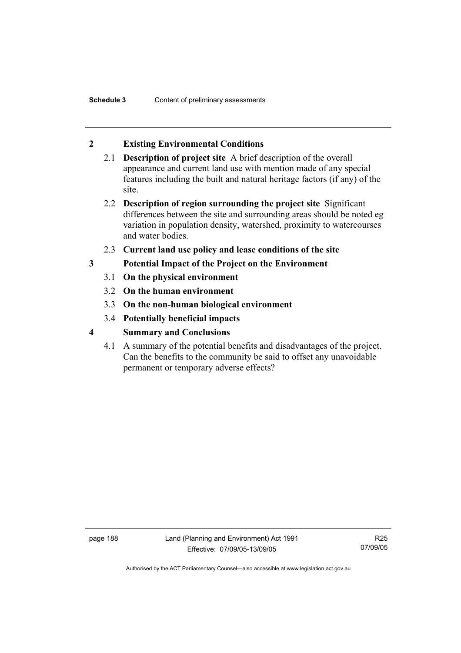### **2 Existing Environmental Conditions**

- 2.1 **Description of project site** A brief description of the overall appearance and current land use with mention made of any special features including the built and natural heritage factors (if any) of the site.
- 2.2 **Description of region surrounding the project site** Significant differences between the site and surrounding areas should be noted eg variation in population density, watershed, proximity to watercourses and water bodies.
- 2.3 **Current land use policy and lease conditions of the site**
- **3 Potential Impact of the Project on the Environment** 
	- 3.1 **On the physical environment**
	- 3.2 **On the human environment**
	- 3.3 **On the non-human biological environment**
	- 3.4 **Potentially beneficial impacts**
- **4 Summary and Conclusions** 
	- 4.1 A summary of the potential benefits and disadvantages of the project. Can the benefits to the community be said to offset any unavoidable permanent or temporary adverse effects?

page 188 Land (Planning and Environment) Act 1991 Effective: 07/09/05-13/09/05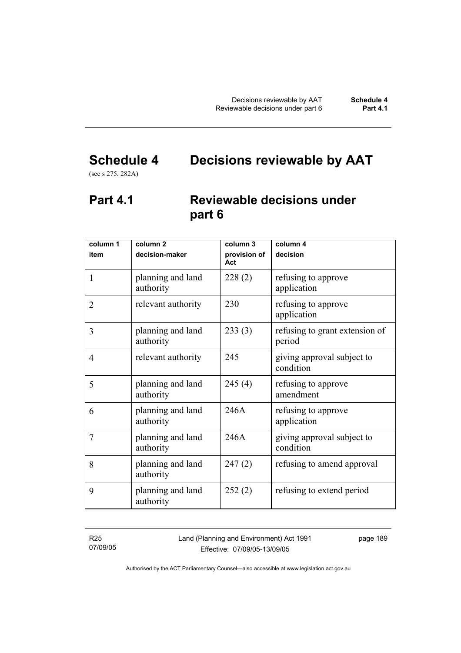# **Schedule 4 Decisions reviewable by AAT**

(see s 275, 282A)

## **Part 4.1 Reviewable decisions under part 6**

| column 1<br>item | column <sub>2</sub><br>decision-maker | column 3<br>provision of<br>Act | column 4<br>decision                     |
|------------------|---------------------------------------|---------------------------------|------------------------------------------|
| $\mathbf{1}$     | planning and land<br>authority        | 228(2)                          | refusing to approve<br>application       |
| $\overline{2}$   | relevant authority                    | 230                             | refusing to approve<br>application       |
| 3                | planning and land<br>authority        | 233(3)                          | refusing to grant extension of<br>period |
| 4                | relevant authority                    | 245                             | giving approval subject to<br>condition  |
| 5                | planning and land<br>authority        | 245(4)                          | refusing to approve<br>amendment         |
| 6                | planning and land<br>authority        | 246A                            | refusing to approve<br>application       |
| 7                | planning and land<br>authority        | 246A                            | giving approval subject to<br>condition  |
| 8                | planning and land<br>authority        | 247(2)                          | refusing to amend approval               |
| 9                | planning and land<br>authority        | 252(2)                          | refusing to extend period                |

R25 07/09/05 Land (Planning and Environment) Act 1991 Effective: 07/09/05-13/09/05

page 189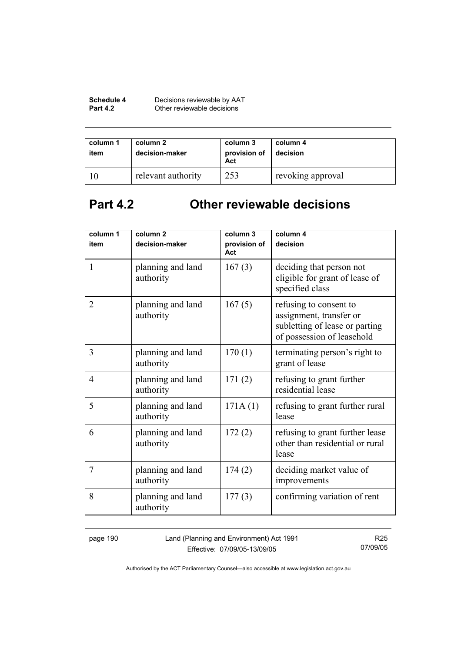| Schedule 4      | Decisions reviewable by AAT |
|-----------------|-----------------------------|
| <b>Part 4.2</b> | Other reviewable decisions  |

| column 1<br>item | column 2<br>decision-maker | column 3<br>provision of<br>Act | column 4<br>decision |
|------------------|----------------------------|---------------------------------|----------------------|
|                  | relevant authority         | 253                             | revoking approval    |

# **Part 4.2 Other reviewable decisions**

| column 1       | column <sub>2</sub>            | column 3            | column 4                                                                                                          |
|----------------|--------------------------------|---------------------|-------------------------------------------------------------------------------------------------------------------|
| item           | decision-maker                 | provision of<br>Act | decision                                                                                                          |
| $\mathbf{1}$   | planning and land<br>authority | 167(3)              | deciding that person not<br>eligible for grant of lease of<br>specified class                                     |
| $\overline{2}$ | planning and land<br>authority | 167(5)              | refusing to consent to<br>assignment, transfer or<br>subletting of lease or parting<br>of possession of leasehold |
| 3              | planning and land<br>authority | 170(1)              | terminating person's right to<br>grant of lease                                                                   |
| 4              | planning and land<br>authority | 171(2)              | refusing to grant further<br>residential lease                                                                    |
| 5              | planning and land<br>authority | 171A(1)             | refusing to grant further rural<br>lease                                                                          |
| 6              | planning and land<br>authority | 172(2)              | refusing to grant further lease<br>other than residential or rural<br>lease                                       |
| 7              | planning and land<br>authority | 174(2)              | deciding market value of<br>improvements                                                                          |
| 8              | planning and land<br>authority | 177(3)              | confirming variation of rent                                                                                      |

page 190 Land (Planning and Environment) Act 1991 Effective: 07/09/05-13/09/05

R25 07/09/05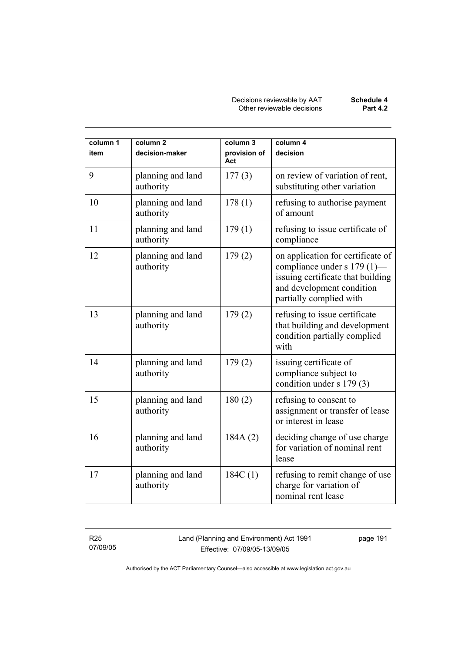| column 1<br>item | column <sub>2</sub><br>decision-maker | column 3<br>provision of<br>Act | column 4<br>decision                                                                                                                                          |
|------------------|---------------------------------------|---------------------------------|---------------------------------------------------------------------------------------------------------------------------------------------------------------|
| 9                | planning and land<br>authority        | 177(3)                          | on review of variation of rent,<br>substituting other variation                                                                                               |
| 10               | planning and land<br>authority        | 178(1)                          | refusing to authorise payment<br>of amount                                                                                                                    |
| 11               | planning and land<br>authority        | 179(1)                          | refusing to issue certificate of<br>compliance                                                                                                                |
| 12               | planning and land<br>authority        | 179(2)                          | on application for certificate of<br>compliance under s 179 (1)—<br>issuing certificate that building<br>and development condition<br>partially complied with |
| 13               | planning and land<br>authority        | 179(2)                          | refusing to issue certificate<br>that building and development<br>condition partially complied<br>with                                                        |
| 14               | planning and land<br>authority        | 179(2)                          | issuing certificate of<br>compliance subject to<br>condition under s 179 (3)                                                                                  |
| 15               | planning and land<br>authority        | 180(2)                          | refusing to consent to<br>assignment or transfer of lease<br>or interest in lease                                                                             |
| 16               | planning and land<br>authority        | 184A(2)                         | deciding change of use charge<br>for variation of nominal rent<br>lease                                                                                       |
| 17               | planning and land<br>authority        | 184C(1)                         | refusing to remit change of use<br>charge for variation of<br>nominal rent lease                                                                              |

R25 07/09/05 Land (Planning and Environment) Act 1991 Effective: 07/09/05-13/09/05

page 191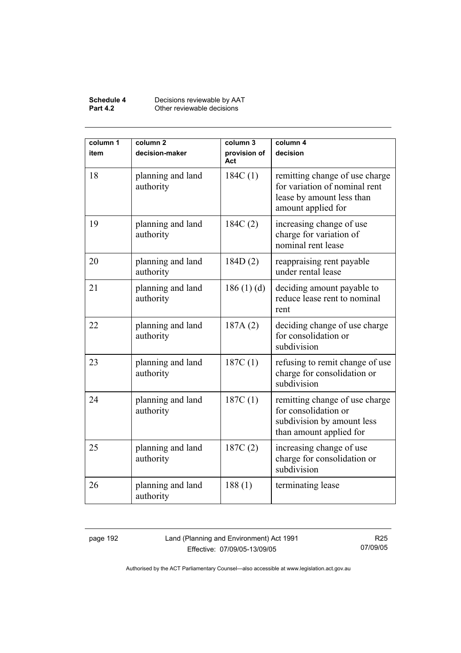#### **Schedule 4** Decisions reviewable by AAT **Part 4.2 Other reviewable decisions**

| column 1<br>item | column <sub>2</sub><br>decision-maker | column 3<br>provision of<br>Act | column 4<br>decision                                                                                               |
|------------------|---------------------------------------|---------------------------------|--------------------------------------------------------------------------------------------------------------------|
| 18               | planning and land<br>authority        | 184C(1)                         | remitting change of use charge<br>for variation of nominal rent<br>lease by amount less than<br>amount applied for |
| 19               | planning and land<br>authority        | 184C(2)                         | increasing change of use<br>charge for variation of<br>nominal rent lease                                          |
| 20               | planning and land<br>authority        | 184D(2)                         | reappraising rent payable<br>under rental lease                                                                    |
| 21               | planning and land<br>authority        | 186(1)(d)                       | deciding amount payable to<br>reduce lease rent to nominal<br>rent                                                 |
| 22               | planning and land<br>authority        | 187A(2)                         | deciding change of use charge<br>for consolidation or<br>subdivision                                               |
| 23               | planning and land<br>authority        | 187C(1)                         | refusing to remit change of use<br>charge for consolidation or<br>subdivision                                      |
| 24               | planning and land<br>authority        | 187C(1)                         | remitting change of use charge<br>for consolidation or<br>subdivision by amount less<br>than amount applied for    |
| 25               | planning and land<br>authority        | 187C(2)                         | increasing change of use<br>charge for consolidation or<br>subdivision                                             |
| 26               | planning and land<br>authority        | 188(1)                          | terminating lease                                                                                                  |

page 192 Land (Planning and Environment) Act 1991 Effective: 07/09/05-13/09/05

R25 07/09/05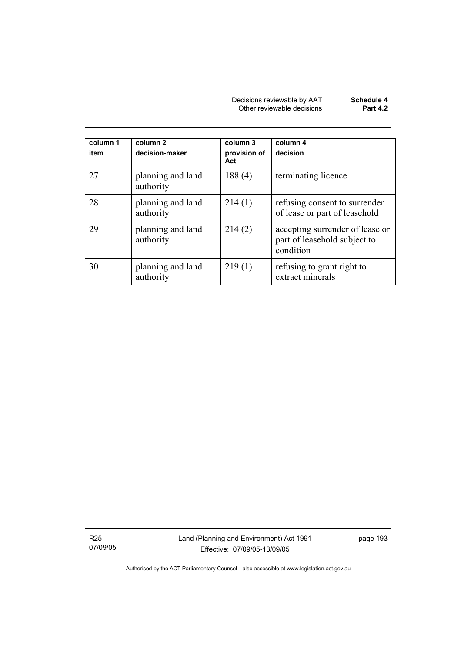| Decisions reviewable by AAT | Schedule 4      |
|-----------------------------|-----------------|
| Other reviewable decisions  | <b>Part 4.2</b> |

| column 1<br>item | column 2<br>decision-maker     | column 3<br>provision of<br>Act | column 4<br>decision                                                         |
|------------------|--------------------------------|---------------------------------|------------------------------------------------------------------------------|
| 27               | planning and land<br>authority | 188(4)                          | terminating licence                                                          |
| 28               | planning and land<br>authority | 214(1)                          | refusing consent to surrender<br>of lease or part of leasehold               |
| 29               | planning and land<br>authority | 214(2)                          | accepting surrender of lease or<br>part of leasehold subject to<br>condition |
| 30               | planning and land<br>authority | 219(1)                          | refusing to grant right to<br>extract minerals                               |

R25 07/09/05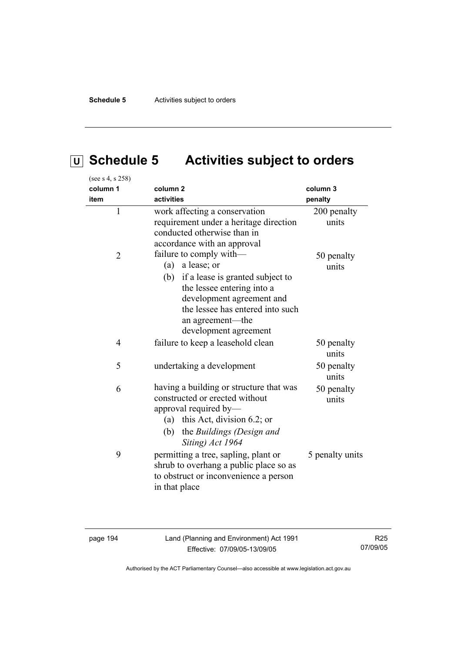# **U Schedule 5 Activities subject to orders**

| (see s 4, s 258) |                                                                                                                                                                                                                                   |                      |
|------------------|-----------------------------------------------------------------------------------------------------------------------------------------------------------------------------------------------------------------------------------|----------------------|
| column 1         | column <sub>2</sub>                                                                                                                                                                                                               | column 3             |
| item             | activities                                                                                                                                                                                                                        | penalty              |
| $\mathbf{1}$     | work affecting a conservation<br>requirement under a heritage direction<br>conducted otherwise than in<br>accordance with an approval                                                                                             | 200 penalty<br>units |
| $\overline{2}$   | failure to comply with-<br>a lease; or<br>(a)<br>(b) if a lease is granted subject to<br>the lessee entering into a<br>development agreement and<br>the lessee has entered into such<br>an agreement-the<br>development agreement | 50 penalty<br>units  |
| 4                | failure to keep a leasehold clean                                                                                                                                                                                                 | 50 penalty<br>units  |
| 5                | undertaking a development                                                                                                                                                                                                         | 50 penalty<br>units  |
| 6                | having a building or structure that was<br>constructed or erected without<br>approval required by-<br>(a) this Act, division 6.2; or<br>the Buildings (Design and<br>(b)<br>Siting) Act 1964                                      | 50 penalty<br>units  |
| 9                | permitting a tree, sapling, plant or<br>shrub to overhang a public place so as<br>to obstruct or inconvenience a person<br>in that place                                                                                          | 5 penalty units      |

page 194 Land (Planning and Environment) Act 1991 Effective: 07/09/05-13/09/05

R25 07/09/05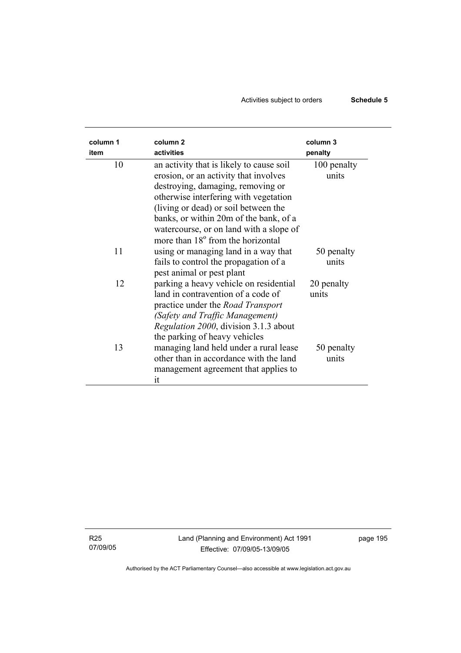## Activities subject to orders **Schedule 5**

| column 1<br>item | column <sub>2</sub><br>activities                                                                                                                                                                                                             | column 3<br>penalty  |
|------------------|-----------------------------------------------------------------------------------------------------------------------------------------------------------------------------------------------------------------------------------------------|----------------------|
| 10               | an activity that is likely to cause soil<br>erosion, or an activity that involves<br>destroying, damaging, removing or<br>otherwise interfering with vegetation<br>(living or dead) or soil between the                                       | 100 penalty<br>units |
|                  | banks, or within 20m of the bank, of a<br>watercourse, or on land with a slope of<br>more than 18 <sup>°</sup> from the horizontal                                                                                                            |                      |
| 11               | using or managing land in a way that<br>fails to control the propagation of a<br>pest animal or pest plant                                                                                                                                    | 50 penalty<br>units  |
| 12               | parking a heavy vehicle on residential<br>land in contravention of a code of<br>practice under the <i>Road Transport</i><br>(Safety and Traffic Management)<br><i>Regulation 2000</i> , division 3.1.3 about<br>the parking of heavy vehicles | 20 penalty<br>units  |
| 13               | managing land held under a rural lease<br>other than in accordance with the land<br>management agreement that applies to<br>it                                                                                                                | 50 penalty<br>units  |

R25 07/09/05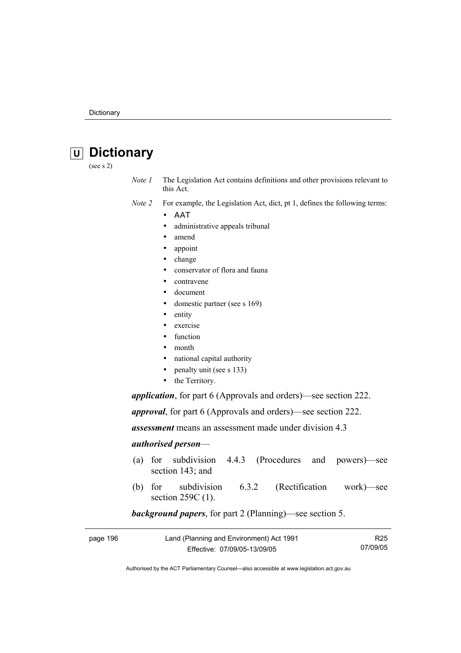# **U Dictionary**

(see s 2)

*Note 1* The Legislation Act contains definitions and other provisions relevant to this Act.

*Note 2* For example, the Legislation Act, dict, pt 1, defines the following terms:

- ΑΑΤ
	- administrative appeals tribunal
	- amend
	- appoint
	- change
	- conservator of flora and fauna
	- contravene
	- document
	- domestic partner (see s 169)
	- entity
	- exercise
	- function
	- month
	- national capital authority
	- penalty unit (see s 133)
	- the Territory.

*application*, for part 6 (Approvals and orders)—see section 222.

*approval*, for part 6 (Approvals and orders)—see section 222.

*assessment* means an assessment made under division 4.3

#### *authorised person*—

- (a) for subdivision 4.4.3 (Procedures and powers)—see section 143; and
- (b) for subdivision 6.3.2 (Rectification work)—see section 259C (1).

#### *background papers*, for part 2 (Planning)—see section 5.

| page 196 | Land (Planning and Environment) Act 1991 | R <sub>25</sub> |
|----------|------------------------------------------|-----------------|
|          | Effective: 07/09/05-13/09/05             | 07/09/05        |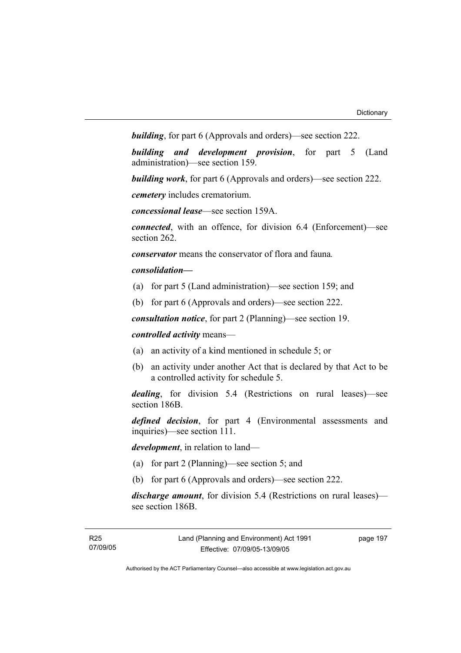*building*, for part 6 (Approvals and orders)—see section 222.

*building and development provision*, for part 5 (Land administration)—see section 159.

*building work*, for part 6 (Approvals and orders)—see section 222.

*cemetery* includes crematorium.

*concessional lease*—see section 159A.

*connected*, with an offence, for division 6.4 (Enforcement)—see section 262.

*conservator* means the conservator of flora and fauna*.*

#### *consolidation—*

- (a) for part 5 (Land administration)—see section 159; and
- (b) for part 6 (Approvals and orders)—see section 222.

*consultation notice*, for part 2 (Planning)—see section 19.

#### *controlled activity* means—

- (a) an activity of a kind mentioned in schedule 5; or
- (b) an activity under another Act that is declared by that Act to be a controlled activity for schedule 5.

*dealing*, for division 5.4 (Restrictions on rural leases)—see section 186B.

*defined decision*, for part 4 (Environmental assessments and inquiries)—see section 111.

*development*, in relation to land—

- (a) for part 2 (Planning)—see section 5; and
- (b) for part 6 (Approvals and orders)—see section 222.

*discharge amount*, for division 5.4 (Restrictions on rural leases) see section 186B.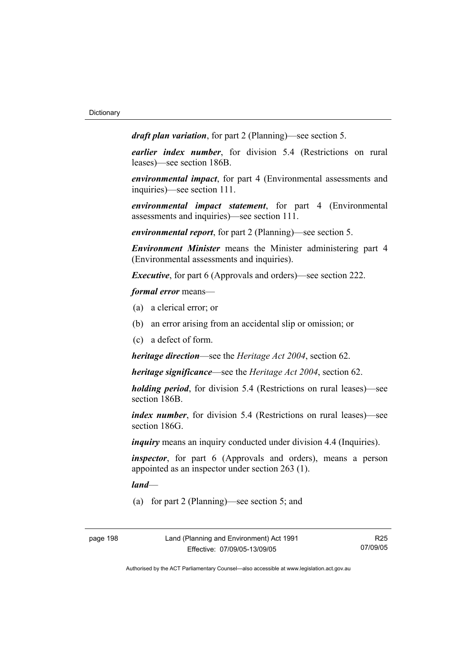*draft plan variation*, for part 2 (Planning)—see section 5.

*earlier index number*, for division 5.4 (Restrictions on rural leases)—see section 186B.

*environmental impact*, for part 4 (Environmental assessments and inquiries)—see section 111.

*environmental impact statement*, for part 4 (Environmental assessments and inquiries)—see section 111.

*environmental report*, for part 2 (Planning)—see section 5.

*Environment Minister* means the Minister administering part 4 (Environmental assessments and inquiries).

*Executive*, for part 6 (Approvals and orders)—see section 222.

*formal error* means—

- (a) a clerical error; or
- (b) an error arising from an accidental slip or omission; or
- (c) a defect of form.

*heritage direction*—see the *Heritage Act 2004*, section 62.

*heritage significance*—see the *Heritage Act 2004*, section 62.

*holding period*, for division 5.4 (Restrictions on rural leases)—see section 186B.

*index number*, for division 5.4 (Restrictions on rural leases)—see section 186G.

*inquiry* means an inquiry conducted under division 4.4 (Inquiries).

*inspector*, for part 6 (Approvals and orders), means a person appointed as an inspector under section 263 (1).

*land*—

(a) for part 2 (Planning)—see section 5; and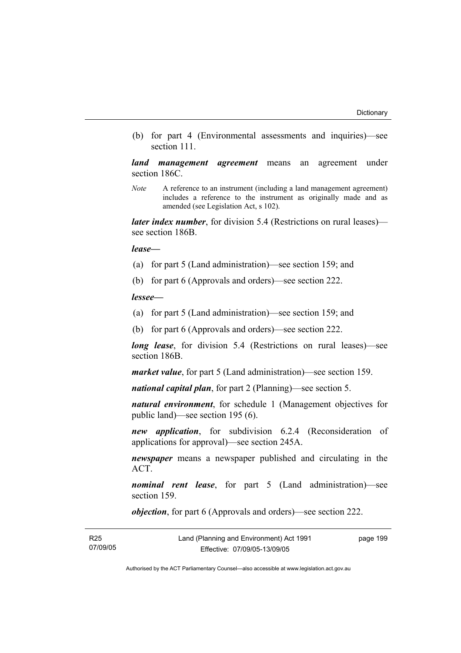(b) for part 4 (Environmental assessments and inquiries)—see section 111.

*land management agreement* means an agreement under section 186C.

*Note* A reference to an instrument (including a land management agreement) includes a reference to the instrument as originally made and as amended (see Legislation Act, s 102).

*later index number*, for division 5.4 (Restrictions on rural leases) see section 186B.

*lease—*

- (a) for part 5 (Land administration)—see section 159; and
- (b) for part 6 (Approvals and orders)—see section 222.

*lessee—*

- (a) for part 5 (Land administration)—see section 159; and
- (b) for part 6 (Approvals and orders)—see section 222.

*long lease*, for division 5.4 (Restrictions on rural leases)—see section 186B.

*market value*, for part 5 (Land administration)—see section 159.

*national capital plan*, for part 2 (Planning)—see section 5.

*natural environment*, for schedule 1 (Management objectives for public land)—see section 195 (6).

*new application*, for subdivision 6.2.4 (Reconsideration of applications for approval)—see section 245A.

*newspaper* means a newspaper published and circulating in the ACT.

*nominal rent lease*, for part 5 (Land administration)—see section 159.

*objection*, for part 6 (Approvals and orders)—see section 222.

| R25      | Land (Planning and Environment) Act 1991 | page 199 |
|----------|------------------------------------------|----------|
| 07/09/05 | Effective: 07/09/05-13/09/05             |          |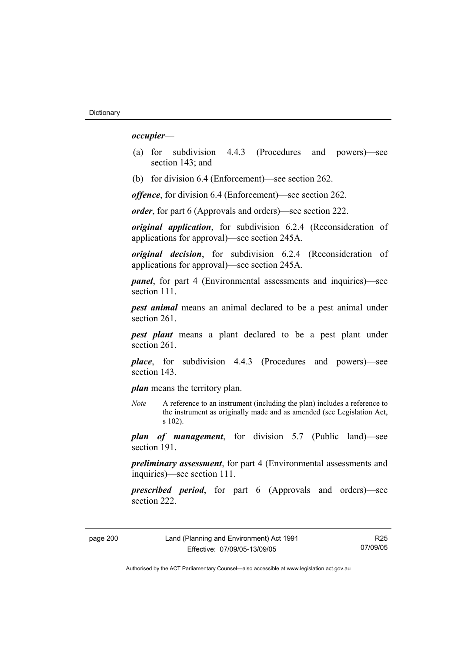#### *occupier*—

- (a) for subdivision 4.4.3 (Procedures and powers)—see section 143; and
- (b) for division 6.4 (Enforcement)—see section 262.

*offence*, for division 6.4 (Enforcement)—see section 262.

*order*, for part 6 (Approvals and orders)—see section 222.

*original application*, for subdivision 6.2.4 (Reconsideration of applications for approval)—see section 245A.

*original decision*, for subdivision 6.2.4 (Reconsideration of applications for approval)—see section 245A.

*panel*, for part 4 (Environmental assessments and inquiries)—see section 111.

*pest animal* means an animal declared to be a pest animal under section 261.

*pest plant* means a plant declared to be a pest plant under section 261

*place*, for subdivision 4.4.3 (Procedures and powers)—see section 143.

*plan* means the territory plan.

*Note* A reference to an instrument (including the plan) includes a reference to the instrument as originally made and as amended (see Legislation Act, s 102).

*plan of management*, for division 5.7 (Public land)—see section 191.

*preliminary assessment*, for part 4 (Environmental assessments and inquiries)—see section 111.

*prescribed period*, for part 6 (Approvals and orders)—see section 222.

page 200 Land (Planning and Environment) Act 1991 Effective: 07/09/05-13/09/05

R25 07/09/05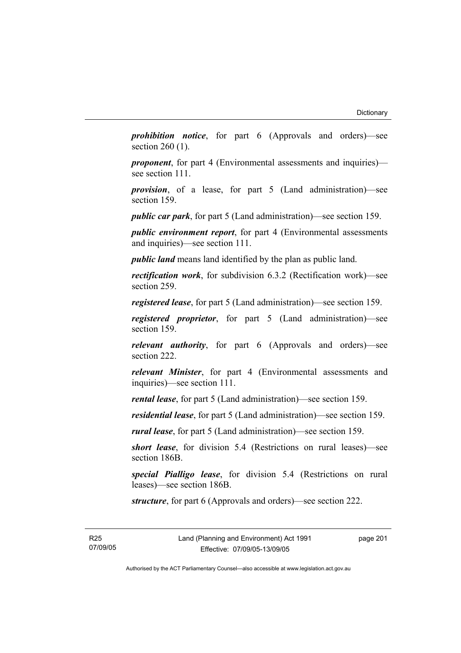*prohibition notice*, for part 6 (Approvals and orders)—see section 260 (1).

*proponent*, for part 4 (Environmental assessments and inquiries) see section 111.

*provision*, of a lease, for part 5 (Land administration)—see section 159.

*public car park*, for part 5 (Land administration)—see section 159.

*public environment report*, for part 4 (Environmental assessments and inquiries)—see section 111.

*public land* means land identified by the plan as public land.

*rectification work*, for subdivision 6.3.2 (Rectification work)—see section 259.

*registered lease*, for part 5 (Land administration)—see section 159.

*registered proprietor*, for part 5 (Land administration)—see section 159.

*relevant authority*, for part 6 (Approvals and orders)—see section 222.

*relevant Minister*, for part 4 (Environmental assessments and inquiries)—see section 111.

*rental lease*, for part 5 (Land administration)—see section 159.

*residential lease*, for part 5 (Land administration)—see section 159.

*rural lease*, for part 5 (Land administration)—see section 159.

*short lease*, for division 5.4 (Restrictions on rural leases)—see section 186B.

*special Pialligo lease*, for division 5.4 (Restrictions on rural leases)—see section 186B.

*structure*, for part 6 (Approvals and orders)—see section 222.

R25 07/09/05 page 201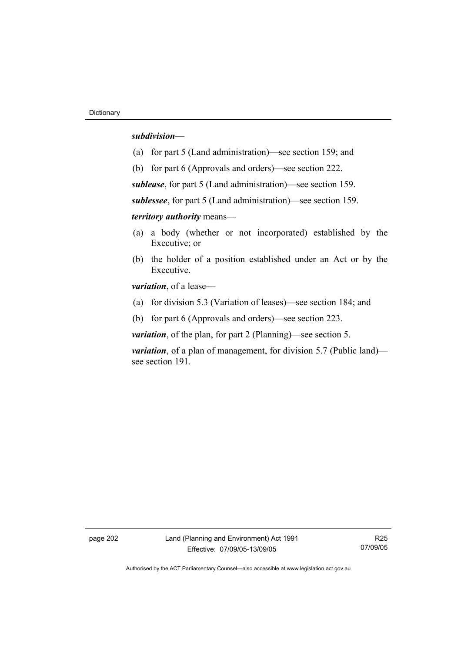#### *subdivision—*

- (a) for part 5 (Land administration)—see section 159; and
- (b) for part 6 (Approvals and orders)—see section 222.

*sublease*, for part 5 (Land administration)—see section 159.

*sublessee*, for part 5 (Land administration)—see section 159.

*territory authority* means—

- (a) a body (whether or not incorporated) established by the Executive; or
- (b) the holder of a position established under an Act or by the Executive.

*variation*, of a lease—

- (a) for division 5.3 (Variation of leases)—see section 184; and
- (b) for part 6 (Approvals and orders)—see section 223.

*variation*, of the plan, for part 2 (Planning)—see section 5.

*variation*, of a plan of management, for division 5.7 (Public land) see section 191.

page 202 Land (Planning and Environment) Act 1991 Effective: 07/09/05-13/09/05

R25 07/09/05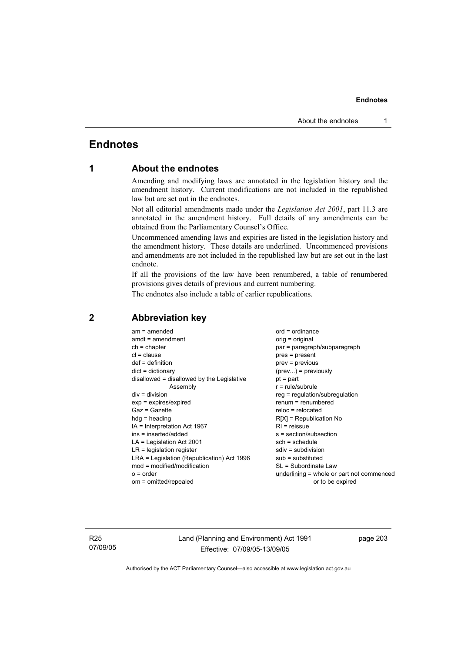# **Endnotes**

# **1 About the endnotes**

Amending and modifying laws are annotated in the legislation history and the amendment history. Current modifications are not included in the republished law but are set out in the endnotes.

Not all editorial amendments made under the *Legislation Act 2001*, part 11.3 are annotated in the amendment history. Full details of any amendments can be obtained from the Parliamentary Counsel's Office.

Uncommenced amending laws and expiries are listed in the legislation history and the amendment history. These details are underlined. Uncommenced provisions and amendments are not included in the republished law but are set out in the last endnote.

If all the provisions of the law have been renumbered, a table of renumbered provisions gives details of previous and current numbering.

The endnotes also include a table of earlier republications.

| $am = amended$<br>$amdt = amendment$<br>$ch = chapter$<br>$cl = clause$<br>$def = definition$<br>$dict = dictionary$<br>disallowed = disallowed by the Legislative<br>Assembly<br>$div = division$<br>$exp = expires/expired$<br>Gaz = Gazette<br>$hda =$ heading<br>$IA = Interpretation Act 1967$<br>ins = inserted/added<br>$LA =$ Legislation Act 2001<br>$LR =$ legislation register<br>LRA = Legislation (Republication) Act 1996<br>$mod = modified/modification$<br>$o = order$ | $ord = ordinance$<br>orig = original<br>par = paragraph/subparagraph<br>$pres = present$<br>prev = previous<br>$(\text{prev})$ = previously<br>$pt = part$<br>$r = rule/subrule$<br>$reg = regulation/subregulation$<br>$renum = renumbered$<br>$reloc = relocated$<br>$R[X]$ = Republication No<br>$R1$ = reissue<br>s = section/subsection<br>$sch = schedule$<br>$sdiv = subdivision$<br>$sub =$ substituted<br>SL = Subordinate Law |
|-----------------------------------------------------------------------------------------------------------------------------------------------------------------------------------------------------------------------------------------------------------------------------------------------------------------------------------------------------------------------------------------------------------------------------------------------------------------------------------------|-----------------------------------------------------------------------------------------------------------------------------------------------------------------------------------------------------------------------------------------------------------------------------------------------------------------------------------------------------------------------------------------------------------------------------------------|
| om = omitted/repealed                                                                                                                                                                                                                                                                                                                                                                                                                                                                   | underlining = whole or part not commenced<br>or to be expired                                                                                                                                                                                                                                                                                                                                                                           |
|                                                                                                                                                                                                                                                                                                                                                                                                                                                                                         |                                                                                                                                                                                                                                                                                                                                                                                                                                         |

# **2 Abbreviation key**

R25 07/09/05 Land (Planning and Environment) Act 1991 Effective: 07/09/05-13/09/05

page 203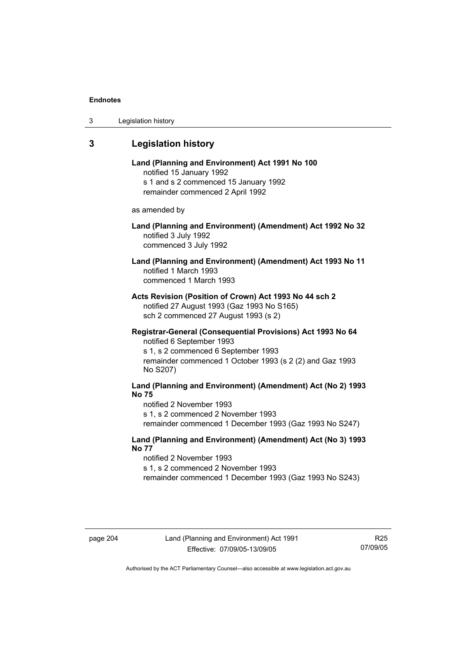| 3 | Legislation history |  |
|---|---------------------|--|
|---|---------------------|--|

# **3 Legislation history**

| Land (Planning and Environment) Act 1991 No 100 |
|-------------------------------------------------|
| notified 15 January 1992                        |
| s 1 and s 2 commenced 15 January 1992           |
| remainder commenced 2 April 1992                |

as amended by

## **Land (Planning and Environment) (Amendment) Act 1992 No 32**  notified 3 July 1992 commenced 3 July 1992

# **Land (Planning and Environment) (Amendment) Act 1993 No 11**  notified 1 March 1993 commenced 1 March 1993

**Acts Revision (Position of Crown) Act 1993 No 44 sch 2**  notified 27 August 1993 (Gaz 1993 No S165) sch 2 commenced 27 August 1993 (s 2)

### **Registrar-General (Consequential Provisions) Act 1993 No 64**  notified 6 September 1993

s 1, s 2 commenced 6 September 1993 remainder commenced 1 October 1993 (s 2 (2) and Gaz 1993 No S207)

# **Land (Planning and Environment) (Amendment) Act (No 2) 1993 No 75**

notified 2 November 1993 s 1, s 2 commenced 2 November 1993 remainder commenced 1 December 1993 (Gaz 1993 No S247)

### **Land (Planning and Environment) (Amendment) Act (No 3) 1993 No 77**

notified 2 November 1993 s 1, s 2 commenced 2 November 1993 remainder commenced 1 December 1993 (Gaz 1993 No S243)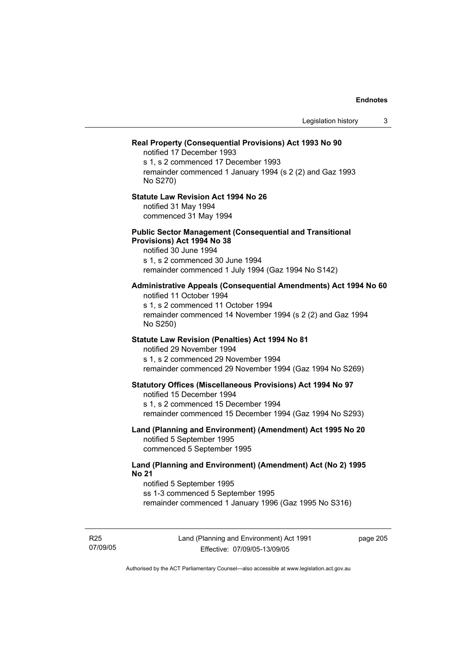| Legislation history                                                                                                                                                                                             | 3 |
|-----------------------------------------------------------------------------------------------------------------------------------------------------------------------------------------------------------------|---|
| Real Property (Consequential Provisions) Act 1993 No 90<br>notified 17 December 1993<br>s 1, s 2 commenced 17 December 1993<br>remainder commenced 1 January 1994 (s 2 (2) and Gaz 1993<br>No S270)             |   |
| <b>Statute Law Revision Act 1994 No 26</b><br>notified 31 May 1994<br>commenced 31 May 1994                                                                                                                     |   |
| <b>Public Sector Management (Consequential and Transitional</b><br>Provisions) Act 1994 No 38<br>notified 30 June 1994<br>s 1, s 2 commenced 30 June 1994<br>remainder commenced 1 July 1994 (Gaz 1994 No S142) |   |
| Administrative Appeals (Consequential Amendments) Act 1994 No 60<br>notified 11 October 1994<br>s 1, s 2 commenced 11 October 1994<br>remainder commenced 14 November 1994 (s 2 (2) and Gaz 1994<br>No S250)    |   |
| Statute Law Revision (Penalties) Act 1994 No 81<br>notified 29 November 1994<br>s 1, s 2 commenced 29 November 1994<br>remainder commenced 29 November 1994 (Gaz 1994 No S269)                                  |   |
| <b>Statutory Offices (Miscellaneous Provisions) Act 1994 No 97</b><br>notified 15 December 1994<br>s 1, s 2 commenced 15 December 1994<br>remainder commenced 15 December 1994 (Gaz 1994 No S293)               |   |
| Land (Planning and Environment) (Amendment) Act 1995 No 20<br>notified 5 September 1995<br>commenced 5 September 1995                                                                                           |   |
| Land (Planning and Environment) (Amendment) Act (No 2) 1995<br><b>No 21</b><br>notified 5 September 1995<br>ss 1-3 commenced 5 September 1995<br>remainder commenced 1 January 1996 (Gaz 1995 No S316)          |   |

R25 07/09/05 page 205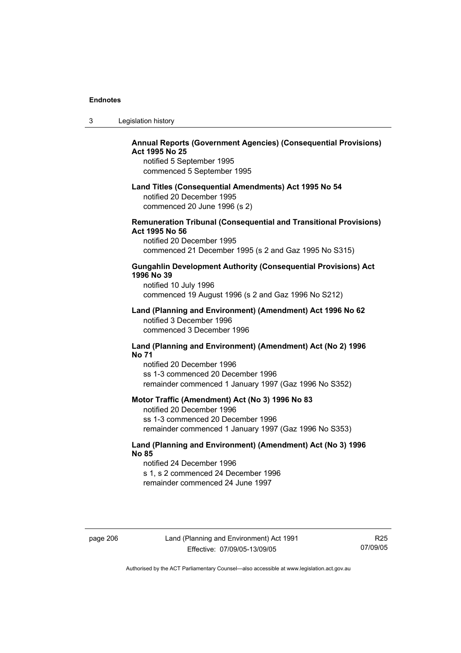| 3 | Legislation history |  |
|---|---------------------|--|
|---|---------------------|--|

# **Annual Reports (Government Agencies) (Consequential Provisions) Act 1995 No 25**

notified 5 September 1995 commenced 5 September 1995

#### **Land Titles (Consequential Amendments) Act 1995 No 54**

notified 20 December 1995 commenced 20 June 1996 (s 2)

### **Remuneration Tribunal (Consequential and Transitional Provisions) Act 1995 No 56**

notified 20 December 1995 commenced 21 December 1995 (s 2 and Gaz 1995 No S315)

### **Gungahlin Development Authority (Consequential Provisions) Act 1996 No 39**

notified 10 July 1996 commenced 19 August 1996 (s 2 and Gaz 1996 No S212)

### **Land (Planning and Environment) (Amendment) Act 1996 No 62**  notified 3 December 1996 commenced 3 December 1996

### **Land (Planning and Environment) (Amendment) Act (No 2) 1996 No 71**

notified 20 December 1996 ss 1-3 commenced 20 December 1996 remainder commenced 1 January 1997 (Gaz 1996 No S352)

### **Motor Traffic (Amendment) Act (No 3) 1996 No 83**

notified 20 December 1996 ss 1-3 commenced 20 December 1996 remainder commenced 1 January 1997 (Gaz 1996 No S353)

## **Land (Planning and Environment) (Amendment) Act (No 3) 1996 No 85**

notified 24 December 1996 s 1, s 2 commenced 24 December 1996 remainder commenced 24 June 1997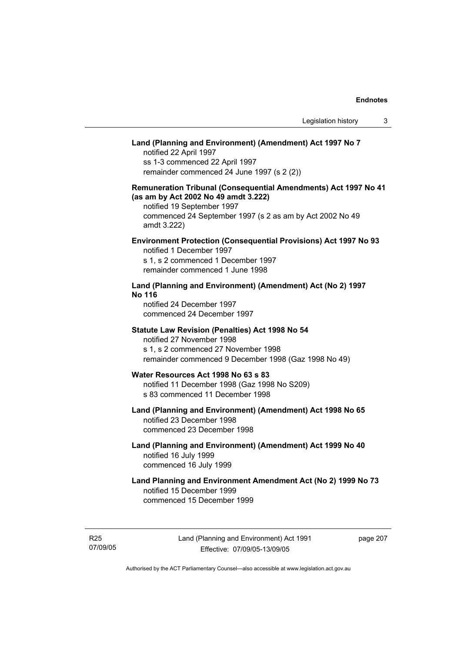# **Land (Planning and Environment) (Amendment) Act 1997 No 7**

notified 22 April 1997 ss 1-3 commenced 22 April 1997 remainder commenced 24 June 1997 (s 2 (2))

## **Remuneration Tribunal (Consequential Amendments) Act 1997 No 41 (as am by Act 2002 No 49 amdt 3.222)**

notified 19 September 1997 commenced 24 September 1997 (s 2 as am by Act 2002 No 49 amdt 3.222)

### **Environment Protection (Consequential Provisions) Act 1997 No 93**

notified 1 December 1997 s 1, s 2 commenced 1 December 1997 remainder commenced 1 June 1998

### **Land (Planning and Environment) (Amendment) Act (No 2) 1997 No 116**

notified 24 December 1997 commenced 24 December 1997

#### **Statute Law Revision (Penalties) Act 1998 No 54**

notified 27 November 1998 s 1, s 2 commenced 27 November 1998 remainder commenced 9 December 1998 (Gaz 1998 No 49)

# **Water Resources Act 1998 No 63 s 83**

notified 11 December 1998 (Gaz 1998 No S209) s 83 commenced 11 December 1998

# **Land (Planning and Environment) (Amendment) Act 1998 No 65**  notified 23 December 1998

commenced 23 December 1998

## **Land (Planning and Environment) (Amendment) Act 1999 No 40**  notified 16 July 1999 commenced 16 July 1999

# **Land Planning and Environment Amendment Act (No 2) 1999 No 73**  notified 15 December 1999 commenced 15 December 1999

R25 07/09/05 page 207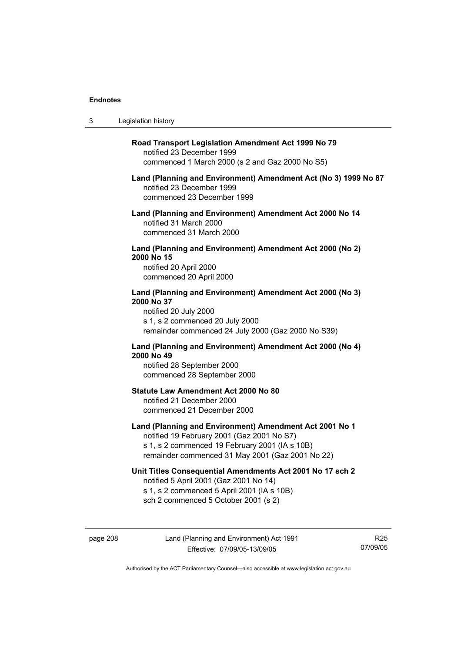$3<sub>1</sub>$ 

| Legislation history                                                                                                                                                                                         |
|-------------------------------------------------------------------------------------------------------------------------------------------------------------------------------------------------------------|
| Road Transport Legislation Amendment Act 1999 No 79<br>notified 23 December 1999<br>commenced 1 March 2000 (s 2 and Gaz 2000 No S5)                                                                         |
| Land (Planning and Environment) Amendment Act (No 3) 1999 No 87<br>notified 23 December 1999<br>commenced 23 December 1999                                                                                  |
| Land (Planning and Environment) Amendment Act 2000 No 14<br>notified 31 March 2000<br>commenced 31 March 2000                                                                                               |
| Land (Planning and Environment) Amendment Act 2000 (No 2)<br>2000 No 15<br>notified 20 April 2000<br>commenced 20 April 2000                                                                                |
| Land (Planning and Environment) Amendment Act 2000 (No 3)<br>2000 No 37<br>notified 20 July 2000<br>s 1, s 2 commenced 20 July 2000<br>remainder commenced 24 July 2000 (Gaz 2000 No S39)                   |
| Land (Planning and Environment) Amendment Act 2000 (No 4)<br>2000 No 49<br>notified 28 September 2000<br>commenced 28 September 2000                                                                        |
| <b>Statute Law Amendment Act 2000 No 80</b><br>notified 21 December 2000<br>commenced 21 December 2000                                                                                                      |
| Land (Planning and Environment) Amendment Act 2001 No 1<br>notified 19 February 2001 (Gaz 2001 No S7)<br>s 1, s 2 commenced 19 February 2001 (IA s 10B)<br>remainder commenced 31 May 2001 (Gaz 2001 No 22) |
| Unit Titles Consequential Amendments Act 2001 No 17 sch 2<br>notified 5 April 2001 (Gaz 2001 No 14)<br>s 1, s 2 commenced 5 April 2001 (IA s 10B)<br>sch 2 commenced 5 October 2001 (s 2)                   |

R25 07/09/05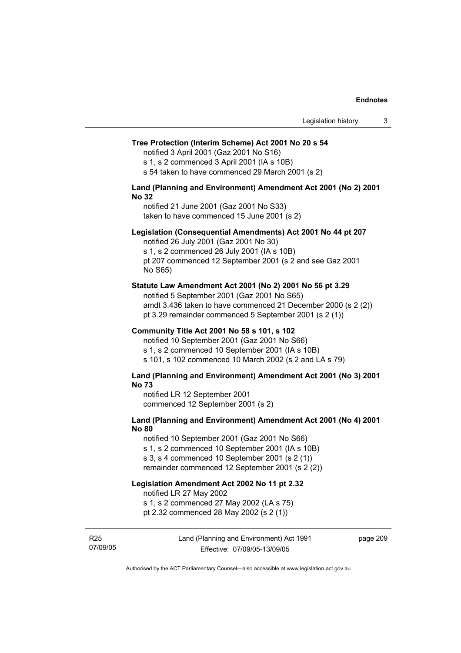### **Tree Protection (Interim Scheme) Act 2001 No 20 s 54**

notified 3 April 2001 (Gaz 2001 No S16)

s 1, s 2 commenced 3 April 2001 (IA s 10B)

s 54 taken to have commenced 29 March 2001 (s 2)

### **Land (Planning and Environment) Amendment Act 2001 (No 2) 2001 No 32**

notified 21 June 2001 (Gaz 2001 No S33) taken to have commenced 15 June 2001 (s 2)

### **Legislation (Consequential Amendments) Act 2001 No 44 pt 207**

notified 26 July 2001 (Gaz 2001 No 30) s 1, s 2 commenced 26 July 2001 (IA s 10B) pt 207 commenced 12 September 2001 (s 2 and see Gaz 2001 No S65)

#### **Statute Law Amendment Act 2001 (No 2) 2001 No 56 pt 3.29**

notified 5 September 2001 (Gaz 2001 No S65) amdt 3.436 taken to have commenced 21 December 2000 (s 2 (2)) pt 3.29 remainder commenced 5 September 2001 (s 2 (1))

### **Community Title Act 2001 No 58 s 101, s 102**

notified 10 September 2001 (Gaz 2001 No S66) s 1, s 2 commenced 10 September 2001 (IA s 10B) s 101, s 102 commenced 10 March 2002 (s 2 and LA s 79)

### **Land (Planning and Environment) Amendment Act 2001 (No 3) 2001 No 73**

notified LR 12 September 2001 commenced 12 September 2001 (s 2)

## **Land (Planning and Environment) Amendment Act 2001 (No 4) 2001 No 80**

notified 10 September 2001 (Gaz 2001 No S66) s 1, s 2 commenced 10 September 2001 (IA s 10B) s 3, s 4 commenced 10 September 2001 (s 2 (1)) remainder commenced 12 September 2001 (s 2 (2))

# **Legislation Amendment Act 2002 No 11 pt 2.32**

notified LR 27 May 2002

s 1, s 2 commenced 27 May 2002 (LA s 75)

pt 2.32 commenced 28 May 2002 (s 2 (1))

R25 07/09/05 Land (Planning and Environment) Act 1991 Effective: 07/09/05-13/09/05

page 209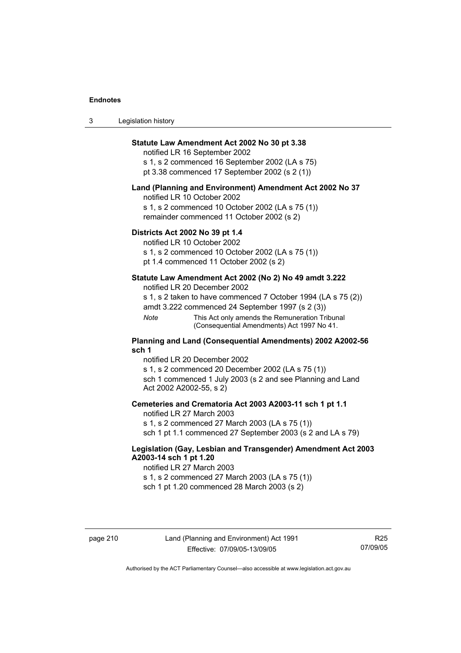| 3 | Legislation history |  |
|---|---------------------|--|
|---|---------------------|--|

## **Statute Law Amendment Act 2002 No 30 pt 3.38**

notified LR 16 September 2002 s 1, s 2 commenced 16 September 2002 (LA s 75) pt 3.38 commenced 17 September 2002 (s 2 (1))

#### **Land (Planning and Environment) Amendment Act 2002 No 37**

notified LR 10 October 2002

s 1, s 2 commenced 10 October 2002 (LA s 75 (1)) remainder commenced 11 October 2002 (s 2)

### **Districts Act 2002 No 39 pt 1.4**

notified LR 10 October 2002

s 1, s 2 commenced 10 October 2002 (LA s 75 (1))

pt 1.4 commenced 11 October 2002 (s 2)

### **Statute Law Amendment Act 2002 (No 2) No 49 amdt 3.222**

notified LR 20 December 2002

s 1, s 2 taken to have commenced 7 October 1994 (LA s 75 (2)) amdt 3.222 commenced 24 September 1997 (s 2 (3))

*Note* This Act only amends the Remuneration Tribunal (Consequential Amendments) Act 1997 No 41.

#### **Planning and Land (Consequential Amendments) 2002 A2002-56 sch 1**

notified LR 20 December 2002 s 1, s 2 commenced 20 December 2002 (LA s 75 (1)) sch 1 commenced 1 July 2003 (s 2 and see Planning and Land Act 2002 A2002-55, s 2)

### **Cemeteries and Crematoria Act 2003 A2003-11 sch 1 pt 1.1**

notified LR 27 March 2003 s 1, s 2 commenced 27 March 2003 (LA s 75 (1)) sch 1 pt 1.1 commenced 27 September 2003 (s 2 and LA s 79)

## **Legislation (Gay, Lesbian and Transgender) Amendment Act 2003 A2003-14 sch 1 pt 1.20**

notified LR 27 March 2003 s 1, s 2 commenced 27 March 2003 (LA s 75 (1)) sch 1 pt 1.20 commenced 28 March 2003 (s 2)

R25 07/09/05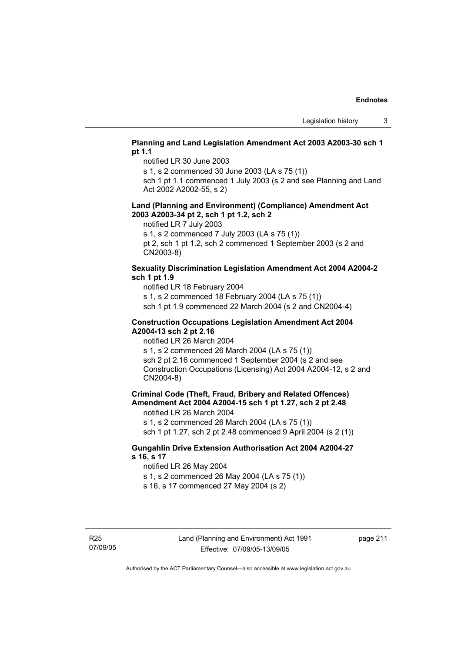## **Planning and Land Legislation Amendment Act 2003 A2003-30 sch 1 pt 1.1**

notified LR 30 June 2003

s 1, s 2 commenced 30 June 2003 (LA s 75 (1))

sch 1 pt 1.1 commenced 1 July 2003 (s 2 and see Planning and Land Act 2002 A2002-55, s 2)

### **Land (Planning and Environment) (Compliance) Amendment Act 2003 A2003-34 pt 2, sch 1 pt 1.2, sch 2**

notified LR 7 July 2003

s 1, s 2 commenced 7 July 2003 (LA s 75 (1))

pt 2, sch 1 pt 1.2, sch 2 commenced 1 September 2003 (s 2 and CN2003-8)

### **Sexuality Discrimination Legislation Amendment Act 2004 A2004-2 sch 1 pt 1.9**

notified LR 18 February 2004

s 1, s 2 commenced 18 February 2004 (LA s 75 (1))

sch 1 pt 1.9 commenced 22 March 2004 (s 2 and CN2004-4)

### **Construction Occupations Legislation Amendment Act 2004 A2004-13 sch 2 pt 2.16**

notified LR 26 March 2004

s 1, s 2 commenced 26 March 2004 (LA s 75 (1)) sch 2 pt 2.16 commenced 1 September 2004 (s 2 and see Construction Occupations (Licensing) Act 2004 A2004-12, s 2 and CN2004-8)

# **Criminal Code (Theft, Fraud, Bribery and Related Offences) Amendment Act 2004 A2004-15 sch 1 pt 1.27, sch 2 pt 2.48**

notified LR 26 March 2004

s 1, s 2 commenced 26 March 2004 (LA s 75 (1))

sch 1 pt 1.27, sch 2 pt 2.48 commenced 9 April 2004 (s 2 (1))

### **Gungahlin Drive Extension Authorisation Act 2004 A2004-27 s 16, s 17**

notified LR 26 May 2004

s 1, s 2 commenced 26 May 2004 (LA s 75 (1))

s 16, s 17 commenced 27 May 2004 (s 2)

page 211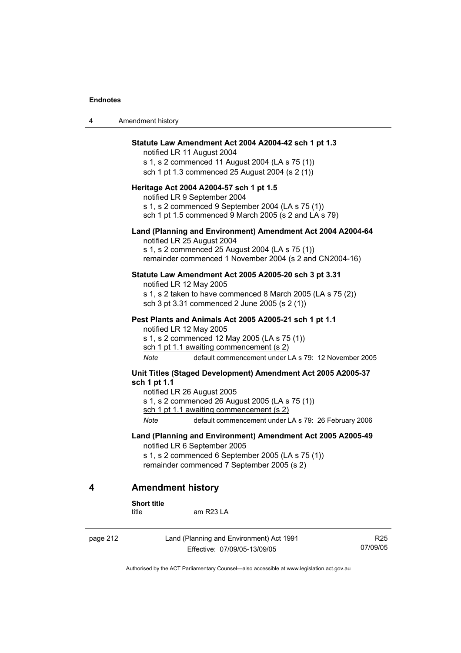4 American Section 1

| 4 | Amendment history                                                                                                                                                                                                                                                                                                                                                                 |
|---|-----------------------------------------------------------------------------------------------------------------------------------------------------------------------------------------------------------------------------------------------------------------------------------------------------------------------------------------------------------------------------------|
|   | Statute Law Amendment Act 2004 A2004-42 sch 1 pt 1.3<br>notified LR 11 August 2004<br>s 1, s 2 commenced 11 August 2004 (LA s 75 (1))<br>sch 1 pt 1.3 commenced 25 August 2004 (s 2 (1))<br>Heritage Act 2004 A2004-57 sch 1 pt 1.5<br>notified LR 9 September 2004<br>s 1, s 2 commenced 9 September 2004 (LA s 75 (1))<br>sch 1 pt 1.5 commenced 9 March 2005 (s 2 and LA s 79) |
|   | Land (Planning and Environment) Amendment Act 2004 A2004-64<br>notified LR 25 August 2004<br>s 1, s 2 commenced 25 August 2004 (LA s 75 (1))<br>remainder commenced 1 November 2004 (s 2 and CN2004-16)                                                                                                                                                                           |
|   | Statute Law Amendment Act 2005 A2005-20 sch 3 pt 3.31<br>notified LR 12 May 2005<br>s 1, s 2 taken to have commenced 8 March 2005 (LA s 75 (2))<br>sch 3 pt 3.31 commenced 2 June 2005 (s 2 (1))                                                                                                                                                                                  |
|   | Pest Plants and Animals Act 2005 A2005-21 sch 1 pt 1.1<br>notified LR 12 May 2005<br>s 1, s 2 commenced 12 May 2005 (LA s 75 (1))<br>sch 1 pt 1.1 awaiting commencement (s 2)<br>Note<br>default commencement under LA s 79: 12 November 2005                                                                                                                                     |
|   | Unit Titles (Staged Development) Amendment Act 2005 A2005-37<br>sch 1 pt 1.1<br>notified LR 26 August 2005<br>s 1, s 2 commenced 26 August 2005 (LA s 75 (1))<br>sch 1 pt 1.1 awaiting commencement (s 2)<br>Note<br>default commencement under LA s 79: 26 February 2006                                                                                                         |
|   | Land (Planning and Environment) Amendment Act 2005 A2005-49<br>notified LR 6 September 2005<br>s 1, s 2 commenced 6 September 2005 (LA s 75 (1))<br>remainder commenced 7 September 2005 (s 2)                                                                                                                                                                                    |
| 4 | <b>Amendment history</b>                                                                                                                                                                                                                                                                                                                                                          |
|   | <b>Short title</b><br>am R23 LA<br>title                                                                                                                                                                                                                                                                                                                                          |

page 212 Land (Planning and Environment) Act 1991 Effective: 07/09/05-13/09/05

R25 07/09/05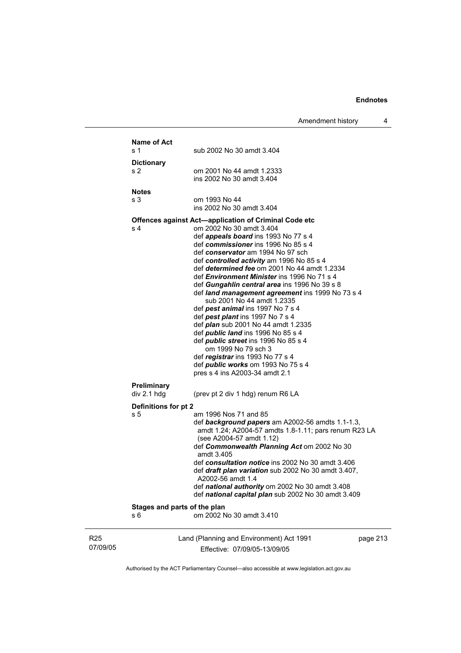Amendment history 4

|                             | <b>Name of Act</b><br>s 1    | sub 2002 No 30 amdt 3.404                                                                           |          |
|-----------------------------|------------------------------|-----------------------------------------------------------------------------------------------------|----------|
|                             | <b>Dictionary</b>            |                                                                                                     |          |
|                             | s 2                          | om 2001 No 44 amdt 1.2333                                                                           |          |
|                             |                              | ins 2002 No 30 amdt 3.404                                                                           |          |
|                             | <b>Notes</b>                 |                                                                                                     |          |
|                             | s <sub>3</sub>               | om 1993 No 44                                                                                       |          |
|                             |                              | ins 2002 No 30 amdt 3.404                                                                           |          |
|                             |                              | <b>Offences against Act-application of Criminal Code etc</b>                                        |          |
|                             | s 4                          | om 2002 No 30 amdt 3.404<br>def <i>appeals board</i> ins 1993 No 77 s 4                             |          |
|                             |                              | def commissioner ins 1996 No 85 s 4                                                                 |          |
|                             |                              | def conservator am 1994 No 97 sch                                                                   |          |
|                             |                              | def controlled activity am 1996 No 85 s 4                                                           |          |
|                             |                              | def determined fee om 2001 No 44 amdt 1.2334                                                        |          |
|                             |                              | def <i>Environment Minister</i> ins 1996 No 71 s 4<br>def Gungahlin central area ins 1996 No 39 s 8 |          |
|                             |                              | def land management agreement ins 1999 No 73 s 4                                                    |          |
|                             |                              | sub 2001 No 44 amdt 1.2335                                                                          |          |
|                             |                              | def pest animal ins 1997 No 7 s 4                                                                   |          |
|                             |                              | def pest plant ins 1997 No 7 s 4<br>def <i>plan</i> sub 2001 No 44 amdt 1.2335                      |          |
|                             |                              | def <i>public land</i> ins 1996 No 85 s 4                                                           |          |
|                             |                              | def <i>public</i> street ins 1996 No 85 s 4                                                         |          |
|                             |                              | om 1999 No 79 sch 3                                                                                 |          |
|                             |                              | def registrar ins 1993 No 77 s 4                                                                    |          |
|                             |                              | def <i>public</i> works om 1993 No 75 s 4<br>pres s 4 ins A2003-34 amdt 2.1                         |          |
|                             |                              |                                                                                                     |          |
|                             | Preliminary                  |                                                                                                     |          |
|                             | div 2.1 hdg                  | (prev pt 2 div 1 hdg) renum R6 LA                                                                   |          |
|                             | Definitions for pt 2         |                                                                                                     |          |
|                             | s <sub>5</sub>               | am 1996 Nos 71 and 85<br>def background papers am A2002-56 amdts 1.1-1.3,                           |          |
|                             |                              | amdt 1.24; A2004-57 amdts 1.8-1.11; pars renum R23 LA                                               |          |
|                             |                              | (see A2004-57 amdt 1.12)                                                                            |          |
|                             |                              | def Commonwealth Planning Act om 2002 No 30                                                         |          |
|                             |                              | amdt 3.405<br>def consultation notice ins 2002 No 30 amdt 3.406                                     |          |
|                             |                              | def draft plan variation sub 2002 No 30 amdt 3.407,                                                 |          |
|                             |                              | A2002-56 amdt 1.4                                                                                   |          |
|                             |                              | def national authority om 2002 No 30 amdt 3.408                                                     |          |
|                             |                              | def national capital plan sub 2002 No 30 amdt 3.409                                                 |          |
|                             | Stages and parts of the plan |                                                                                                     |          |
|                             | s 6                          | om 2002 No 30 amdt 3.410                                                                            |          |
|                             |                              |                                                                                                     |          |
| R <sub>25</sub><br>07/09/05 |                              | Land (Planning and Environment) Act 1991                                                            | page 213 |
|                             |                              | Effective: 07/09/05-13/09/05                                                                        |          |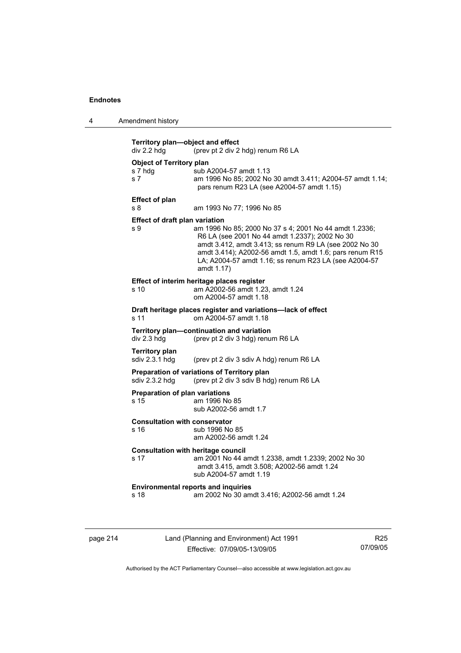| 4 | Amendment history |
|---|-------------------|
|---|-------------------|

|                                                   | (prev pt 2 div 2 hdg) renum R6 LA                                                                                                                                                                                                                                                                     |
|---------------------------------------------------|-------------------------------------------------------------------------------------------------------------------------------------------------------------------------------------------------------------------------------------------------------------------------------------------------------|
| <b>Object of Territory plan</b><br>s 7 hdg<br>s 7 | sub A2004-57 amdt 1.13<br>am 1996 No 85; 2002 No 30 amdt 3.411; A2004-57 amdt 1.14;<br>pars renum R23 LA (see A2004-57 amdt 1.15)                                                                                                                                                                     |
| <b>Effect of plan</b><br>s 8                      | am 1993 No 77; 1996 No 85                                                                                                                                                                                                                                                                             |
| <b>Effect of draft plan variation</b><br>s 9      | am 1996 No 85; 2000 No 37 s 4; 2001 No 44 amdt 1.2336;<br>R6 LA (see 2001 No 44 amdt 1.2337); 2002 No 30<br>amdt 3.412, amdt 3.413; ss renum R9 LA (see 2002 No 30<br>amdt 3.414); A2002-56 amdt 1.5, amdt 1.6; pars renum R15<br>LA; A2004-57 amdt 1.16; ss renum R23 LA (see A2004-57<br>amdt 1.17) |
| s 10                                              | Effect of interim heritage places register<br>am A2002-56 amdt 1.23, amdt 1.24<br>om A2004-57 amdt 1.18                                                                                                                                                                                               |
| s 11                                              | Draft heritage places register and variations-lack of effect<br>om A2004-57 amdt 1.18                                                                                                                                                                                                                 |
| div 2.3 hdg                                       | Territory plan-continuation and variation<br>(prev pt 2 div 3 hdg) renum R6 LA                                                                                                                                                                                                                        |
| <b>Territory plan</b><br>sdiv 2.3.1 hdg           | (prev pt 2 div 3 sdiv A hdg) renum R6 LA                                                                                                                                                                                                                                                              |
| sdiv 2.3.2 hdg                                    | Preparation of variations of Territory plan<br>(prev pt 2 div 3 sdiv B hdg) renum R6 LA                                                                                                                                                                                                               |
| <b>Preparation of plan variations</b><br>s 15     | am 1996 No 85<br>sub A2002-56 amdt 1.7                                                                                                                                                                                                                                                                |
|                                                   |                                                                                                                                                                                                                                                                                                       |
| <b>Consultation with conservator</b><br>s 16      | sub 1996 No 85<br>am A2002-56 amdt 1.24                                                                                                                                                                                                                                                               |
| s 17                                              | <b>Consultation with heritage council</b><br>am 2001 No 44 amdt 1.2338, amdt 1.2339; 2002 No 30<br>amdt 3.415, amdt 3.508; A2002-56 amdt 1.24<br>sub A2004-57 amdt 1.19                                                                                                                               |

page 214 Land (Planning and Environment) Act 1991 Effective: 07/09/05-13/09/05

R25 07/09/05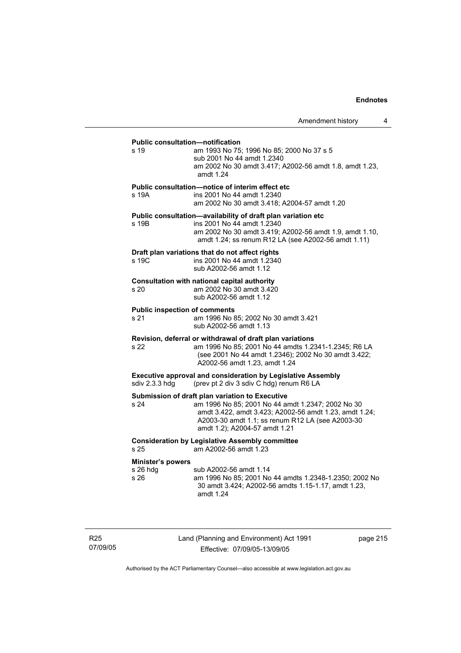# **Public consultation—notification**  s 19 am 1993 No 75; 1996 No 85; 2000 No 37 s 5 sub 2001 No 44 amdt 1.2340 am 2002 No 30 amdt 3.417; A2002-56 amdt 1.8, amdt 1.23, amdt 1.24 **Public consultation—notice of interim effect etc**  s 19A ins 2001 No 44 amdt 1.2340 am 2002 No 30 amdt 3.418; A2004-57 amdt 1.20 **Public consultation—availability of draft plan variation etc**  s 19B ins 2001 No 44 amdt 1.2340 am 2002 No 30 amdt 3.419; A2002-56 amdt 1.9, amdt 1.10, amdt 1.24; ss renum R12 LA (see A2002-56 amdt 1.11) **Draft plan variations that do not affect rights**  s 19C ins 2001 No 44 amdt 1.2340 sub A2002-56 amdt 1.12 **Consultation with national capital authority**  s 20 am 2002 No 30 amdt 3.420 sub A2002-56 amdt 1.12 **Public inspection of comments**  s 21 am 1996 No 85; 2002 No 30 amdt 3.421 sub A2002-56 amdt 1.13 **Revision, deferral or withdrawal of draft plan variations**  s 22 am 1996 No 85; 2001 No 44 amdts 1.2341-1.2345; R6 LA (see 2001 No 44 amdt 1.2346); 2002 No 30 amdt 3.422; A2002-56 amdt 1.23, amdt 1.24 **Executive approval and consideration by Legislative Assembly**  sdiv 2.3.3 hdg (prev pt 2 div 3 sdiv C hdg) renum R6 LA **Submission of draft plan variation to Executive**  s 24 am 1996 No 85; 2001 No 44 amdt 1.2347; 2002 No 30 amdt 3.422, amdt 3.423; A2002-56 amdt 1.23, amdt 1.24; A2003-30 amdt 1.1; ss renum R12 LA (see A2003-30 amdt 1.2); A2004-57 amdt 1.21 **Consideration by Legislative Assembly committee**  s 25 am A2002-56 amdt 1.23 **Minister's powers**  s 26 hdg sub A2002-56 amdt 1.14

s 26 am 1996 No 85; 2001 No 44 amdts 1.2348-1.2350; 2002 No 30 amdt 3.424; A2002-56 amdts 1.15-1.17, amdt 1.23, amdt 1.24

R25 07/09/05 Land (Planning and Environment) Act 1991 Effective: 07/09/05-13/09/05

page 215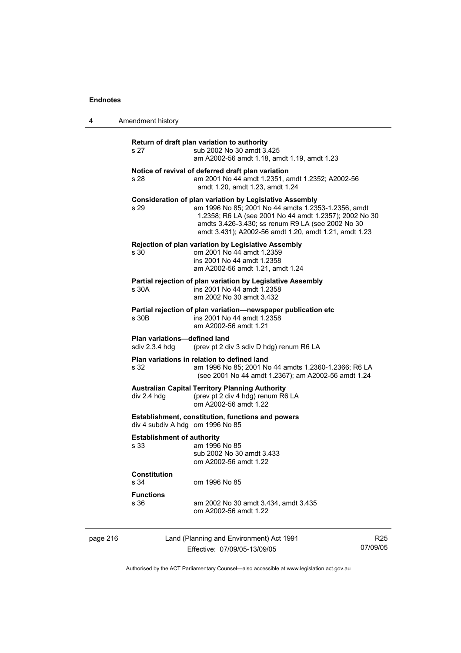4 American history of  $\overline{4}$ 

| 4        | Amendment history                                                                            |                                                                                                                                                                                                                                                                                               |                             |
|----------|----------------------------------------------------------------------------------------------|-----------------------------------------------------------------------------------------------------------------------------------------------------------------------------------------------------------------------------------------------------------------------------------------------|-----------------------------|
|          | s 27                                                                                         | Return of draft plan variation to authority<br>sub 2002 No 30 amdt 3.425<br>am A2002-56 amdt 1.18, amdt 1.19, amdt 1.23                                                                                                                                                                       |                             |
|          | s 28                                                                                         | Notice of revival of deferred draft plan variation<br>am 2001 No 44 amdt 1.2351, amdt 1.2352; A2002-56<br>amdt 1.20, amdt 1.23, amdt 1.24                                                                                                                                                     |                             |
|          | s 29                                                                                         | <b>Consideration of plan variation by Legislative Assembly</b><br>am 1996 No 85; 2001 No 44 amdts 1.2353-1.2356, amdt<br>1.2358; R6 LA (see 2001 No 44 amdt 1.2357); 2002 No 30<br>amdts 3.426-3.430; ss renum R9 LA (see 2002 No 30<br>amdt 3.431); A2002-56 amdt 1.20, amdt 1.21, amdt 1.23 |                             |
|          | s 30                                                                                         | <b>Rejection of plan variation by Legislative Assembly</b><br>om 2001 No 44 amdt 1.2359<br>ins 2001 No 44 amdt 1.2358<br>am A2002-56 amdt 1.21, amdt 1.24                                                                                                                                     |                             |
|          | s 30A                                                                                        | Partial rejection of plan variation by Legislative Assembly<br>ins 2001 No 44 amdt 1.2358<br>am 2002 No 30 amdt 3.432                                                                                                                                                                         |                             |
|          | s 30B                                                                                        | Partial rejection of plan variation—newspaper publication etc<br>ins 2001 No 44 amdt 1.2358<br>am A2002-56 amdt 1.21                                                                                                                                                                          |                             |
|          | Plan variations-defined land<br>sdiv 2.3.4 hdg                                               | (prev pt 2 div 3 sdiv D hdg) renum R6 LA                                                                                                                                                                                                                                                      |                             |
|          | s 32                                                                                         | Plan variations in relation to defined land<br>am 1996 No 85; 2001 No 44 amdts 1.2360-1.2366; R6 LA<br>(see 2001 No 44 amdt 1.2367); am A2002-56 amdt 1.24                                                                                                                                    |                             |
|          | div 2.4 hdg                                                                                  | <b>Australian Capital Territory Planning Authority</b><br>(prev pt 2 div 4 hdg) renum R6 LA<br>om A2002-56 amdt 1.22                                                                                                                                                                          |                             |
|          | <b>Establishment, constitution, functions and powers</b><br>div 4 subdiv A hdg om 1996 No 85 |                                                                                                                                                                                                                                                                                               |                             |
|          | <b>Establishment of authority</b><br>s 33                                                    | am 1996 No 85<br>sub 2002 No 30 amdt 3.433<br>om A2002-56 amdt 1.22                                                                                                                                                                                                                           |                             |
|          | <b>Constitution</b><br>s 34                                                                  | om 1996 No 85                                                                                                                                                                                                                                                                                 |                             |
|          | <b>Functions</b><br>s 36                                                                     | am 2002 No 30 amdt 3.434, amdt 3.435<br>om A2002-56 amdt 1.22                                                                                                                                                                                                                                 |                             |
| page 216 |                                                                                              | Land (Planning and Environment) Act 1991<br>Effective: 07/09/05-13/09/05                                                                                                                                                                                                                      | R <sub>25</sub><br>07/09/05 |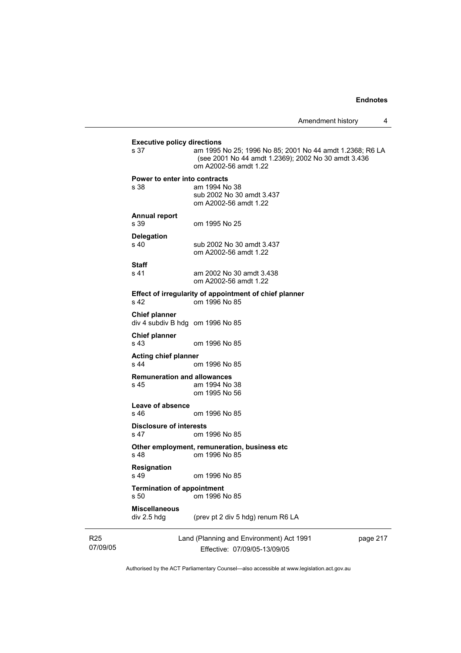| s 37                                                     | am 1995 No 25; 1996 No 85; 2001 No 44 amdt 1.2368; R6 LA<br>(see 2001 No 44 amdt 1.2369); 2002 No 30 amdt 3.436<br>om A2002-56 amdt 1.22 |
|----------------------------------------------------------|------------------------------------------------------------------------------------------------------------------------------------------|
| Power to enter into contracts                            |                                                                                                                                          |
| s 38                                                     | am 1994 No 38<br>sub 2002 No 30 amdt 3.437<br>om A2002-56 amdt 1.22                                                                      |
| <b>Annual report</b><br>s 39                             | om 1995 No 25                                                                                                                            |
| <b>Delegation</b><br>s 40                                | sub 2002 No 30 amdt 3.437<br>om A2002-56 amdt 1.22                                                                                       |
| Staff<br>s 41                                            | am 2002 No 30 amdt 3.438<br>om A2002-56 amdt 1.22                                                                                        |
| s 42                                                     | Effect of irregularity of appointment of chief planner<br>om 1996 No 85                                                                  |
| <b>Chief planner</b><br>div 4 subdiv B hdg om 1996 No 85 |                                                                                                                                          |
| <b>Chief planner</b><br>s 43                             | om 1996 No 85                                                                                                                            |
| <b>Acting chief planner</b><br>s <sub>44</sub>           | om 1996 No 85                                                                                                                            |
| <b>Remuneration and allowances</b><br>s 45               | am 1994 No 38<br>om 1995 No 56                                                                                                           |
| Leave of absence<br>s 46                                 | om 1996 No 85                                                                                                                            |
| <b>Disclosure of interests</b><br>s 47                   | om 1996 No 85                                                                                                                            |
| s <sub>48</sub>                                          | Other employment, remuneration, business etc<br>om 1996 No 85                                                                            |
| <b>Resignation</b><br>s 49                               | om 1996 No 85                                                                                                                            |
| <b>Termination of appointment</b><br>s 50                | om 1996 No 85                                                                                                                            |
| <b>Miscellaneous</b><br>div 2.5 hdg                      | (prev pt 2 div 5 hdg) renum R6 LA                                                                                                        |

07/09/05

R25

Effective: 07/09/05-13/09/05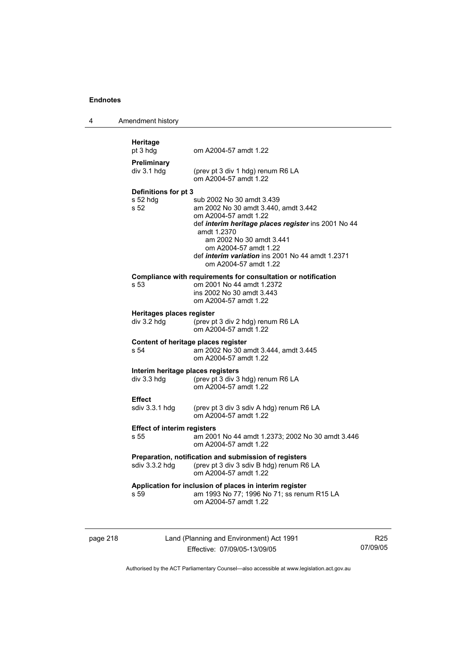| 4 | Amendment history                                |                                                                                                                                                                                                                                                                                                           |
|---|--------------------------------------------------|-----------------------------------------------------------------------------------------------------------------------------------------------------------------------------------------------------------------------------------------------------------------------------------------------------------|
|   | Heritage<br>pt 3 hdg                             | om A2004-57 amdt 1.22                                                                                                                                                                                                                                                                                     |
|   | Preliminary<br>div 3.1 hdg                       | (prev pt 3 div 1 hdg) renum R6 LA<br>om A2004-57 amdt 1.22                                                                                                                                                                                                                                                |
|   | Definitions for pt 3<br>s 52 hdg<br>s 52         | sub 2002 No 30 amdt 3.439<br>am 2002 No 30 amdt 3.440, amdt 3.442<br>om A2004-57 amdt 1.22<br>def interim heritage places register ins 2001 No 44<br>amdt 1.2370<br>am 2002 No 30 amdt 3.441<br>om A2004-57 amdt 1.22<br>def <i>interim variation</i> ins 2001 No 44 amdt 1.2371<br>om A2004-57 amdt 1.22 |
|   | s 53                                             | Compliance with requirements for consultation or notification<br>om 2001 No 44 amdt 1.2372<br>ins 2002 No 30 amdt 3.443<br>om A2004-57 amdt 1.22                                                                                                                                                          |
|   | Heritages places register<br>$div$ 3.2 hdg       | (prev pt 3 div 2 hdg) renum R6 LA<br>om A2004-57 amdt 1.22                                                                                                                                                                                                                                                |
|   | Content of heritage places register<br>s 54      | am 2002 No 30 amdt 3.444, amdt 3.445<br>om A2004-57 amdt 1.22                                                                                                                                                                                                                                             |
|   | Interim heritage places registers<br>div 3.3 hdg | (prev pt 3 div 3 hdg) renum R6 LA<br>om A2004-57 amdt 1.22                                                                                                                                                                                                                                                |
|   | <b>Effect</b><br>sdiv 3.3.1 hdg                  | (prev pt 3 div 3 sdiv A hdg) renum R6 LA<br>om A2004-57 amdt 1.22                                                                                                                                                                                                                                         |
|   | <b>Effect of interim registers</b><br>s 55       | am 2001 No 44 amdt 1.2373; 2002 No 30 amdt 3.446<br>om A2004-57 amdt 1.22                                                                                                                                                                                                                                 |
|   |                                                  | Preparation, notification and submission of registers<br>sdiv 3.3.2 hdg (prev pt 3 div 3 sdiv B hdg) renum R6 LA<br>om A2004-57 amdt 1.22                                                                                                                                                                 |
|   | s 59                                             | Application for inclusion of places in interim register<br>am 1993 No 77; 1996 No 71; ss renum R15 LA<br>om A2004-57 amdt 1.22                                                                                                                                                                            |

page 218 Land (Planning and Environment) Act 1991 Effective: 07/09/05-13/09/05

R25 07/09/05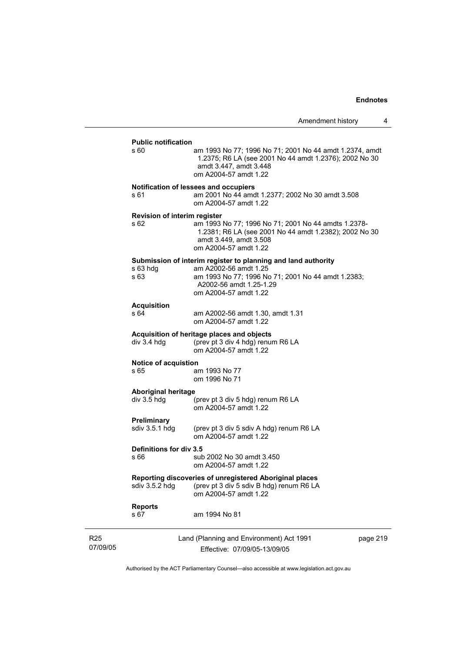#### **Public notification**

| R <sub>25</sub><br>07/09/05 |                                           | Land (Planning and Environment) Act 1991<br>Effective: 07/09/05-13/09/05                                                                                                                         | page 219 |
|-----------------------------|-------------------------------------------|--------------------------------------------------------------------------------------------------------------------------------------------------------------------------------------------------|----------|
|                             | <b>Reports</b><br>s 67                    | am 1994 No 81                                                                                                                                                                                    |          |
|                             | sdiv 3.5.2 hdg                            | Reporting discoveries of unregistered Aboriginal places<br>(prev pt 3 div 5 sdiv B hdg) renum R6 LA<br>om A2004-57 amdt 1.22                                                                     |          |
|                             | Definitions for div 3.5<br>s 66           | sub 2002 No 30 amdt 3.450<br>om A2004-57 amdt 1.22                                                                                                                                               |          |
|                             | <b>Preliminary</b><br>sdiv 3.5.1 hdg      | (prev pt 3 div 5 sdiv A hdg) renum R6 LA<br>om A2004-57 amdt 1.22                                                                                                                                |          |
|                             | <b>Aboriginal heritage</b><br>div 3.5 hdg | (prev pt 3 div 5 hdg) renum R6 LA<br>om A2004-57 amdt 1.22                                                                                                                                       |          |
|                             | <b>Notice of acquistion</b><br>s 65       | am 1993 No 77<br>om 1996 No 71                                                                                                                                                                   |          |
|                             | div 3.4 hdg                               | Acquisition of heritage places and objects<br>(prev pt 3 div 4 hdg) renum R6 LA<br>om A2004-57 amdt 1.22                                                                                         |          |
|                             | <b>Acquisition</b><br>s 64                | am A2002-56 amdt 1.30, amdt 1.31<br>om A2004-57 amdt 1.22                                                                                                                                        |          |
|                             | $s$ 63 hdg<br>s 63                        | Submission of interim register to planning and land authority<br>am A2002-56 amdt 1.25<br>am 1993 No 77; 1996 No 71; 2001 No 44 amdt 1.2383;<br>A2002-56 amdt 1.25-1.29<br>om A2004-57 amdt 1.22 |          |
|                             | Revision of interim register<br>s 62      | am 1993 No 77; 1996 No 71; 2001 No 44 amdts 1.2378-<br>1.2381; R6 LA (see 2001 No 44 amdt 1.2382); 2002 No 30<br>amdt 3.449, amdt 3.508<br>om A2004-57 amdt 1.22                                 |          |
|                             | s 61                                      | Notification of lessees and occupiers<br>am 2001 No 44 amdt 1.2377; 2002 No 30 amdt 3.508<br>om A2004-57 amdt 1.22                                                                               |          |
|                             | s 60                                      | am 1993 No 77; 1996 No 71; 2001 No 44 amdt 1.2374, amdt<br>1.2375; R6 LA (see 2001 No 44 amdt 1.2376); 2002 No 30<br>amdt 3.447, amdt 3.448<br>om A2004-57 amdt 1.22                             |          |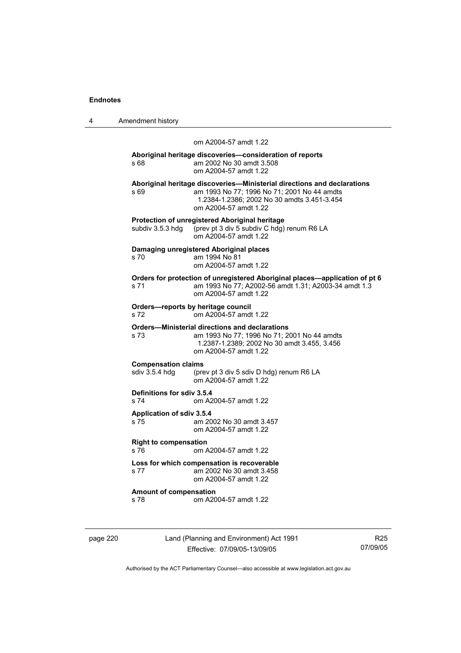| 4 | Amendment history |
|---|-------------------|
|---|-------------------|

#### om A2004-57 amdt 1.22

#### **Aboriginal heritage discoveries—consideration of reports**  s 68 am 2002 No 30 amdt 3.508 om A2004-57 amdt 1.22

**Aboriginal heritage discoveries—Ministerial directions and declarations**  s 69 am 1993 No 77; 1996 No 71; 2001 No 44 amdts 1.2384-1.2386; 2002 No 30 amdts 3.451-3.454 om A2004-57 amdt 1.22 **Protection of unregistered Aboriginal heritage**  subdiv 3.5.3 hdg (prev pt 3 div 5 subdiv C hdg) renum R6 LA om A2004-57 amdt 1.22 **Damaging unregistered Aboriginal places**  s 70 am 1994 No 81 om A2004-57 amdt 1.22 **Orders for protection of unregistered Aboriginal places—application of pt 6**  s 71 am 1993 No 77; A2002-56 amdt 1.31; A2003-34 amdt 1.3 om A2004-57 amdt 1.22 **Orders—reports by heritage council**  s 72 om A2004-57 amdt 1.22 **Orders—Ministerial directions and declarations**  am 1993 No 77; 1996 No 71; 2001 No 44 amdts 1.2387-1.2389; 2002 No 30 amdt 3.455, 3.456 om A2004-57 amdt 1.22 **Compensation claims**  sdiv 3.5.4 hdg (prev pt 3 div 5 sdiv D hdg) renum R6 LA om A2004-57 amdt 1.22 **Definitions for sdiv 3.5.4**  s 74 om A2004-57 amdt 1.22 **Application of sdiv 3.5.4**  s 75 am 2002 No 30 amdt 3.457 om A2004-57 amdt 1.22 **Right to compensation**  s 76 om A2004-57 amdt 1.22 **Loss for which compensation is recoverable**  s 77 am 2002 No 30 amdt 3.458 om A2004-57 amdt 1.22 **Amount of compensation**  s 78 om A2004-57 amdt 1.22

page 220 Land (Planning and Environment) Act 1991 Effective: 07/09/05-13/09/05

R25 07/09/05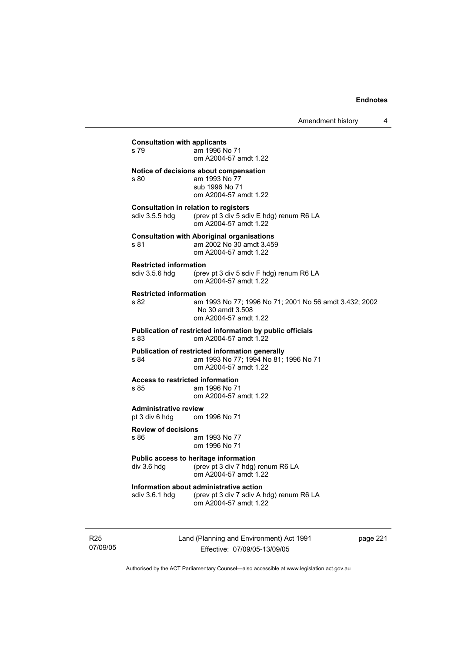| <b>Consultation with applicants</b><br>s 79     | am 1996 No 71<br>om A2004-57 amdt 1.22                                                                            |
|-------------------------------------------------|-------------------------------------------------------------------------------------------------------------------|
| s 80                                            | Notice of decisions about compensation<br>am 1993 No 77<br>sub 1996 No 71<br>om A2004-57 amdt 1.22                |
| <b>Consultation in relation to registers</b>    | sdiv 3.5.5 hdg (prev pt 3 div 5 sdiv E hdg) renum R6 LA<br>om A2004-57 amdt 1.22                                  |
| s 81                                            | <b>Consultation with Aboriginal organisations</b><br>am 2002 No 30 amdt 3.459<br>om A2004-57 amdt 1.22            |
| <b>Restricted information</b><br>sdiv 3.5.6 hdq | (prev pt 3 div 5 sdiv F hdg) renum R6 LA<br>om A2004-57 amdt 1.22                                                 |
| <b>Restricted information</b><br>s 82           | am 1993 No 77; 1996 No 71; 2001 No 56 amdt 3.432; 2002<br>No 30 amdt 3.508<br>om A2004-57 amdt 1.22               |
| s 83                                            | Publication of restricted information by public officials<br>om A2004-57 amdt 1.22                                |
| s 84                                            | Publication of restricted information generally<br>am 1993 No 77; 1994 No 81; 1996 No 71<br>om A2004-57 amdt 1.22 |
| <b>Access to restricted information</b><br>s 85 | am 1996 No 71<br>om A2004-57 amdt 1.22                                                                            |
| <b>Administrative review</b><br>pt 3 div 6 hdg  | om 1996 No 71                                                                                                     |
| <b>Review of decisions</b><br>s 86              | am 1993 No 77<br>om 1996 No 71                                                                                    |
| div 3.6 hdg                                     | Public access to heritage information<br>(prev pt 3 div 7 hdg) renum R6 LA<br>om A2004-57 amdt 1.22               |
| sdiv 3.6.1 hdg                                  | Information about administrative action<br>(prev pt 3 div 7 sdiv A hdg) renum R6 LA<br>om A2004-57 amdt 1.22      |
|                                                 |                                                                                                                   |

R25 07/09/05 Land (Planning and Environment) Act 1991 Effective: 07/09/05-13/09/05

page 221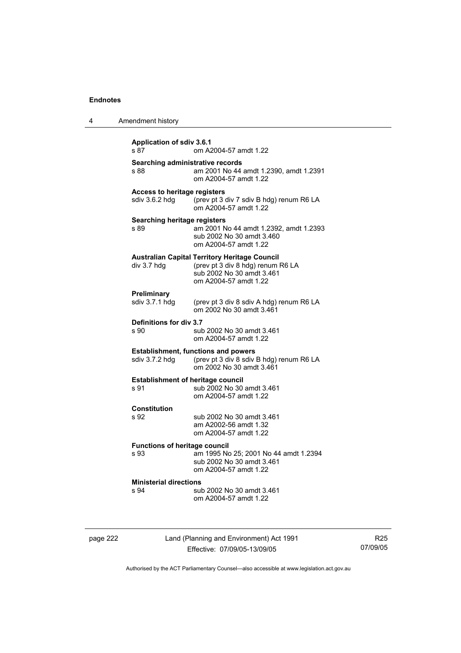| 4 | Amendment history                                     |                                                                                                                                                 |
|---|-------------------------------------------------------|-------------------------------------------------------------------------------------------------------------------------------------------------|
|   | <b>Application of sdiv 3.6.1</b><br>s 87              | om A2004-57 amdt 1.22                                                                                                                           |
|   | Searching administrative records<br>s 88              | am 2001 No 44 amdt 1.2390, amdt 1.2391<br>om A2004-57 amdt 1.22                                                                                 |
|   | <b>Access to heritage registers</b><br>sdiv 3.6.2 hdq | (prev pt 3 div 7 sdiv B hdg) renum R6 LA<br>om A2004-57 amdt 1.22                                                                               |
|   | <b>Searching heritage registers</b><br>s 89           | am 2001 No 44 amdt 1.2392, amdt 1.2393<br>sub 2002 No 30 amdt 3.460<br>om A2004-57 amdt 1.22                                                    |
|   | div 3.7 hdg                                           | <b>Australian Capital Territory Heritage Council</b><br>(prev pt 3 div 8 hdg) renum R6 LA<br>sub 2002 No 30 amdt 3.461<br>om A2004-57 amdt 1.22 |
|   | <b>Preliminary</b><br>sdiv 3.7.1 hdg                  | (prev pt 3 div 8 sdiv A hdg) renum R6 LA<br>om 2002 No 30 amdt 3.461                                                                            |
|   | Definitions for div 3.7<br>s 90                       | sub 2002 No 30 amdt 3.461<br>om A2004-57 amdt 1.22                                                                                              |
|   | sdiv 3.7.2 hdg                                        | <b>Establishment, functions and powers</b><br>(prev pt 3 div 8 sdiv B hdg) renum R6 LA<br>om 2002 No 30 amdt 3.461                              |
|   | <b>Establishment of heritage council</b><br>s 91      | sub 2002 No 30 amdt 3.461<br>om A2004-57 amdt 1.22                                                                                              |
|   | <b>Constitution</b><br>s 92                           | sub 2002 No 30 amdt 3.461<br>am A2002-56 amdt 1.32<br>om A2004-57 amdt 1.22                                                                     |
|   | <b>Functions of heritage council</b><br>s 93          | am 1995 No 25; 2001 No 44 amdt 1.2394<br>sub 2002 No 30 amdt 3.461<br>om A2004-57 amdt 1.22                                                     |
|   | <b>Ministerial directions</b><br>s 94                 | sub 2002 No 30 amdt 3.461<br>om A2004-57 amdt 1.22                                                                                              |

page 222 Land (Planning and Environment) Act 1991 Effective: 07/09/05-13/09/05

R25 07/09/05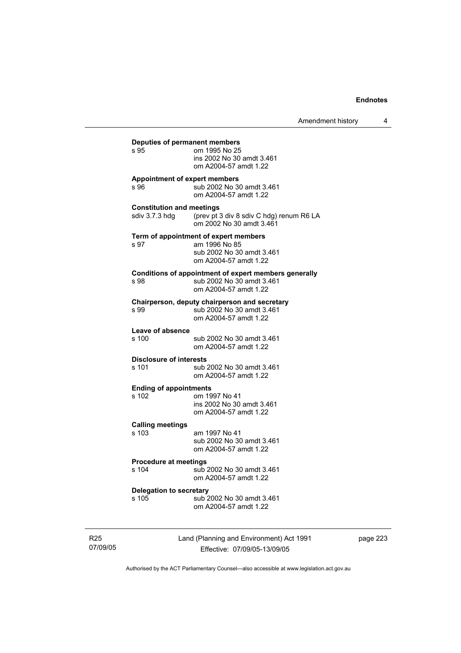| Deputies of permanent members<br>s 95   | om 1995 No 25<br>ins 2002 No 30 amdt 3.461<br>om A2004-57 amdt 1.22                                          |
|-----------------------------------------|--------------------------------------------------------------------------------------------------------------|
| Appointment of expert members<br>s 96   | sub 2002 No 30 amdt 3.461<br>om A2004-57 amdt 1.22                                                           |
| <b>Constitution and meetings</b>        | sdiv 3.7.3 hdg (prev pt 3 div 8 sdiv C hdg) renum R6 LA<br>om 2002 No 30 amdt 3.461                          |
| s 97                                    | Term of appointment of expert members<br>am 1996 No 85<br>sub 2002 No 30 amdt 3.461<br>om A2004-57 amdt 1.22 |
| s 98                                    | Conditions of appointment of expert members generally<br>sub 2002 No 30 amdt 3.461<br>om A2004-57 amdt 1.22  |
| s 99                                    | Chairperson, deputy chairperson and secretary<br>sub 2002 No 30 amdt 3.461<br>om A2004-57 amdt 1.22          |
| Leave of absence<br>s 100               | sub 2002 No 30 amdt 3.461<br>om A2004-57 amdt 1.22                                                           |
| <b>Disclosure of interests</b><br>s 101 | sub 2002 No 30 amdt 3.461<br>om A2004-57 amdt 1.22                                                           |
| <b>Ending of appointments</b><br>s 102  | om 1997 No 41<br>ins 2002 No 30 amdt 3.461<br>om A2004-57 amdt 1.22                                          |
| <b>Calling meetings</b><br>$s$ 103      | am 1997 No 41<br>sub 2002 No 30 amdt 3.461<br>om A2004-57 amdt 1.22                                          |
| <b>Procedure at meetings</b><br>s 104   | sub 2002 No 30 amdt 3.461<br>om A2004-57 amdt 1.22                                                           |
| <b>Delegation to secretary</b><br>s 105 | sub 2002 No 30 amdt 3.461<br>om A2004-57 amdt 1.22                                                           |

R25 07/09/05 Land (Planning and Environment) Act 1991 Effective: 07/09/05-13/09/05

page 223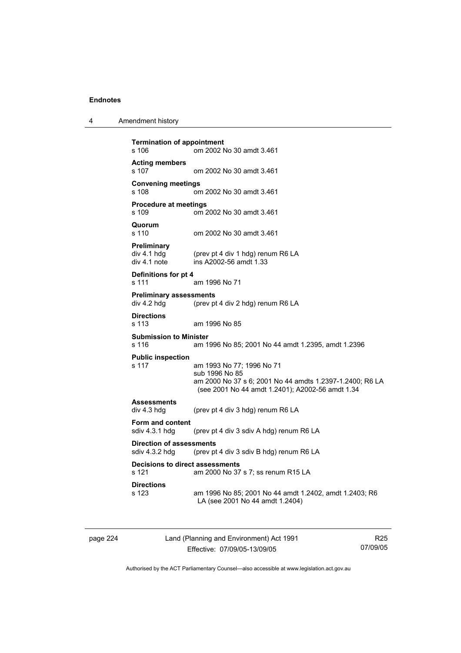4 Amendment history

```
Termination of appointment 
s 106 om 2002 No 30 amdt 3.461 
Acting members 
s 107 om 2002 No 30 amdt 3.461 
Convening meetings 
s 108 om 2002 No 30 amdt 3.461 
Procedure at meetings 
s 109 om 2002 No 30 amdt 3.461 
Quorum 
                 om 2002 No 30 amdt 3.461
Preliminary 
div 4.1 hdg (prev pt 4 div 1 hdg) renum R6 LA<br>div 4.1 note ins A2002-56 amdt 1.33
                 ins A2002-56 amdt 1.33
Definitions for pt 4 
s 111 am 1996 No 71 
Preliminary assessments<br>div 4.2 hdg (prev pt
                 (prev pt 4 div 2 hdg) renum R6 LA
Directions 
s 113 am 1996 No 85 
Submission to Minister 
s 116 am 1996 No 85; 2001 No 44 amdt 1.2395, amdt 1.2396 
Public inspection 
s 117 am 1993 No 77; 1996 No 71 
                  sub 1996 No 85 
                  am 2000 No 37 s 6; 2001 No 44 amdts 1.2397-1.2400; R6 LA 
                  (see 2001 No 44 amdt 1.2401); A2002-56 amdt 1.34 
Assessments 
div 4.3 hdg (prev pt 4 div 3 hdg) renum R6 LA 
Form and content 
sdiv 4.3.1 hdg (prev pt 4 div 3 sdiv A hdg) renum R6 LA 
Direction of assessments 
sdiv 4.3.2 hdg (prev pt 4 div 3 sdiv B hdg) renum R6 LA 
Decisions to direct assessments 
s 121 am 2000 No 37 s 7; ss renum R15 LA 
Directions 
s 123 am 1996 No 85; 2001 No 44 amdt 1.2402, amdt 1.2403; R6 
                  LA (see 2001 No 44 amdt 1.2404)
```
page 224 Land (Planning and Environment) Act 1991 Effective: 07/09/05-13/09/05

R25 07/09/05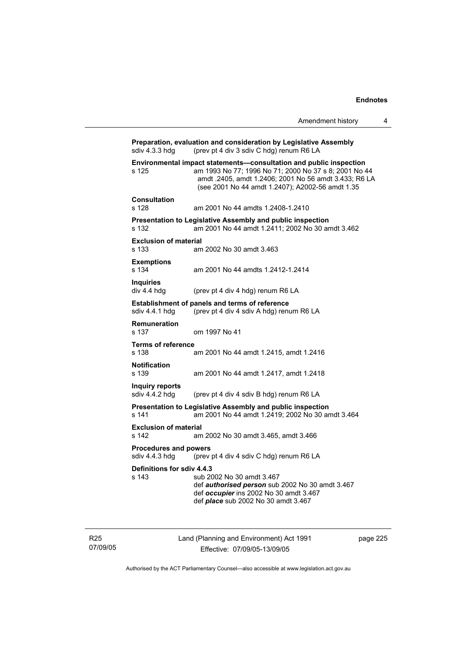|                                                | Amendment history                                                                                                                                                                                                                        | 4 |
|------------------------------------------------|------------------------------------------------------------------------------------------------------------------------------------------------------------------------------------------------------------------------------------------|---|
| sdiv 4.3.3 hdg                                 | Preparation, evaluation and consideration by Legislative Assembly<br>(prev pt 4 div 3 sdiv C hdg) renum R6 LA                                                                                                                            |   |
| s 125                                          | Environmental impact statements-consultation and public inspection<br>am 1993 No 77; 1996 No 71; 2000 No 37 s 8; 2001 No 44<br>amdt .2405, amdt 1.2406; 2001 No 56 amdt 3.433; R6 LA<br>(see 2001 No 44 amdt 1.2407); A2002-56 amdt 1.35 |   |
| Consultation<br>s 128                          | am 2001 No 44 amdts 1.2408-1.2410                                                                                                                                                                                                        |   |
| s 132                                          | Presentation to Legislative Assembly and public inspection<br>am 2001 No 44 amdt 1.2411; 2002 No 30 amdt 3.462                                                                                                                           |   |
| <b>Exclusion of material</b><br>s 133          | am 2002 No 30 amdt 3.463                                                                                                                                                                                                                 |   |
| <b>Exemptions</b><br>s 134                     | am 2001 No 44 amdts 1.2412-1.2414                                                                                                                                                                                                        |   |
| <b>Inquiries</b><br>div 4.4 hdg                | (prev pt 4 div 4 hdg) renum R6 LA                                                                                                                                                                                                        |   |
| sdiv 4.4.1 hdg                                 | <b>Establishment of panels and terms of reference</b><br>(prev pt 4 div 4 sdiv A hdg) renum R6 LA                                                                                                                                        |   |
| <b>Remuneration</b><br>s 137                   | om 1997 No 41                                                                                                                                                                                                                            |   |
| <b>Terms of reference</b><br>s 138             | am 2001 No 44 amdt 1.2415, amdt 1.2416                                                                                                                                                                                                   |   |
| <b>Notification</b><br>s 139                   | am 2001 No 44 amdt 1.2417, amdt 1.2418                                                                                                                                                                                                   |   |
| <b>Inquiry reports</b><br>sdiv 4.4.2 hdg       | (prev pt 4 div 4 sdiv B hdg) renum R6 LA                                                                                                                                                                                                 |   |
| s 141                                          | Presentation to Legislative Assembly and public inspection<br>am 2001 No 44 amdt 1.2419; 2002 No 30 amdt 3.464                                                                                                                           |   |
| <b>Exclusion of material</b><br>s 142          | am 2002 No 30 amdt 3.465, amdt 3.466                                                                                                                                                                                                     |   |
| <b>Procedures and powers</b><br>sdiv 4.4.3 hda | (prev pt 4 div 4 sdiv C hdg) renum R6 LA                                                                                                                                                                                                 |   |
| Definitions for sdiv 4.4.3<br>s 143            | sub 2002 No 30 amdt 3.467<br>def <i>authorised person</i> sub 2002 No 30 amdt 3.467<br>def occupier ins 2002 No 30 amdt 3.467<br>def <i>place</i> sub 2002 No 30 amdt 3.467                                                              |   |

R25 07/09/05 Land (Planning and Environment) Act 1991 Effective: 07/09/05-13/09/05

page 225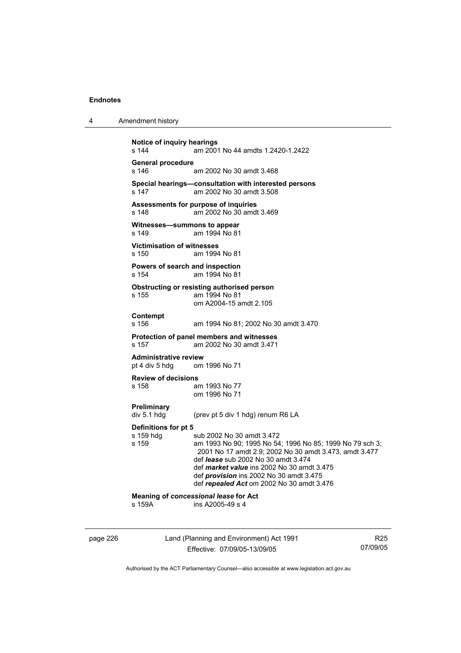| 4 | Amendment history |
|---|-------------------|
|---|-------------------|

```
Notice of inquiry hearings 
s 144 am 2001 No 44 amdts 1.2420-1.2422 
General procedure 
                 am 2002 No 30 amdt 3.468
Special hearings—consultation with interested persons 
s 147 am 2002 No 30 amdt 3.508 
Assessments for purpose of inquiries 
s 148 am 2002 No 30 amdt 3.469 
Witnesses—summons to appear<br>s 149 am 1994 No 81
                 am 1994 No 81
Victimisation of witnesses 
s 150 am 1994 No 81 
Powers of search and inspection 
s 154 am 1994 No 81 
Obstructing or resisting authorised person 
s 155 am 1994 No 81 
                  om A2004-15 amdt 2.105 
Contempt 
s 156 am 1994 No 81; 2002 No 30 amdt 3.470 
Protection of panel members and witnesses 
                 am 2002 No 30 amdt 3.471
Administrative review 
pt 4 div 5 hdg om 1996 No 71 
Review of decisions 
                 am 1993 No 77
                  om 1996 No 71 
Preliminary 
div 5.1 hdg (prev pt 5 div 1 hdg) renum R6 LA 
Definitions for pt 5 
s 159 hdg sub 2002 No 30 amdt 3.472
s 159 am 1993 No 90; 1995 No 54; 1996 No 85; 1999 No 79 sch 3; 
                  2001 No 17 amdt 2.9; 2002 No 30 amdt 3.473, amdt 3.477 
                  def lease sub 2002 No 30 amdt 3.474 
                  def market value ins 2002 No 30 amdt 3.475 
                  def provision ins 2002 No 30 amdt 3.475 
                  def repealed Act om 2002 No 30 amdt 3.476 
Meaning of concessional lease for Act 
s 159A ins A2005-49 s 4
```
page 226 Land (Planning and Environment) Act 1991 Effective: 07/09/05-13/09/05

R25 07/09/05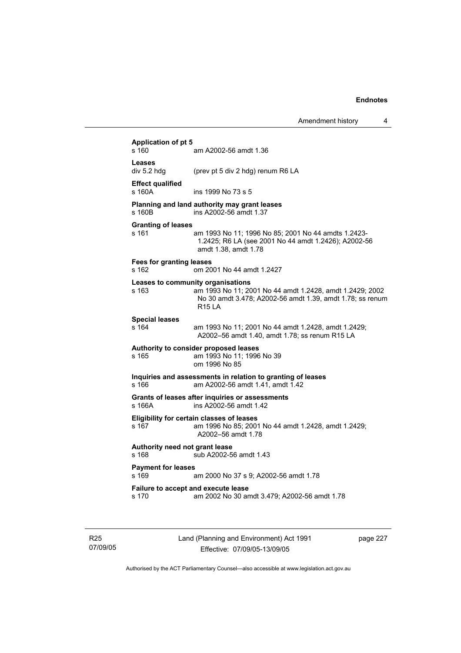| s 160                                    | am A2002-56 amdt 1.36                                                                                                                                                       |
|------------------------------------------|-----------------------------------------------------------------------------------------------------------------------------------------------------------------------------|
| Leases<br>div 5.2 hdg                    | (prev pt 5 div 2 hdg) renum R6 LA                                                                                                                                           |
| <b>Effect qualified</b><br>$s$ 160 $A$   | ins 1999 No 73 s 5                                                                                                                                                          |
| s 160 <sub>B</sub>                       | Planning and land authority may grant leases<br>ins A2002-56 amdt 1.37                                                                                                      |
| <b>Granting of leases</b><br>s 161       | am 1993 No 11; 1996 No 85; 2001 No 44 amdts 1.2423-<br>1.2425; R6 LA (see 2001 No 44 amdt 1.2426); A2002-56<br>amdt 1.38, amdt 1.78                                         |
| <b>Fees for granting leases</b><br>s 162 | om 2001 No 44 amdt 1.2427                                                                                                                                                   |
| s 163                                    | Leases to community organisations<br>am 1993 No 11; 2001 No 44 amdt 1.2428, amdt 1.2429; 2002<br>No 30 amdt 3.478; A2002-56 amdt 1.39, amdt 1.78; ss renum<br><b>R15 LA</b> |
| <b>Special leases</b><br>s 164           | am 1993 No 11; 2001 No 44 amdt 1.2428, amdt 1.2429;<br>A2002-56 amdt 1.40, amdt 1.78; ss renum R15 LA                                                                       |
| s 165                                    | Authority to consider proposed leases<br>am 1993 No 11; 1996 No 39<br>om 1996 No 85                                                                                         |
| s 166                                    | Inquiries and assessments in relation to granting of leases<br>am A2002-56 amdt 1.41, amdt 1.42                                                                             |
| s 166A                                   | Grants of leases after inquiries or assessments<br>ins A2002-56 amdt 1.42                                                                                                   |
| s 167                                    | Eligibility for certain classes of leases<br>am 1996 No 85; 2001 No 44 amdt 1.2428, amdt 1.2429;<br>A2002-56 amdt 1.78                                                      |
| Authority need not grant lease<br>s 168  | sub A2002-56 amdt 1.43                                                                                                                                                      |
| <b>Payment for leases</b><br>s 169       | am 2000 No 37 s 9; A2002-56 amdt 1.78                                                                                                                                       |
| s 170                                    | Failure to accept and execute lease<br>am 2002 No 30 amdt 3.479; A2002-56 amdt 1.78                                                                                         |

R25 07/09/05 Land (Planning and Environment) Act 1991 Effective: 07/09/05-13/09/05

page 227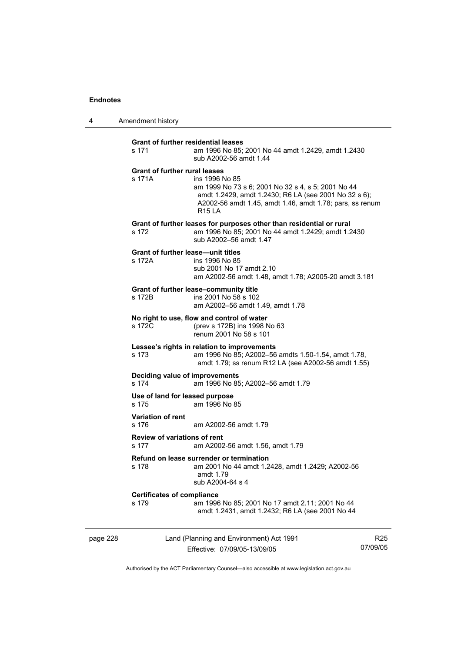4 Amendment history

| page 228 |                                                     | Land (Planning and Environment) Act 1991                                                                                                                                                           | R2 |
|----------|-----------------------------------------------------|----------------------------------------------------------------------------------------------------------------------------------------------------------------------------------------------------|----|
|          | <b>Certificates of compliance</b><br>s 179          | am 1996 No 85; 2001 No 17 amdt 2.11; 2001 No 44<br>amdt 1.2431, amdt 1.2432; R6 LA (see 2001 No 44                                                                                                 |    |
|          | s 178                                               | Refund on lease surrender or termination<br>am 2001 No 44 amdt 1.2428, amdt 1.2429; A2002-56<br>amdt 1.79<br>sub A2004-64 s 4                                                                      |    |
|          | <b>Review of variations of rent</b><br>s 177        | am A2002-56 amdt 1.56, amdt 1.79                                                                                                                                                                   |    |
|          | <b>Variation of rent</b><br>s 176                   | am A2002-56 amdt 1.79                                                                                                                                                                              |    |
|          | Use of land for leased purpose<br>s 175             | am 1996 No 85                                                                                                                                                                                      |    |
|          | Deciding value of improvements<br>s 174             | am 1996 No 85; A2002-56 amdt 1.79                                                                                                                                                                  |    |
|          | s 173                                               | Lessee's rights in relation to improvements<br>am 1996 No 85; A2002-56 amdts 1.50-1.54, amdt 1.78,<br>amdt 1.79; ss renum R12 LA (see A2002-56 amdt 1.55)                                          |    |
|          | s 172C                                              | No right to use, flow and control of water<br>(prev s 172B) ins 1998 No 63<br>renum 2001 No 58 s 101                                                                                               |    |
|          | s 172B                                              | Grant of further lease-community title<br>ins 2001 No 58 s 102<br>am A2002-56 amdt 1.49, amdt 1.78                                                                                                 |    |
|          | <b>Grant of further lease—unit titles</b><br>s 172A | ins 1996 No 85<br>sub 2001 No 17 amdt 2.10<br>am A2002-56 amdt 1.48, amdt 1.78; A2005-20 amdt 3.181                                                                                                |    |
|          | s 172                                               | Grant of further leases for purposes other than residential or rural<br>am 1996 No 85; 2001 No 44 amdt 1.2429; amdt 1.2430<br>sub A2002-56 amdt 1.47                                               |    |
|          | <b>Grant of further rural leases</b><br>s 171A      | ins 1996 No 85<br>am 1999 No 73 s 6; 2001 No 32 s 4, s 5; 2001 No 44<br>amdt 1.2429, amdt 1.2430; R6 LA (see 2001 No 32 s 6);<br>A2002-56 amdt 1.45, amdt 1.46, amdt 1.78; pars, ss renum<br>R15IA |    |
|          | <b>Grant of further residential leases</b><br>s 171 | am 1996 No 85; 2001 No 44 amdt 1.2429, amdt 1.2430<br>sub A2002-56 amdt 1.44                                                                                                                       |    |
|          |                                                     |                                                                                                                                                                                                    |    |

Effective: 07/09/05-13/09/05

R25 07/09/05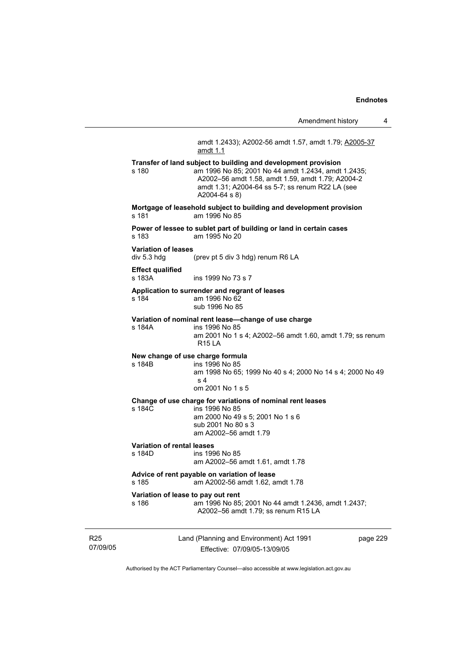Amendment history 4 Land (Planning and Environment) Act 1991 amdt 1.2433); A2002-56 amdt 1.57, amdt 1.79; A2005-37 amdt 1.1 **Transfer of land subject to building and development provision**  s 180 am 1996 No 85; 2001 No 44 amdt 1.2434, amdt 1.2435; A2002–56 amdt 1.58, amdt 1.59, amdt 1.79; A2004-2 amdt 1.31; A2004-64 ss 5-7; ss renum R22 LA (see A2004-64 s 8) **Mortgage of leasehold subject to building and development provision**  s 181 am 1996 No 85 **Power of lessee to sublet part of building or land in certain cases**  s 183 am 1995 No 20 **Variation of leases**  div 5.3 hdg (prev pt 5 div 3 hdg) renum R6 LA **Effect qualified**  s 183A **ins 1999 No 73 s 7 Application to surrender and regrant of leases**  s 184 am 1996 No 62 sub 1996 No 85 **Variation of nominal rent lease—change of use charge**  ins 1996 No 85 am 2001 No 1 s 4; A2002–56 amdt 1.60, amdt 1.79; ss renum R15 LA **New change of use charge formula**  s 184B ins 1996 No 85 am 1998 No 65; 1999 No 40 s 4; 2000 No 14 s 4; 2000 No 49 s 4 om 2001 No 1 s 5 **Change of use charge for variations of nominal rent leases**  s 184C ins 1996 No 85 am 2000 No 49 s 5; 2001 No 1 s 6 sub 2001 No 80 s 3 am A2002–56 amdt 1.79 **Variation of rental leases**  ins 1996 No 85 am A2002–56 amdt 1.61, amdt 1.78 **Advice of rent payable on variation of lease**  s 185 am A2002-56 amdt 1.62, amdt 1.78 **Variation of lease to pay out rent**  s 186 am 1996 No 85; 2001 No 44 amdt 1.2436, amdt 1.2437; A2002–56 amdt 1.79; ss renum R15 LA

R25 07/09/05

Effective: 07/09/05-13/09/05

page 229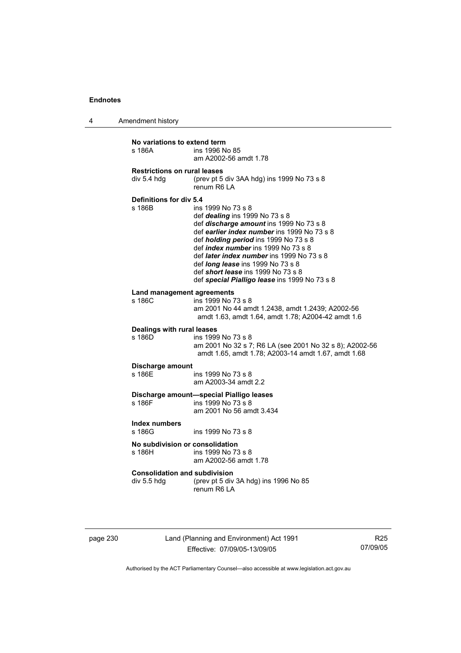4 Amendment history

| No variations to extend term<br>ins 1996 No 85<br>s 186A<br>am A2002-56 amdt 1.78 |                                                                                                                                                                                                                                                                                                                                                                                                                                     |  |
|-----------------------------------------------------------------------------------|-------------------------------------------------------------------------------------------------------------------------------------------------------------------------------------------------------------------------------------------------------------------------------------------------------------------------------------------------------------------------------------------------------------------------------------|--|
| <b>Restrictions on rural leases</b><br>div 5.4 hdg                                | (prev pt 5 div 3AA hdg) ins 1999 No 73 s 8<br>renum R6 LA                                                                                                                                                                                                                                                                                                                                                                           |  |
| Definitions for div 5.4<br>s 186B                                                 | ins 1999 No 73 s 8<br>def <i>dealing</i> ins 1999 No 73 s 8<br>def discharge amount ins 1999 No 73 s 8<br>def earlier index number ins 1999 No 73 s 8<br>def <i>holding period</i> ins 1999 No 73 s 8<br>def <i>index number</i> ins 1999 No 73 s 8<br>def <i>later index number</i> ins 1999 No 73 s 8<br>def long lease ins 1999 No 73 s 8<br>def short lease ins 1999 No 73 s 8<br>def special Pialligo lease ins 1999 No 73 s 8 |  |
| <b>Land management agreements</b><br>s 186C                                       | ins 1999 No 73 s 8<br>am 2001 No 44 amdt 1.2438, amdt 1.2439; A2002-56<br>amdt 1.63, amdt 1.64, amdt 1.78; A2004-42 amdt 1.6                                                                                                                                                                                                                                                                                                        |  |
| Dealings with rural leases<br>s 186D                                              | ins 1999 No 73 s 8<br>am 2001 No 32 s 7; R6 LA (see 2001 No 32 s 8); A2002-56<br>amdt 1.65, amdt 1.78; A2003-14 amdt 1.67, amdt 1.68                                                                                                                                                                                                                                                                                                |  |
| Discharge amount<br>s 186F                                                        | ins 1999 No 73 s 8<br>am A2003-34 amdt 2.2                                                                                                                                                                                                                                                                                                                                                                                          |  |
| s 186F                                                                            | Discharge amount-special Pialligo leases<br>ins 1999 No 73 s 8<br>am 2001 No 56 amdt 3.434                                                                                                                                                                                                                                                                                                                                          |  |
| <b>Index numbers</b><br>s 186G                                                    | ins 1999 No 73 s 8                                                                                                                                                                                                                                                                                                                                                                                                                  |  |
| No subdivision or consolidation<br>s 186H                                         | ins 1999 No 73 s 8<br>am A2002-56 amdt 1.78                                                                                                                                                                                                                                                                                                                                                                                         |  |
| <b>Consolidation and subdivision</b><br>div 5.5 hdg                               | (prev pt 5 div 3A hdg) ins 1996 No 85<br>renum R6   A                                                                                                                                                                                                                                                                                                                                                                               |  |

page 230 Land (Planning and Environment) Act 1991 Effective: 07/09/05-13/09/05

R25 07/09/05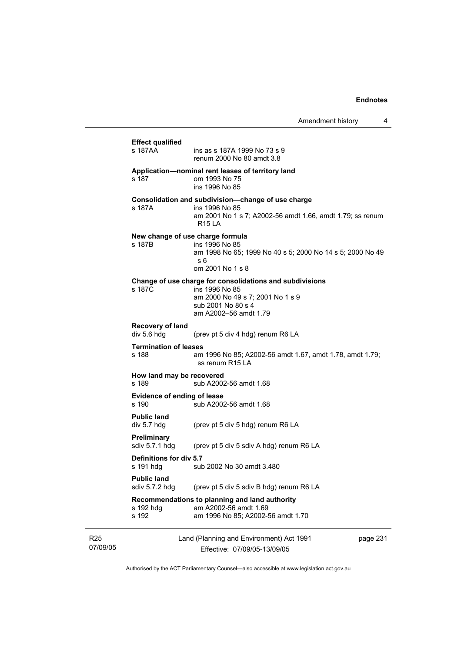|                             | <b>Effect qualified</b>               |                                                                                                                                                               |          |
|-----------------------------|---------------------------------------|---------------------------------------------------------------------------------------------------------------------------------------------------------------|----------|
|                             | s 187AA                               | ins as s 187A 1999 No 73 s 9<br>renum 2000 No 80 amdt 3.8                                                                                                     |          |
|                             | s 187                                 | Application-nominal rent leases of territory land<br>om 1993 No 75<br>ins 1996 No 85                                                                          |          |
|                             | s 187A                                | Consolidation and subdivision-change of use charge<br>ins 1996 No 85<br>am 2001 No 1 s 7; A2002-56 amdt 1.66, amdt 1.79; ss renum<br><b>R15 LA</b>            |          |
|                             | s 187B                                | New change of use charge formula<br>ins 1996 No 85<br>am 1998 No 65; 1999 No 40 s 5; 2000 No 14 s 5; 2000 No 49<br>s 6<br>om 2001 No 1 s 8                    |          |
|                             | s 187C                                | Change of use charge for consolidations and subdivisions<br>ins 1996 No 85<br>am 2000 No 49 s 7; 2001 No 1 s 9<br>sub 2001 No 80 s 4<br>am A2002-56 amdt 1.79 |          |
|                             | Recovery of land<br>div 5.6 hdg       | (prev pt 5 div 4 hdg) renum R6 LA                                                                                                                             |          |
|                             | <b>Termination of leases</b><br>s 188 | am 1996 No 85; A2002-56 amdt 1.67, amdt 1.78, amdt 1.79;<br>ss renum R15 LA                                                                                   |          |
|                             | How land may be recovered<br>s 189    | sub A2002-56 amdt 1.68                                                                                                                                        |          |
|                             | Evidence of ending of lease<br>s 190  | sub A2002-56 amdt 1.68                                                                                                                                        |          |
|                             | <b>Public land</b><br>div 5.7 hdg     | (prev pt 5 div 5 hdg) renum R6 LA                                                                                                                             |          |
|                             | Preliminary<br>sdiv $5.7.1$ hdg       | (prev pt 5 div 5 sdiv A hdg) renum R6 LA                                                                                                                      |          |
|                             | Definitions for div 5.7<br>s 191 hdg  | sub 2002 No 30 amdt 3.480                                                                                                                                     |          |
|                             | <b>Public land</b><br>sdiv 5.7.2 hdg  | (prev pt 5 div 5 sdiv B hdg) renum R6 LA                                                                                                                      |          |
|                             | s 192 hdg<br>s 192                    | Recommendations to planning and land authority<br>am A2002-56 amdt 1.69<br>am 1996 No 85; A2002-56 amdt 1.70                                                  |          |
| R <sub>25</sub><br>07/09/05 |                                       | Land (Planning and Environment) Act 1991<br>Effective: 07/09/05-13/09/05                                                                                      | page 231 |

Authorised by the ACT Parliamentary Counsel—also accessible at www.legislation.act.gov.au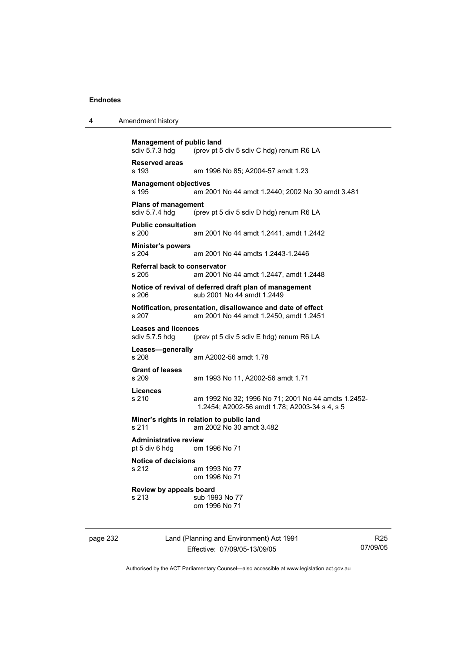|  | Amendment history |
|--|-------------------|
|--|-------------------|

```
Management of public land<br>sdiv 5.7.3 hda (prev pt 5
                 (prev pt 5 div 5 sdiv C hdg) renum R6 LA
Reserved areas 
s 193 am 1996 No 85; A2004-57 amdt 1.23 
Management objectives 
s 195 am 2001 No 44 amdt 1.2440; 2002 No 30 amdt 3.481 
Plans of management 
sdiv 5.7.4 hdg (prev pt 5 div 5 sdiv D hdg) renum R6 LA 
Public consultation 
                 am 2001 No 44 amdt 1.2441, amdt 1.2442
Minister's powers 
s 204 am 2001 No 44 amdts 1.2443-1.2446 
Referral back to conservator 
s 205 am 2001 No 44 amdt 1.2447, amdt 1.2448 
Notice of revival of deferred draft plan of management 
s 206 sub 2001 No 44 amdt 1.2449 
Notification, presentation, disallowance and date of effect 
s 207 am 2001 No 44 amdt 1.2450, amdt 1.2451 
Leases and licences 
sdiv 5.7.5 hdg (prev pt 5 div 5 sdiv E hdg) renum R6 LA 
Leases—generally 
s 208 am A2002-56 amdt 1.78 
Grant of leases 
s 209 am 1993 No 11, A2002-56 amdt 1.71 
Licences 
s 210 am 1992 No 32; 1996 No 71; 2001 No 44 amdts 1.2452-
                  1.2454; A2002-56 amdt 1.78; A2003-34 s 4, s 5 
Miner's rights in relation to public land 
s 211 am 2002 No 30 amdt 3.482 
Administrative review 
pt 5 div 6 hdg om 1996 No 71 
Notice of decisions 
s 212 am 1993 No 77 
                  om 1996 No 71 
Review by appeals board 
s 213 sub 1993 No 77
                  om 1996 No 71
```
page 232 Land (Planning and Environment) Act 1991 Effective: 07/09/05-13/09/05

R25 07/09/05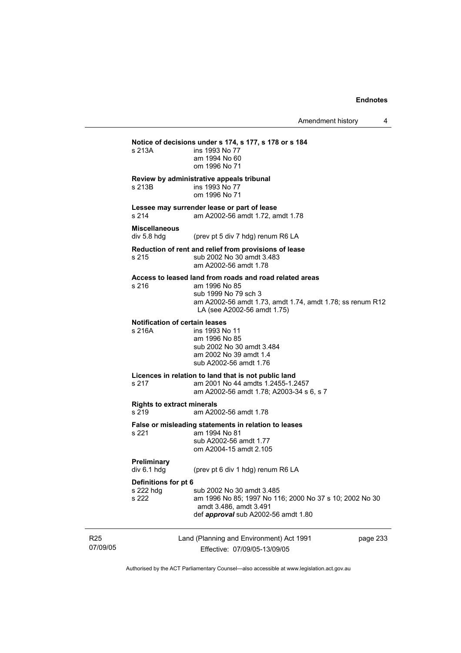|                             | s 213A                                          | Notice of decisions under s 174, s 177, s 178 or s 184<br>ins 1993 No 77<br>am 1994 No 60<br>om 1996 No 71                                                                                   |
|-----------------------------|-------------------------------------------------|----------------------------------------------------------------------------------------------------------------------------------------------------------------------------------------------|
|                             | s 213B                                          | Review by administrative appeals tribunal<br>ins 1993 No 77<br>om 1996 No 71                                                                                                                 |
|                             | s 214                                           | Lessee may surrender lease or part of lease<br>am A2002-56 amdt 1.72, amdt 1.78                                                                                                              |
|                             | <b>Miscellaneous</b><br>div 5.8 hdg             | (prev pt 5 div 7 hdg) renum R6 LA                                                                                                                                                            |
|                             | s 215                                           | Reduction of rent and relief from provisions of lease<br>sub 2002 No 30 amdt 3.483<br>am A2002-56 amdt 1.78                                                                                  |
|                             | s 216                                           | Access to leased land from roads and road related areas<br>am 1996 No 85<br>sub 1999 No 79 sch 3<br>am A2002-56 amdt 1.73, amdt 1.74, amdt 1.78; ss renum R12<br>LA (see A2002-56 amdt 1.75) |
|                             | <b>Notification of certain leases</b><br>s 216A | ins 1993 No 11<br>am 1996 No 85<br>sub 2002 No 30 amdt 3.484<br>am 2002 No 39 amdt 1.4<br>sub A2002-56 amdt 1.76                                                                             |
|                             | s 217                                           | Licences in relation to land that is not public land<br>am 2001 No 44 amdts 1.2455-1.2457<br>am A2002-56 amdt 1.78; A2003-34 s 6, s 7                                                        |
|                             | <b>Rights to extract minerals</b><br>s 219      | am A2002-56 amdt 1.78                                                                                                                                                                        |
|                             | s 221                                           | False or misleading statements in relation to leases<br>am 1994 No 81<br>sub A2002-56 amdt 1.77<br>om A2004-15 amdt 2.105                                                                    |
|                             | <b>Preliminary</b><br>div 6.1 hda               | (prev pt 6 div 1 hdg) renum R6 LA                                                                                                                                                            |
|                             | Definitions for pt 6<br>s 222 hdg<br>s 222      | sub 2002 No 30 amdt 3.485<br>am 1996 No 85; 1997 No 116; 2000 No 37 s 10; 2002 No 30<br>amdt 3.486, amdt 3.491<br>def approval sub A2002-56 amdt 1.80                                        |
| R <sub>25</sub><br>07/09/05 |                                                 | Land (Planning and Environment) Act 1991<br>page 233<br>Effective: 07/09/05-13/09/05                                                                                                         |

Authorised by the ACT Parliamentary Counsel—also accessible at www.legislation.act.gov.au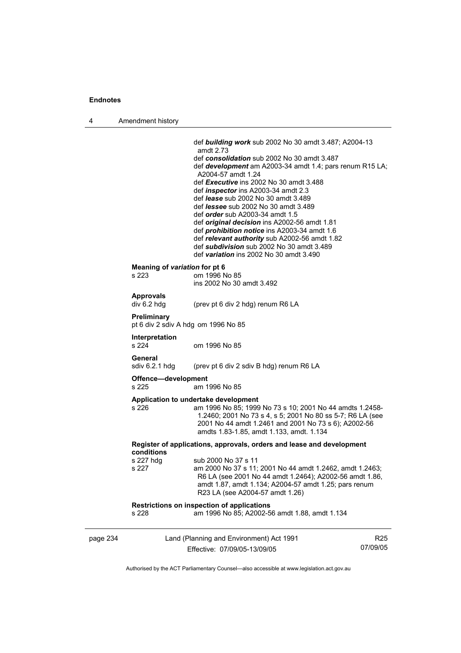4 Amendment history

|                                                                                     | def <b>building work</b> sub 2002 No 30 amdt 3.487; A2004-13<br>amdt 2.73<br>def consolidation sub 2002 No 30 amdt 3.487<br>def <b>development</b> am A2003-34 amdt 1.4; pars renum R15 LA;<br>A2004-57 amdt 1.24<br>def Executive ins 2002 No 30 amdt 3.488<br>def <i>inspector</i> ins A2003-34 amdt 2.3<br>def lease sub 2002 No 30 amdt 3.489<br>def <i>lessee</i> sub 2002 No 30 amdt 3.489<br>def order sub A2003-34 amdt 1.5<br>def original decision ins A2002-56 amdt 1.81<br>def <i>prohibition notice</i> ins A2003-34 amdt 1.6<br>def relevant authority sub A2002-56 amdt 1.82<br>def subdivision sub 2002 No 30 amdt 3.489<br>def variation ins 2002 No 30 amdt 3.490 |  |
|-------------------------------------------------------------------------------------|-------------------------------------------------------------------------------------------------------------------------------------------------------------------------------------------------------------------------------------------------------------------------------------------------------------------------------------------------------------------------------------------------------------------------------------------------------------------------------------------------------------------------------------------------------------------------------------------------------------------------------------------------------------------------------------|--|
|                                                                                     |                                                                                                                                                                                                                                                                                                                                                                                                                                                                                                                                                                                                                                                                                     |  |
| Meaning of variation for pt 6<br>s 223                                              | om 1996 No 85<br>ins 2002 No 30 amdt 3.492                                                                                                                                                                                                                                                                                                                                                                                                                                                                                                                                                                                                                                          |  |
| <b>Approvals</b><br>div 6.2 hdg                                                     | (prev pt 6 div 2 hdg) renum R6 LA                                                                                                                                                                                                                                                                                                                                                                                                                                                                                                                                                                                                                                                   |  |
| Preliminary<br>pt 6 div 2 sdiv A hdg om 1996 No 85                                  |                                                                                                                                                                                                                                                                                                                                                                                                                                                                                                                                                                                                                                                                                     |  |
| Interpretation<br>s 224                                                             | om 1996 No 85                                                                                                                                                                                                                                                                                                                                                                                                                                                                                                                                                                                                                                                                       |  |
| General<br>sdiv 6.2.1 hdg                                                           | (prev pt 6 div 2 sdiv B hdg) renum R6 LA                                                                                                                                                                                                                                                                                                                                                                                                                                                                                                                                                                                                                                            |  |
| Offence-development<br>s 225                                                        | am 1996 No 85                                                                                                                                                                                                                                                                                                                                                                                                                                                                                                                                                                                                                                                                       |  |
|                                                                                     |                                                                                                                                                                                                                                                                                                                                                                                                                                                                                                                                                                                                                                                                                     |  |
| s 226                                                                               | Application to undertake development<br>am 1996 No 85; 1999 No 73 s 10; 2001 No 44 amdts 1.2458-<br>1.2460; 2001 No 73 s 4, s 5; 2001 No 80 ss 5-7; R6 LA (see<br>2001 No 44 amdt 1.2461 and 2001 No 73 s 6); A2002-56<br>amdts 1.83-1.85, amdt 1.133, amdt. 1.134                                                                                                                                                                                                                                                                                                                                                                                                                  |  |
| Register of applications, approvals, orders and lease and development<br>conditions |                                                                                                                                                                                                                                                                                                                                                                                                                                                                                                                                                                                                                                                                                     |  |
| s 227 hdg                                                                           | sub 2000 No 37 s 11                                                                                                                                                                                                                                                                                                                                                                                                                                                                                                                                                                                                                                                                 |  |
| s 227                                                                               | am 2000 No 37 s 11; 2001 No 44 amdt 1.2462, amdt 1.2463;<br>R6 LA (see 2001 No 44 amdt 1.2464); A2002-56 amdt 1.86,<br>amdt 1.87, amdt 1.134; A2004-57 amdt 1.25; pars renum<br>R23 LA (see A2004-57 amdt 1.26)                                                                                                                                                                                                                                                                                                                                                                                                                                                                     |  |
| s 228                                                                               | Restrictions on inspection of applications<br>am 1996 No 85; A2002-56 amdt 1.88, amdt 1.134                                                                                                                                                                                                                                                                                                                                                                                                                                                                                                                                                                                         |  |
|                                                                                     |                                                                                                                                                                                                                                                                                                                                                                                                                                                                                                                                                                                                                                                                                     |  |

Authorised by the ACT Parliamentary Counsel—also accessible at www.legislation.act.gov.au

R25 07/09/05

Effective: 07/09/05-13/09/05

page 234 Land (Planning and Environment) Act 1991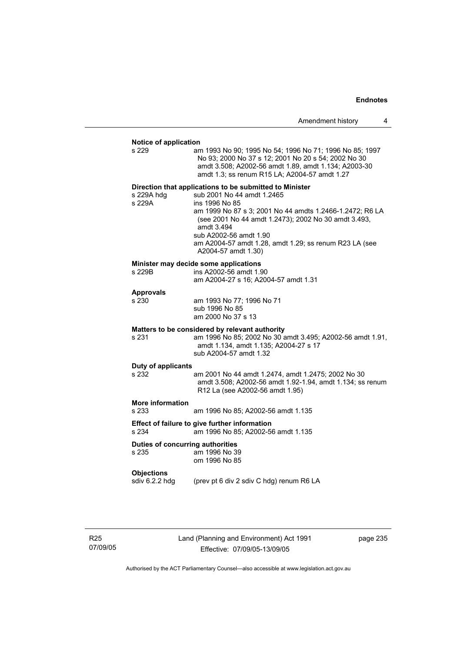| Amendment history |  |
|-------------------|--|
|-------------------|--|

#### **Notice of application**

| s 229                                                                                        | am 1993 No 90; 1995 No 54; 1996 No 71; 1996 No 85; 1997<br>No 93; 2000 No 37 s 12; 2001 No 20 s 54; 2002 No 30<br>amdt 3.508; A2002-56 amdt 1.89, amdt 1.134; A2003-30<br>amdt 1.3; ss renum R15 LA; A2004-57 amdt 1.27                                                                                                                              |  |
|----------------------------------------------------------------------------------------------|------------------------------------------------------------------------------------------------------------------------------------------------------------------------------------------------------------------------------------------------------------------------------------------------------------------------------------------------------|--|
| s 229A hdg<br>s 229A                                                                         | Direction that applications to be submitted to Minister<br>sub 2001 No 44 amdt 1.2465<br>ins 1996 No 85<br>am 1999 No 87 s 3; 2001 No 44 amdts 1.2466-1.2472; R6 LA<br>(see 2001 No 44 amdt 1.2473); 2002 No 30 amdt 3.493,<br>amdt 3.494<br>sub A2002-56 amdt 1.90<br>am A2004-57 amdt 1.28, amdt 1.29; ss renum R23 LA (see<br>A2004-57 amdt 1.30) |  |
| s 229B                                                                                       | Minister may decide some applications<br>ins A2002-56 amdt 1.90<br>am A2004-27 s 16; A2004-57 amdt 1.31                                                                                                                                                                                                                                              |  |
| <b>Approvals</b><br>s 230                                                                    | am 1993 No 77; 1996 No 71<br>sub 1996 No 85<br>am 2000 No 37 s 13                                                                                                                                                                                                                                                                                    |  |
| s 231                                                                                        | Matters to be considered by relevant authority<br>am 1996 No 85; 2002 No 30 amdt 3.495; A2002-56 amdt 1.91,<br>amdt 1.134, amdt 1.135; A2004-27 s 17<br>sub A2004-57 amdt 1.32                                                                                                                                                                       |  |
| Duty of applicants<br>s 232                                                                  | am 2001 No 44 amdt 1.2474, amdt 1.2475; 2002 No 30<br>amdt 3.508; A2002-56 amdt 1.92-1.94, amdt 1.134; ss renum<br>R12 La (see A2002-56 amdt 1.95)                                                                                                                                                                                                   |  |
| <b>More information</b><br>s 233                                                             | am 1996 No 85; A2002-56 amdt 1.135                                                                                                                                                                                                                                                                                                                   |  |
| Effect of failure to give further information<br>s 234<br>am 1996 No 85; A2002-56 amdt 1.135 |                                                                                                                                                                                                                                                                                                                                                      |  |
| Duties of concurring authorities<br>s 235                                                    | am 1996 No 39<br>om 1996 No 85                                                                                                                                                                                                                                                                                                                       |  |
| <b>Objections</b><br>sdiv 6.2.2 hdg                                                          | (prev pt 6 div 2 sdiv C hdg) renum R6 LA                                                                                                                                                                                                                                                                                                             |  |
|                                                                                              |                                                                                                                                                                                                                                                                                                                                                      |  |

R25 07/09/05 Land (Planning and Environment) Act 1991 Effective: 07/09/05-13/09/05

page 235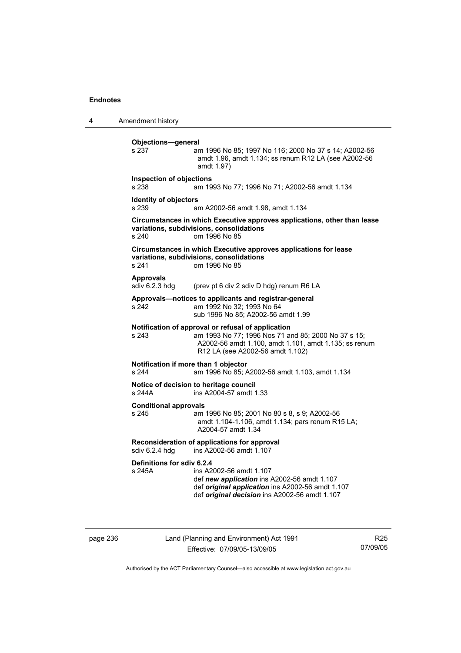4 Amendment history **Objections—general**  s 237 am 1996 No 85; 1997 No 116; 2000 No 37 s 14; A2002-56 amdt 1.96, amdt 1.134; ss renum R12 LA (see A2002-56 amdt 1.97) **Inspection of objections**  s 238 am 1993 No 77; 1996 No 71; A2002-56 amdt 1.134 **Identity of objectors**  s 239 am A2002-56 amdt 1.98, amdt 1.134 **Circumstances in which Executive approves applications, other than lease variations, subdivisions, consolidations**  s 240 om 1996 No 85 **Circumstances in which Executive approves applications for lease variations, subdivisions, consolidations**  s 241 om 1996 No 85 Approvals<br>sdiv 6.2.3 hdg (prev pt 6 div 2 sdiv D hdg) renum R6 LA **Approvals—notices to applicants and registrar-general**  s 242 am 1992 No 32; 1993 No 64 sub 1996 No 85; A2002-56 amdt 1.99 **Notification of approval or refusal of application**<br>s 243 am 1993 No 77; 1996 Nos 71 ar am 1993 No 77; 1996 Nos 71 and 85; 2000 No 37 s 15; A2002-56 amdt 1.100, amdt 1.101, amdt 1.135; ss renum R12 LA (see A2002-56 amdt 1.102) **Notification if more than 1 objector**  s 244 am 1996 No 85; A2002-56 amdt 1.103, amdt 1.134 **Notice of decision to heritage council**  s 244A ins A2004-57 amdt 1.33 **Conditional approvals**  s 245 am 1996 No 85; 2001 No 80 s 8, s 9; A2002-56 amdt 1.104-1.106, amdt 1.134; pars renum R15 LA; A2004-57 amdt 1.34 **Reconsideration of applications for approval**  sdiv 6.2.4 hdg ins A2002-56 amdt 1.107 **Definitions for sdiv 6.2.4**  ins A2002-56 amdt 1.107 def *new application* ins A2002-56 amdt 1.107 def *original application* ins A2002-56 amdt 1.107 def *original decision* ins A2002-56 amdt 1.107

page 236 Land (Planning and Environment) Act 1991 Effective: 07/09/05-13/09/05

R25 07/09/05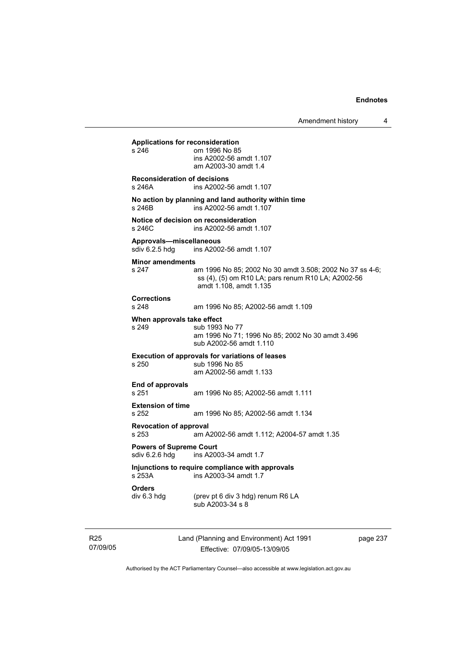**Applications for reconsideration**  om 1996 No 85 ins A2002-56 amdt 1.107 am A2003-30 amdt 1.4 **Reconsideration of decisions**  s 246A ins A2002-56 amdt 1.107 **No action by planning and land authority within time**  s 246B ins A2002-56 amdt 1.107 **Notice of decision on reconsideration**  s 246C ins A2002-56 amdt 1.107 **Approvals—miscellaneous**  ins A2002-56 amdt 1.107 **Minor amendments**  s 247 am 1996 No 85; 2002 No 30 amdt 3.508; 2002 No 37 ss 4-6; ss (4), (5) om R10 LA; pars renum R10 LA; A2002-56 amdt 1.108, amdt 1.135 **Corrections**  s 248 am 1996 No 85; A2002-56 amdt 1.109 **When approvals take effect**  sub 1993 No 77 am 1996 No 71; 1996 No 85; 2002 No 30 amdt 3.496 sub A2002-56 amdt 1.110 **Execution of approvals for variations of leases**  s 250 sub 1996 No 85 am A2002-56 amdt 1.133 **End of approvals**  s 251 am 1996 No 85; A2002-56 amdt 1.111 **Extension of time**  s 252 am 1996 No 85; A2002-56 amdt 1.134 **Revocation of approval**  s 253 am A2002-56 amdt 1.112; A2004-57 amdt 1.35 **Powers of Supreme Court**<br>sdiv 6.2.6 hdg ins A200 ins A2003-34 amdt 1.7 **Injunctions to require compliance with approvals**  ins A2003-34 amdt 1.7 **Orders**  (prev pt 6 div 3 hdg) renum R6 LA sub A2003-34 s 8

R25 07/09/05 Land (Planning and Environment) Act 1991 Effective: 07/09/05-13/09/05

page 237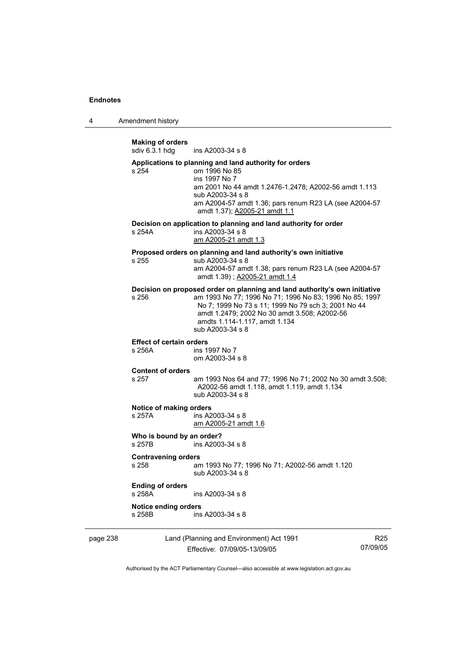4 Amendment history

**Making of orders**  ins A2003-34 s 8 **Applications to planning and land authority for orders**  s 254 om 1996 No 85 ins 1997 No 7 am 2001 No 44 amdt 1.2476-1.2478; A2002-56 amdt 1.113 sub A2003-34 s 8 am A2004-57 amdt 1.36; pars renum R23 LA (see A2004-57 amdt 1.37); A2005-21 amdt 1.1 **Decision on application to planning and land authority for order**  s 254A ins A2003-34 s 8 am A2005-21 amdt 1.3 **Proposed orders on planning and land authority's own initiative**  s 255 sub A2003-34 s 8 am A2004-57 amdt 1.38; pars renum R23 LA (see A2004-57 amdt 1.39) ; A2005-21 amdt 1.4 **Decision on proposed order on planning and land authority's own initiative**  s 256 am 1993 No 77; 1996 No 71; 1996 No 83; 1996 No 85; 1997 No 7; 1999 No 73 s 11; 1999 No 79 sch 3; 2001 No 44 amdt 1.2479; 2002 No 30 amdt 3.508; A2002-56 amdts 1.114-1.117, amdt 1.134 sub A2003-34 s 8 **Effect of certain orders**  s 256A ins 1997 No 7 om A2003-34 s 8 **Content of orders**  am 1993 Nos 64 and 77; 1996 No 71; 2002 No 30 amdt 3.508; A2002-56 amdt 1.118, amdt 1.119, amdt 1.134 sub A2003-34 s 8 **Notice of making orders**  s 257A ins A2003-34 s 8 am A2005-21 amdt 1.6 **Who is bound by an order?**  s 257B ins A2003-34 s 8 **Contravening orders**  s 258 am 1993 No 77; 1996 No 71; A2002-56 amdt 1.120 sub A2003-34 s 8 **Ending of orders**  s 258A ins A2003-34 s 8 **Notice ending orders**   $ins A2003-34 s 8$ 

page 238 Land (Planning and Environment) Act 1991 Effective: 07/09/05-13/09/05

R25 07/09/05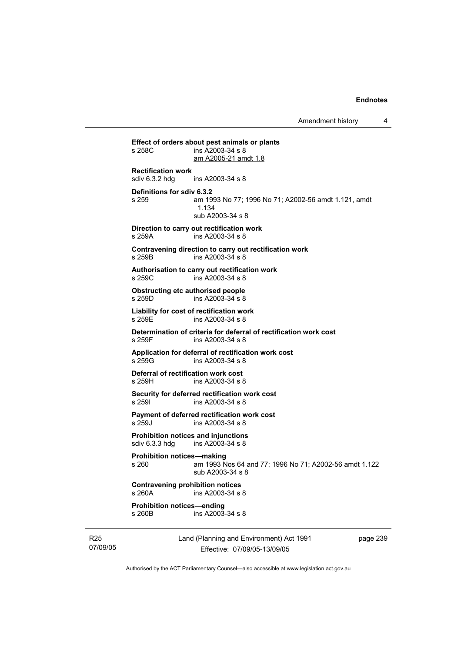**Effect of orders about pest animals or plants**   $ins$  A2003-34 s 8 am A2005-21 amdt 1.8 **Rectification work**  ins A2003-34 s 8 **Definitions for sdiv 6.3.2**  s 259 am 1993 No 77; 1996 No 71; A2002-56 amdt 1.121, amdt 1.134 sub A2003-34 s 8 **Direction to carry out rectification work**  s 259A ins A2003-34 s 8 **Contravening direction to carry out rectification work**  s 259B ins A2003-34 s 8 **Authorisation to carry out rectification work**  s 259C ins A2003-34 s 8 **Obstructing etc authorised people**  s 259D ins A2003-34 s 8 **Liability for cost of rectification work**  s 259E ins A2003-34 s 8 **Determination of criteria for deferral of rectification work cost**  s 259F ins A2003-34 s 8 **Application for deferral of rectification work cost**  s 259G ins A2003-34 s 8 **Deferral of rectification work cost**  s 259H ins A2003-34 s 8 **Security for deferred rectification work cost**  s 259I ins A2003-34 s 8 **Payment of deferred rectification work cost**  s 259J ins A2003-34 s 8 **Prohibition notices and injunctions**  sdiv 6.3.3 hdg ins A2003-34 s 8 **Prohibition notices—making**  s 260 am 1993 Nos 64 and 77; 1996 No 71; A2002-56 amdt 1.122 sub A2003-34 s 8 **Contravening prohibition notices**  s 260A ins A2003-34 s 8 **Prohibition notices—ending**   $ins A2003-34 s 8$ 

R25 07/09/05 Land (Planning and Environment) Act 1991 Effective: 07/09/05-13/09/05

page 239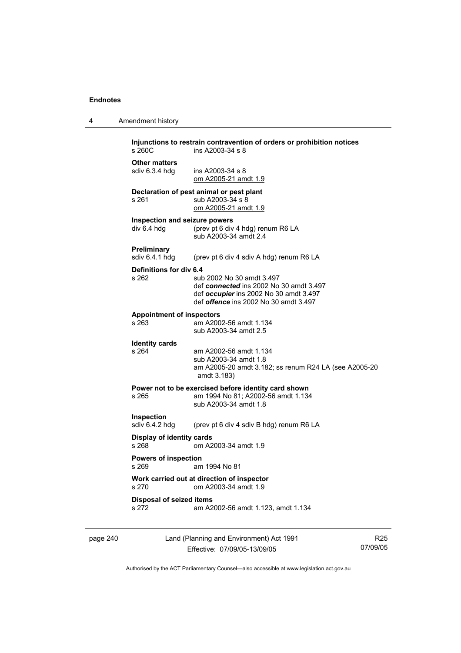page 240

| Amendment history<br>$\overline{4}$ |  |
|-------------------------------------|--|
|-------------------------------------|--|

| s, 260C                                                                     | Injunctions to restrain contravention of orders or prohibition notices<br>ins A2003-34 s 8                                                                     |                 |
|-----------------------------------------------------------------------------|----------------------------------------------------------------------------------------------------------------------------------------------------------------|-----------------|
| <b>Other matters</b><br>sdiv 6.3.4 hdg                                      | ins $A2003-34$ s $8$<br>om A2005-21 amdt 1.9                                                                                                                   |                 |
| s 261                                                                       | Declaration of pest animal or pest plant<br>sub A2003-34 s 8<br>om A2005-21 amdt 1.9                                                                           |                 |
| Inspection and seizure powers<br>div 6.4 hdg                                | (prev pt 6 div 4 hdg) renum R6 LA<br>sub A2003-34 amdt 2.4                                                                                                     |                 |
| Preliminary<br>sdiv 6.4.1 hdg                                               | (prev pt 6 div 4 sdiv A hdg) renum R6 LA                                                                                                                       |                 |
| Definitions for div 6.4<br>s 262                                            | sub 2002 No 30 amdt 3.497<br>def connected ins 2002 No 30 amdt 3.497<br>def occupier ins 2002 No 30 amdt 3.497<br>def <i>offence</i> ins 2002 No 30 amdt 3.497 |                 |
| <b>Appointment of inspectors</b><br>s 263                                   | am A2002-56 amdt 1.134<br>sub A2003-34 amdt 2.5                                                                                                                |                 |
| <b>Identity cards</b><br>s 264                                              | am A2002-56 amdt 1.134<br>sub A2003-34 amdt 1.8<br>am A2005-20 amdt 3.182; ss renum R24 LA (see A2005-20<br>amdt 3.183)                                        |                 |
| s 265                                                                       | Power not to be exercised before identity card shown<br>am 1994 No 81; A2002-56 amdt 1.134<br>sub A2003-34 amdt 1.8                                            |                 |
| Inspection<br>sdiv 6.4.2 hdg                                                | (prev pt 6 div 4 sdiv B hdg) renum R6 LA                                                                                                                       |                 |
| Display of identity cards<br>s 268                                          | om A2003-34 amdt 1.9                                                                                                                                           |                 |
| <b>Powers of inspection</b><br>s 269<br>am 1994 No 81                       |                                                                                                                                                                |                 |
| Work carried out at direction of inspector<br>s 270<br>om A2003-34 amdt 1.9 |                                                                                                                                                                |                 |
| <b>Disposal of seized items</b><br>s 272                                    | am A2002-56 amdt 1.123, amdt 1.134                                                                                                                             |                 |
|                                                                             | Land (Planning and Environment) Act 1991<br>Effective: 07/09/05-13/09/05                                                                                       | R25<br>07/09/05 |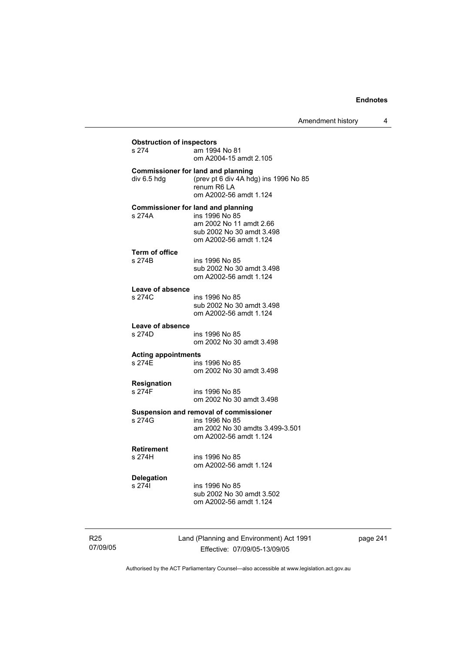| <b>Obstruction of inspectors</b><br>s 274<br>am 1994 No 81 |                                                                                                                                               |  |  |  |
|------------------------------------------------------------|-----------------------------------------------------------------------------------------------------------------------------------------------|--|--|--|
|                                                            | om A2004-15 amdt 2.105                                                                                                                        |  |  |  |
| div 6.5 hdg                                                | <b>Commissioner for land and planning</b><br>(prev pt 6 div 4A hdg) ins 1996 No 85<br>renum R6 LA<br>om A2002-56 amdt 1.124                   |  |  |  |
| s 274A                                                     | <b>Commissioner for land and planning</b><br>ins 1996 No 85<br>am 2002 No 11 amdt 2.66<br>sub 2002 No 30 amdt 3.498<br>om A2002-56 amdt 1.124 |  |  |  |
| <b>Term of office</b>                                      |                                                                                                                                               |  |  |  |
| s 274B                                                     | ins 1996 No 85                                                                                                                                |  |  |  |
|                                                            | sub 2002 No 30 amdt 3.498                                                                                                                     |  |  |  |
|                                                            | om A2002-56 amdt 1.124                                                                                                                        |  |  |  |
| Leave of absence                                           |                                                                                                                                               |  |  |  |
| s 274C                                                     | ins 1996 No 85                                                                                                                                |  |  |  |
|                                                            | sub 2002 No 30 amdt 3.498                                                                                                                     |  |  |  |
|                                                            | om A2002-56 amdt 1.124                                                                                                                        |  |  |  |
| Leave of absence                                           |                                                                                                                                               |  |  |  |
| s 274D                                                     | ins 1996 No 85                                                                                                                                |  |  |  |
|                                                            | om 2002 No 30 amdt 3.498                                                                                                                      |  |  |  |
| <b>Acting appointments</b>                                 |                                                                                                                                               |  |  |  |
| s 274F                                                     | ins 1996 No 85                                                                                                                                |  |  |  |
|                                                            | om 2002 No 30 amdt 3.498                                                                                                                      |  |  |  |
|                                                            |                                                                                                                                               |  |  |  |
| <b>Resignation</b><br>s 274F                               | ins 1996 No 85                                                                                                                                |  |  |  |
|                                                            | om 2002 No 30 amdt 3.498                                                                                                                      |  |  |  |
|                                                            |                                                                                                                                               |  |  |  |
|                                                            | Suspension and removal of commissioner                                                                                                        |  |  |  |
| s 274G                                                     | ins 1996 No 85                                                                                                                                |  |  |  |
|                                                            | am 2002 No 30 amdts 3.499-3.501<br>om A2002-56 amdt 1.124                                                                                     |  |  |  |
|                                                            |                                                                                                                                               |  |  |  |
| <b>Retirement</b>                                          |                                                                                                                                               |  |  |  |
| s 274H                                                     | ins 1996 No 85                                                                                                                                |  |  |  |
|                                                            | om A2002-56 amdt 1.124                                                                                                                        |  |  |  |
| <b>Delegation</b>                                          |                                                                                                                                               |  |  |  |
| s 2741                                                     | ins 1996 No 85                                                                                                                                |  |  |  |
|                                                            | sub 2002 No 30 amdt 3.502                                                                                                                     |  |  |  |
|                                                            | om A2002-56 amdt 1.124                                                                                                                        |  |  |  |
|                                                            |                                                                                                                                               |  |  |  |
|                                                            |                                                                                                                                               |  |  |  |

page 241

07/09/05

R25

Land (Planning and Environment) Act 1991 Effective: 07/09/05-13/09/05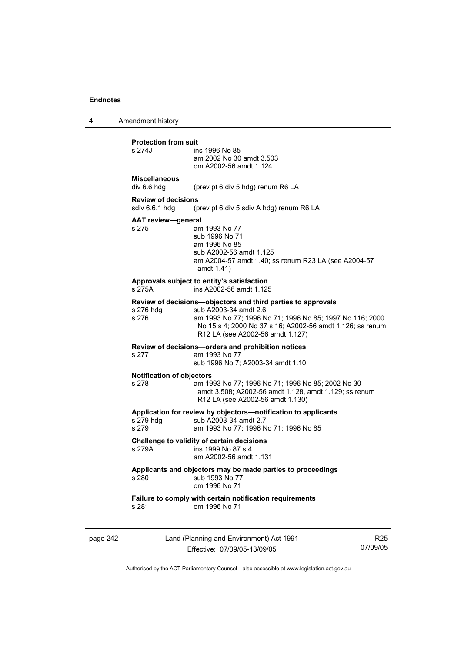4 Amendment history

# **Protection from suit**

| s 274J                                       | ins 1996 No 85<br>am 2002 No 30 amdt 3.503<br>om A2002-56 amdt 1.124                                                                              |
|----------------------------------------------|---------------------------------------------------------------------------------------------------------------------------------------------------|
| <b>Miscellaneous</b><br>div 6.6 hdg          | (prev pt 6 div 5 hdg) renum R6 LA                                                                                                                 |
| <b>Review of decisions</b><br>sdiv 6.6.1 hdq | (prev pt 6 div 5 sdiv A hdg) renum R6 LA                                                                                                          |
| <b>AAT review-general</b><br>s 275           | am 1993 No 77<br>sub 1996 No 71<br>am 1996 No 85<br>sub A2002-56 amdt 1.125<br>am A2004-57 amdt 1.40; ss renum R23 LA (see A2004-57<br>amdt 1.41) |
| s 275A                                       | Approvals subject to entity's satisfaction<br>ins A2002-56 amdt 1.125                                                                             |
|                                              | <b>Dovious of doginions</b> objectors and third parties to approvale                                                                              |

#### **Review of decisions—objectors and third parties to approvals**  s 276 hdg sub A2003-34 amdt 2.6<br>s 276 sam 1993 No 77: 1996 N am 1993 No 77; 1996 No 71; 1996 No 85; 1997 No 116; 2000 No 15 s 4; 2000 No 37 s 16; A2002-56 amdt 1.126; ss renum R12 LA (see A2002-56 amdt 1.127)

**Review of decisions—orders and prohibition notices** 

## s 277 am 1993 No 77

sub 1996 No 7; A2003-34 amdt 1.10

#### **Notification of objectors**

s 278 am 1993 No 77; 1996 No 71; 1996 No 85; 2002 No 30 amdt 3.508; A2002-56 amdt 1.128, amdt 1.129; ss renum R12 LA (see A2002-56 amdt 1.130)

#### **Application for review by objectors—notification to applicants**

| s 279 hdq | sub A2003-34 amdt 2.7                 |  |
|-----------|---------------------------------------|--|
| s 279     | am 1993 No 77; 1996 No 71; 1996 No 85 |  |

## **Challenge to validity of certain decisions**

 $ins$  1999 No 87 s 4

am A2002-56 amdt 1.131

#### **Applicants and objectors may be made parties to proceedings**  s 280 sub 1993 No 77

| ---- |               |
|------|---------------|
|      | om 1996 No 71 |
|      |               |

## **Failure to comply with certain notification requirements**  $s$  281 cm 1996 No 71

om 1996 No 71

page 242 Land (Planning and Environment) Act 1991 Effective: 07/09/05-13/09/05

R25 07/09/05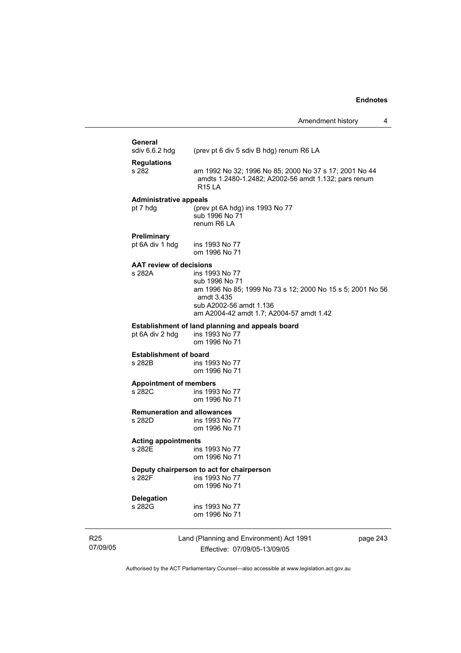# **General**<br>sdiv 6.6.2 hdg

(prev pt 6 div 5 sdiv B hdg) renum R6 LA

**Regulations**  s 282 am 1992 No 32; 1996 No 85; 2000 No 37 s 17; 2001 No 44 amdts 1.2480-1.2482; A2002-56 amdt 1.132; pars renum R15 LA

#### **Administrative appeals**

pt 7 hdg (prev pt 6A hdg) ins 1993 No 77 sub 1996 No 71 renum R6 LA

#### **Preliminary**

pt 6A div 1 hdg ins 1993 No 77 om 1996 No 71

## **AAT review of decisions**

ins 1993 No 77 sub 1996 No 71 am 1996 No 85; 1999 No 73 s 12; 2000 No 15 s 5; 2001 No 56 amdt 3.435 sub A2002-56 amdt 1.136 am A2004-42 amdt 1.7; A2004-57 amdt 1.42

#### **Establishment of land planning and appeals board** pt 6A div 2 hdg ins 1993 No 77 pt 6A div 2 hdg

om 1996 No 71

## **Establishment of board**<br>**a** 282B **ins** 19

ins 1993 No 77 om 1996 No 71

#### **Appointment of members**

s 282C ins 1993 No 77 om 1996 No 71

# **Remuneration and allowances**

ins 1993 No 77 om 1996 No 71

## **Acting appointments**

ins 1993 No 77 om 1996 No 71

#### **Deputy chairperson to act for chairperson**

s 282F ins 1993 No 77 om 1996 No 71

## **Delegation**

ins 1993 No 77 om 1996 No 71

R25 07/09/05 Land (Planning and Environment) Act 1991 Effective: 07/09/05-13/09/05

page 243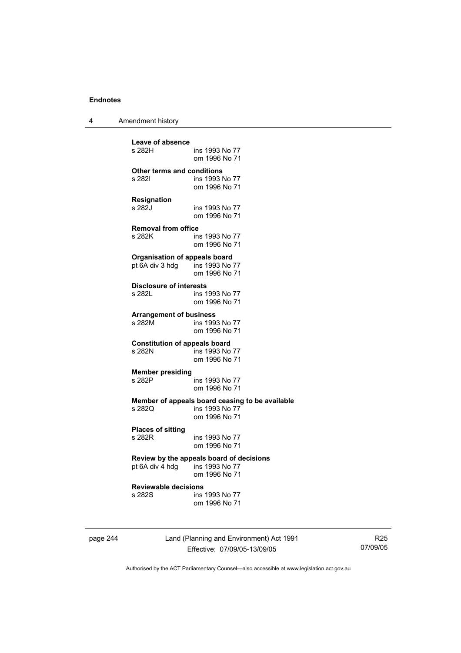4 Amendment history

**Leave of absence**  ins 1993 No 77 om 1996 No 71 **Other terms and conditions**  ins 1993 No 77 om 1996 No 71 **Resignation**  s 282J ins 1993 No 77 om 1996 No 71 **Removal from office**  s 282K ins 1993 No 77 om 1996 No 71 **Organisation of appeals board**  pt 6A div 3 hdg ins 1993 No 77 om 1996 No 71 **Disclosure of interests**  ins 1993 No 77 om 1996 No 71 **Arrangement of business**  ins 1993 No 77 om 1996 No 71 **Constitution of appeals board**  ins 1993 No 77 om 1996 No 71 **Member presiding**  ins 1993 No 77 om 1996 No 71 **Member of appeals board ceasing to be available**  s 282Q ins 1993 No 77 om 1996 No 71 **Places of sitting**  ins 1993 No 77 om 1996 No 71 **Review by the appeals board of decisions**   $pt 6A$  div  $4$  hdg om 1996 No 71 **Reviewable decisions**  ins 1993 No 77 om 1996 No 71

page 244 Land (Planning and Environment) Act 1991 Effective: 07/09/05-13/09/05

R25 07/09/05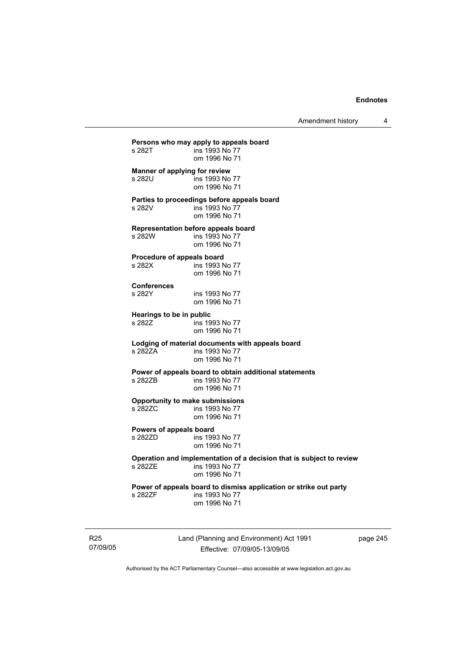Amendment history 4

**Persons who may apply to appeals board**  ins 1993 No 77 om 1996 No 71 **Manner of applying for review**  s 282U ins 1993 No 77 om 1996 No 71 **Parties to proceedings before appeals board**  s 282V ins 1993 No 77 om 1996 No 71 **Representation before appeals board**  s 282W ins 1993 No 77 om 1996 No 71 **Procedure of appeals board**  s 282X ins 1993 No 77 om 1996 No 71 **Conferences**  ins 1993 No 77 om 1996 No 71 **Hearings to be in public**  s 282Z **ins 1993** No 77 om 1996 No 71 **Lodging of material documents with appeals board**  ins 1993 No 77 om 1996 No 71 **Power of appeals board to obtain additional statements**  ins 1993 No 77 om 1996 No 71 **Opportunity to make submissions**  s 282ZC ins 1993 No 77 om 1996 No 71 **Powers of appeals board**  ins 1993 No 77 om 1996 No 71 **Operation and implementation of a decision that is subject to review**  ins 1993 No 77 om 1996 No 71 **Power of appeals board to dismiss application or strike out party**  s 282ZF ins 1993 No 77 om 1996 No 71

R25 07/09/05 Land (Planning and Environment) Act 1991 Effective: 07/09/05-13/09/05

page 245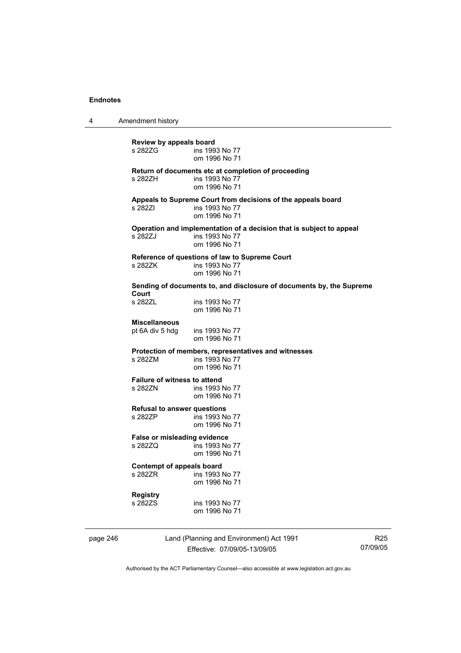4 Amendment history

**Review by appeals board**  ins 1993 No 77 om 1996 No 71 **Return of documents etc at completion of proceeding**  s 282ZH ins 1993 No 77 om 1996 No 71 **Appeals to Supreme Court from decisions of the appeals board**  s 282ZI ins 1993 No 77 om 1996 No 71 **Operation and implementation of a decision that is subject to appeal**  s 282ZJ ins 1993 No 77 om 1996 No 71 **Reference of questions of law to Supreme Court**  s 282ZK ins 1993 No 77 om 1996 No 71 **Sending of documents to, and disclosure of documents by, the Supreme Court**  ins 1993 No 77 om 1996 No 71 **Miscellaneous**  pt 6A div 5 hdg ins 1993 No 77 om 1996 No 71 **Protection of members, representatives and witnesses**  s 282ZM ins 1993 No 77 om 1996 No 71 **Failure of witness to attend<br>s 2827N** ins 1993 ins 1993 No 77 om 1996 No 71 **Refusal to answer questions**  s 282ZP ins 1993 No 77 om 1996 No 71 **False or misleading evidence**  s 282ZQ ins 1993 No 77 om 1996 No 71 **Contempt of appeals board**  s 282ZR ins 1993 No 77 om 1996 No 71 **Registry**  s 282ZS ins 1993 No 77 om 1996 No 71

page 246 Land (Planning and Environment) Act 1991 Effective: 07/09/05-13/09/05

R25 07/09/05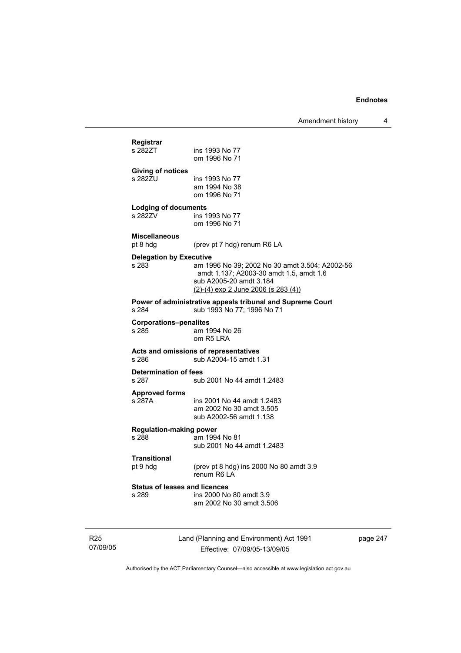## **Registrar**  ins 1993 No 77 om 1996 No 71 **Giving of notices**  ins 1993 No 77 am 1994 No 38 om 1996 No 71 **Lodging of documents**  ins 1993 No 77 om 1996 No 71 **Miscellaneous**  pt 8 hdg (prev pt 7 hdg) renum R6 LA **Delegation by Executive**  s 283 am 1996 No 39; 2002 No 30 amdt 3.504; A2002-56 amdt 1.137; A2003-30 amdt 1.5, amdt 1.6 sub A2005-20 amdt 3.184 (2)-(4) exp 2 June 2006 (s 283 (4)) **Power of administrative appeals tribunal and Supreme Court**<br>
s 284 sub 1993 No 77: 1996 No 71 sub 1993 No 77; 1996 No 71 **Corporations–penalites**  s 285 am 1994 No 26 om R5 LRA **Acts and omissions of representatives**  s 286 sub A2004-15 amdt 1.31 **Determination of fees**  sub 2001 No 44 amdt 1.2483 **Approved forms**  s 287A ins 2001 No 44 amdt 1.2483 am 2002 No 30 amdt 3.505 sub A2002-56 amdt 1.138 **Regulation-making power**  am 1994 No 81 sub 2001 No 44 amdt 1.2483 **Transitional**  (prev pt 8 hdg) ins 2000 No 80 amdt  $3.9$  renum R6 LA **Status of leases and licences**  s 289 ins 2000 No 80 amdt 3.9 am 2002 No 30 amdt 3.506

R25 07/09/05 Land (Planning and Environment) Act 1991 Effective: 07/09/05-13/09/05

page 247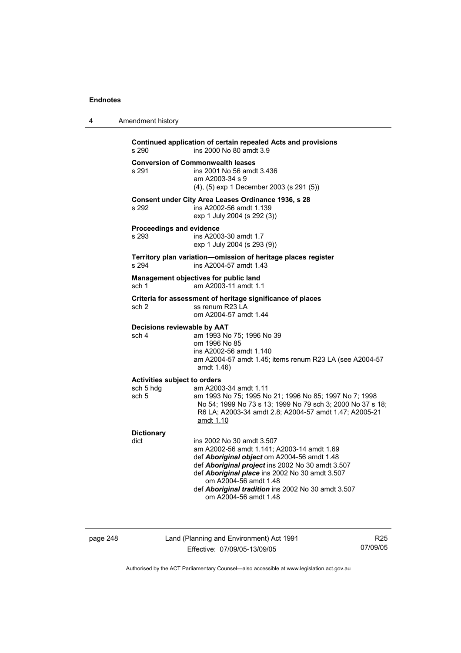4 Amendment history

| Continued application of certain repealed Acts and provisions<br>ins 2000 No 80 amdt 3.9<br>s 290 |                                                                                                                                                                                                                                                                                                                                      |  |  |
|---------------------------------------------------------------------------------------------------|--------------------------------------------------------------------------------------------------------------------------------------------------------------------------------------------------------------------------------------------------------------------------------------------------------------------------------------|--|--|
| s 291                                                                                             | <b>Conversion of Commonwealth leases</b><br>ins 2001 No 56 amdt 3.436<br>am A2003-34 s 9<br>(4), (5) exp 1 December 2003 (s 291 (5))                                                                                                                                                                                                 |  |  |
| s 292                                                                                             | Consent under City Area Leases Ordinance 1936, s 28<br>ins A2002-56 amdt 1.139<br>exp 1 July 2004 (s 292 (3))                                                                                                                                                                                                                        |  |  |
| <b>Proceedings and evidence</b><br>s 293                                                          | ins A2003-30 amdt 1.7<br>exp 1 July 2004 (s 293 (9))                                                                                                                                                                                                                                                                                 |  |  |
| s 294                                                                                             | Territory plan variation-omission of heritage places register<br>ins A2004-57 amdt 1.43                                                                                                                                                                                                                                              |  |  |
| sch 1                                                                                             | Management objectives for public land<br>am A2003-11 amdt 1.1                                                                                                                                                                                                                                                                        |  |  |
| sch <sub>2</sub>                                                                                  | Criteria for assessment of heritage significance of places<br>ss renum R23 LA<br>om A2004-57 amdt 1.44                                                                                                                                                                                                                               |  |  |
| Decisions reviewable by AAT<br>sch 4                                                              | am 1993 No 75; 1996 No 39<br>om 1996 No 85<br>ins A2002-56 amdt 1.140<br>am A2004-57 amdt 1.45; items renum R23 LA (see A2004-57<br>amdt 1.46)                                                                                                                                                                                       |  |  |
| <b>Activities subject to orders</b><br>sch 5 hdg<br>sch 5                                         | am A2003-34 amdt 1.11<br>am 1993 No 75; 1995 No 21; 1996 No 85; 1997 No 7; 1998<br>No 54; 1999 No 73 s 13; 1999 No 79 sch 3; 2000 No 37 s 18;<br>R6 LA; A2003-34 amdt 2.8; A2004-57 amdt 1.47; A2005-21<br>amdt 1.10                                                                                                                 |  |  |
| <b>Dictionary</b><br>dict                                                                         | ins 2002 No 30 amdt 3.507<br>am A2002-56 amdt 1.141; A2003-14 amdt 1.69<br>def Aboriginal object om A2004-56 amdt 1.48<br>def Aboriginal project ins 2002 No 30 amdt 3.507<br>def Aboriginal place ins 2002 No 30 amdt 3.507<br>om A2004-56 amdt 1.48<br>def Aboriginal tradition ins 2002 No 30 amdt 3.507<br>om A2004-56 amdt 1.48 |  |  |

page 248 Land (Planning and Environment) Act 1991 Effective: 07/09/05-13/09/05

R25 07/09/05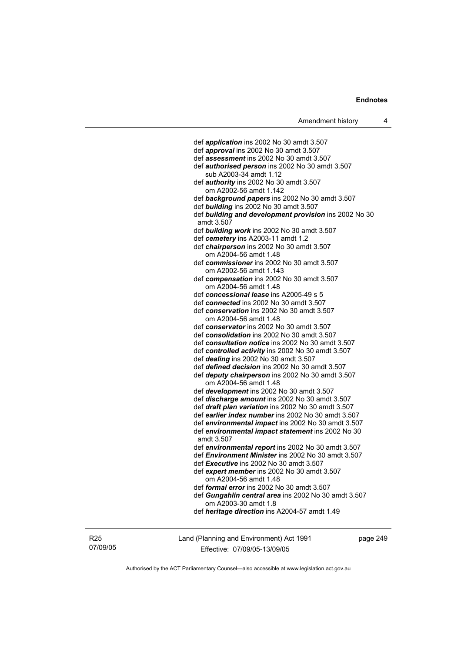def *application* ins 2002 No 30 amdt 3.507 def *approval* ins 2002 No 30 amdt 3.507 def *assessment* ins 2002 No 30 amdt 3.507 def *authorised person* ins 2002 No 30 amdt 3.507 sub A2003-34 amdt 1.12 def *authority* ins 2002 No 30 amdt 3.507 om A2002-56 amdt 1.142 def *background papers* ins 2002 No 30 amdt 3.507 def *building* ins 2002 No 30 amdt 3.507 def *building and development provision* ins 2002 No 30 amdt 3.507 def *building work* ins 2002 No 30 amdt 3.507 def *cemetery* ins A2003-11 amdt 1.2 def *chairperson* ins 2002 No 30 amdt 3.507 om A2004-56 amdt 1.48 def *commissioner* ins 2002 No 30 amdt 3.507 om A2002-56 amdt 1.143 def *compensation* ins 2002 No 30 amdt 3.507 om A2004-56 amdt 1.48 def *concessional lease* ins A2005-49 s 5 def *connected* ins 2002 No 30 amdt 3.507 def *conservation* ins 2002 No 30 amdt 3.507 om A2004-56 amdt 1.48 def *conservator* ins 2002 No 30 amdt 3.507 def *consolidation* ins 2002 No 30 amdt 3.507 def *consultation notice* ins 2002 No 30 amdt 3.507 def *controlled activity* ins 2002 No 30 amdt 3.507 def *dealing* ins 2002 No 30 amdt 3.507 def *defined decision* ins 2002 No 30 amdt 3.507 def *deputy chairperson* ins 2002 No 30 amdt 3.507 om A2004-56 amdt 1.48 def *development* ins 2002 No 30 amdt 3.507 def *discharge amount* ins 2002 No 30 amdt 3.507 def *draft plan variation* ins 2002 No 30 amdt 3.507 def *earlier index number* ins 2002 No 30 amdt 3.507 def *environmental impact* ins 2002 No 30 amdt 3.507 def *environmental impact statement* ins 2002 No 30 amdt 3.507 def *environmental report* ins 2002 No 30 amdt 3.507 def *Environment Minister* ins 2002 No 30 amdt 3.507 def *Executive* ins 2002 No 30 amdt 3.507 def *expert member* ins 2002 No 30 amdt 3.507 om A2004-56 amdt 1.48 def *formal error* ins 2002 No 30 amdt 3.507 def *Gungahlin central area* ins 2002 No 30 amdt 3.507 om A2003-30 amdt 1.8 def *heritage direction* ins A2004-57 amdt 1.49

R25 07/09/05 Land (Planning and Environment) Act 1991 Effective: 07/09/05-13/09/05

page 249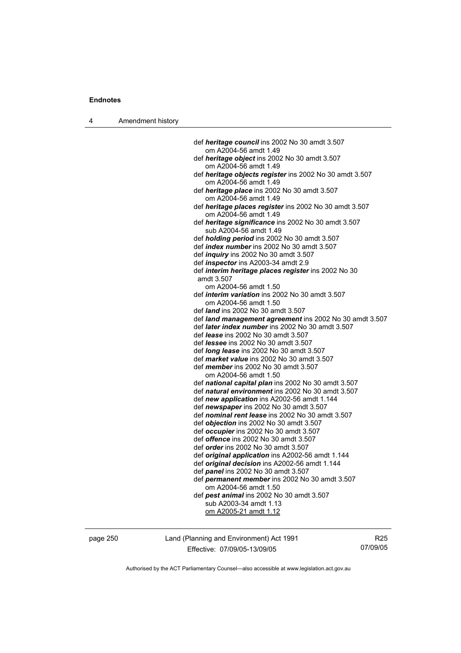|  | Amendment history |
|--|-------------------|
|--|-------------------|

| def heritage council ins 2002 No 30 amdt 3.507                                         |
|----------------------------------------------------------------------------------------|
| om A2004-56 amdt 1.49                                                                  |
| def heritage object ins 2002 No 30 amdt 3.507                                          |
| om A2004-56 amdt 1.49                                                                  |
| def heritage objects register ins 2002 No 30 amdt 3.507                                |
| om A2004-56 amdt 1.49                                                                  |
| def heritage place ins 2002 No 30 amdt 3.507                                           |
| om A2004-56 amdt 1.49                                                                  |
| def heritage places register ins 2002 No 30 amdt 3.507<br>om A2004-56 amdt 1.49        |
| def heritage significance ins 2002 No 30 amdt 3.507                                    |
| sub A2004-56 amdt 1.49                                                                 |
| def holding period ins 2002 No 30 amdt 3.507                                           |
| def index number ins 2002 No 30 amdt 3.507                                             |
| def <i>inquiry</i> ins 2002 No 30 amdt 3.507                                           |
| def <i>inspector</i> ins A2003-34 amdt 2.9                                             |
| def interim heritage places register ins 2002 No 30                                    |
| amdt 3.507                                                                             |
| om A2004-56 amdt 1.50                                                                  |
| def interim variation ins 2002 No 30 amdt 3.507                                        |
| om A2004-56 amdt 1.50                                                                  |
| def <i>land</i> ins 2002 No 30 amdt 3.507                                              |
| def land management agreement ins 2002 No 30 amdt 3.507                                |
| def later index number ins 2002 No 30 amdt 3.507                                       |
| def lease ins 2002 No 30 amdt 3.507                                                    |
| def <i>lessee</i> ins 2002 No 30 amdt 3.507                                            |
| def long lease ins 2002 No 30 amdt 3.507<br>def market value ins 2002 No 30 amdt 3.507 |
| def <i>member</i> ins 2002 No 30 amdt 3.507                                            |
| om A2004-56 amdt 1.50                                                                  |
| def national capital plan ins 2002 No 30 amdt 3.507                                    |
| def natural environment ins 2002 No 30 amdt 3.507                                      |
| def new application ins A2002-56 amdt 1.144                                            |
| def newspaper ins 2002 No 30 amdt 3.507                                                |
| def nominal rent lease ins 2002 No 30 amdt 3.507                                       |
| def objection ins 2002 No 30 amdt 3.507                                                |
| def occupier ins 2002 No 30 amdt 3.507                                                 |
| def offence ins 2002 No 30 amdt 3.507                                                  |
| def <i>order</i> ins 2002 No 30 amdt 3.507                                             |
| def original application ins A2002-56 amdt 1.144                                       |
| def original decision ins A2002-56 amdt 1.144                                          |
| def panel ins 2002 No 30 amdt 3.507                                                    |
| def permanent member ins 2002 No 30 amdt 3.507                                         |
| om A2004-56 amdt 1.50                                                                  |
| def pest animal ins 2002 No 30 amdt 3.507                                              |
| sub A2003-34 amdt 1.13                                                                 |
| om A2005-21 amdt 1.12                                                                  |
|                                                                                        |

page 250 Land (Planning and Environment) Act 1991 Effective: 07/09/05-13/09/05

R25 07/09/05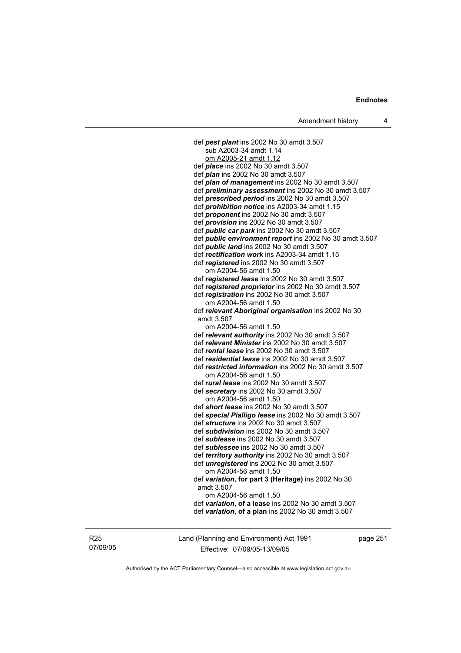def *pest plant* ins 2002 No 30 amdt 3.507 sub A2003-34 amdt 1.14 om A2005-21 amdt 1.12 def *place* ins 2002 No 30 amdt 3.507 def *plan* ins 2002 No 30 amdt 3.507 def *plan of management* ins 2002 No 30 amdt 3.507 def *preliminary assessment* ins 2002 No 30 amdt 3.507 def *prescribed period* ins 2002 No 30 amdt 3.507 def *prohibition notice* ins A2003-34 amdt 1.15 def *proponent* ins 2002 No 30 amdt 3.507 def *provision* ins 2002 No 30 amdt 3.507 def *public car park* ins 2002 No 30 amdt 3.507 def *public environment report* ins 2002 No 30 amdt 3.507 def *public land* ins 2002 No 30 amdt 3.507 def *rectification work* ins A2003-34 amdt 1.15 def *registered* ins 2002 No 30 amdt 3.507 om A2004-56 amdt 1.50 def *registered lease* ins 2002 No 30 amdt 3.507 def *registered proprietor* ins 2002 No 30 amdt 3.507 def *registration* ins 2002 No 30 amdt 3.507 om A2004-56 amdt 1.50 def *relevant Aboriginal organisation* ins 2002 No 30 amdt 3.507 om A2004-56 amdt 1.50 def *relevant authority* ins 2002 No 30 amdt 3.507 def *relevant Minister* ins 2002 No 30 amdt 3.507 def *rental lease* ins 2002 No 30 amdt 3.507 def *residential lease* ins 2002 No 30 amdt 3.507 def *restricted information* ins 2002 No 30 amdt 3.507 om A2004-56 amdt 1.50 def *rural lease* ins 2002 No 30 amdt 3.507 def *secretary* ins 2002 No 30 amdt 3.507 om A2004-56 amdt 1.50 def *short lease* ins 2002 No 30 amdt 3.507 def *special Pialligo lease* ins 2002 No 30 amdt 3.507 def *structure* ins 2002 No 30 amdt 3.507 def *subdivision* ins 2002 No 30 amdt 3.507 def *sublease* ins 2002 No 30 amdt 3.507 def *sublessee* ins 2002 No 30 amdt 3.507 def *territory authority* ins 2002 No 30 amdt 3.507 def *unregistered* ins 2002 No 30 amdt 3.507 om A2004-56 amdt 1.50 def *variation***, for part 3 (Heritage)** ins 2002 No 30 amdt 3.507 om A2004-56 amdt 1.50 def *variation***, of a lease** ins 2002 No 30 amdt 3.507 def *variation***, of a plan** ins 2002 No 30 amdt 3.507

R25 07/09/05 Land (Planning and Environment) Act 1991 Effective: 07/09/05-13/09/05

page 251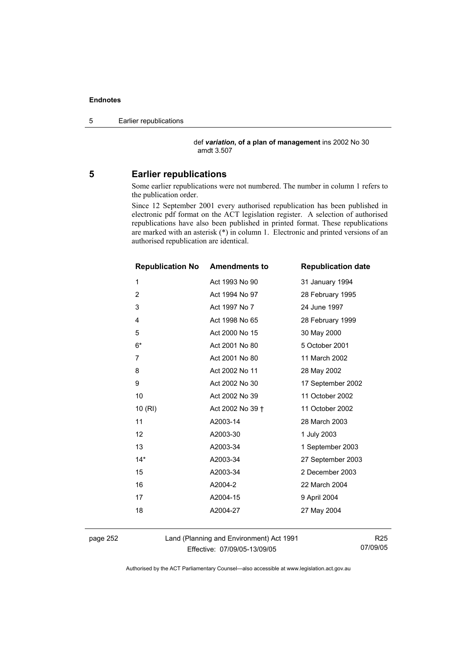5 Earlier republications

 def *variation***, of a plan of management** ins 2002 No 30 amdt 3.507

### **5 Earlier republications**

Some earlier republications were not numbered. The number in column 1 refers to the publication order.

Since 12 September 2001 every authorised republication has been published in electronic pdf format on the ACT legislation register. A selection of authorised republications have also been published in printed format. These republications are marked with an asterisk (\*) in column 1. Electronic and printed versions of an authorised republication are identical.

| <b>Republication No Amendments to</b> |                  | <b>Republication date</b> |
|---------------------------------------|------------------|---------------------------|
| 1                                     | Act 1993 No 90   | 31 January 1994           |
| $\overline{2}$                        | Act 1994 No 97   | 28 February 1995          |
| 3                                     | Act 1997 No 7    | 24 June 1997              |
| 4                                     | Act 1998 No 65   | 28 February 1999          |
| 5                                     | Act 2000 No 15   | 30 May 2000               |
| $6*$                                  | Act 2001 No 80   | 5 October 2001            |
| 7                                     | Act 2001 No 80   | 11 March 2002             |
| 8                                     | Act 2002 No 11   | 28 May 2002               |
| 9                                     | Act 2002 No 30   | 17 September 2002         |
| 10                                    | Act 2002 No 39   | 11 October 2002           |
| 10(RI)                                | Act 2002 No 39 + | 11 October 2002           |
| 11                                    | A2003-14         | 28 March 2003             |
| 12                                    | A2003-30         | 1 July 2003               |
| 13                                    | A2003-34         | 1 September 2003          |
| $14*$                                 | A2003-34         | 27 September 2003         |
| 15                                    | A2003-34         | 2 December 2003           |
| 16                                    | A2004-2          | 22 March 2004             |
| 17                                    | A2004-15         | 9 April 2004              |
| 18                                    | A2004-27         | 27 May 2004               |
|                                       |                  |                           |

page 252 Land (Planning and Environment) Act 1991 Effective: 07/09/05-13/09/05

R25 07/09/05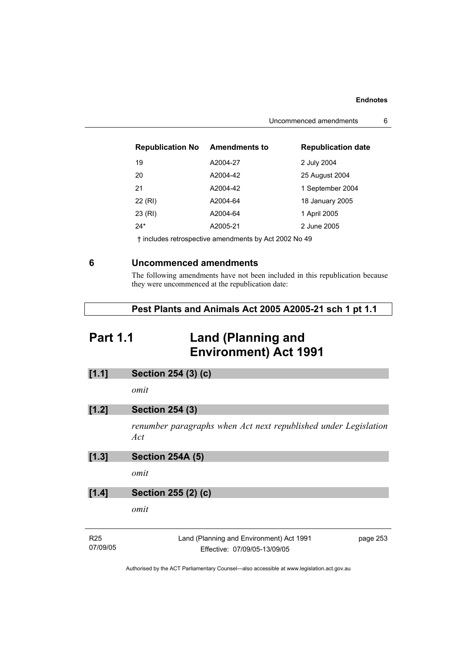| Uncommenced amendments |  |
|------------------------|--|
|------------------------|--|

| <b>Republication No</b> | <b>Amendments to</b> | <b>Republication date</b> |
|-------------------------|----------------------|---------------------------|
| 19                      | A2004-27             | 2 July 2004               |
| 20                      | A2004-42             | 25 August 2004            |
| 21                      | A2004-42             | 1 September 2004          |
| 22 (RI)                 | A2004-64             | 18 January 2005           |
| 23 (RI)                 | A2004-64             | 1 April 2005              |
| $24*$                   | A2005-21             | 2 June 2005               |

† includes retrospective amendments by Act 2002 No 49

## **6 Uncommenced amendments**

The following amendments have not been included in this republication because they were uncommenced at the republication date:

|  | Pest Plants and Animals Act 2005 A2005-21 sch 1 pt 1.1 |  |  |
|--|--------------------------------------------------------|--|--|
|--|--------------------------------------------------------|--|--|

## **Part 1.1 Land (Planning and Environment) Act 1991**

**[1.1] Section 254 (3) (c)** 

*omit* 

| [1.2] | <b>Section 254 (3)</b> |  |
|-------|------------------------|--|
|       |                        |  |

*renumber paragraphs when Act next republished under Legislation Act* 

| <b>Section 254A (5)</b><br>[1.3] |  |
|----------------------------------|--|
|----------------------------------|--|

*omit* 

### **[1.4] Section 255 (2) (c)**

*omit* 

| R25      | Land (Planning and Environment) Act 1991 | page 253 |
|----------|------------------------------------------|----------|
| 07/09/05 | Effective: 07/09/05-13/09/05             |          |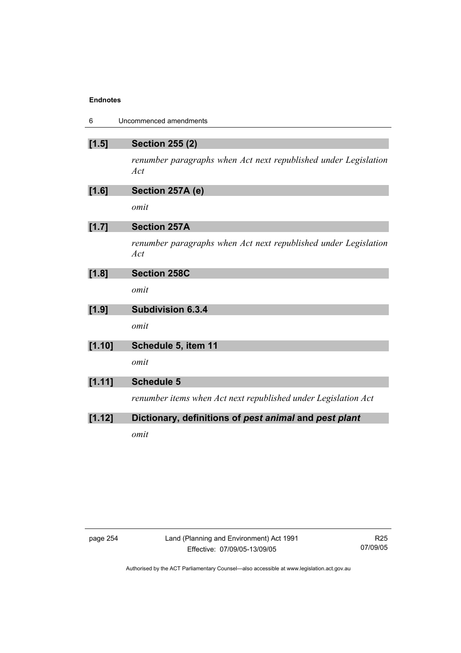| 6       | Uncommenced amendments                                                 |
|---------|------------------------------------------------------------------------|
| $[1.5]$ | <b>Section 255 (2)</b>                                                 |
|         | renumber paragraphs when Act next republished under Legislation<br>Act |
| [1.6]   | Section 257A (e)                                                       |
|         | omit                                                                   |
| [1.7]   | <b>Section 257A</b>                                                    |
|         | renumber paragraphs when Act next republished under Legislation<br>Act |
| [1.8]   | <b>Section 258C</b>                                                    |
|         | omit                                                                   |
| [1.9]   | <b>Subdivision 6.3.4</b>                                               |
|         | omit                                                                   |
| [1.10]  | Schedule 5, item 11                                                    |
|         | omit                                                                   |
| [1.11]  | <b>Schedule 5</b>                                                      |
|         | renumber items when Act next republished under Legislation Act         |
| [1.12]  | Dictionary, definitions of pest animal and pest plant                  |
|         | omit                                                                   |

| aace |  |
|------|--|
|------|--|

page 254 Land (Planning and Environment) Act 1991 Effective: 07/09/05-13/09/05

R25 07/09/05